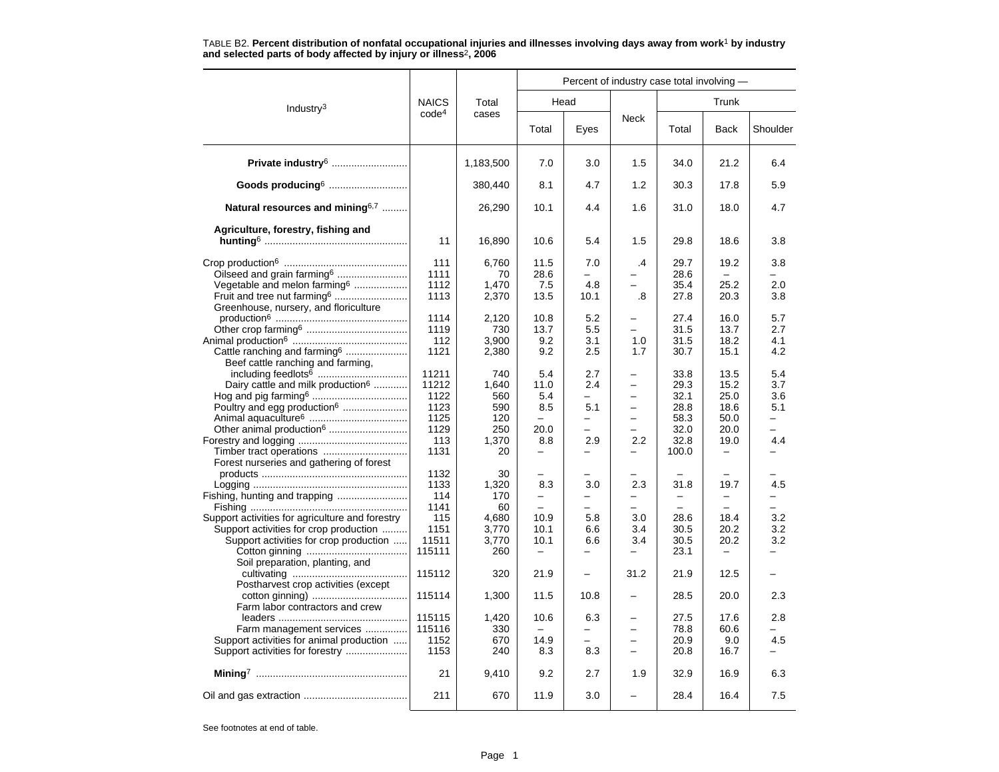|                                                                                                                                                                        |                                                               |                                                         | Percent of industry case total involving -                                          |                                                      |                                                                                                          |                                                               |                                                                                  |                                                             |  |  |
|------------------------------------------------------------------------------------------------------------------------------------------------------------------------|---------------------------------------------------------------|---------------------------------------------------------|-------------------------------------------------------------------------------------|------------------------------------------------------|----------------------------------------------------------------------------------------------------------|---------------------------------------------------------------|----------------------------------------------------------------------------------|-------------------------------------------------------------|--|--|
| Industry <sup>3</sup>                                                                                                                                                  | <b>NAICS</b>                                                  | Total                                                   |                                                                                     | Head                                                 |                                                                                                          |                                                               | Trunk                                                                            |                                                             |  |  |
|                                                                                                                                                                        | code <sup>4</sup>                                             | cases                                                   | Total                                                                               | Eyes                                                 | Neck                                                                                                     | Total                                                         | <b>Back</b>                                                                      | Shoulder                                                    |  |  |
| Private industry <sup>6</sup>                                                                                                                                          |                                                               | 1,183,500                                               | 7.0                                                                                 | 3.0                                                  | 1.5                                                                                                      | 34.0                                                          | 21.2                                                                             | 6.4                                                         |  |  |
| Goods producing <sup>6</sup>                                                                                                                                           |                                                               | 380,440                                                 | 8.1                                                                                 | 4.7                                                  | 1.2                                                                                                      | 30.3                                                          | 17.8                                                                             | 5.9                                                         |  |  |
| Natural resources and mining $6,7$                                                                                                                                     |                                                               | 26,290                                                  | 10.1                                                                                | 4.4                                                  | 1.6                                                                                                      | 31.0                                                          | 18.0                                                                             | 4.7                                                         |  |  |
| Agriculture, forestry, fishing and                                                                                                                                     | 11                                                            | 16,890                                                  | 10.6                                                                                | 5.4                                                  | 1.5                                                                                                      | 29.8                                                          | 18.6                                                                             | 3.8                                                         |  |  |
| Oilseed and grain farming <sup>6</sup><br>Vegetable and melon farming <sup>6</sup><br>Fruit and tree nut farming <sup>6</sup><br>Greenhouse, nursery, and floriculture | 111<br>1111<br>1112<br>1113                                   | 6,760<br>70<br>1,470<br>2,370                           | 11.5<br>28.6<br>7.5<br>13.5                                                         | 7.0<br>$\overline{\phantom{0}}$<br>4.8<br>10.1       | .4<br>.8                                                                                                 | 29.7<br>28.6<br>35.4<br>27.8                                  | 19.2<br>25.2<br>20.3                                                             | 3.8<br>2.0<br>3.8                                           |  |  |
| Cattle ranching and farming <sup>6</sup><br>Beef cattle ranching and farming,                                                                                          | 1114<br>1119<br>112<br>1121                                   | 2,120<br>730<br>3,900<br>2,380                          | 10.8<br>13.7<br>9.2<br>9.2                                                          | 5.2<br>5.5<br>3.1<br>2.5                             | -<br>1.0<br>1.7                                                                                          | 27.4<br>31.5<br>31.5<br>30.7                                  | 16.0<br>13.7<br>18.2<br>15.1                                                     | 5.7<br>2.7<br>4.1<br>4.2                                    |  |  |
| Dairy cattle and milk production <sup>6</sup><br>Poultry and egg production <sup>6</sup>                                                                               | 11211<br>11212<br>1122<br>1123<br>1125<br>1129<br>113<br>1131 | 740<br>1,640<br>560<br>590<br>120<br>250<br>1,370<br>20 | 5.4<br>11.0<br>5.4<br>8.5<br>$\equiv$<br>20.0<br>8.8<br>$\overline{\phantom{0}}$    | 2.7<br>2.4<br>5.1<br>$\overline{\phantom{0}}$<br>2.9 | $\overline{\phantom{0}}$<br>$\overline{\phantom{0}}$<br>$\equiv$<br>$\overline{\phantom{0}}$<br>2.2<br>- | 33.8<br>29.3<br>32.1<br>28.8<br>58.3<br>32.0<br>32.8<br>100.0 | 13.5<br>15.2<br>25.0<br>18.6<br>50.0<br>20.0<br>19.0<br>$\overline{\phantom{0}}$ | 5.4<br>3.7<br>3.6<br>5.1<br>$\overline{\phantom{0}}$<br>4.4 |  |  |
| Forest nurseries and gathering of forest<br>Support activities for agriculture and forestry<br>Support activities for crop production                                  | 1132<br>1133<br>114<br>1141<br>115<br>1151<br>11511           | 30<br>1,320<br>170<br>60<br>4,680<br>3,770              | $\overline{\phantom{0}}$<br>8.3<br>$\overline{\phantom{0}}$<br>10.9<br>10.1<br>10.1 | 3.0<br>$\overline{\phantom{0}}$<br>5.8<br>6.6<br>6.6 | 2.3<br>-<br>$\overline{\phantom{0}}$<br>3.0<br>3.4<br>3.4                                                | 31.8<br>$\overline{\phantom{0}}$<br>28.6<br>30.5<br>30.5      | $\overline{\phantom{0}}$<br>19.7<br>-<br>18.4<br>20.2<br>20.2                    | 4.5<br>3.2<br>3.2<br>3.2                                    |  |  |
| Support activities for crop production<br>Soil preparation, planting, and                                                                                              | 115111<br>115112                                              | 3,770<br>260<br>320                                     | $\qquad \qquad -$<br>21.9                                                           | $\overline{\phantom{0}}$<br>$\overline{\phantom{0}}$ | 31.2                                                                                                     | 23.1<br>21.9                                                  | 12.5                                                                             |                                                             |  |  |
| Postharvest crop activities (except<br>Farm labor contractors and crew                                                                                                 | 115114                                                        | 1,300                                                   | 11.5                                                                                | 10.8                                                 | -                                                                                                        | 28.5                                                          | 20.0                                                                             | 2.3                                                         |  |  |
| Farm management services<br>Support activities for animal production                                                                                                   | 115115<br>115116<br>1152<br>1153                              | 1,420<br>330<br>670<br>240                              | 10.6<br>14.9<br>8.3                                                                 | 6.3<br>8.3                                           | $\overline{\phantom{0}}$<br>$\overline{\phantom{0}}$<br>$\overline{\phantom{0}}$                         | 27.5<br>78.8<br>20.9<br>20.8                                  | 17.6<br>60.6<br>9.0<br>16.7                                                      | 2.8<br>4.5                                                  |  |  |
|                                                                                                                                                                        | 21                                                            | 9,410                                                   | 9.2                                                                                 | 2.7                                                  | 1.9                                                                                                      | 32.9                                                          | 16.9                                                                             | 6.3                                                         |  |  |
|                                                                                                                                                                        | 211                                                           | 670                                                     | 11.9                                                                                | 3.0                                                  |                                                                                                          | 28.4                                                          | 16.4                                                                             | 7.5                                                         |  |  |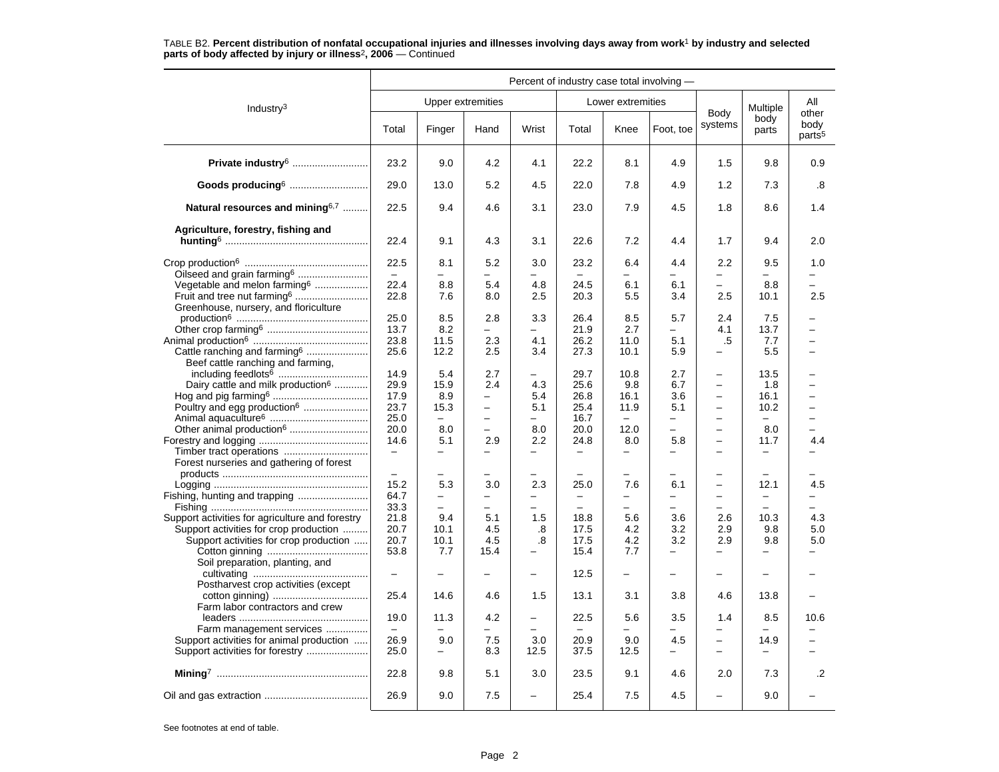|                                                 |                          |                                                      | Percent of industry case total involving - |                                      |                                               |                               |                                                      |                                                      |                                                      |                                     |
|-------------------------------------------------|--------------------------|------------------------------------------------------|--------------------------------------------|--------------------------------------|-----------------------------------------------|-------------------------------|------------------------------------------------------|------------------------------------------------------|------------------------------------------------------|-------------------------------------|
|                                                 |                          | <b>Upper extremities</b>                             |                                            |                                      |                                               | Lower extremities             |                                                      |                                                      |                                                      | All                                 |
| Industry $3$                                    | Total                    | Finger                                               | Hand                                       | Wrist                                | Total                                         | Knee                          | Foot, toe                                            | Body<br>systems                                      | Multiple<br>body<br>parts                            | other<br>body<br>parts <sup>5</sup> |
| Private industry <sup>6</sup>                   | 23.2                     | 9.0                                                  | 4.2                                        | 4.1                                  | 22.2                                          | 8.1                           | 4.9                                                  | 1.5                                                  | 9.8                                                  | 0.9                                 |
| Goods producing <sup>6</sup>                    | 29.0                     | 13.0                                                 | 5.2                                        | 4.5                                  | 22.0                                          | 7.8                           | 4.9                                                  | 1.2                                                  | 7.3                                                  | .8                                  |
| Natural resources and mining $6,7$              | 22.5                     | 9.4                                                  | 4.6                                        | 3.1                                  | 23.0                                          | 7.9                           | 4.5                                                  | 1.8                                                  | 8.6                                                  | 1.4                                 |
| Agriculture, forestry, fishing and              |                          |                                                      |                                            |                                      |                                               |                               |                                                      |                                                      |                                                      |                                     |
|                                                 | 22.4                     | 9.1                                                  | 4.3                                        | 3.1                                  | 22.6                                          | 7.2                           | 4.4                                                  | 1.7                                                  | 9.4                                                  | 2.0                                 |
| Oilseed and grain farming <sup>6</sup>          | 22.5<br>$\equiv$         | 8.1<br>$\overline{\phantom{0}}$                      | 5.2                                        | 3.0<br>$\overline{a}$                | 23.2                                          | 6.4                           | 4.4<br>$\overline{\phantom{0}}$                      | 2.2<br>$\overline{a}$                                | 9.5<br>$\equiv$                                      | 1.0<br>$\overline{\phantom{0}}$     |
| Vegetable and melon farming <sup>6</sup>        | 22.4                     | 8.8                                                  | 5.4                                        | 4.8                                  | 24.5                                          | 6.1                           | 6.1                                                  | $\overline{\phantom{0}}$                             | 8.8                                                  | $\overline{\phantom{0}}$            |
|                                                 | 22.8                     | 7.6                                                  | 8.0                                        | 2.5                                  | 20.3                                          | 5.5                           | 3.4                                                  | 2.5                                                  | 10.1                                                 | 2.5                                 |
| Greenhouse, nursery, and floriculture           | 25.0                     | 8.5                                                  | 2.8                                        | 3.3                                  | 26.4                                          | 8.5                           | 5.7                                                  | 2.4                                                  | 7.5                                                  |                                     |
|                                                 | 13.7                     | 8.2                                                  | ÷                                          | $\equiv$                             | 21.9                                          | 2.7                           | $\overline{\phantom{0}}$                             | 4.1                                                  | 13.7                                                 |                                     |
|                                                 | 23.8                     | 11.5                                                 | 2.3                                        | 4.1                                  | 26.2                                          | 11.0                          | 5.1                                                  | .5                                                   | 7.7                                                  | $\overline{\phantom{0}}$            |
| Cattle ranching and farming <sup>6</sup>        | 25.6                     | 12.2                                                 | 2.5                                        | 3.4                                  | 27.3                                          | 10.1                          | 5.9                                                  | ÷                                                    | 5.5                                                  | $\overline{\phantom{0}}$            |
| Beef cattle ranching and farming,               |                          |                                                      |                                            |                                      |                                               |                               |                                                      |                                                      |                                                      |                                     |
|                                                 | 14.9<br>29.9             | 5.4                                                  | 2.7<br>2.4                                 | 4.3                                  | 29.7<br>25.6                                  | 10.8<br>9.8                   | 2.7<br>6.7                                           | $\overline{\phantom{0}}$<br>$\overline{\phantom{0}}$ | 13.5<br>1.8                                          | $\overline{\phantom{0}}$            |
| Dairy cattle and milk production <sup>6</sup>   | 17.9                     | 15.9<br>8.9                                          | -                                          | 5.4                                  | 26.8                                          | 16.1                          | 3.6                                                  | $\overline{\phantom{m}}$                             | 16.1                                                 | —                                   |
| Poultry and egg production <sup>6</sup>         | 23.7                     | 15.3                                                 | $\qquad \qquad -$                          | 5.1                                  | 25.4                                          | 11.9                          | 5.1                                                  | $\qquad \qquad -$                                    | 10.2                                                 | -                                   |
|                                                 | 25.0                     | $-$                                                  | $\equiv$                                   | $-$                                  | 16.7                                          | $\equiv$                      | $\equiv$                                             | $\equiv$                                             | $\equiv$                                             |                                     |
| Other animal production <sup>6</sup>            | 20.0                     | 8.0                                                  | $\equiv$                                   | 8.0                                  | 20.0                                          | 12.0                          | $\equiv$                                             | $\overline{\phantom{0}}$                             | 8.0                                                  | $\overline{a}$                      |
|                                                 | 14.6                     | 5.1                                                  | 2.9                                        | 2.2                                  | 24.8                                          | 8.0                           | 5.8                                                  | $\qquad \qquad -$                                    | 11.7                                                 | 4.4                                 |
|                                                 | $\overline{\phantom{m}}$ | $\overline{\phantom{0}}$                             | $\qquad \qquad -$                          | $\overline{\phantom{0}}$             | $\qquad \qquad -$                             | $\overline{\phantom{0}}$      | $\overline{\phantom{0}}$                             | $\overline{\phantom{0}}$                             | $\overline{\phantom{0}}$                             | -                                   |
| Forest nurseries and gathering of forest        |                          |                                                      |                                            |                                      |                                               |                               |                                                      |                                                      |                                                      |                                     |
|                                                 | $\qquad \qquad -$        | $\overline{\phantom{0}}$                             | $\overline{\phantom{0}}$                   |                                      | $\overline{\phantom{0}}$                      | $\overline{\phantom{0}}$      |                                                      | $\overline{\phantom{0}}$                             | $\overline{\phantom{0}}$                             |                                     |
|                                                 | 15.2                     | 5.3                                                  | 3.0                                        | 2.3                                  | 25.0                                          | 7.6                           | 6.1                                                  | $\overline{\phantom{m}}$<br>$\overline{\phantom{m}}$ | 12.1                                                 | 4.5                                 |
| Fishing, hunting and trapping                   | 64.7<br>33.3             | $\overline{\phantom{0}}$<br>$\overline{\phantom{0}}$ | -<br>$\equiv$                              | $\overline{\phantom{0}}$<br>$\equiv$ | $\overline{\phantom{0}}$<br>$\qquad \qquad -$ | -<br>$\overline{\phantom{0}}$ | $\overline{\phantom{0}}$<br>$\overline{\phantom{0}}$ | $\equiv$                                             | $\overline{\phantom{0}}$<br>$\overline{\phantom{0}}$ | -<br>▃                              |
| Support activities for agriculture and forestry | 21.8                     | 9.4                                                  | 5.1                                        | 1.5                                  | 18.8                                          | 5.6                           | 3.6                                                  | 2.6                                                  | 10.3                                                 | 4.3                                 |
| Support activities for crop production          | 20.7                     | 10.1                                                 | 4.5                                        | .8                                   | 17.5                                          | 4.2                           | 3.2                                                  | 2.9                                                  | 9.8                                                  | 5.0                                 |
| Support activities for crop production          | 20.7                     | 10.1                                                 | 4.5                                        | .8                                   | 17.5                                          | 4.2                           | 3.2                                                  | 2.9                                                  | 9.8                                                  | 5.0                                 |
|                                                 | 53.8                     | 7.7                                                  | 15.4                                       |                                      | 15.4                                          | 7.7                           | $\overline{\phantom{0}}$                             |                                                      |                                                      |                                     |
| Soil preparation, planting, and                 |                          |                                                      |                                            |                                      |                                               |                               |                                                      |                                                      |                                                      |                                     |
| Postharvest crop activities (except             |                          |                                                      |                                            |                                      | 12.5                                          | $\overline{\phantom{0}}$      |                                                      |                                                      |                                                      |                                     |
|                                                 | 25.4                     | 14.6                                                 | 4.6                                        | 1.5                                  | 13.1                                          | 3.1                           | 3.8                                                  | 4.6                                                  | 13.8                                                 | $\overline{\phantom{0}}$            |
| Farm labor contractors and crew                 |                          |                                                      |                                            |                                      |                                               |                               |                                                      |                                                      |                                                      |                                     |
|                                                 | 19.0                     | 11.3                                                 | 4.2                                        | $\qquad \qquad -$                    | 22.5                                          | 5.6                           | 3.5                                                  | 1.4                                                  | 8.5                                                  | 10.6                                |
| Farm management services                        | 26.9                     | 9.0                                                  | 7.5                                        | 3.0                                  | 20.9                                          | 9.0                           | 4.5                                                  | $\qquad \qquad -$                                    | 14.9                                                 | $\overline{\phantom{0}}$            |
| Support activities for animal production        | 25.0                     | -                                                    | 8.3                                        | 12.5                                 | 37.5                                          | 12.5                          | $\overline{\phantom{0}}$                             | $\overline{\phantom{0}}$                             |                                                      | ▃                                   |
|                                                 | 22.8                     | 9.8                                                  | 5.1                                        | 3.0                                  | 23.5                                          | 9.1                           | 4.6                                                  | 2.0                                                  | 7.3                                                  | $\cdot$                             |
|                                                 | 26.9                     | 9.0                                                  | 7.5                                        | $\overline{\phantom{0}}$             | 25.4                                          | 7.5                           | 4.5                                                  |                                                      | 9.0                                                  |                                     |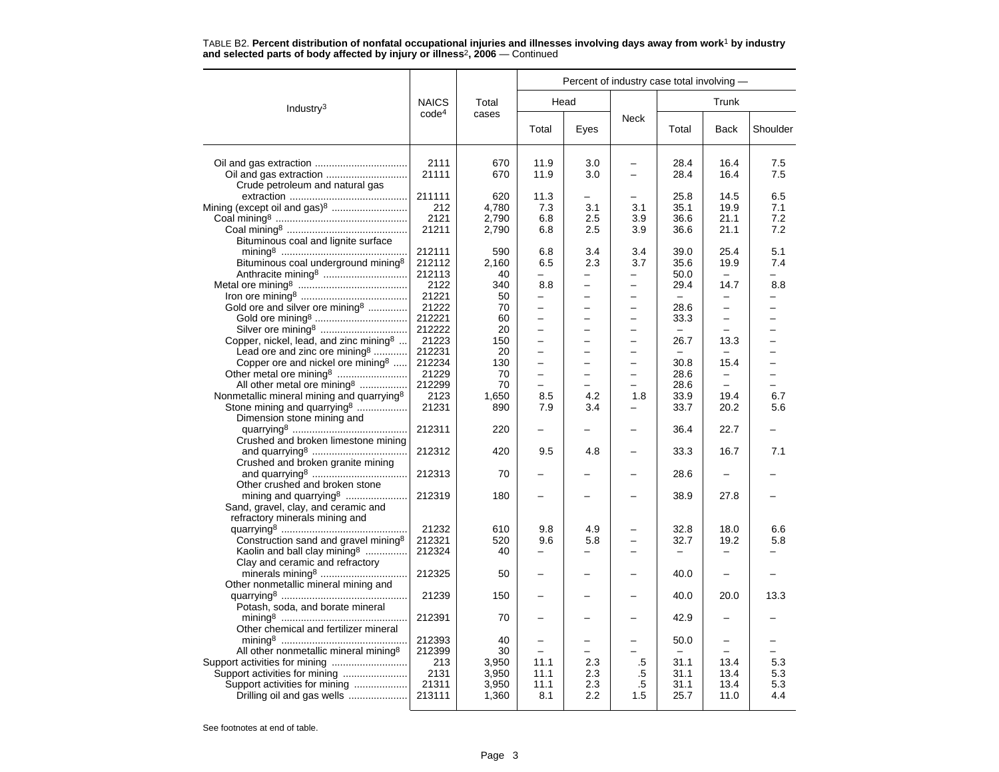|                                                       |                   |       | Percent of industry case total involving - |                          |                          |                          |                          |          |  |  |
|-------------------------------------------------------|-------------------|-------|--------------------------------------------|--------------------------|--------------------------|--------------------------|--------------------------|----------|--|--|
| Industry <sup>3</sup>                                 | <b>NAICS</b>      | Total |                                            | Head                     |                          |                          | Trunk                    |          |  |  |
|                                                       | code <sup>4</sup> | cases | Total                                      | Eyes                     | <b>Neck</b>              | Total                    | Back                     | Shoulder |  |  |
|                                                       | 2111              | 670   | 11.9                                       | 3.0                      | -                        | 28.4                     | 16.4                     | 7.5      |  |  |
|                                                       | 21111             | 670   | 11.9                                       | 3.0                      | $\overline{\phantom{0}}$ | 28.4                     | 16.4                     | 7.5      |  |  |
| Crude petroleum and natural gas                       |                   |       |                                            |                          |                          |                          |                          |          |  |  |
|                                                       | 211111            | 620   | 11.3                                       |                          | —                        | 25.8                     | 14.5                     | 6.5      |  |  |
| Mining (except oil and gas) <sup>8</sup>              | 212               | 4,780 | 7.3                                        | 3.1                      | 3.1                      | 35.1                     | 19.9                     | 7.1      |  |  |
|                                                       | 2121              | 2,790 | 6.8                                        | 2.5                      | 3.9                      | 36.6                     | 21.1                     | 7.2      |  |  |
|                                                       | 21211             | 2,790 | 6.8                                        | 2.5                      | 3.9                      | 36.6                     | 21.1                     | 7.2      |  |  |
| Bituminous coal and lignite surface                   |                   |       |                                            |                          |                          |                          |                          |          |  |  |
|                                                       | 212111            | 590   | 6.8                                        | 3.4                      | 3.4                      | 39.0                     | 25.4                     | 5.1      |  |  |
| Bituminous coal underground mining <sup>8</sup>       | 212112            | 2,160 | 6.5                                        | 2.3                      | 3.7                      | 35.6                     | 19.9                     | 7.4      |  |  |
|                                                       | 212113            | 40    | $\overline{\phantom{0}}$                   |                          | $\overline{\phantom{0}}$ | 50.0                     |                          | $\equiv$ |  |  |
|                                                       | 2122              | 340   | 8.8                                        | $\overline{\phantom{0}}$ | $\overline{\phantom{0}}$ | 29.4                     | 14.7                     | 8.8      |  |  |
|                                                       | 21221             | 50    | -                                          | $\overline{\phantom{0}}$ | $\overline{\phantom{0}}$ | $\overline{\phantom{m}}$ |                          |          |  |  |
| Gold ore and silver ore mining <sup>8</sup>           | 21222             | 70    | -                                          |                          | -                        | 28.6                     | $\overline{\phantom{0}}$ |          |  |  |
|                                                       | 212221            | 60    |                                            |                          |                          | 33.3                     |                          |          |  |  |
|                                                       | 212222            | 20    | L.                                         |                          | $\overline{\phantom{0}}$ | $\equiv$                 |                          |          |  |  |
| Copper, nickel, lead, and zinc mining <sup>8</sup>    | 21223             | 150   | $\overline{\phantom{0}}$                   | $\overline{\phantom{0}}$ | $\overline{\phantom{0}}$ | 26.7                     | 13.3                     |          |  |  |
| Lead ore and zinc ore mining <sup>8</sup>             | 212231            | 20    |                                            |                          | $\equiv$                 | $\equiv$                 |                          |          |  |  |
| Copper ore and nickel ore mining <sup>8</sup>         | 212234            | 130   | -                                          |                          | -                        | 30.8                     | 15.4                     |          |  |  |
|                                                       | 21229             | 70    |                                            |                          | $\overline{\phantom{0}}$ | 28.6                     |                          |          |  |  |
| All other metal ore mining <sup>8</sup>               | 212299            | 70    | $\overline{a}$                             |                          | $\equiv$                 | 28.6                     | $\equiv$                 |          |  |  |
| Nonmetallic mineral mining and quarrying <sup>8</sup> | 2123              | 1,650 | 8.5                                        | 4.2                      | 1.8                      | 33.9                     | 19.4                     | 6.7      |  |  |
| Stone mining and quarrying <sup>8</sup>               | 21231             | 890   | 7.9                                        | 3.4                      |                          | 33.7                     | 20.2                     | 5.6      |  |  |
| Dimension stone mining and                            |                   |       |                                            |                          |                          |                          |                          |          |  |  |
|                                                       | 212311            | 220   |                                            |                          |                          | 36.4                     | 22.7                     |          |  |  |
| Crushed and broken limestone mining                   |                   |       |                                            |                          |                          |                          |                          |          |  |  |
|                                                       | 212312            | 420   | 9.5                                        | 4.8                      | -                        | 33.3                     | 16.7                     | 7.1      |  |  |
| Crushed and broken granite mining                     |                   |       |                                            |                          |                          |                          |                          |          |  |  |
|                                                       | 212313            | 70    |                                            |                          |                          | 28.6                     |                          |          |  |  |
| Other crushed and broken stone                        |                   |       |                                            |                          |                          |                          |                          |          |  |  |
| mining and quarrying8                                 | 212319            | 180   |                                            |                          |                          | 38.9                     | 27.8                     |          |  |  |
| Sand, gravel, clay, and ceramic and                   |                   |       |                                            |                          |                          |                          |                          |          |  |  |
| refractory minerals mining and                        |                   |       |                                            |                          |                          |                          |                          |          |  |  |
|                                                       | 21232             | 610   | 9.8                                        | 4.9                      |                          | 32.8                     | 18.0                     | 6.6      |  |  |
| Construction sand and gravel mining <sup>8</sup>      | 212321            | 520   | 9.6                                        | 5.8                      | $\overline{\phantom{0}}$ | 32.7                     | 19.2                     | 5.8      |  |  |
| Kaolin and ball clay mining <sup>8</sup>              | 212324            | 40    | -                                          |                          |                          |                          |                          |          |  |  |
| Clay and ceramic and refractory                       |                   |       |                                            |                          |                          |                          |                          |          |  |  |
|                                                       | 212325            | 50    |                                            |                          |                          | 40.0                     |                          |          |  |  |
| Other nonmetallic mineral mining and                  |                   |       |                                            |                          |                          |                          |                          |          |  |  |
|                                                       | 21239             | 150   | -                                          | $\overline{\phantom{0}}$ | $\overline{\phantom{0}}$ | 40.0                     | 20.0                     | 13.3     |  |  |
| Potash, soda, and borate mineral                      |                   |       |                                            |                          |                          |                          |                          |          |  |  |
|                                                       | 212391            | 70    |                                            |                          |                          | 42.9                     |                          |          |  |  |
| Other chemical and fertilizer mineral                 |                   |       |                                            |                          |                          |                          |                          |          |  |  |
|                                                       | 212393            | 40    |                                            |                          |                          | 50.0                     |                          |          |  |  |
| All other nonmetallic mineral mining <sup>8</sup>     | 212399            | 30    | -                                          |                          |                          | $\overline{\phantom{0}}$ |                          |          |  |  |
| Support activities for mining                         | 213               | 3,950 | 11.1                                       | 2.3                      | .5                       | 31.1                     | 13.4                     | 5.3      |  |  |
| Support activities for mining                         | 2131              | 3,950 | 11.1                                       | 2.3                      | .5                       | 31.1                     | 13.4                     | 5.3      |  |  |
| Support activities for mining                         | 21311             | 3,950 | 11.1                                       | 2.3                      | .5                       | 31.1                     | 13.4                     | 5.3      |  |  |
| Drilling oil and gas wells                            | 213111            | 1,360 | 8.1                                        | 2.2                      | 1.5                      | 25.7                     | 11.0                     | 4.4      |  |  |
|                                                       |                   |       |                                            |                          |                          |                          |                          |          |  |  |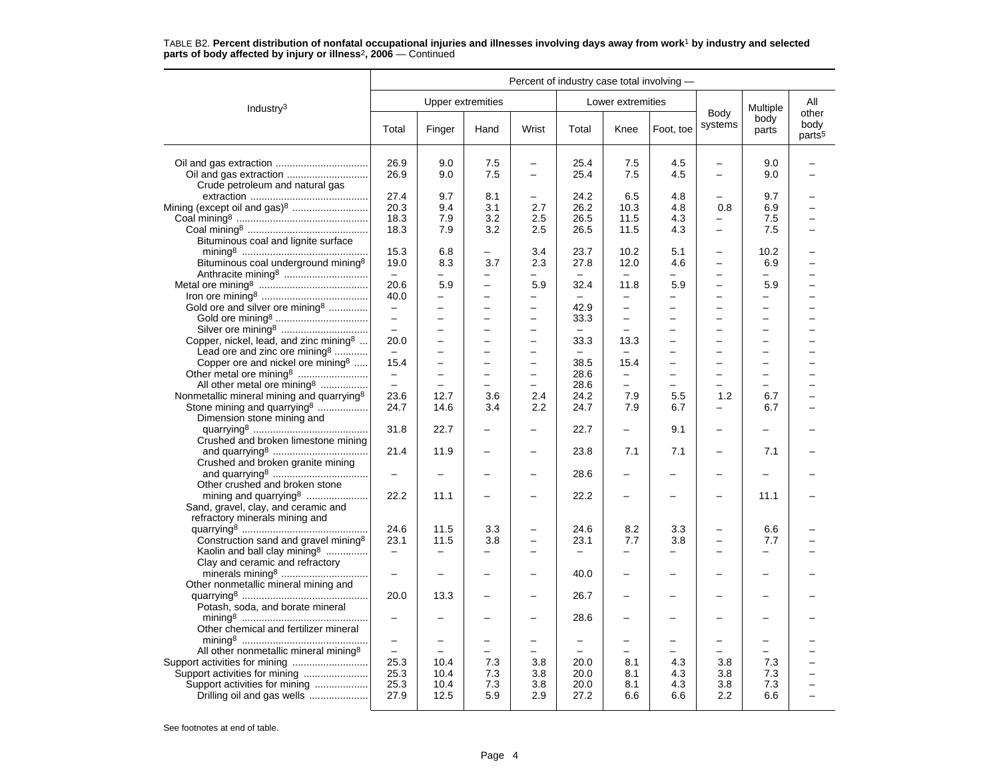|                                                                                                                                                                           | Percent of industry case total involving -                        |                                                                                       |                                                                                       |                                                                                                              |                                          |                                                                                  |                                               |                                                                                                              |                                                                       |                                     |
|---------------------------------------------------------------------------------------------------------------------------------------------------------------------------|-------------------------------------------------------------------|---------------------------------------------------------------------------------------|---------------------------------------------------------------------------------------|--------------------------------------------------------------------------------------------------------------|------------------------------------------|----------------------------------------------------------------------------------|-----------------------------------------------|--------------------------------------------------------------------------------------------------------------|-----------------------------------------------------------------------|-------------------------------------|
| Industry <sup>3</sup>                                                                                                                                                     |                                                                   | Upper extremities                                                                     |                                                                                       |                                                                                                              |                                          | Lower extremities                                                                |                                               |                                                                                                              | Multiple                                                              | All                                 |
|                                                                                                                                                                           | Total                                                             | Finger                                                                                | Hand                                                                                  | Wrist                                                                                                        | Total                                    | Knee                                                                             | Foot, toe                                     | Body<br>systems                                                                                              | body<br>parts                                                         | other<br>body<br>parts <sup>5</sup> |
| Crude petroleum and natural gas                                                                                                                                           | 26.9<br>26.9                                                      | 9.0<br>9.0                                                                            | 7.5<br>7.5                                                                            | $\qquad \qquad -$                                                                                            | 25.4<br>25.4                             | 7.5<br>7.5                                                                       | 4.5<br>4.5                                    | $\qquad \qquad -$                                                                                            | 9.0<br>9.0                                                            |                                     |
| Mining (except oil and gas) <sup>8</sup><br>Bituminous coal and lignite surface                                                                                           | 27.4<br>20.3<br>18.3<br>18.3                                      | 9.7<br>9.4<br>7.9<br>7.9                                                              | 8.1<br>3.1<br>3.2<br>3.2                                                              | $\qquad \qquad -$<br>2.7<br>2.5<br>2.5                                                                       | 24.2<br>26.2<br>26.5<br>26.5             | 6.5<br>10.3<br>11.5<br>11.5                                                      | 4.8<br>4.8<br>4.3<br>4.3                      | 0.8<br>$\equiv$<br>$\overline{\phantom{0}}$                                                                  | 9.7<br>6.9<br>7.5<br>7.5                                              |                                     |
| Bituminous coal underground mining <sup>8</sup>                                                                                                                           | 15.3<br>19.0<br>$\equiv$<br>20.6                                  | 6.8<br>8.3<br>$\overline{\phantom{0}}$<br>5.9                                         | -<br>3.7<br>-<br>$\overline{\phantom{0}}$                                             | 3.4<br>2.3<br>$\overline{\phantom{0}}$<br>5.9                                                                | 23.7<br>27.8<br>32.4                     | 10.2<br>12.0<br>11.8                                                             | 5.1<br>4.6<br>$\overline{\phantom{0}}$<br>5.9 | $\overline{\phantom{0}}$<br>$\overline{\phantom{0}}$<br>$\overline{\phantom{0}}$<br>$\overline{\phantom{0}}$ | 10.2<br>6.9<br>-<br>5.9                                               |                                     |
| Gold ore and silver ore mining <sup>8</sup><br>Silver ore mining <sup>8</sup>                                                                                             | 40.0<br>$\qquad \qquad -$<br>$\equiv$<br>$\overline{\phantom{0}}$ | $\overline{\phantom{0}}$<br>$\overline{\phantom{0}}$<br>÷<br>$\overline{\phantom{0}}$ | ÷<br>-<br>÷<br>-                                                                      | $\overline{\phantom{0}}$<br>$\overline{\phantom{0}}$<br>$\overline{\phantom{0}}$                             | $\equiv$<br>42.9<br>33.3                 | $\overline{\phantom{0}}$<br>$\overline{\phantom{0}}$<br>$\overline{\phantom{0}}$ | -<br>-<br>$\equiv$                            | $\overline{\phantom{0}}$<br>$\equiv$<br>$\equiv$<br>$\overline{\phantom{0}}$                                 | $\overline{\phantom{0}}$<br>$\overline{\phantom{0}}$<br>$\equiv$<br>- |                                     |
| Copper, nickel, lead, and zinc mining8<br>Lead ore and zinc ore mining $3$<br>Copper ore and nickel ore mining <sup>8</sup>                                               | 20.0<br>$-$<br>15.4<br>$\qquad \qquad -$                          | $\overline{a}$<br>÷<br>-<br>$\overline{a}$                                            | $\overline{\phantom{0}}$<br>$\overline{\phantom{0}}$<br>-<br>$\overline{\phantom{0}}$ | $\overline{\phantom{0}}$<br>$\overline{\phantom{0}}$<br>$\overline{\phantom{0}}$<br>$\overline{\phantom{0}}$ | 33.3<br>38.5<br>28.6                     | 13.3<br>15.4                                                                     | -<br>$\overline{\phantom{0}}$                 | $\overline{\phantom{0}}$<br>$\overline{\phantom{0}}$<br>$\overline{a}$                                       | $\overline{a}$<br>-<br>$\overline{\phantom{0}}$<br>$\overline{a}$     |                                     |
| All other metal ore mining <sup>8</sup><br>Nonmetallic mineral mining and quarrying <sup>8</sup><br>Stone mining and quarrying <sup>8</sup><br>Dimension stone mining and | $\overline{\phantom{m}}$<br>23.6<br>24.7                          | $\overline{\phantom{0}}$<br>12.7<br>14.6                                              | $\overline{a}$<br>3.6<br>3.4                                                          | $\overline{\phantom{0}}$<br>2.4<br>2.2                                                                       | 28.6<br>24.2<br>24.7                     | $\overline{\phantom{0}}$<br>7.9<br>7.9                                           | $\overline{a}$<br>5.5<br>6.7                  | $\overline{a}$<br>1.2                                                                                        | $\equiv$<br>6.7<br>6.7                                                |                                     |
| Crushed and broken limestone mining<br>Crushed and broken granite mining                                                                                                  | 31.8<br>21.4                                                      | 22.7<br>11.9                                                                          |                                                                                       | $\overline{\phantom{0}}$                                                                                     | 22.7<br>23.8                             | 7.1                                                                              | 9.1<br>7.1                                    | $\overline{\phantom{0}}$                                                                                     | 7.1                                                                   |                                     |
| Other crushed and broken stone                                                                                                                                            | $\overline{\phantom{0}}$<br>22.2                                  | 11.1                                                                                  |                                                                                       | $\equiv$                                                                                                     | 28.6<br>22.2                             | $\overline{\phantom{0}}$<br>÷                                                    |                                               | $\overline{\phantom{0}}$                                                                                     | 11.1                                                                  |                                     |
| Sand, gravel, clay, and ceramic and<br>refractory minerals mining and<br>Construction sand and gravel mining <sup>8</sup><br>Kaolin and ball clay mining <sup>8</sup>     | 24.6<br>23.1<br>$\overline{\phantom{m}}$                          | 11.5<br>11.5<br>$\overline{\phantom{0}}$                                              | 3.3<br>3.8                                                                            | $\overline{\phantom{0}}$                                                                                     | 24.6<br>23.1<br>$\overline{\phantom{0}}$ | 8.2<br>7.7<br>$\overline{\phantom{0}}$                                           | 3.3<br>3.8<br>$\overline{a}$                  | $\overline{\phantom{0}}$                                                                                     | 6.6<br>7.7<br>$\overline{a}$                                          |                                     |
| Clay and ceramic and refractory<br>Other nonmetallic mineral mining and                                                                                                   | $\overline{\phantom{0}}$                                          | -                                                                                     |                                                                                       |                                                                                                              | 40.0                                     | -                                                                                |                                               |                                                                                                              |                                                                       |                                     |
| Potash, soda, and borate mineral                                                                                                                                          | 20.0                                                              | 13.3                                                                                  |                                                                                       |                                                                                                              | 26.7                                     |                                                                                  |                                               |                                                                                                              |                                                                       |                                     |
| Other chemical and fertilizer mineral                                                                                                                                     |                                                                   |                                                                                       |                                                                                       |                                                                                                              | 28.6                                     |                                                                                  |                                               |                                                                                                              |                                                                       |                                     |
| All other nonmetallic mineral mining <sup>8</sup><br>Support activities for mining<br>Drilling oil and gas wells                                                          | $\overline{\phantom{0}}$<br>25.3<br>25.3<br>25.3<br>27.9          | -<br>10.4<br>10.4<br>10.4<br>12.5                                                     | -<br>-<br>7.3<br>7.3<br>7.3<br>5.9                                                    | 3.8<br>3.8<br>3.8<br>2.9                                                                                     | 20.0<br>20.0<br>20.0<br>27.2             | 8.1<br>8.1<br>8.1<br>6.6                                                         | 4.3<br>4.3<br>4.3<br>6.6                      | $\overline{\phantom{0}}$<br>3.8<br>3.8<br>3.8<br>2.2                                                         | -<br>7.3<br>7.3<br>7.3<br>6.6                                         |                                     |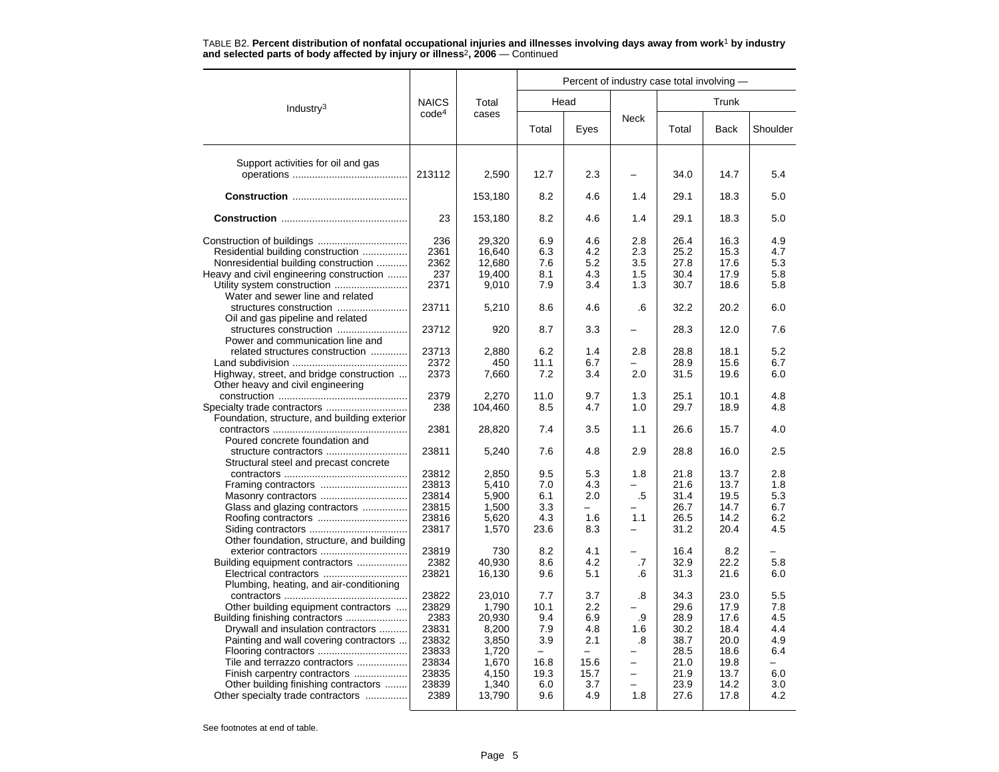|                                                                               |                   |         | Percent of industry case total involving - |          |                          |       |       |          |  |  |
|-------------------------------------------------------------------------------|-------------------|---------|--------------------------------------------|----------|--------------------------|-------|-------|----------|--|--|
| Industry <sup>3</sup>                                                         | <b>NAICS</b>      | Total   |                                            | Head     |                          |       | Trunk |          |  |  |
|                                                                               | code <sup>4</sup> | cases   | Total                                      | Eyes     | <b>Neck</b>              | Total | Back  | Shoulder |  |  |
| Support activities for oil and gas                                            |                   |         |                                            |          |                          |       |       |          |  |  |
|                                                                               | 213112            | 2,590   | 12.7                                       | 2.3      |                          | 34.0  | 14.7  | 5.4      |  |  |
|                                                                               |                   | 153,180 | 8.2                                        | 4.6      | 1.4                      | 29.1  | 18.3  | 5.0      |  |  |
|                                                                               | 23                | 153,180 | 8.2                                        | 4.6      | 1.4                      | 29.1  | 18.3  | 5.0      |  |  |
|                                                                               | 236               | 29,320  | 6.9                                        | 4.6      | 2.8                      | 26.4  | 16.3  | 4.9      |  |  |
| Residential building construction                                             | 2361              | 16.640  | 6.3                                        | 4.2      | 2.3                      | 25.2  | 15.3  | 4.7      |  |  |
| Nonresidential building construction                                          | 2362              | 12,680  | 7.6                                        | 5.2      | 3.5                      | 27.8  | 17.6  | 5.3      |  |  |
| Heavy and civil engineering construction                                      | 237               | 19,400  | 8.1                                        | 4.3      | 1.5                      | 30.4  | 17.9  | 5.8      |  |  |
|                                                                               | 2371              | 9,010   | 7.9                                        | 3.4      | 1.3                      | 30.7  | 18.6  | 5.8      |  |  |
| Water and sewer line and related                                              |                   |         |                                            |          |                          |       |       |          |  |  |
|                                                                               |                   |         |                                            |          |                          |       |       |          |  |  |
|                                                                               | 23711             | 5,210   | 8.6                                        | 4.6      | .6                       | 32.2  | 20.2  | 6.0      |  |  |
| Oil and gas pipeline and related                                              |                   |         |                                            |          |                          |       |       |          |  |  |
| structures construction                                                       | 23712             | 920     | 8.7                                        | 3.3      |                          | 28.3  | 12.0  | 7.6      |  |  |
| Power and communication line and                                              |                   |         |                                            |          |                          |       |       |          |  |  |
| related structures construction                                               | 23713             | 2,880   | 6.2                                        | 1.4      | 2.8                      | 28.8  | 18.1  | 5.2      |  |  |
|                                                                               | 2372              | 450     | 11.1                                       | 6.7      |                          | 28.9  | 15.6  | 6.7      |  |  |
| Highway, street, and bridge construction<br>Other heavy and civil engineering | 2373              | 7,660   | 7.2                                        | 3.4      | 2.0                      | 31.5  | 19.6  | 6.0      |  |  |
|                                                                               | 2379              | 2.270   | 11.0                                       | 9.7      | 1.3                      | 25.1  | 10.1  | 4.8      |  |  |
|                                                                               | 238               | 104,460 | 8.5                                        | 4.7      | 1.0                      | 29.7  | 18.9  | 4.8      |  |  |
| Foundation, structure, and building exterior                                  |                   |         |                                            |          |                          |       |       |          |  |  |
|                                                                               | 2381              | 28,820  | 7.4                                        | 3.5      | 1.1                      | 26.6  | 15.7  | 4.0      |  |  |
| Poured concrete foundation and                                                |                   |         |                                            |          |                          |       |       |          |  |  |
| structure contractors                                                         | 23811             | 5,240   | 7.6                                        | 4.8      | 2.9                      | 28.8  | 16.0  | 2.5      |  |  |
|                                                                               |                   |         |                                            |          |                          |       |       |          |  |  |
| Structural steel and precast concrete                                         |                   |         |                                            |          |                          |       |       |          |  |  |
|                                                                               | 23812             | 2,850   | 9.5                                        | 5.3      | 1.8                      | 21.8  | 13.7  | 2.8      |  |  |
| Framing contractors                                                           | 23813             | 5,410   | 7.0                                        | 4.3      | $\overline{\phantom{0}}$ | 21.6  | 13.7  | 1.8      |  |  |
|                                                                               | 23814             | 5,900   | 6.1                                        | 2.0      | .5                       | 31.4  | 19.5  | 5.3      |  |  |
| Glass and glazing contractors                                                 | 23815             | 1,500   | 3.3                                        | L,       |                          | 26.7  | 14.7  | 6.7      |  |  |
|                                                                               | 23816             | 5,620   | 4.3                                        | 1.6      | 1.1                      | 26.5  | 14.2  | 6.2      |  |  |
|                                                                               | 23817             | 1,570   | 23.6                                       | 8.3      |                          | 31.2  | 20.4  | 4.5      |  |  |
| Other foundation, structure, and building                                     |                   |         |                                            |          |                          |       |       |          |  |  |
|                                                                               | 23819             | 730     | 8.2                                        | 4.1      |                          | 16.4  | 8.2   |          |  |  |
| Building equipment contractors                                                | 2382              | 40.930  | 8.6                                        | 4.2      | .7                       | 32.9  | 22.2  | 5.8      |  |  |
|                                                                               | 23821             | 16,130  | 9.6                                        | 5.1      | .6                       | 31.3  | 21.6  | 6.0      |  |  |
| Plumbing, heating, and air-conditioning                                       |                   |         |                                            |          |                          |       |       |          |  |  |
|                                                                               | 23822             | 23,010  | 7.7                                        | 3.7      | .8                       | 34.3  | 23.0  | 5.5      |  |  |
| Other building equipment contractors                                          | 23829             | 1.790   | 10.1                                       | 2.2      |                          | 29.6  | 17.9  | 7.8      |  |  |
| Building finishing contractors                                                | 2383              | 20,930  | 9.4                                        | 6.9      | .9                       | 28.9  | 17.6  | 4.5      |  |  |
| Drywall and insulation contractors                                            | 23831             | 8,200   | 7.9                                        | 4.8      | 1.6                      | 30.2  | 18.4  | 4.4      |  |  |
| Painting and wall covering contractors                                        | 23832             | 3,850   | 3.9                                        | 2.1      | .8                       | 38.7  | 20.0  | 4.9      |  |  |
|                                                                               | 23833             |         | $\equiv$                                   | $\equiv$ |                          |       |       | 6.4      |  |  |
|                                                                               |                   | 1,720   |                                            |          |                          | 28.5  | 18.6  |          |  |  |
| Tile and terrazzo contractors                                                 | 23834             | 1,670   | 16.8                                       | 15.6     | $\overline{\phantom{0}}$ | 21.0  | 19.8  |          |  |  |
| Finish carpentry contractors                                                  | 23835             | 4,150   | 19.3                                       | 15.7     |                          | 21.9  | 13.7  | 6.0      |  |  |
| Other building finishing contractors                                          | 23839             | 1,340   | 6.0                                        | 3.7      |                          | 23.9  | 14.2  | 3.0      |  |  |
| Other specialty trade contractors                                             | 2389              | 13,790  | 9.6                                        | 4.9      | 1.8                      | 27.6  | 17.8  | 4.2      |  |  |
|                                                                               |                   |         |                                            |          |                          |       |       |          |  |  |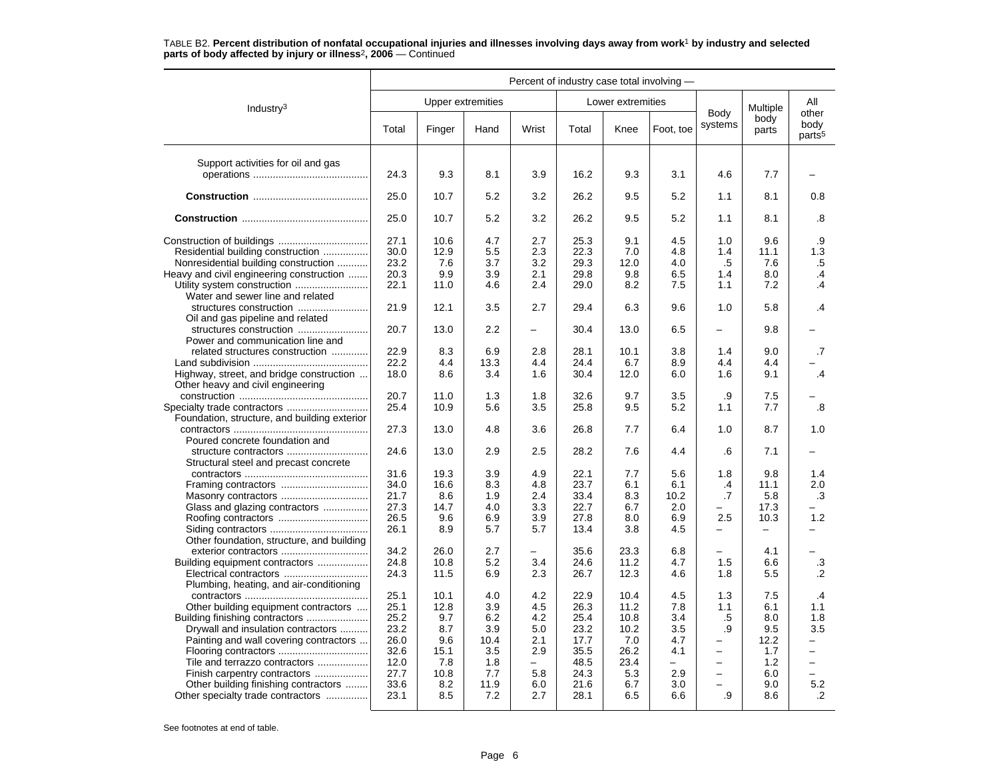|                                                                               | Percent of industry case total involving - |                   |      |                          |       |                   |           |                                 |               |                                     |
|-------------------------------------------------------------------------------|--------------------------------------------|-------------------|------|--------------------------|-------|-------------------|-----------|---------------------------------|---------------|-------------------------------------|
| Industry <sup>3</sup>                                                         |                                            | Upper extremities |      |                          |       | Lower extremities |           |                                 | Multiple      | All                                 |
|                                                                               | Total                                      | Finger            | Hand | Wrist                    | Total | Knee              | Foot, toe | Body<br>systems                 | body<br>parts | other<br>body<br>parts <sup>5</sup> |
| Support activities for oil and gas                                            |                                            |                   |      |                          |       |                   |           |                                 |               |                                     |
|                                                                               | 24.3                                       | 9.3               | 8.1  | 3.9                      | 16.2  | 9.3               | 3.1       | 4.6                             | 7.7           |                                     |
|                                                                               | 25.0                                       | 10.7              | 5.2  | 3.2                      | 26.2  | 9.5               | 5.2       | 1.1                             | 8.1           | 0.8                                 |
|                                                                               | 25.0                                       | 10.7              | 5.2  | 3.2                      | 26.2  | 9.5               | 5.2       | 1.1                             | 8.1           | .8                                  |
|                                                                               | 27.1                                       | 10.6              | 4.7  | 2.7                      | 25.3  | 9.1               | 4.5       | 1.0                             | 9.6           | .9                                  |
| Residential building construction                                             | 30.0                                       | 12.9              | 5.5  | 2.3                      | 22.3  | 7.0               | 4.8       | 1.4                             | 11.1          | 1.3                                 |
| Nonresidential building construction                                          | 23.2                                       | 7.6               | 3.7  | 3.2                      | 29.3  | 12.0              | 4.0       | $.5\,$                          | 7.6           | .5                                  |
| Heavy and civil engineering construction                                      | 20.3                                       | 9.9               | 3.9  | 2.1                      | 29.8  | 9.8               | 6.5       | 1.4                             | 8.0           | $\cdot$                             |
| Water and sewer line and related                                              | 22.1                                       | 11.0              | 4.6  | 2.4                      | 29.0  | 8.2               | 7.5       | 1.1                             | 7.2           | $\cdot$ 4                           |
| structures construction<br>Oil and gas pipeline and related                   | 21.9                                       | 12.1              | 3.5  | 2.7                      | 29.4  | 6.3               | 9.6       | 1.0                             | 5.8           | .4                                  |
| Power and communication line and                                              | 20.7                                       | 13.0              | 2.2  |                          | 30.4  | 13.0              | 6.5       |                                 | 9.8           |                                     |
| related structures construction                                               | 22.9                                       | 8.3               | 6.9  | 2.8                      | 28.1  | 10.1              | 3.8       | 1.4                             | 9.0           | $\cdot$                             |
|                                                                               | 22.2                                       | 4.4               | 13.3 | 4.4                      | 24.4  | 6.7               | 8.9       | 4.4                             | 4.4           |                                     |
| Highway, street, and bridge construction<br>Other heavy and civil engineering | 18.0                                       | 8.6               | 3.4  | 1.6                      | 30.4  | 12.0              | 6.0       | 1.6                             | 9.1           | $\cdot$ 4                           |
|                                                                               | 20.7                                       | 11.0              | 1.3  | 1.8                      | 32.6  | 9.7               | 3.5       | .9                              | 7.5           |                                     |
| Foundation, structure, and building exterior                                  | 25.4                                       | 10.9              | 5.6  | 3.5                      | 25.8  | 9.5               | 5.2       | 1.1                             | 7.7           | .8                                  |
| Poured concrete foundation and                                                | 27.3                                       | 13.0              | 4.8  | 3.6                      | 26.8  | 7.7               | 6.4       | 1.0                             | 8.7           | 1.0                                 |
| Structural steel and precast concrete                                         | 24.6                                       | 13.0              | 2.9  | 2.5                      | 28.2  | 7.6               | 4.4       | .6                              | 7.1           |                                     |
|                                                                               | 31.6                                       | 19.3              | 3.9  | 4.9                      | 22.1  | 7.7               | 5.6       | 1.8                             | 9.8           | 1.4                                 |
|                                                                               | 34.0                                       | 16.6              | 8.3  | 4.8                      | 23.7  | 6.1               | 6.1       | .4                              | 11.1          | 2.0                                 |
|                                                                               | 21.7                                       | 8.6               | 1.9  | 2.4                      | 33.4  | 8.3               | 10.2      | .7                              | 5.8           | .3                                  |
| Glass and glazing contractors                                                 | 27.3                                       | 14.7              | 4.0  | 3.3                      | 22.7  | 6.7               | 2.0       |                                 | 17.3          |                                     |
|                                                                               | 26.5                                       | 9.6               | 6.9  | 3.9                      | 27.8  | 8.0               | 6.9       | 2.5                             | 10.3          | 1.2                                 |
|                                                                               | 26.1                                       | 8.9               | 5.7  | 5.7                      | 13.4  | 3.8               | 4.5       | $\qquad \qquad -$               | —             | ▃                                   |
| Other foundation, structure, and building                                     |                                            |                   |      |                          |       |                   |           |                                 |               |                                     |
| exterior contractors                                                          | 34.2                                       | 26.0              | 2.7  | $\overline{\phantom{0}}$ | 35.6  | 23.3              | 6.8       | $\overline{\phantom{0}}$        | 4.1           |                                     |
| Building equipment contractors                                                | 24.8                                       | 10.8              | 5.2  | 3.4                      | 24.6  | 11.2              | 4.7       | 1.5                             | 6.6           | .3                                  |
|                                                                               | 24.3                                       | 11.5              | 6.9  | 2.3                      | 26.7  | 12.3              | 4.6       | 1.8                             | 5.5           | $\cdot$ .2                          |
| Plumbing, heating, and air-conditioning                                       |                                            |                   |      |                          |       |                   |           |                                 |               |                                     |
|                                                                               | 25.1                                       | 10.1              | 4.0  | 4.2                      | 22.9  | 10.4              | 4.5       | 1.3                             | 7.5           | .4                                  |
| Other building equipment contractors                                          | 25.1                                       | 12.8              | 3.9  | 4.5                      | 26.3  | 11.2              | 7.8       | 1.1                             | 6.1           | 1.1                                 |
|                                                                               | 25.2                                       | 9.7               | 6.2  | 4.2                      | 25.4  | 10.8              | 3.4       | .5                              | 8.0           | 1.8                                 |
| Drywall and insulation contractors                                            | 23.2                                       | 8.7               | 3.9  | 5.0                      | 23.2  | 10.2              | 3.5       | .9                              | 9.5           | 3.5                                 |
| Painting and wall covering contractors                                        | 26.0                                       | 9.6               | 10.4 | 2.1                      | 17.7  | 7.0               | 4.7       | $\overbrace{\phantom{1232211}}$ | 12.2          | $\overline{\phantom{0}}$            |
|                                                                               | 32.6                                       | 15.1              | 3.5  | 2.9                      | 35.5  | 26.2              | 4.1       | $\qquad \qquad -$               | 1.7           | $\overline{a}$                      |
| Tile and terrazzo contractors                                                 | 12.0                                       | 7.8               | 1.8  | $\equiv$                 | 48.5  | 23.4              | $\equiv$  | $\overline{\phantom{m}}$        | 1.2           | $\equiv$                            |
| Finish carpentry contractors                                                  | 27.7                                       | 10.8              | 7.7  | 5.8                      | 24.3  | 5.3               | 2.9       | $\qquad \qquad -$               | 6.0           | $\equiv$                            |
| Other building finishing contractors                                          | 33.6                                       | 8.2               | 11.9 | 6.0                      | 21.6  | 6.7               | 3.0       |                                 | 9.0           | 5.2                                 |
| Other specialty trade contractors                                             | 23.1                                       | 8.5               | 7.2  | 2.7                      | 28.1  | 6.5               | 6.6       | .9                              | 8.6           | $\cdot$                             |
|                                                                               |                                            |                   |      |                          |       |                   |           |                                 |               |                                     |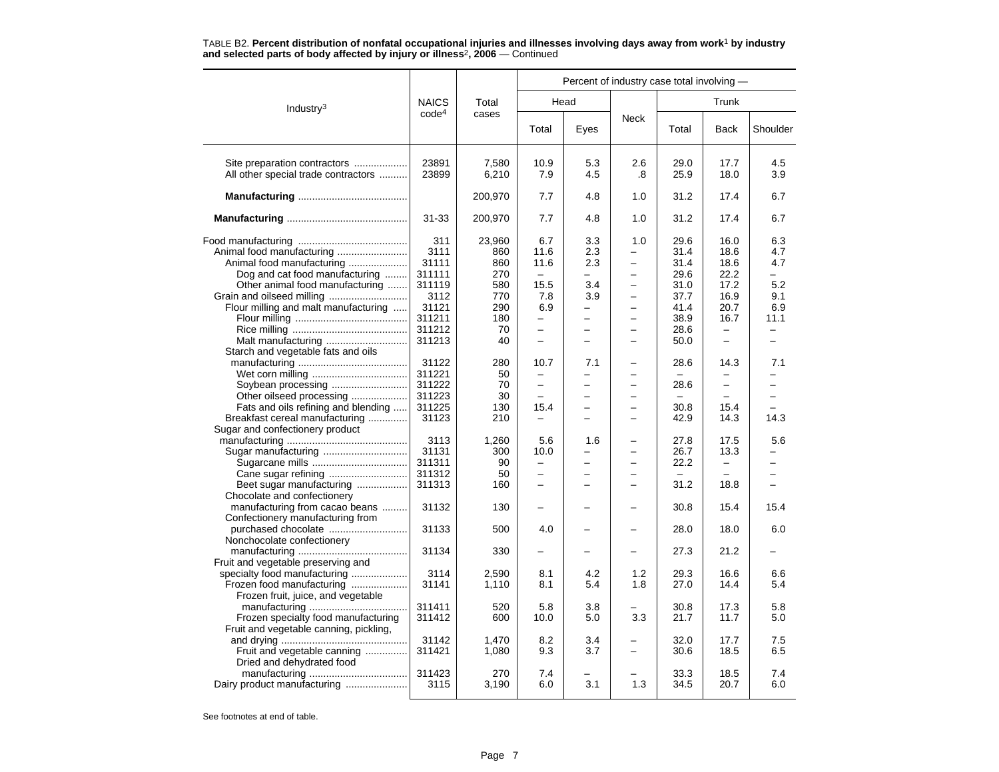|                                                                                                                                                                                                                                                                                                                                                                                                      |                                                                                                                                                                              |                                                                                                                                  | Percent of industry case total involving -                                                                                                                                                                                         |                                                                        |                                                                                                                                                                                                                                                            |                                                                                                                                                  |                                                                                                                                                                                               |                                                                                                                                                |  |  |
|------------------------------------------------------------------------------------------------------------------------------------------------------------------------------------------------------------------------------------------------------------------------------------------------------------------------------------------------------------------------------------------------------|------------------------------------------------------------------------------------------------------------------------------------------------------------------------------|----------------------------------------------------------------------------------------------------------------------------------|------------------------------------------------------------------------------------------------------------------------------------------------------------------------------------------------------------------------------------|------------------------------------------------------------------------|------------------------------------------------------------------------------------------------------------------------------------------------------------------------------------------------------------------------------------------------------------|--------------------------------------------------------------------------------------------------------------------------------------------------|-----------------------------------------------------------------------------------------------------------------------------------------------------------------------------------------------|------------------------------------------------------------------------------------------------------------------------------------------------|--|--|
| Industry <sup>3</sup>                                                                                                                                                                                                                                                                                                                                                                                | <b>NAICS</b>                                                                                                                                                                 | Total                                                                                                                            |                                                                                                                                                                                                                                    | Head                                                                   |                                                                                                                                                                                                                                                            |                                                                                                                                                  | Trunk                                                                                                                                                                                         |                                                                                                                                                |  |  |
|                                                                                                                                                                                                                                                                                                                                                                                                      | code <sup>4</sup>                                                                                                                                                            | cases                                                                                                                            | Total                                                                                                                                                                                                                              | Eyes                                                                   | <b>Neck</b>                                                                                                                                                                                                                                                | Total                                                                                                                                            | <b>Back</b>                                                                                                                                                                                   | Shoulder                                                                                                                                       |  |  |
| Site preparation contractors<br>All other special trade contractors                                                                                                                                                                                                                                                                                                                                  | 23891<br>23899                                                                                                                                                               | 7,580<br>6,210                                                                                                                   | 10.9<br>7.9                                                                                                                                                                                                                        | 5.3<br>4.5                                                             | 2.6<br>.8                                                                                                                                                                                                                                                  | 29.0<br>25.9                                                                                                                                     | 17.7<br>18.0                                                                                                                                                                                  | 4.5<br>3.9                                                                                                                                     |  |  |
|                                                                                                                                                                                                                                                                                                                                                                                                      |                                                                                                                                                                              | 200,970                                                                                                                          | 7.7                                                                                                                                                                                                                                | 4.8                                                                    | 1.0                                                                                                                                                                                                                                                        | 31.2                                                                                                                                             | 17.4                                                                                                                                                                                          | 6.7                                                                                                                                            |  |  |
|                                                                                                                                                                                                                                                                                                                                                                                                      | $31 - 33$                                                                                                                                                                    | 200,970                                                                                                                          | 7.7                                                                                                                                                                                                                                | 4.8                                                                    | 1.0                                                                                                                                                                                                                                                        | 31.2                                                                                                                                             | 17.4                                                                                                                                                                                          | 6.7                                                                                                                                            |  |  |
| Animal food manufacturing<br>Animal food manufacturing<br>Dog and cat food manufacturing<br>Other animal food manufacturing<br>Grain and oilseed milling<br>Flour milling and malt manufacturing<br>Starch and vegetable fats and oils<br>Soybean processing<br>Other oilseed processing<br>Fats and oils refining and blending<br>Breakfast cereal manufacturing<br>Sugar and confectionery product | 311<br>3111<br>31111<br>311111<br>311119<br>3112<br>31121<br>311211<br>311212<br>311213<br>31122<br>311221<br>311222<br>311223<br>311225<br>31123<br>3113<br>31131<br>311311 | 23,960<br>860<br>860<br>270<br>580<br>770<br>290<br>180<br>70<br>40<br>280<br>50<br>70<br>30<br>130<br>210<br>1,260<br>300<br>90 | 6.7<br>11.6<br>11.6<br>$\equiv$<br>15.5<br>7.8<br>6.9<br>$\equiv$<br>$\overline{\phantom{0}}$<br>10.7<br>$\overline{\phantom{0}}$<br>$\overline{a}$<br>15.4<br>$\overline{\phantom{0}}$<br>5.6<br>10.0<br>$\overline{\phantom{m}}$ | 3.3<br>2.3<br>2.3<br>÷<br>3.4<br>3.9<br>÷<br>╾<br>7.1<br>-<br>1.6<br>- | 1.0<br>L.<br>$\overline{\phantom{0}}$<br>$\overline{a}$<br>$\equiv$<br>÷<br>$\overline{\phantom{0}}$<br>-<br>$\overline{\phantom{0}}$<br>$\overline{\phantom{0}}$<br>$\overline{\phantom{0}}$<br>-<br>$\overline{\phantom{0}}$<br>$\overline{\phantom{0}}$ | 29.6<br>31.4<br>31.4<br>29.6<br>31.0<br>37.7<br>41.4<br>38.9<br>28.6<br>50.0<br>28.6<br>28.6<br>$\equiv$<br>30.8<br>42.9<br>27.8<br>26.7<br>22.2 | 16.0<br>18.6<br>18.6<br>22.2<br>17.2<br>16.9<br>20.7<br>16.7<br>$\overline{\phantom{0}}$<br>14.3<br>$\overline{\phantom{0}}$<br>$\equiv$<br>15.4<br>14.3<br>17.5<br>13.3<br>$\qquad \qquad -$ | 6.3<br>4.7<br>4.7<br>$\overline{\phantom{0}}$<br>5.2<br>9.1<br>6.9<br>11.1<br>$\overline{a}$<br>7.1<br>$\overline{ }$<br>-<br>14.3<br>5.6<br>╾ |  |  |
| Beet sugar manufacturing                                                                                                                                                                                                                                                                                                                                                                             | 311312<br>311313                                                                                                                                                             | 50<br>160                                                                                                                        | $\overline{\phantom{0}}$                                                                                                                                                                                                           |                                                                        | ÷                                                                                                                                                                                                                                                          | 31.2                                                                                                                                             | 18.8                                                                                                                                                                                          |                                                                                                                                                |  |  |
| Chocolate and confectionery<br>manufacturing from cacao beans<br>Confectionery manufacturing from                                                                                                                                                                                                                                                                                                    | 31132                                                                                                                                                                        | 130                                                                                                                              |                                                                                                                                                                                                                                    |                                                                        |                                                                                                                                                                                                                                                            | 30.8                                                                                                                                             | 15.4                                                                                                                                                                                          | 15.4                                                                                                                                           |  |  |
| purchased chocolate<br>Nonchocolate confectionery                                                                                                                                                                                                                                                                                                                                                    | 31133                                                                                                                                                                        | 500                                                                                                                              | 4.0                                                                                                                                                                                                                                |                                                                        | -                                                                                                                                                                                                                                                          | 28.0                                                                                                                                             | 18.0                                                                                                                                                                                          | 6.0                                                                                                                                            |  |  |
| Fruit and vegetable preserving and<br>specialty food manufacturing                                                                                                                                                                                                                                                                                                                                   | 31134<br>3114                                                                                                                                                                | 330<br>2,590                                                                                                                     | 8.1                                                                                                                                                                                                                                | 4.2                                                                    | 1.2                                                                                                                                                                                                                                                        | 27.3<br>29.3                                                                                                                                     | 21.2<br>16.6                                                                                                                                                                                  | 6.6                                                                                                                                            |  |  |
| Frozen food manufacturing<br>Frozen fruit, juice, and vegetable                                                                                                                                                                                                                                                                                                                                      | 31141                                                                                                                                                                        | 1,110                                                                                                                            | 8.1                                                                                                                                                                                                                                | 5.4                                                                    | 1.8                                                                                                                                                                                                                                                        | 27.0                                                                                                                                             | 14.4                                                                                                                                                                                          | 5.4                                                                                                                                            |  |  |
| Frozen specialty food manufacturing<br>Fruit and vegetable canning, pickling,                                                                                                                                                                                                                                                                                                                        | 311411<br>311412                                                                                                                                                             | 520<br>600                                                                                                                       | 5.8<br>10.0                                                                                                                                                                                                                        | 3.8<br>5.0                                                             | 3.3                                                                                                                                                                                                                                                        | 30.8<br>21.7                                                                                                                                     | 17.3<br>11.7                                                                                                                                                                                  | 5.8<br>5.0                                                                                                                                     |  |  |
| Fruit and vegetable canning<br>Dried and dehydrated food                                                                                                                                                                                                                                                                                                                                             | 31142<br>311421                                                                                                                                                              | 1.470<br>1,080                                                                                                                   | 8.2<br>9.3                                                                                                                                                                                                                         | 3.4<br>3.7                                                             | -                                                                                                                                                                                                                                                          | 32.0<br>30.6                                                                                                                                     | 17.7<br>18.5                                                                                                                                                                                  | 7.5<br>6.5                                                                                                                                     |  |  |
| Dairy product manufacturing                                                                                                                                                                                                                                                                                                                                                                          | 311423<br>3115                                                                                                                                                               | 270<br>3,190                                                                                                                     | 7.4<br>6.0                                                                                                                                                                                                                         | 3.1                                                                    | 1.3                                                                                                                                                                                                                                                        | 33.3<br>34.5                                                                                                                                     | 18.5<br>20.7                                                                                                                                                                                  | 7.4<br>6.0                                                                                                                                     |  |  |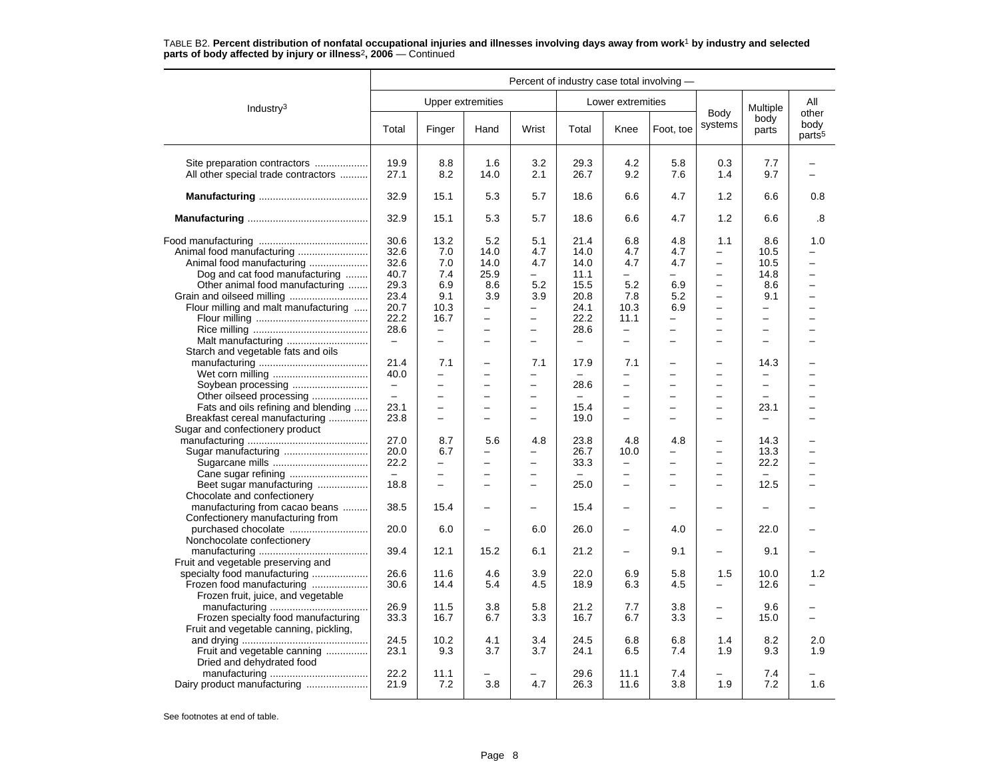|                                                                                                                                                                     | Percent of industry case total involving -                    |                                                                                                                                |                                                                                           |                                                                                       |                                                              |                                                                                                 |                                                  |                                                                                                                                                                  |                                                                                                              |                                                                                                   |  |
|---------------------------------------------------------------------------------------------------------------------------------------------------------------------|---------------------------------------------------------------|--------------------------------------------------------------------------------------------------------------------------------|-------------------------------------------------------------------------------------------|---------------------------------------------------------------------------------------|--------------------------------------------------------------|-------------------------------------------------------------------------------------------------|--------------------------------------------------|------------------------------------------------------------------------------------------------------------------------------------------------------------------|--------------------------------------------------------------------------------------------------------------|---------------------------------------------------------------------------------------------------|--|
| Industry <sup>3</sup>                                                                                                                                               |                                                               |                                                                                                                                | <b>Upper extremities</b>                                                                  |                                                                                       |                                                              | Lower extremities                                                                               |                                                  |                                                                                                                                                                  | Multiple                                                                                                     | All                                                                                               |  |
|                                                                                                                                                                     | Total                                                         | Finger                                                                                                                         | Hand                                                                                      | Wrist                                                                                 | Total                                                        | Knee                                                                                            | Foot, toe                                        | Body<br>systems                                                                                                                                                  | body<br>parts                                                                                                | other<br>body<br>parts <sup>5</sup>                                                               |  |
| Site preparation contractors<br>All other special trade contractors                                                                                                 | 19.9<br>27.1                                                  | 8.8<br>8.2                                                                                                                     | 1.6<br>14.0                                                                               | 3.2<br>2.1                                                                            | 29.3<br>26.7                                                 | 4.2<br>9.2                                                                                      | 5.8<br>7.6                                       | 0.3<br>1.4                                                                                                                                                       | 7.7<br>9.7                                                                                                   | -                                                                                                 |  |
|                                                                                                                                                                     | 32.9                                                          | 15.1                                                                                                                           | 5.3                                                                                       | 5.7                                                                                   | 18.6                                                         | 6.6                                                                                             | 4.7                                              | 1.2                                                                                                                                                              | 6.6                                                                                                          | 0.8                                                                                               |  |
|                                                                                                                                                                     | 32.9                                                          | 15.1                                                                                                                           | 5.3                                                                                       | 5.7                                                                                   | 18.6                                                         | 6.6                                                                                             | 4.7                                              | 1.2                                                                                                                                                              | 6.6                                                                                                          | .8                                                                                                |  |
| Animal food manufacturing<br>Animal food manufacturing<br>Dog and cat food manufacturing<br>Other animal food manufacturing<br>Flour milling and malt manufacturing | 30.6<br>32.6<br>32.6<br>40.7<br>29.3<br>23.4<br>20.7<br>22.2  | 13.2<br>7.0<br>7.0<br>7.4<br>6.9<br>9.1<br>10.3<br>16.7                                                                        | 5.2<br>14.0<br>14.0<br>25.9<br>8.6<br>3.9<br>-<br>$\overline{\phantom{0}}$                | 5.1<br>4.7<br>4.7<br>-<br>5.2<br>3.9<br>-<br>$\qquad \qquad -$                        | 21.4<br>14.0<br>14.0<br>11.1<br>15.5<br>20.8<br>24.1<br>22.2 | 6.8<br>4.7<br>4.7<br>-<br>5.2<br>7.8<br>10.3<br>11.1                                            | 4.8<br>4.7<br>4.7<br>-<br>6.9<br>5.2<br>6.9<br>- | 1.1<br>$\qquad \qquad -$<br>$\equiv$<br>$\overline{\phantom{0}}$<br>$\overline{\phantom{m}}$<br>$\equiv$<br>$\overline{\phantom{m}}$<br>$\overline{\phantom{0}}$ | 8.6<br>10.5<br>10.5<br>14.8<br>8.6<br>9.1<br>-<br>-                                                          | 1.0<br>$\overline{\phantom{0}}$<br>-<br>$\overline{\phantom{0}}$<br>$\overline{\phantom{0}}$<br>- |  |
| Starch and vegetable fats and oils                                                                                                                                  | 28.6<br>$\overline{\phantom{a}}$                              | $\overline{\phantom{0}}$<br>$\equiv$                                                                                           | $\overline{a}$<br>$\overline{\phantom{0}}$                                                | $\equiv$<br>$\overline{\phantom{0}}$                                                  | 28.6<br>$\overline{\phantom{m}}$                             | $\overline{\phantom{0}}$<br>$\equiv$                                                            | -<br>$\overline{\phantom{0}}$                    | $\overline{\phantom{0}}$<br>$\overline{\phantom{0}}$                                                                                                             | $\equiv$<br>$\equiv$                                                                                         | -                                                                                                 |  |
| Soybean processing<br>Other oilseed processing<br>Fats and oils refining and blending<br>Breakfast cereal manufacturing                                             | 21.4<br>40.0<br>$\qquad \qquad -$<br>$\equiv$<br>23.1<br>23.8 | 7.1<br>$\qquad \qquad -$<br>$\overline{\phantom{0}}$<br>$\overline{a}$<br>$\overline{\phantom{0}}$<br>$\overline{\phantom{0}}$ | $\equiv$<br>$\overline{\phantom{0}}$<br>$\overline{\phantom{0}}$<br>$\overline{a}$<br>-   | 7.1<br>$\qquad \qquad -$<br>$\qquad \qquad -$<br>$\equiv$<br>$\overline{\phantom{0}}$ | 17.9<br>28.6<br>$\overline{\phantom{m}}$<br>15.4<br>19.0     | 7.1<br>-<br>$\overline{\phantom{0}}$<br>L.<br>$\overline{\phantom{0}}$<br>-                     | -<br>-<br>$\overline{ }$<br>-<br>-               | $\overline{\phantom{0}}$<br>$\overline{\phantom{0}}$<br>$\equiv$<br>$\overline{\phantom{0}}$<br>$\overline{\phantom{0}}$                                         | 14.3<br>$\overline{\phantom{0}}$<br>$\overline{\phantom{0}}$<br>$\equiv$<br>23.1<br>$\overline{\phantom{0}}$ | ▃<br>$\overline{\phantom{0}}$<br>$\overline{\phantom{0}}$                                         |  |
| Sugar and confectionery product<br>Sugar manufacturing<br>Beet sugar manufacturing                                                                                  | 27.0<br>20.0<br>22.2<br>$-$<br>18.8                           | 8.7<br>6.7<br>$\overline{\phantom{0}}$<br>$\overline{\phantom{0}}$<br>$\overline{\phantom{0}}$                                 | 5.6<br>$\overline{\phantom{0}}$<br>$\overline{a}$<br>$\overline{\phantom{0}}$<br>$\equiv$ | 4.8<br>$\equiv$<br>-<br>$\equiv$                                                      | 23.8<br>26.7<br>33.3<br>$\overline{\phantom{0}}$<br>25.0     | 4.8<br>10.0<br>$\overline{\phantom{0}}$<br>$\overline{\phantom{0}}$<br>$\overline{\phantom{0}}$ | 4.8<br>-<br>-<br>$\overline{\phantom{0}}$        | $\overline{\phantom{0}}$<br>$\overline{\phantom{0}}$<br>$\overline{\phantom{0}}$<br>$\overline{\phantom{m}}$<br>$\overline{\phantom{0}}$                         | 14.3<br>13.3<br>22.2<br>-<br>12.5                                                                            | $\overline{\phantom{0}}$                                                                          |  |
| Chocolate and confectionery<br>manufacturing from cacao beans<br>Confectionery manufacturing from                                                                   | 38.5                                                          | 15.4                                                                                                                           |                                                                                           |                                                                                       | 15.4                                                         | $\overline{\phantom{0}}$                                                                        |                                                  |                                                                                                                                                                  |                                                                                                              |                                                                                                   |  |
| purchased chocolate<br>Nonchocolate confectionery                                                                                                                   | 20.0<br>39.4                                                  | 6.0<br>12.1                                                                                                                    | $\overline{\phantom{0}}$<br>15.2                                                          | 6.0<br>6.1                                                                            | 26.0<br>21.2                                                 | $\overline{\phantom{0}}$<br>-                                                                   | 4.0<br>9.1                                       | $\overline{\phantom{0}}$<br>$\overline{\phantom{0}}$                                                                                                             | 22.0<br>9.1                                                                                                  |                                                                                                   |  |
| Fruit and vegetable preserving and<br>specialty food manufacturing<br>Frozen food manufacturing<br>Frozen fruit, juice, and vegetable                               | 26.6<br>30.6                                                  | 11.6<br>14.4                                                                                                                   | 4.6<br>5.4                                                                                | 3.9<br>4.5                                                                            | 22.0<br>18.9                                                 | 6.9<br>6.3                                                                                      | 5.8<br>4.5                                       | 1.5                                                                                                                                                              | 10.0<br>12.6                                                                                                 | 1.2                                                                                               |  |
| Frozen specialty food manufacturing<br>Fruit and vegetable canning, pickling,                                                                                       | 26.9<br>33.3                                                  | 11.5<br>16.7                                                                                                                   | 3.8<br>6.7                                                                                | 5.8<br>3.3                                                                            | 21.2<br>16.7                                                 | 7.7<br>6.7                                                                                      | 3.8<br>3.3                                       | $\overline{\phantom{0}}$<br>$\equiv$                                                                                                                             | 9.6<br>15.0                                                                                                  | -                                                                                                 |  |
| Fruit and vegetable canning<br>Dried and dehydrated food                                                                                                            | 24.5<br>23.1                                                  | 10.2<br>9.3                                                                                                                    | 4.1<br>3.7                                                                                | 3.4<br>3.7                                                                            | 24.5<br>24.1                                                 | 6.8<br>6.5                                                                                      | 6.8<br>7.4                                       | 1.4<br>1.9                                                                                                                                                       | 8.2<br>9.3                                                                                                   | 2.0<br>1.9                                                                                        |  |
| Dairy product manufacturing                                                                                                                                         | 22.2<br>21.9                                                  | 11.1<br>7.2                                                                                                                    | 3.8                                                                                       | 4.7                                                                                   | 29.6<br>26.3                                                 | 11.1<br>11.6                                                                                    | 7.4<br>3.8                                       | 1.9                                                                                                                                                              | 7.4<br>7.2                                                                                                   | 1.6                                                                                               |  |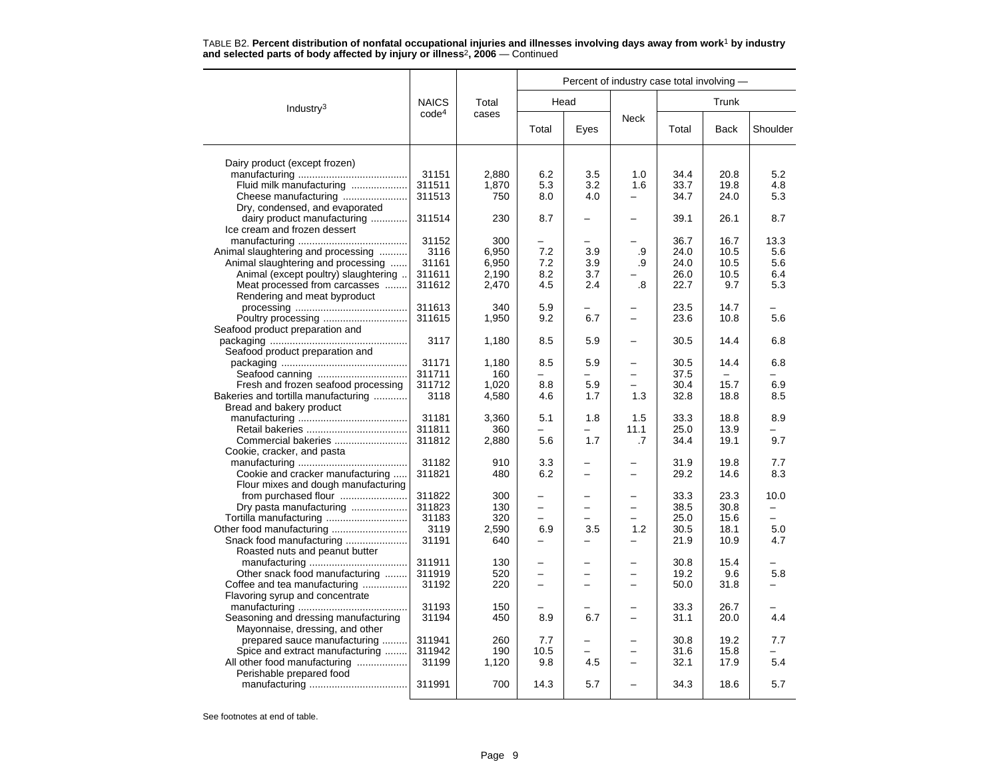|  |  |                                                                                          | TABLE B2. Percent distribution of nonfatal occupational injuries and illnesses involving days away from work <sup>1</sup> by industry |  |  |  |
|--|--|------------------------------------------------------------------------------------------|---------------------------------------------------------------------------------------------------------------------------------------|--|--|--|
|  |  | and selected parts of body affected by injury or illness <sup>2</sup> , 2006 – Continued |                                                                                                                                       |  |  |  |

|                                      |                   |       | Percent of industry case total involving - |                          |                          |       |       |          |  |  |
|--------------------------------------|-------------------|-------|--------------------------------------------|--------------------------|--------------------------|-------|-------|----------|--|--|
| Industry $3$                         | <b>NAICS</b>      | Total |                                            | Head                     |                          |       | Trunk |          |  |  |
|                                      | code <sup>4</sup> | cases | Total                                      | Eyes                     | <b>Neck</b>              | Total | Back  | Shoulder |  |  |
| Dairy product (except frozen)        |                   |       |                                            |                          |                          |       |       |          |  |  |
|                                      | 31151             | 2,880 | 6.2                                        | 3.5                      | 1.0                      | 34.4  | 20.8  | 5.2      |  |  |
| Fluid milk manufacturing             | 311511            | 1,870 | 5.3                                        | 3.2                      | 1.6                      | 33.7  | 19.8  | 4.8      |  |  |
| Cheese manufacturing                 | 311513            | 750   | 8.0                                        | 4.0                      |                          | 34.7  | 24.0  | 5.3      |  |  |
| Dry, condensed, and evaporated       |                   |       |                                            |                          |                          |       |       |          |  |  |
| dairy product manufacturing          | 311514            | 230   | 8.7                                        |                          | -                        | 39.1  | 26.1  | 8.7      |  |  |
| Ice cream and frozen dessert         |                   |       |                                            |                          |                          |       |       |          |  |  |
|                                      | 31152             | 300   |                                            |                          |                          | 36.7  | 16.7  | 13.3     |  |  |
| Animal slaughtering and processing   | 3116              | 6,950 | 7.2                                        | 3.9                      | .9                       | 24.0  | 10.5  | 5.6      |  |  |
| Animal slaughtering and processing   | 31161             | 6,950 | 7.2                                        | 3.9                      | .9                       | 24.0  | 10.5  | 5.6      |  |  |
| Animal (except poultry) slaughtering | 311611            | 2,190 | 8.2                                        | 3.7                      |                          | 26.0  | 10.5  | 6.4      |  |  |
| Meat processed from carcasses        | 311612            | 2,470 | 4.5                                        | 2.4                      | .8                       | 22.7  | 9.7   | 5.3      |  |  |
| Rendering and meat byproduct         |                   |       |                                            |                          |                          |       |       |          |  |  |
|                                      | 311613            | 340   | 5.9                                        |                          |                          | 23.5  | 14.7  |          |  |  |
|                                      | 311615            | 1,950 | 9.2                                        | 6.7                      | -                        | 23.6  | 10.8  | 5.6      |  |  |
| Seafood product preparation and      |                   |       |                                            |                          |                          |       |       |          |  |  |
|                                      | 3117              | 1,180 | 8.5                                        | 5.9                      | —                        | 30.5  | 14.4  | 6.8      |  |  |
| Seafood product preparation and      |                   |       |                                            |                          |                          |       |       |          |  |  |
|                                      | 31171             | 1,180 | 8.5                                        | 5.9                      | $\overline{\phantom{0}}$ | 30.5  | 14.4  | 6.8      |  |  |
|                                      | 311711            | 160   |                                            |                          | $\overline{\phantom{0}}$ | 37.5  |       |          |  |  |
| Fresh and frozen seafood processing  | 311712            | 1,020 | 8.8                                        | 5.9                      | ÷                        | 30.4  | 15.7  | 6.9      |  |  |
| Bakeries and tortilla manufacturing  | 3118              | 4,580 | 4.6                                        | 1.7                      | 1.3                      | 32.8  | 18.8  | 8.5      |  |  |
| Bread and bakery product             |                   |       |                                            |                          |                          |       |       |          |  |  |
|                                      | 31181             | 3,360 | 5.1                                        | 1.8                      | 1.5                      | 33.3  | 18.8  | 8.9      |  |  |
|                                      | 311811            | 360   | $\overline{\phantom{0}}$                   | $\overline{\phantom{0}}$ | 11.1                     | 25.0  | 13.9  |          |  |  |
| Commercial bakeries                  | 311812            | 2,880 | 5.6                                        | 1.7                      | .7                       | 34.4  | 19.1  | 9.7      |  |  |
| Cookie, cracker, and pasta           | 31182             | 910   | 3.3                                        | $\overline{\phantom{0}}$ | -                        | 31.9  | 19.8  | 7.7      |  |  |
| Cookie and cracker manufacturing     | 311821            | 480   | 6.2                                        |                          | -                        | 29.2  | 14.6  | 8.3      |  |  |
| Flour mixes and dough manufacturing  |                   |       |                                            |                          |                          |       |       |          |  |  |
| from purchased flour                 | 311822            | 300   |                                            |                          | $\overline{\phantom{0}}$ | 33.3  | 23.3  | 10.0     |  |  |
| Dry pasta manufacturing              | 311823            | 130   |                                            |                          |                          | 38.5  | 30.8  |          |  |  |
|                                      | 31183             | 320   | $\overline{a}$                             |                          |                          | 25.0  | 15.6  |          |  |  |
|                                      | 3119              | 2,590 | 6.9                                        | 3.5                      | 1.2                      | 30.5  | 18.1  | 5.0      |  |  |
| Snack food manufacturing             | 31191             | 640   |                                            |                          |                          | 21.9  | 10.9  | 4.7      |  |  |
| Roasted nuts and peanut butter       |                   |       |                                            |                          |                          |       |       |          |  |  |
|                                      | 311911            | 130   | $\overline{\phantom{0}}$                   |                          | $\overline{\phantom{0}}$ | 30.8  | 15.4  |          |  |  |
| Other snack food manufacturing       | 311919            | 520   |                                            |                          | $\equiv$                 | 19.2  | 9.6   | 5.8      |  |  |
| Coffee and tea manufacturing         | 31192             | 220   | -                                          |                          | -                        | 50.0  | 31.8  |          |  |  |
| Flavoring syrup and concentrate      |                   |       |                                            |                          |                          |       |       |          |  |  |
|                                      | 31193             | 150   |                                            |                          |                          | 33.3  | 26.7  |          |  |  |
| Seasoning and dressing manufacturing | 31194             | 450   | 8.9                                        | 6.7                      | $\overline{\phantom{0}}$ | 31.1  | 20.0  | 4.4      |  |  |
| Mayonnaise, dressing, and other      |                   |       |                                            |                          |                          |       |       |          |  |  |
| prepared sauce manufacturing         | 311941            | 260   | 7.7                                        |                          |                          | 30.8  | 19.2  | 7.7      |  |  |
| Spice and extract manufacturing      | 311942            | 190   | 10.5                                       |                          | -                        | 31.6  | 15.8  |          |  |  |
| All other food manufacturing         | 31199             | 1,120 | 9.8                                        | 4.5                      |                          | 32.1  | 17.9  | 5.4      |  |  |
| Perishable prepared food             |                   |       |                                            |                          |                          |       |       |          |  |  |
|                                      | 311991            | 700   | 14.3                                       | 5.7                      | $\overline{\phantom{0}}$ | 34.3  | 18.6  | 5.7      |  |  |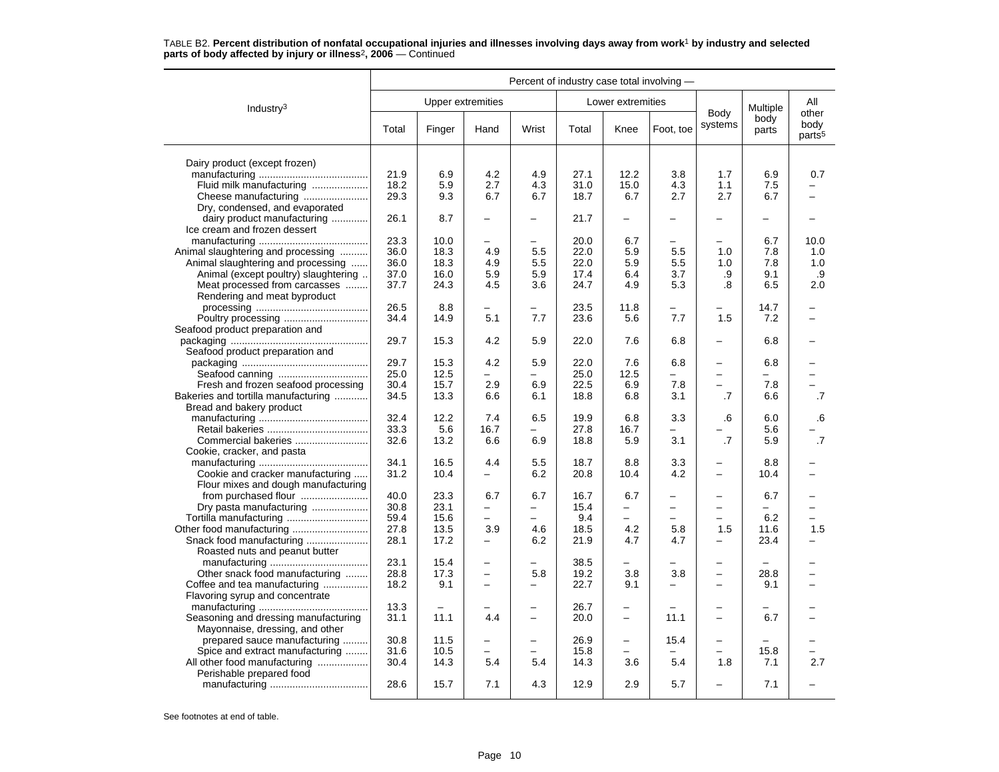|                                                      | Percent of industry case total involving - |              |                          |                          |              |                          |                          |                                                      |               |                                     |
|------------------------------------------------------|--------------------------------------------|--------------|--------------------------|--------------------------|--------------|--------------------------|--------------------------|------------------------------------------------------|---------------|-------------------------------------|
| Industry <sup>3</sup>                                |                                            |              | <b>Upper extremities</b> |                          |              | Lower extremities        |                          |                                                      | Multiple      | All                                 |
|                                                      | Total                                      | Finger       | Hand                     | Wrist                    | Total        | Knee                     | Foot, toe                | Body<br>systems                                      | body<br>parts | other<br>body<br>parts <sup>5</sup> |
| Dairy product (except frozen)                        |                                            |              |                          |                          |              |                          |                          |                                                      |               |                                     |
|                                                      | 21.9                                       | 6.9          | 4.2                      | 4.9                      | 27.1         | 12.2                     | 3.8                      | 1.7                                                  | 6.9           | 0.7                                 |
| Fluid milk manufacturing                             | 18.2                                       | 5.9          | 2.7                      | 4.3                      | 31.0         | 15.0                     | 4.3                      | 1.1                                                  | 7.5           |                                     |
| Cheese manufacturing                                 | 29.3                                       | 9.3          | 6.7                      | 6.7                      | 18.7         | 6.7                      | 2.7                      | 2.7                                                  | 6.7           |                                     |
| Dry, condensed, and evaporated                       |                                            |              |                          |                          |              |                          |                          |                                                      |               |                                     |
| dairy product manufacturing                          | 26.1                                       | 8.7          | -                        | $\overline{\phantom{0}}$ | 21.7         | $\qquad \qquad -$        |                          | $\overline{\phantom{0}}$                             |               |                                     |
| Ice cream and frozen dessert                         |                                            |              |                          |                          |              |                          |                          |                                                      |               |                                     |
|                                                      | 23.3                                       | 10.0         |                          | $\overline{\phantom{0}}$ | 20.0         | 6.7                      | -                        | $\overline{\phantom{0}}$                             | 6.7           | 10.0                                |
| Animal slaughtering and processing                   | 36.0                                       | 18.3         | 4.9                      | 5.5                      | 22.0         | 5.9                      | 5.5                      | 1.0                                                  | 7.8           | 1.0                                 |
| Animal slaughtering and processing                   | 36.0                                       | 18.3         | 4.9                      | 5.5                      | 22.0         | 5.9                      | 5.5                      | 1.0                                                  | 7.8           | 1.0                                 |
| Animal (except poultry) slaughtering                 | 37.0                                       | 16.0         | 5.9                      | 5.9                      | 17.4         | 6.4                      | 3.7                      | .9                                                   | 9.1           | .9                                  |
| Meat processed from carcasses                        | 37.7                                       | 24.3         | 4.5                      | 3.6                      | 24.7         | 4.9                      | 5.3                      | .8                                                   | 6.5           | 2.0                                 |
| Rendering and meat byproduct                         |                                            |              |                          |                          |              |                          |                          |                                                      |               |                                     |
|                                                      | 26.5                                       | 8.8          |                          |                          | 23.5         | 11.8                     |                          |                                                      | 14.7          |                                     |
| Poultry processing                                   | 34.4                                       | 14.9         | 5.1                      | 7.7                      | 23.6         | 5.6                      | 7.7                      | 1.5                                                  | 7.2           | -                                   |
| Seafood product preparation and                      |                                            |              |                          |                          |              |                          |                          |                                                      |               |                                     |
|                                                      | 29.7                                       | 15.3         | 4.2                      | 5.9                      | 22.0         | 7.6                      | 6.8                      |                                                      | 6.8           |                                     |
| Seafood product preparation and                      |                                            |              |                          |                          |              |                          |                          |                                                      |               |                                     |
|                                                      | 29.7                                       | 15.3         | 4.2                      | 5.9                      | 22.0         | 7.6                      | 6.8                      | $\overline{\phantom{0}}$                             | 6.8           |                                     |
|                                                      | 25.0                                       | 12.5         |                          |                          | 25.0         | 12.5                     |                          | $\equiv$                                             |               |                                     |
| Fresh and frozen seafood processing                  | 30.4                                       | 15.7         | 2.9                      | 6.9                      | 22.5         | 6.9                      | 7.8                      |                                                      | 7.8           |                                     |
| Bakeries and tortilla manufacturing                  | 34.5                                       | 13.3         | 6.6                      | 6.1                      | 18.8         | 6.8                      | 3.1                      | .7                                                   | 6.6           | .7                                  |
| Bread and bakery product                             |                                            |              |                          |                          |              |                          |                          |                                                      |               |                                     |
|                                                      | 32.4                                       | 12.2         | 7.4                      | 6.5                      | 19.9         | 6.8                      | 3.3                      | .6                                                   | 6.0           | .6                                  |
|                                                      | 33.3                                       | 5.6          | 16.7                     | $\qquad \qquad -$        | 27.8         | 16.7                     | -                        |                                                      | 5.6           |                                     |
| Commercial bakeries                                  | 32.6                                       | 13.2         | 6.6                      | 6.9                      | 18.8         | 5.9                      | 3.1                      | .7                                                   | 5.9           | $\overline{.7}$                     |
| Cookie, cracker, and pasta                           |                                            |              |                          |                          |              |                          |                          |                                                      |               |                                     |
|                                                      | 34.1                                       | 16.5         | 4.4                      | 5.5                      | 18.7         | 8.8                      | 3.3                      | $\overline{\phantom{0}}$                             | 8.8           |                                     |
| Cookie and cracker manufacturing                     | 31.2                                       | 10.4         |                          | 6.2                      | 20.8         | 10.4                     | 4.2                      |                                                      | 10.4          |                                     |
| Flour mixes and dough manufacturing                  |                                            |              |                          |                          |              |                          |                          |                                                      |               |                                     |
| from purchased flour                                 | 40.0<br>30.8                               | 23.3<br>23.1 | 6.7                      | 6.7                      | 16.7<br>15.4 | 6.7                      | -<br>-                   | $\overline{\phantom{0}}$<br>$\overline{\phantom{0}}$ | 6.7           | $\overline{\phantom{0}}$            |
| Dry pasta manufacturing                              | 59.4                                       | 15.6         | $\equiv$                 | -<br>$\equiv$            | 9.4          | $\overline{\phantom{0}}$ | $\overline{\phantom{0}}$ | $\overline{\phantom{0}}$                             | 6.2           | $\overline{\phantom{0}}$            |
|                                                      | 27.8                                       | 13.5         | 3.9                      | 4.6                      | 18.5         | 4.2                      | 5.8                      | 1.5                                                  | 11.6          | 1.5                                 |
| Other food manufacturing<br>Snack food manufacturing | 28.1                                       | 17.2         |                          | 6.2                      | 21.9         | 4.7                      | 4.7                      | -                                                    | 23.4          |                                     |
| Roasted nuts and peanut butter                       |                                            |              |                          |                          |              |                          |                          |                                                      |               |                                     |
|                                                      | 23.1                                       | 15.4         | $\overline{\phantom{0}}$ | $\overline{\phantom{0}}$ | 38.5         | $\overline{\phantom{0}}$ |                          | $\overline{\phantom{0}}$                             |               |                                     |
| Other snack food manufacturing                       | 28.8                                       | 17.3         | $\equiv$                 | 5.8                      | 19.2         | 3.8                      | 3.8                      | $\overline{\phantom{0}}$                             | 28.8          |                                     |
| Coffee and tea manufacturing                         | 18.2                                       | 9.1          | $\overline{\phantom{0}}$ | $\qquad \qquad -$        | 22.7         | 9.1                      | -                        | $\overline{\phantom{0}}$                             | 9.1           |                                     |
| Flavoring syrup and concentrate                      |                                            |              |                          |                          |              |                          |                          |                                                      |               |                                     |
|                                                      | 13.3                                       |              |                          |                          | 26.7         |                          |                          |                                                      |               |                                     |
| Seasoning and dressing manufacturing                 | 31.1                                       | 11.1         | 4.4                      | $\overline{a}$           | 20.0         | $\equiv$                 | 11.1                     | $\overline{\phantom{0}}$                             | 6.7           |                                     |
| Mayonnaise, dressing, and other                      |                                            |              |                          |                          |              |                          |                          |                                                      |               |                                     |
| prepared sauce manufacturing                         | 30.8                                       | 11.5         |                          | $\overline{\phantom{0}}$ | 26.9         | $\overline{\phantom{0}}$ | 15.4                     | $\overline{\phantom{0}}$                             |               |                                     |
| Spice and extract manufacturing                      | 31.6                                       | 10.5         | $\equiv$                 | $\overline{\phantom{0}}$ | 15.8         | $\equiv$                 |                          | $\equiv$                                             | 15.8          | -                                   |
| All other food manufacturing                         | 30.4                                       | 14.3         | 5.4                      | 5.4                      | 14.3         | 3.6                      | 5.4                      | 1.8                                                  | 7.1           | 2.7                                 |
| Perishable prepared food                             |                                            |              |                          |                          |              |                          |                          |                                                      |               |                                     |
|                                                      | 28.6                                       | 15.7         | 7.1                      | 4.3                      | 12.9         | 2.9                      | 5.7                      | $\overline{\phantom{0}}$                             | 7.1           |                                     |
|                                                      |                                            |              |                          |                          |              |                          |                          |                                                      |               |                                     |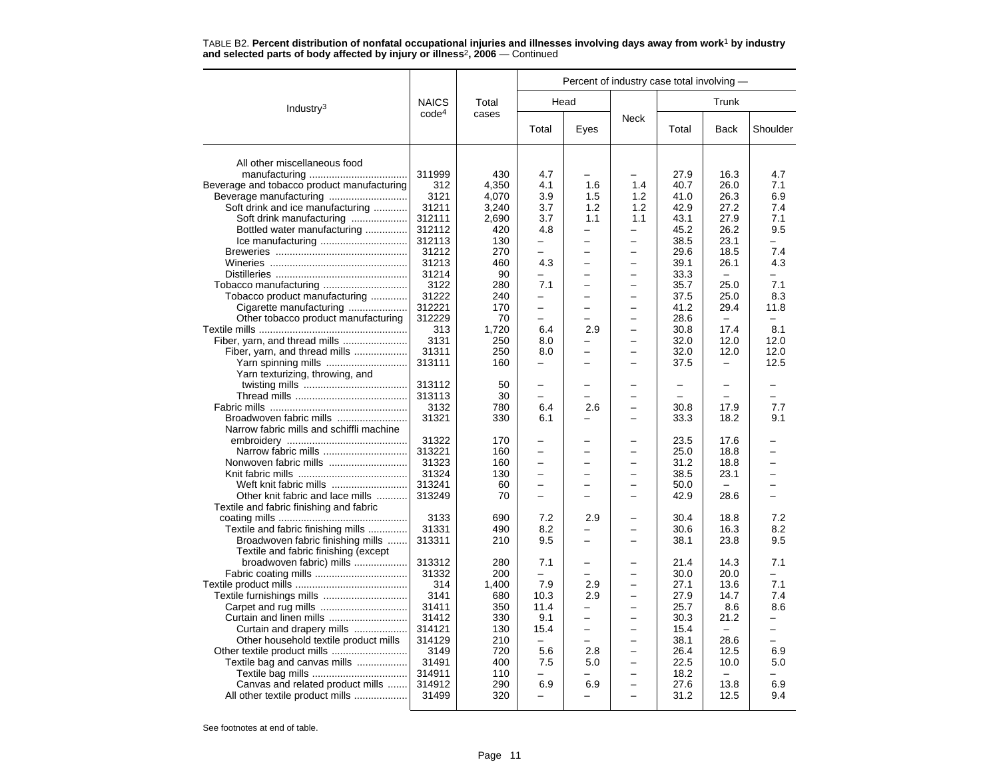|                                            |                   |            | Percent of industry case total involving - |                          |                          |              |                          |                                 |  |  |
|--------------------------------------------|-------------------|------------|--------------------------------------------|--------------------------|--------------------------|--------------|--------------------------|---------------------------------|--|--|
| Industry <sup>3</sup>                      | <b>NAICS</b>      | Total      |                                            | Head                     |                          |              | Trunk                    |                                 |  |  |
|                                            | code <sup>4</sup> | cases      | Total                                      | Eyes                     | <b>Neck</b>              | Total        | Back                     | Shoulder                        |  |  |
| All other miscellaneous food               |                   |            |                                            |                          |                          |              |                          |                                 |  |  |
|                                            | 311999            | 430        | 4.7                                        |                          |                          | 27.9         | 16.3                     | 4.7                             |  |  |
| Beverage and tobacco product manufacturing | 312               | 4,350      | 4.1                                        | 1.6                      | 1.4                      | 40.7         | 26.0                     | 7.1                             |  |  |
|                                            | 3121              | 4,070      | 3.9                                        | 1.5                      | 1.2                      | 41.0         | 26.3                     | 6.9                             |  |  |
| Soft drink and ice manufacturing           | 31211             | 3,240      | 3.7                                        | 1.2                      | 1.2                      | 42.9         | 27.2                     | 7.4                             |  |  |
| Soft drink manufacturing                   | 312111            | 2,690      | 3.7                                        | 1.1                      | 1.1                      | 43.1         | 27.9                     | 7.1                             |  |  |
| Bottled water manufacturing                | 312112            | 420        | 4.8                                        | $\overline{\phantom{0}}$ | -                        | 45.2         | 26.2                     | 9.5                             |  |  |
|                                            | 312113            | 130        |                                            |                          |                          | 38.5         | 23.1                     |                                 |  |  |
|                                            | 31212             | 270        | $\overline{a}$                             |                          | $\overline{\phantom{0}}$ | 29.6         | 18.5                     | 7.4                             |  |  |
|                                            | 31213             | 460        | 4.3                                        |                          |                          | 39.1         | 26.1                     | 4.3                             |  |  |
|                                            | 31214             | 90         |                                            |                          |                          | 33.3         | $\overline{\phantom{0}}$ |                                 |  |  |
|                                            | 3122              | 280        | 7.1                                        | -                        | -                        | 35.7         | 25.0                     | 7.1                             |  |  |
| Tobacco product manufacturing              | 31222             | 240        |                                            |                          |                          | 37.5         | 25.0                     | 8.3                             |  |  |
| Cigarette manufacturing                    | 312221            | 170        | -                                          |                          |                          | 41.2         | 29.4                     | 11.8                            |  |  |
| Other tobacco product manufacturing        | 312229            | 70         |                                            |                          |                          | 28.6         |                          |                                 |  |  |
|                                            | 313               | 1,720      | 6.4                                        | 2.9                      | $\equiv$                 | 30.8         | 17.4                     | 8.1                             |  |  |
| Fiber, yarn, and thread mills              | 3131              | 250        | 8.0                                        | -                        |                          | 32.0         | 12.0                     | 12.0                            |  |  |
| Fiber, yarn, and thread mills              | 31311             | 250        | 8.0                                        | $\overline{\phantom{0}}$ |                          | 32.0         | 12.0                     | 12.0                            |  |  |
| Yarn spinning mills                        | 313111            | 160        | $\overline{\phantom{0}}$                   |                          |                          | 37.5         | $\overline{\phantom{0}}$ | 12.5                            |  |  |
| Yarn texturizing, throwing, and            |                   |            |                                            |                          |                          |              |                          |                                 |  |  |
|                                            | 313112            | 50         |                                            |                          |                          |              | $\overline{a}$           |                                 |  |  |
|                                            | 313113            | 30         |                                            |                          |                          |              |                          |                                 |  |  |
|                                            | 3132              | 780        | 6.4                                        | 2.6                      |                          | 30.8         | 17.9                     | 7.7                             |  |  |
| Broadwoven fabric mills                    | 31321             | 330        | 6.1                                        |                          |                          | 33.3         | 18.2                     | 9.1                             |  |  |
| Narrow fabric mills and schiffli machine   |                   |            |                                            |                          |                          |              |                          |                                 |  |  |
|                                            | 31322             | 170        |                                            |                          |                          | 23.5         | 17.6                     |                                 |  |  |
| Narrow fabric mills                        | 313221            | 160        | $\equiv$                                   | ▃                        | $\overline{\phantom{0}}$ | 25.0         | 18.8                     |                                 |  |  |
|                                            | 31323             | 160        | $\overline{\phantom{0}}$                   |                          |                          | 31.2         | 18.8                     |                                 |  |  |
|                                            | 31324             | 130        | $\overline{\phantom{0}}$                   |                          |                          | 38.5         | 23.1                     |                                 |  |  |
| Weft knit fabric mills                     | 313241            | 60         |                                            |                          |                          | 50.0         |                          |                                 |  |  |
| Other knit fabric and lace mills           | 313249            | 70         | $\overline{\phantom{0}}$                   |                          |                          | 42.9         | 28.6                     |                                 |  |  |
| Textile and fabric finishing and fabric    |                   |            |                                            |                          |                          |              |                          |                                 |  |  |
|                                            | 3133              | 690        | 7.2                                        | 2.9                      |                          | 30.4         | 18.8                     | 7.2                             |  |  |
| Textile and fabric finishing mills         | 31331             | 490        | 8.2                                        |                          |                          | 30.6         | 16.3                     | 8.2                             |  |  |
| Broadwoven fabric finishing mills          | 313311            | 210        | 9.5                                        |                          |                          | 38.1         | 23.8                     | 9.5                             |  |  |
| Textile and fabric finishing (except       |                   |            |                                            |                          |                          |              |                          |                                 |  |  |
| broadwoven fabric) mills                   | 313312            | 280        | 7.1                                        |                          |                          | 21.4         | 14.3                     | 7.1                             |  |  |
|                                            | 31332             | 200        |                                            |                          |                          | 30.0         | 20.0                     |                                 |  |  |
|                                            | 314<br>3141       | 1,400      | 7.9                                        | 2.9                      |                          | 27.1         | 13.6                     | 7.1                             |  |  |
|                                            |                   | 680        | 10.3                                       | 2.9<br>-                 |                          | 27.9         | 14.7                     | 7.4                             |  |  |
|                                            | 31411<br>31412    | 350<br>330 | 11.4<br>9.1                                | -                        | $\overline{\phantom{0}}$ | 25.7<br>30.3 | 8.6<br>21.2              | 8.6<br>$\overline{\phantom{0}}$ |  |  |
| Curtain and drapery mills                  | 314121            | 130        | 15.4                                       | $\overline{\phantom{0}}$ | $\equiv$                 | 15.4         |                          |                                 |  |  |
| Other household textile product mills      | 314129            | 210        | $\overline{\phantom{0}}$                   |                          |                          | 38.1         | 28.6                     | $\overline{\phantom{0}}$        |  |  |
|                                            | 3149              | 720        | 5.6                                        | 2.8                      |                          | 26.4         | 12.5                     | 6.9                             |  |  |
| Textile bag and canvas mills               | 31491             | 400        | 7.5                                        | 5.0                      | $\overline{\phantom{0}}$ | 22.5         | 10.0                     | 5.0                             |  |  |
|                                            | 314911            | 110        |                                            | -                        |                          | 18.2         |                          |                                 |  |  |
| Canvas and related product mills           | 314912            | 290        | 6.9                                        | 6.9                      |                          | 27.6         | 13.8                     | 6.9                             |  |  |
| All other textile product mills            | 31499             | 320        | $\overline{\phantom{0}}$                   |                          |                          | 31.2         | 12.5                     | 9.4                             |  |  |
|                                            |                   |            |                                            |                          |                          |              |                          |                                 |  |  |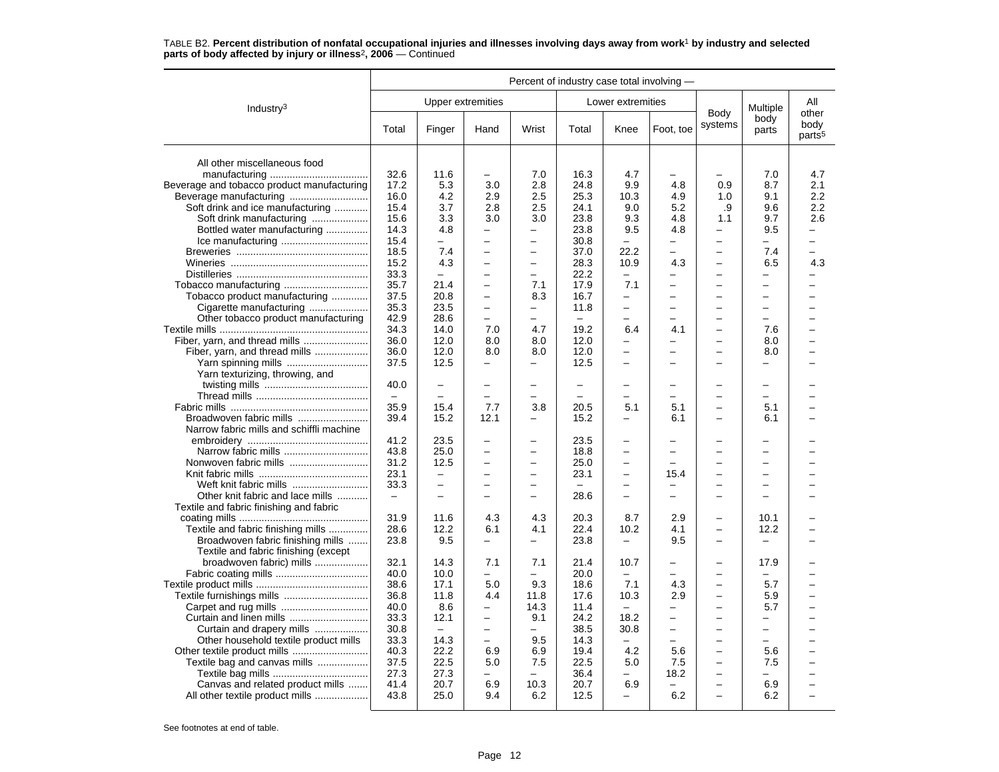|                                            |                          |                          |                          |                          | Percent of industry case total involving - |                          |                          |                          |                          |                                     |
|--------------------------------------------|--------------------------|--------------------------|--------------------------|--------------------------|--------------------------------------------|--------------------------|--------------------------|--------------------------|--------------------------|-------------------------------------|
| Industry $3$                               |                          |                          | Upper extremities        |                          |                                            | Lower extremities        |                          |                          | Multiple                 | All                                 |
|                                            | Total                    | Finger                   | Hand                     | Wrist                    | Total                                      | Knee                     | Foot, toe                | Body<br>systems          | body<br>parts            | other<br>body<br>parts <sup>5</sup> |
| All other miscellaneous food               |                          |                          |                          |                          |                                            |                          |                          |                          |                          |                                     |
|                                            | 32.6                     | 11.6                     |                          | 7.0                      | 16.3                                       | 4.7                      |                          |                          | 7.0                      | 4.7                                 |
| Beverage and tobacco product manufacturing | 17.2                     | 5.3                      | 3.0                      | 2.8                      | 24.8                                       | 9.9                      | 4.8                      | 0.9                      | 8.7                      | 2.1                                 |
|                                            | 16.0                     | 4.2                      | 2.9                      | 2.5                      | 25.3                                       | 10.3                     | 4.9                      | 1.0                      | 9.1                      | 2.2                                 |
| Soft drink and ice manufacturing           | 15.4                     | 3.7                      | 2.8                      | 2.5                      | 24.1                                       | 9.0                      | 5.2                      | .9                       | 9.6                      | 2.2                                 |
| Soft drink manufacturing                   | 15.6                     | 3.3                      | 3.0                      | 3.0                      | 23.8                                       | 9.3                      | 4.8                      | 1.1                      | 9.7                      | 2.6                                 |
| Bottled water manufacturing                | 14.3                     | 4.8                      | $\overline{\phantom{0}}$ | ÷,                       | 23.8                                       | 9.5                      | 4.8                      | -                        | 9.5                      |                                     |
|                                            | 15.4                     |                          |                          | $\overline{\phantom{0}}$ | 30.8                                       |                          | $\overline{\phantom{0}}$ | $\overline{\phantom{0}}$ | $\overline{\phantom{0}}$ |                                     |
|                                            | 18.5                     | 7.4                      | $\overline{\phantom{0}}$ | $\overline{\phantom{0}}$ | 37.0                                       | 22.2                     | $\equiv$                 | $\overline{\phantom{0}}$ | 7.4                      | $\overline{\phantom{0}}$            |
|                                            | 15.2                     | 4.3                      | $\overline{\phantom{0}}$ | -                        | 28.3                                       | 10.9                     | 4.3                      | -                        | 6.5                      | 4.3                                 |
|                                            | 33.3                     |                          |                          |                          | 22.2                                       |                          | $\overline{\phantom{0}}$ | $\overline{\phantom{0}}$ | $\overline{\phantom{0}}$ |                                     |
|                                            | 35.7                     | 21.4                     | $\overline{\phantom{0}}$ | 7.1                      | 17.9                                       | 7.1                      | $\overline{\phantom{0}}$ | $\overline{a}$           | $\overline{a}$           |                                     |
| Tobacco product manufacturing              | 37.5                     | 20.8                     | $\overline{\phantom{0}}$ | 8.3                      | 16.7                                       | $\overline{\phantom{0}}$ | $\overline{a}$           | ÷                        | $\overline{\phantom{0}}$ |                                     |
| Cigarette manufacturing                    | 35.3                     | 23.5                     | $\overline{\phantom{0}}$ | <u>.</u>                 | 11.8                                       | -                        | $\overline{\phantom{0}}$ | $\equiv$                 | $\overline{\phantom{0}}$ |                                     |
| Other tobacco product manufacturing        | 42.9                     | 28.6                     |                          |                          |                                            | -                        |                          | -                        | $\overline{\phantom{0}}$ |                                     |
|                                            | 34.3                     | 14.0                     | 7.0                      | 4.7                      | 19.2                                       | 6.4                      | 4.1                      | $\overline{a}$           | 7.6                      |                                     |
|                                            | 36.0                     | 12.0                     | 8.0                      | 8.0                      | 12.0                                       | -                        | $\overline{\phantom{0}}$ | -                        | 8.0                      |                                     |
| Fiber, yarn, and thread mills              | 36.0                     | 12.0                     | 8.0                      | 8.0                      | 12.0                                       | $\overline{a}$           | $\equiv$                 | $\equiv$                 | 8.0                      |                                     |
|                                            | 37.5                     | 12.5                     | $\equiv$                 | -                        | 12.5                                       | $\overline{\phantom{0}}$ | $\sim$                   | $\equiv$                 | $\overline{\phantom{0}}$ | -                                   |
| Yarn texturizing, throwing, and            |                          |                          |                          |                          |                                            |                          |                          |                          |                          |                                     |
|                                            | 40.0                     | $\overline{\phantom{0}}$ |                          |                          | $\overline{\phantom{0}}$                   | $\overline{\phantom{0}}$ |                          |                          | $\equiv$                 |                                     |
|                                            | $\overline{\phantom{m}}$ |                          | $\overline{\phantom{0}}$ |                          |                                            | $\overline{\phantom{0}}$ |                          | $\overline{\phantom{0}}$ | $\overline{\phantom{0}}$ |                                     |
|                                            | 35.9                     | 15.4                     | 7.7                      | 3.8                      | 20.5                                       | 5.1                      | 5.1                      | $\overline{\phantom{0}}$ | 5.1                      |                                     |
| Broadwoven fabric mills                    | 39.4                     | 15.2                     | 12.1                     | —                        | 15.2                                       | —                        | 6.1                      | -                        | 6.1                      |                                     |
| Narrow fabric mills and schiffli machine   |                          |                          |                          |                          |                                            |                          |                          |                          |                          |                                     |
|                                            | 41.2                     | 23.5                     | $\overline{\phantom{0}}$ | $\overline{\phantom{0}}$ | 23.5                                       | $\overline{\phantom{0}}$ |                          | -                        | $\overline{\phantom{0}}$ |                                     |
|                                            | 43.8                     | 25.0                     | $\sim$                   | $\equiv$                 | 18.8                                       | $\overline{\phantom{0}}$ | $\equiv$                 | $\equiv$                 | $\overline{\phantom{0}}$ |                                     |
|                                            | 31.2                     | 12.5                     |                          |                          | 25.0                                       | $\overline{\phantom{0}}$ |                          | -                        | $\overline{\phantom{0}}$ |                                     |
|                                            | 23.1                     | $\overline{\phantom{0}}$ | $\overline{\phantom{0}}$ | $\overline{\phantom{0}}$ | 23.1                                       | $\overline{\phantom{0}}$ | 15.4                     | $\overline{\phantom{0}}$ | $\overline{\phantom{0}}$ |                                     |
| Weft knit fabric mills                     | 33.3                     | $\overline{\phantom{0}}$ |                          |                          |                                            | $\overline{\phantom{0}}$ | $\overline{\phantom{0}}$ | $\overline{\phantom{0}}$ | $\overline{\phantom{0}}$ |                                     |
| Other knit fabric and lace mills           | $\overline{\phantom{0}}$ | ÷                        |                          | -                        | 28.6                                       | $\overline{\phantom{0}}$ | $\overline{\phantom{0}}$ | $\overline{\phantom{0}}$ | $\overline{\phantom{0}}$ |                                     |
| Textile and fabric finishing and fabric    |                          |                          |                          |                          |                                            |                          |                          |                          |                          |                                     |
|                                            | 31.9                     | 11.6                     | 4.3                      | 4.3                      | 20.3                                       | 8.7                      | 2.9                      |                          | 10.1                     |                                     |
| Textile and fabric finishing mills         | 28.6                     | 12.2                     | 6.1                      | 4.1                      | 22.4                                       | 10.2                     | 4.1                      | $\overline{\phantom{0}}$ | 12.2                     |                                     |
| Broadwoven fabric finishing mills          | 23.8                     | 9.5                      | $\overline{\phantom{0}}$ | -                        | 23.8                                       | $\overline{\phantom{0}}$ | 9.5                      | $\overline{\phantom{0}}$ | $\overline{\phantom{0}}$ |                                     |
| Textile and fabric finishing (except       |                          |                          |                          |                          |                                            |                          |                          |                          |                          |                                     |
| broadwoven fabric) mills                   | 32.1                     | 14.3                     | 7.1                      | 7.1                      | 21.4                                       | 10.7                     |                          | -                        | 17.9                     |                                     |
|                                            | 40.0                     | 10.0                     |                          |                          | 20.0                                       |                          |                          | -                        | -                        |                                     |
|                                            | 38.6                     | 17.1                     | 5.0                      | 9.3                      | 18.6                                       | 7.1                      | 4.3                      | $\overline{\phantom{0}}$ | 5.7                      |                                     |
|                                            | 36.8                     | 11.8                     | 4.4                      | 11.8                     | 17.6                                       | 10.3                     | 2.9                      | $\overline{\phantom{0}}$ | 5.9                      |                                     |
|                                            | 40.0                     | 8.6                      |                          | 14.3                     | 11.4                                       |                          |                          | $\overline{a}$           | 5.7                      |                                     |
| Curtain and linen mills                    | 33.3                     | 12.1                     | $\overline{\phantom{0}}$ | 9.1                      | 24.2                                       | 18.2                     | $\overline{\phantom{0}}$ | -                        | -                        |                                     |
| Curtain and drapery mills                  | 30.8                     | $\equiv$                 | $\overline{\phantom{0}}$ | -                        | 38.5                                       | 30.8                     | $\qquad \qquad -$        | $\overline{\phantom{0}}$ | $\overline{\phantom{0}}$ |                                     |
| Other household textile product mills      | 33.3                     | 14.3                     | $\equiv$                 | 9.5                      | 14.3                                       |                          | $\equiv$                 | $\overline{\phantom{0}}$ | $\overline{a}$           |                                     |
|                                            | 40.3                     | 22.2                     | 6.9                      | 6.9                      | 19.4                                       | 4.2                      | 5.6                      | -                        | 5.6                      |                                     |
| Textile bag and canvas mills               | 37.5                     | 22.5                     | 5.0                      | 7.5                      | 22.5                                       | 5.0                      | 7.5                      | -                        | 7.5                      |                                     |
|                                            | 27.3                     | 27.3                     | $\overline{\phantom{0}}$ | $\overline{\phantom{0}}$ | 36.4                                       | -                        | 18.2                     | $\overline{\phantom{0}}$ | $\overline{\phantom{0}}$ |                                     |
| Canvas and related product mills           | 41.4                     | 20.7                     | 6.9                      | 10.3                     | 20.7                                       | 6.9                      |                          | -                        | 6.9                      |                                     |
| All other textile product mills            | 43.8                     | 25.0                     | 9.4                      | 6.2                      | 12.5                                       | $\overline{\phantom{0}}$ | 6.2                      | $\overline{\phantom{0}}$ | 6.2                      |                                     |
|                                            |                          |                          |                          |                          |                                            |                          |                          |                          |                          |                                     |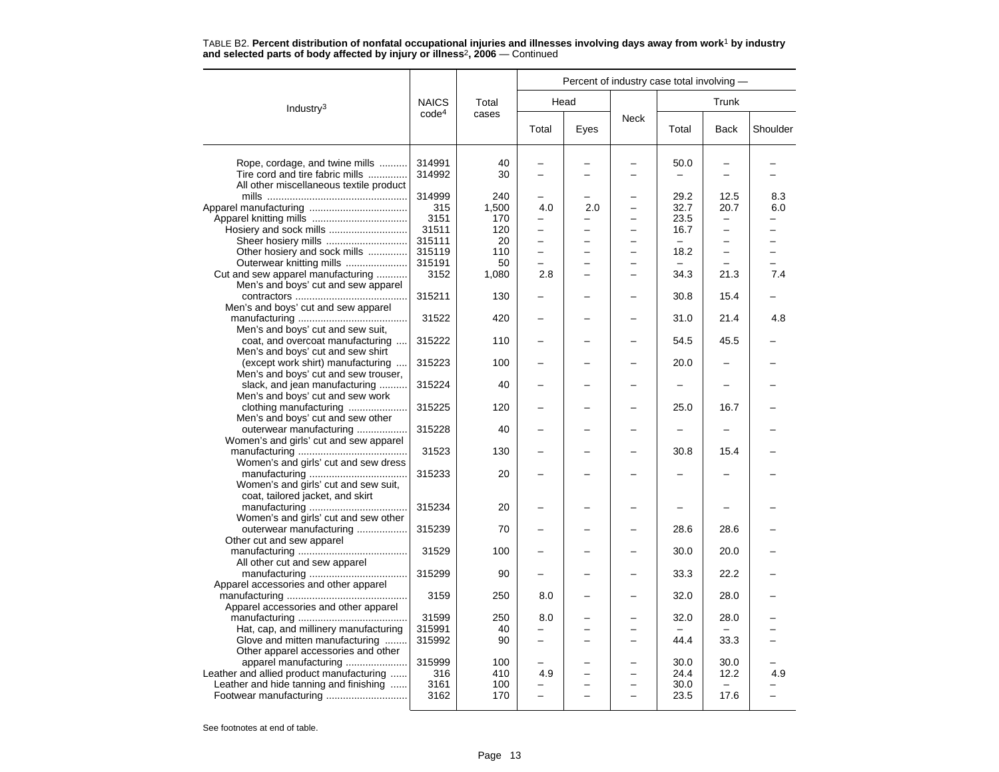|                                                                   |                   |       |          |      |             | Percent of industry case total involving - |                          |          |
|-------------------------------------------------------------------|-------------------|-------|----------|------|-------------|--------------------------------------------|--------------------------|----------|
| Industry <sup>3</sup>                                             | <b>NAICS</b>      | Total |          | Head |             |                                            | Trunk                    |          |
|                                                                   | code <sup>4</sup> | cases | Total    | Eyes | <b>Neck</b> | Total                                      | Back                     | Shoulder |
| Rope, cordage, and twine mills                                    | 314991            | 40    |          |      |             | 50.0                                       |                          |          |
| Tire cord and tire fabric mills                                   | 314992            | 30    |          |      |             |                                            |                          |          |
| All other miscellaneous textile product                           |                   |       |          |      |             |                                            |                          |          |
|                                                                   | 314999            | 240   |          |      |             | 29.2                                       | 12.5                     | 8.3      |
|                                                                   | 315               | 1,500 | 4.0      | 2.0  |             | 32.7                                       | 20.7                     | 6.0      |
|                                                                   | 3151              | 170   |          |      |             | 23.5                                       | $\overline{\phantom{0}}$ |          |
|                                                                   | 31511             | 120   | $\equiv$ | ▃    |             | 16.7                                       | -                        |          |
| Sheer hosiery mills                                               | 315111            | 20    |          |      |             |                                            | -                        |          |
| Other hosiery and sock mills                                      | 315119            | 110   |          |      |             | 18.2                                       | $\overline{\phantom{0}}$ |          |
| Outerwear knitting mills                                          | 315191            | 50    |          |      |             |                                            |                          |          |
| Cut and sew apparel manufacturing                                 | 3152              | 1,080 | 2.8      |      |             | 34.3                                       | 21.3                     | 7.4      |
| Men's and boys' cut and sew apparel                               |                   |       |          |      |             |                                            |                          |          |
|                                                                   | 315211            | 130   |          |      |             | 30.8                                       | 15.4                     |          |
| Men's and boys' cut and sew apparel                               |                   |       |          |      |             |                                            |                          |          |
|                                                                   | 31522             | 420   |          |      |             | 31.0                                       | 21.4                     | 4.8      |
| Men's and boys' cut and sew suit,                                 |                   |       |          |      |             |                                            |                          |          |
| coat, and overcoat manufacturing                                  | 315222            | 110   |          |      |             | 54.5                                       | 45.5                     |          |
| Men's and boys' cut and sew shirt                                 |                   |       |          |      |             |                                            |                          |          |
| (except work shirt) manufacturing                                 | 315223            | 100   |          |      |             | 20.0                                       |                          |          |
| Men's and boys' cut and sew trouser,                              |                   | 40    |          |      |             |                                            |                          |          |
| slack, and jean manufacturing<br>Men's and boys' cut and sew work | 315224            |       |          |      |             |                                            |                          |          |
|                                                                   | 315225            | 120   |          |      |             | 25.0                                       | 16.7                     |          |
| clothing manufacturing<br>Men's and boys' cut and sew other       |                   |       |          |      |             |                                            |                          |          |
| outerwear manufacturing                                           | 315228            | 40    |          |      |             |                                            |                          |          |
| Women's and girls' cut and sew apparel                            |                   |       |          |      |             |                                            |                          |          |
|                                                                   | 31523             | 130   |          |      |             | 30.8                                       | 15.4                     |          |
| Women's and girls' cut and sew dress                              |                   |       |          |      |             |                                            |                          |          |
|                                                                   | 315233            | 20    |          |      |             |                                            |                          |          |
| Women's and girls' cut and sew suit,                              |                   |       |          |      |             |                                            |                          |          |
| coat, tailored jacket, and skirt                                  |                   |       |          |      |             |                                            |                          |          |
|                                                                   | 315234            | 20    |          |      |             |                                            |                          |          |
| Women's and girls' cut and sew other                              |                   |       |          |      |             |                                            |                          |          |
| outerwear manufacturing                                           | 315239            | 70    |          |      |             | 28.6                                       | 28.6                     |          |
| Other cut and sew apparel                                         |                   |       |          |      |             |                                            |                          |          |
|                                                                   | 31529             | 100   |          |      |             | 30.0                                       | 20.0                     |          |
| All other cut and sew apparel                                     |                   |       |          |      |             |                                            |                          |          |
|                                                                   | 315299            | 90    |          |      |             | 33.3                                       | 22.2                     |          |
| Apparel accessories and other apparel                             |                   |       |          |      |             |                                            |                          |          |
|                                                                   | 3159              | 250   | 8.0      |      |             | 32.0                                       | 28.0                     |          |
| Apparel accessories and other apparel                             |                   |       |          |      |             |                                            |                          |          |
|                                                                   | 31599             | 250   | 8.0      |      |             | 32.0                                       | 28.0                     |          |
| Hat, cap, and millinery manufacturing                             | 315991            | 40    |          |      |             |                                            |                          |          |
| Glove and mitten manufacturing                                    | 315992            | 90    |          |      |             | 44.4                                       | 33.3                     |          |
| Other apparel accessories and other                               |                   |       |          |      |             |                                            |                          |          |
| apparel manufacturing                                             | 315999            | 100   |          |      |             | 30.0                                       | 30.0                     |          |
| Leather and allied product manufacturing                          | 316               | 410   | 4.9      |      |             | 24.4                                       | 12.2                     | 4.9      |
| Leather and hide tanning and finishing                            | 3161              | 100   | ۳        |      |             | 30.0                                       |                          |          |
|                                                                   | 3162              | 170   |          |      |             | 23.5                                       | 17.6                     |          |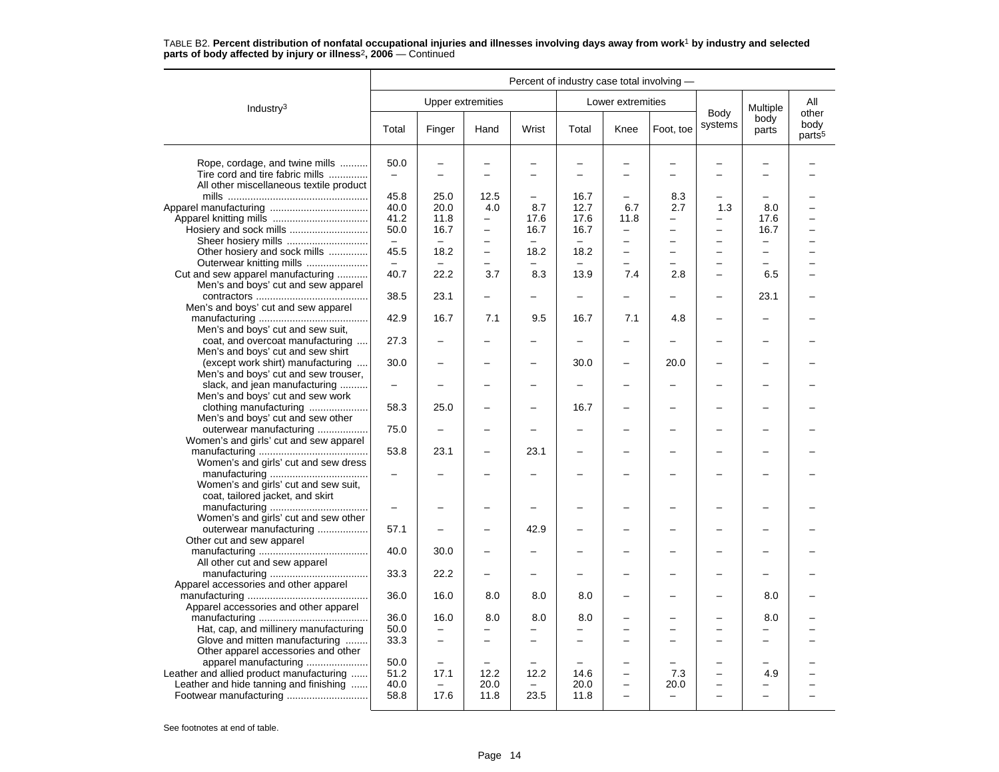#### Industry3 Percent of industry case total involving — Upper extremities **Lower** extremities Body systems Multiple body parts Allotherbody<br>parts<sup>5</sup> Total Finger Hand Wrist Total Knee Foot, toe Systems parts pour Rope, cordage, and twine mills .......... 50.0 – – – – – – – – – Tire cord and tire fabric mills .............. – – – – – – – – – –All other miscellaneous textile product mills .................................................. 45.8 25.0 12.5 – 16.7 – 8.3 – – –Apparel manufacturing ................................... 40.0 20.0 4.0 8.7 12.7 6.7 2.7 1.3 8.0 – Apparel knitting mills .................................. 41.2 11.8 – 17.6 17.6 11.8 – – 17.6 – Hosiery and sock mills ............................ 50.0 16.7 – 16.7 16.7 – – – 16.7 – Sheer hosiery mills ............................. – – – – – – – – – – Other hosiery and sock mills .............. 45.5 18.2 – 18.2 18.2 – – – – – Outerwear knitting mills ...................... – – – – – – – – – – Cut and sew apparel manufacturing ........... 40.7 22.2 3.7 8.3 13.9 7.4 2.8 – 6.5 – Men's and boys' cut and sew apparel contractors ........................................ 38.5 23.1 – – – – – – 23.1 –Men's and boys' cut and sew apparel manufacturing ....................................... 42.9 16.7 7.1 9.5 16.7 7.1 4.8 – – – Men's and boys' cut and sew suit, coat, and overcoat manufacturing .... 27.3 – – – – – – – – – Men's and boys' cut and sew shirt (except work shirt) manufacturing .... 30.0 – – – 30.0 – 20.0 – – – Men's and boys' cut and sew trouser, slack, and jean manufacturing .......... – – – – – – – – – – Men's and boys' cut and sew work clothing manufacturing ..................... 58.3 25.0 – – 16.7 – – – – – Men's and boys' cut and sew other outerwear manufacturing .................. 75.0 – – – – – – – – – Women's and girls' cut and sew apparel manufacturing ....................................... 53.8 23.1 – 23.1 – – – – – – Women's and girls' cut and sew dress manufacturing ................................... – – – – – – – – – – Women's and girls' cut and sew suit, coat, tailored jacket, and skirt manufacturing ................................... – – – – – – – – – – Women's and girls' cut and sew other outerwear manufacturing .................. 57.1 – – 42.9 – – – – – – Other cut and sew apparel manufacturing ....................................... 40.0 30.0 – – – – – – – – All other cut and sew apparel manufacturing ................................... 33.3 22.2 – – – – – – – – Apparel accessories and other apparel manufacturing ........................................... 36.0 16.0 8.0 8.0 8.0 – – – 8.0 – Apparel accessories and other apparel manufacturing ....................................... 36.0 16.0 8.0 8.0 8.0 – – – 8.0 – Hat, cap, and millinery manufacturing  $\begin{vmatrix} 50.0 & - & - & - & - & - & - & - & - & - & - & - \end{vmatrix}$ Glove and mitten manufacturing ........ 33.3 – – – – – – – – – Other apparel accessories and other apparel manufacturing ...................... 50.0 – – – – – – – – – Leather and allied product manufacturing ...... 51.2 17.1 12.2 12.2 14.6 – 7.3 – 4.9 – Leather and hide tanning and finishing ...... 40.0  $\vert$  -  $\vert$  20.0  $\vert$  -  $\vert$  20.0  $\vert$  -  $\vert$  20.0  $\vert$  -  $\vert$  -  $\vert$  -  $\vert$  -  $\vert$  -  $\vert$  -  $\vert$  -  $\vert$  -  $\vert$  -  $\vert$  -  $\vert$  -  $\vert$  -  $\vert$  -  $\vert$  -  $\vert$  -  $\vert$  -  $\vert$  - Footwear manufacturing ............................. 58.8 17.6 11.8 23.5 11.8 – – – – –

# TABLE B2. **Percent distribution of nonfatal occupational injuries and illnesses involving days away from work**<sup>1</sup> **by industry and selected parts of body affected by injury or illness**<sup>2</sup>**, 2006** — Continued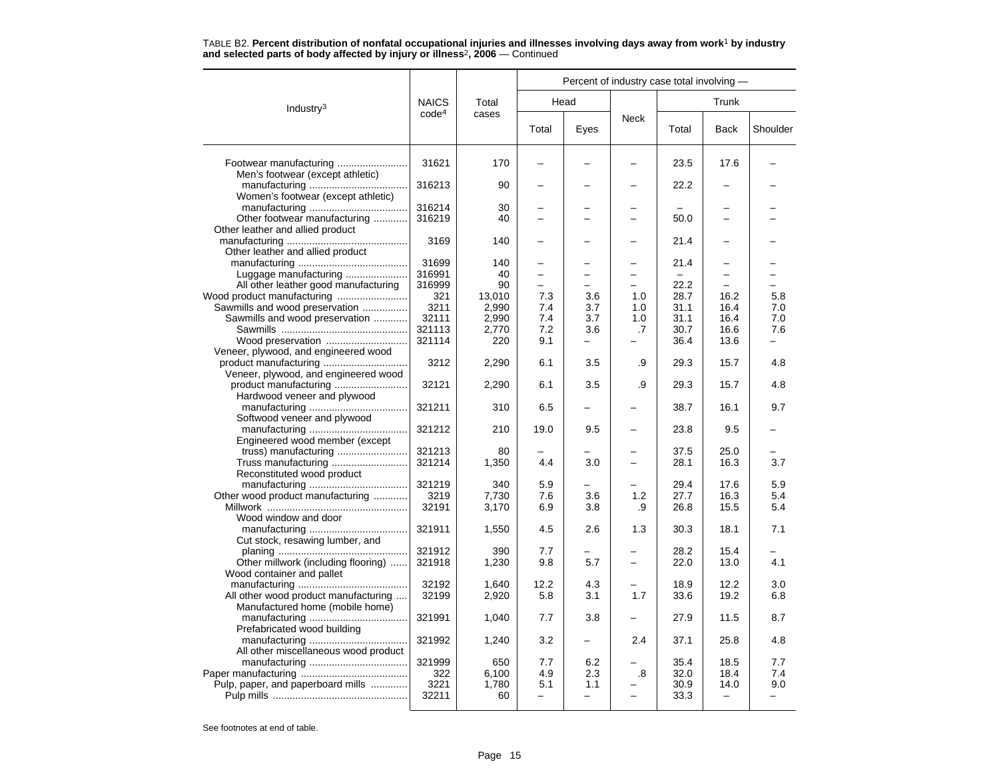|                                      |                   |        |       |      | Percent of industry case total involving - |       |                   |          |
|--------------------------------------|-------------------|--------|-------|------|--------------------------------------------|-------|-------------------|----------|
| Industry <sup>3</sup>                | <b>NAICS</b>      | Total  |       | Head |                                            |       | Trunk             |          |
|                                      | code <sup>4</sup> | cases  | Total | Eyes | <b>Neck</b>                                | Total | <b>Back</b>       | Shoulder |
|                                      | 31621             | 170    |       |      |                                            | 23.5  | 17.6              |          |
| Men's footwear (except athletic)     |                   |        |       |      |                                            |       |                   |          |
| Women's footwear (except athletic)   | 316213            | 90     |       |      |                                            | 22.2  |                   |          |
|                                      | 316214            | 30     |       |      |                                            |       |                   |          |
| Other footwear manufacturing         | 316219            | 40     |       |      |                                            | 50.0  |                   |          |
| Other leather and allied product     |                   |        |       |      |                                            |       |                   |          |
|                                      | 3169              | 140    |       |      |                                            | 21.4  |                   |          |
| Other leather and allied product     |                   | 140    |       |      |                                            |       |                   |          |
| Luggage manufacturing                | 31699<br>316991   | 40     |       |      |                                            | 21.4  |                   |          |
| All other leather good manufacturing | 316999            | 90     |       |      |                                            | 22.2  |                   |          |
|                                      | 321               | 13,010 | 7.3   | 3.6  | 1.0                                        | 28.7  | 16.2              | 5.8      |
| Sawmills and wood preservation       | 3211              | 2,990  | 7.4   | 3.7  | 1.0                                        | 31.1  | 16.4              | 7.0      |
| Sawmills and wood preservation       | 32111             | 2,990  | 7.4   | 3.7  | 1.0                                        | 31.1  | 16.4              | 7.0      |
|                                      | 321113            | 2,770  | 7.2   | 3.6  | .7                                         | 30.7  | 16.6              | 7.6      |
| Wood preservation                    | 321114            | 220    | 9.1   |      |                                            | 36.4  | 13.6              |          |
| Veneer, plywood, and engineered wood |                   |        |       |      |                                            |       |                   |          |
| product manufacturing                | 3212              | 2,290  | 6.1   | 3.5  | .9                                         | 29.3  | 15.7              | 4.8      |
| Veneer, plywood, and engineered wood |                   |        |       |      |                                            |       |                   |          |
|                                      | 32121             | 2,290  | 6.1   | 3.5  | .9                                         | 29.3  | 15.7              | 4.8      |
| Hardwood veneer and plywood          |                   |        |       |      |                                            |       |                   |          |
| Softwood veneer and plywood          | 321211            | 310    | 6.5   |      |                                            | 38.7  | 16.1              | 9.7      |
|                                      | 321212            | 210    | 19.0  | 9.5  |                                            | 23.8  | 9.5               |          |
| Engineered wood member (except       |                   |        |       |      |                                            |       |                   |          |
|                                      | 321213            | 80     |       |      |                                            | 37.5  | 25.0              |          |
| Truss manufacturing                  | 321214            | 1,350  | 4.4   | 3.0  |                                            | 28.1  | 16.3              | 3.7      |
| Reconstituted wood product           |                   |        |       |      |                                            |       |                   |          |
|                                      | 321219            | 340    | 5.9   |      |                                            | 29.4  | 17.6              | 5.9      |
| Other wood product manufacturing     | 3219              | 7,730  | 7.6   | 3.6  | 1.2                                        | 27.7  | 16.3              | 5.4      |
|                                      | 32191             | 3,170  | 6.9   | 3.8  | .9                                         | 26.8  | 15.5              | 5.4      |
| Wood window and door                 |                   |        |       |      |                                            |       |                   |          |
|                                      | 321911            | 1,550  | 4.5   | 2.6  | 1.3                                        | 30.3  | 18.1              | 7.1      |
| Cut stock, resawing lumber, and      | 321912            | 390    | 7.7   |      |                                            | 28.2  | 15.4              |          |
| Other millwork (including flooring)  | 321918            | 1,230  | 9.8   | 5.7  | $\overline{\phantom{0}}$                   | 22.0  | 13.0              | 4.1      |
| Wood container and pallet            |                   |        |       |      |                                            |       |                   |          |
|                                      | 32192             | 1,640  | 12.2  | 4.3  |                                            | 18.9  | 12.2              | 3.0      |
| All other wood product manufacturing | 32199             | 2,920  | 5.8   | 3.1  | 1.7                                        | 33.6  | 19.2              | 6.8      |
| Manufactured home (mobile home)      |                   |        |       |      |                                            |       |                   |          |
|                                      | 321991            | 1,040  | 7.7   | 3.8  |                                            | 27.9  | 11.5              | 8.7      |
| Prefabricated wood building          |                   |        |       |      |                                            |       |                   |          |
| All other miscellaneous wood product | 321992            | 1,240  | 3.2   | -    | 2.4                                        | 37.1  | 25.8              | 4.8      |
|                                      | 321999            | 650    | 7.7   | 6.2  |                                            | 35.4  | 18.5              | 7.7      |
|                                      | 322               | 6,100  | 4.9   | 2.3  | .8                                         | 32.0  | 18.4              | 7.4      |
| Pulp, paper, and paperboard mills    | 3221              | 1,780  | 5.1   | 1.1  |                                            | 30.9  | 14.0              | 9.0      |
|                                      | 32211             | 60     | -     | -    |                                            | 33.3  | $\qquad \qquad -$ | -        |
|                                      |                   |        |       |      |                                            |       |                   |          |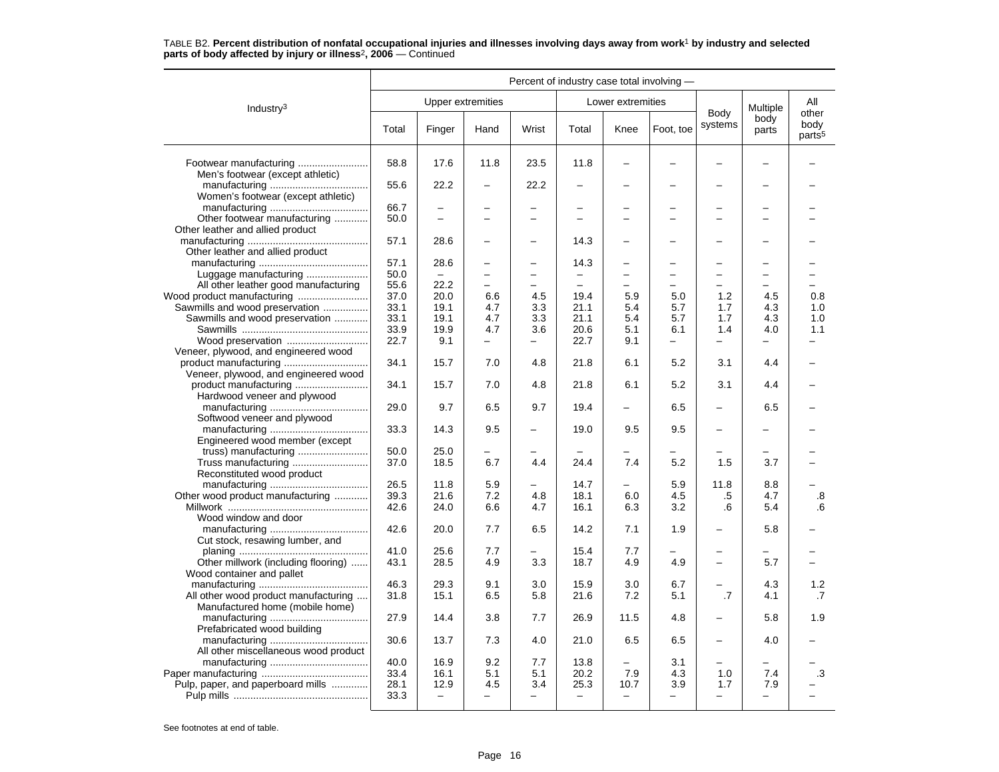|                                                                  |              |                           |                                 |                                 | Percent of industry case total involving - |                                  |                          |                                 |                          |                                     |
|------------------------------------------------------------------|--------------|---------------------------|---------------------------------|---------------------------------|--------------------------------------------|----------------------------------|--------------------------|---------------------------------|--------------------------|-------------------------------------|
| Industry <sup>3</sup>                                            |              | Upper extremities         |                                 |                                 |                                            | Lower extremities                |                          |                                 | Multiple                 | All                                 |
|                                                                  | Total        | Finger                    | Hand                            | Wrist                           | Total                                      | Knee                             | Foot, toe                | Body<br>systems                 | body<br>parts            | other<br>body<br>parts <sup>5</sup> |
| Footwear manufacturing<br>Men's footwear (except athletic)       | 58.8         | 17.6                      | 11.8                            | 23.5                            | 11.8                                       |                                  |                          |                                 |                          |                                     |
| Women's footwear (except athletic)                               | 55.6         | 22.2                      |                                 | 22.2                            |                                            |                                  |                          |                                 |                          |                                     |
|                                                                  | 66.7         |                           |                                 | $\overline{\phantom{0}}$        |                                            |                                  |                          |                                 |                          |                                     |
| Other footwear manufacturing<br>Other leather and allied product | 50.0         | $\equiv$                  | -                               | $\overline{\phantom{0}}$        |                                            |                                  |                          | ÷                               | -                        |                                     |
|                                                                  | 57.1         | 28.6                      |                                 | $\overline{\phantom{0}}$        | 14.3                                       |                                  |                          |                                 |                          |                                     |
| Other leather and allied product                                 |              |                           |                                 |                                 |                                            |                                  |                          |                                 |                          |                                     |
|                                                                  | 57.1         | 28.6                      | $\overline{\phantom{0}}$        |                                 | 14.3                                       |                                  |                          | $\overline{\phantom{0}}$        |                          |                                     |
| Luggage manufacturing                                            | 50.0         |                           | $\overline{\phantom{0}}$        |                                 | -                                          |                                  |                          | $\overline{\phantom{0}}$        | -                        |                                     |
| All other leather good manufacturing                             | 55.6         | 22.2                      | $\overline{\phantom{0}}$        |                                 |                                            |                                  |                          | $\overline{\phantom{0}}$        |                          |                                     |
|                                                                  | 37.0         | 20.0                      | 6.6                             | 4.5                             | 19.4                                       | 5.9                              | 5.0                      | 1.2                             | 4.5                      | 0.8                                 |
| Sawmills and wood preservation                                   | 33.1         | 19.1                      | 4.7                             | 3.3                             | 21.1                                       | 5.4                              | 5.7                      | 1.7                             | 4.3                      | 1.0                                 |
| Sawmills and wood preservation                                   | 33.1         | 19.1                      | 4.7                             | 3.3                             | 21.1                                       | 5.4                              | 5.7                      | 1.7                             | 4.3                      | 1.0                                 |
|                                                                  | 33.9         | 19.9                      | 4.7                             | 3.6                             | 20.6                                       | 5.1                              | 6.1                      | 1.4                             | 4.0                      | 1.1                                 |
| Wood preservation                                                | 22.7         | 9.1                       | $\overline{\phantom{0}}$        | $\qquad \qquad -$               | 22.7                                       | 9.1                              | $\overline{\phantom{0}}$ | $\overline{\phantom{0}}$        | $\overline{\phantom{0}}$ |                                     |
| Veneer, plywood, and engineered wood                             | 34.1         | 15.7                      | 7.0                             | 4.8                             | 21.8                                       | 6.1                              | 5.2                      | 3.1                             | 4.4                      |                                     |
| Veneer, plywood, and engineered wood                             | 34.1         | 15.7                      | 7.0                             | 4.8                             | 21.8                                       | 6.1                              | 5.2                      | 3.1                             | 4.4                      |                                     |
|                                                                  |              |                           |                                 |                                 |                                            |                                  |                          |                                 |                          |                                     |
| Hardwood veneer and plywood                                      | 29.0         | 9.7                       | 6.5                             | 9.7                             | 19.4                                       |                                  | 6.5                      |                                 | 6.5                      |                                     |
| Softwood veneer and plywood                                      |              |                           |                                 |                                 |                                            |                                  |                          |                                 |                          |                                     |
|                                                                  | 33.3         | 14.3                      | 9.5                             |                                 | 19.0                                       | 9.5                              | 9.5                      |                                 |                          |                                     |
| Engineered wood member (except                                   |              |                           |                                 |                                 |                                            |                                  |                          |                                 |                          |                                     |
|                                                                  | 50.0         | 25.0                      | ▃                               |                                 |                                            |                                  |                          |                                 |                          |                                     |
| Reconstituted wood product                                       | 37.0         | 18.5                      | 6.7                             | 4.4                             | 24.4                                       | 7.4                              | 5.2                      | 1.5                             | 3.7                      |                                     |
|                                                                  | 26.5         | 11.8                      | 5.9                             |                                 | 14.7                                       |                                  | 5.9                      | 11.8                            | 8.8                      |                                     |
| Other wood product manufacturing                                 | 39.3         | 21.6                      | 7.2                             | 4.8                             | 18.1                                       | 6.0                              | 4.5                      | .5                              | 4.7                      | .8                                  |
|                                                                  | 42.6         | 24.0                      | 6.6                             | 4.7                             | 16.1                                       | 6.3                              | 3.2                      | .6                              | 5.4                      | .6                                  |
| Wood window and door                                             |              |                           |                                 |                                 |                                            |                                  |                          |                                 |                          |                                     |
|                                                                  | 42.6         | 20.0                      | 7.7                             | 6.5                             | 14.2                                       | 7.1                              | 1.9                      | $\overline{\phantom{0}}$        | 5.8                      |                                     |
| Cut stock, resawing lumber, and                                  |              |                           |                                 |                                 |                                            |                                  |                          |                                 |                          |                                     |
|                                                                  | 41.0         | 25.6                      | 7.7                             |                                 | 15.4                                       | 7.7                              |                          |                                 |                          |                                     |
| Other millwork (including flooring)<br>Wood container and pallet | 43.1         | 28.5                      | 4.9                             | 3.3                             | 18.7                                       | 4.9                              | 4.9                      | $\overline{\phantom{0}}$        | 5.7                      |                                     |
|                                                                  | 46.3         | 29.3                      | 9.1                             | 3.0                             | 15.9                                       | 3.0                              | 6.7                      | $\overline{\phantom{0}}$        | 4.3                      | 1.2                                 |
| All other wood product manufacturing                             | 31.8         | 15.1                      | 6.5                             | 5.8                             | 21.6                                       | 7.2                              | 5.1                      | .7                              | 4.1                      | .7                                  |
| Manufactured home (mobile home)                                  |              |                           |                                 |                                 |                                            |                                  |                          |                                 |                          |                                     |
|                                                                  | 27.9         | 14.4                      | 3.8                             | 7.7                             | 26.9                                       | 11.5                             | 4.8                      |                                 | 5.8                      | 1.9                                 |
| Prefabricated wood building                                      |              |                           |                                 |                                 |                                            |                                  |                          |                                 |                          |                                     |
|                                                                  | 30.6         | 13.7                      | 7.3                             | 4.0                             | 21.0                                       | 6.5                              | 6.5                      | $\overline{\phantom{0}}$        | 4.0                      |                                     |
| All other miscellaneous wood product                             |              |                           |                                 |                                 |                                            |                                  |                          |                                 |                          |                                     |
|                                                                  | 40.0         | 16.9                      | 9.2                             | 7.7                             | 13.8                                       |                                  | 3.1                      |                                 |                          |                                     |
|                                                                  | 33.4         | 16.1                      | 5.1                             | 5.1                             | 20.2                                       | 7.9                              | 4.3                      | 1.0                             | 7.4                      | .3                                  |
| Pulp, paper, and paperboard mills                                | 28.1<br>33.3 | 12.9<br>$\qquad \qquad -$ | 4.5<br>$\overline{\phantom{0}}$ | 3.4<br>$\overline{\phantom{0}}$ | 25.3<br>$\overline{\phantom{m}}$           | 10.7<br>$\overline{\phantom{0}}$ | 3.9<br>—                 | 1.7<br>$\overline{\phantom{0}}$ | 7.9<br>-                 |                                     |
|                                                                  |              |                           |                                 |                                 |                                            |                                  |                          |                                 |                          |                                     |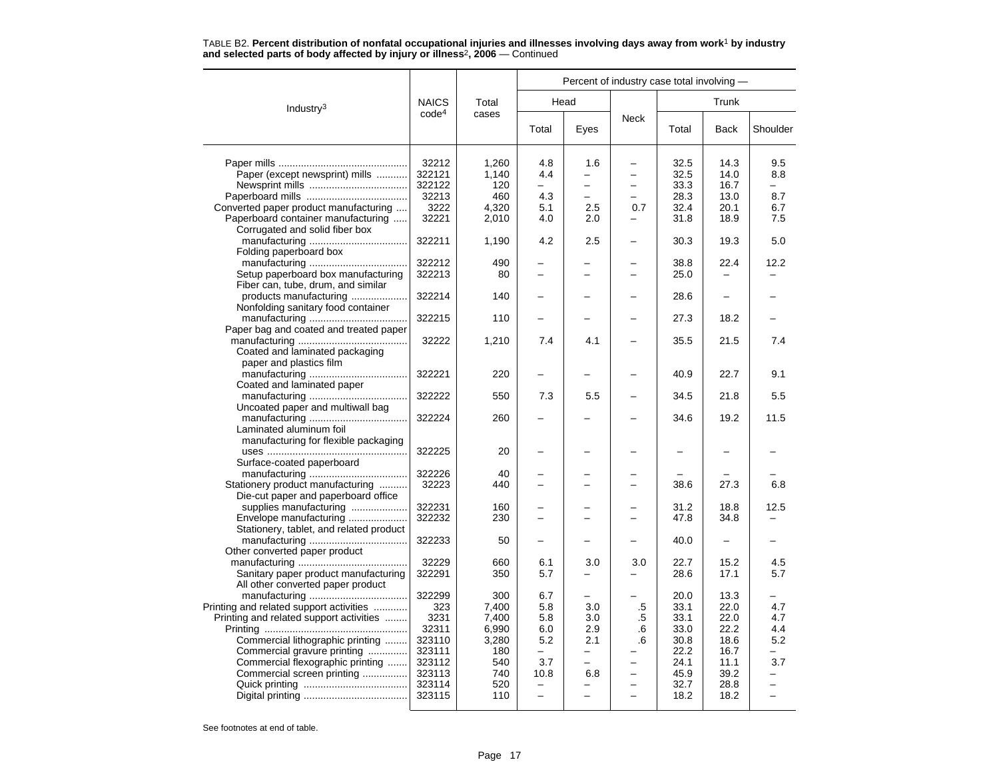|                                         |                   | Percent of industry case total involving - |                          |                          |                          |       |       |                          |
|-----------------------------------------|-------------------|--------------------------------------------|--------------------------|--------------------------|--------------------------|-------|-------|--------------------------|
| Industry <sup>3</sup>                   | <b>NAICS</b>      | Total                                      |                          | Head                     |                          |       | Trunk |                          |
|                                         | code <sup>4</sup> | cases                                      | Total                    | Eyes                     | <b>Neck</b>              | Total | Back  | Shoulder                 |
|                                         | 32212             | 1.260                                      | 4.8                      | 1.6                      |                          | 32.5  | 14.3  | 9.5                      |
| Paper (except newsprint) mills          | 322121            | 1,140                                      | 4.4                      |                          |                          | 32.5  | 14.0  | 8.8                      |
|                                         | 322122            | 120                                        | $\overline{\phantom{0}}$ | $\equiv$                 | $\overline{\phantom{0}}$ | 33.3  | 16.7  |                          |
|                                         | 32213             | 460                                        | 4.3                      | $\overline{\phantom{0}}$ | $\overline{\phantom{0}}$ | 28.3  | 13.0  | 8.7                      |
| Converted paper product manufacturing   | 3222              | 4,320                                      | 5.1                      | 2.5                      | 0.7                      | 32.4  | 20.1  | 6.7                      |
| Paperboard container manufacturing      | 32221             | 2,010                                      | 4.0                      | 2.0                      |                          | 31.8  | 18.9  | 7.5                      |
| Corrugated and solid fiber box          |                   |                                            |                          |                          |                          |       |       |                          |
|                                         | 322211            | 1,190                                      | 4.2                      | 2.5                      |                          | 30.3  | 19.3  | 5.0                      |
| Folding paperboard box                  |                   |                                            |                          |                          |                          |       |       |                          |
|                                         | 322212            | 490                                        |                          |                          |                          | 38.8  | 22.4  | 12.2                     |
| Setup paperboard box manufacturing      | 322213            | 80                                         |                          |                          |                          | 25.0  |       |                          |
| Fiber can, tube, drum, and similar      |                   |                                            |                          |                          |                          |       |       |                          |
| products manufacturing                  | 322214            | 140                                        |                          |                          |                          | 28.6  |       |                          |
| Nonfolding sanitary food container      |                   |                                            |                          |                          |                          |       |       |                          |
|                                         | 322215            | 110                                        |                          |                          |                          | 27.3  | 18.2  |                          |
| Paper bag and coated and treated paper  |                   |                                            |                          |                          |                          |       |       |                          |
|                                         | 32222             | 1,210                                      | 7.4                      | 4.1                      |                          | 35.5  | 21.5  | 7.4                      |
| Coated and laminated packaging          |                   |                                            |                          |                          |                          |       |       |                          |
| paper and plastics film                 |                   |                                            |                          |                          |                          |       |       |                          |
|                                         | 322221            | 220                                        |                          |                          |                          | 40.9  | 22.7  | 9.1                      |
| Coated and laminated paper              |                   |                                            |                          |                          |                          |       |       |                          |
|                                         | 322222            | 550                                        | 7.3                      | 5.5                      | $\overline{\phantom{0}}$ | 34.5  | 21.8  | 5.5                      |
| Uncoated paper and multiwall bag        |                   |                                            |                          |                          |                          |       |       |                          |
|                                         | 322224            | 260                                        |                          |                          |                          | 34.6  | 19.2  | 11.5                     |
| Laminated aluminum foil                 |                   |                                            |                          |                          |                          |       |       |                          |
| manufacturing for flexible packaging    |                   |                                            |                          |                          |                          |       |       |                          |
|                                         | 322225            | 20                                         | $\overline{\phantom{0}}$ |                          | -                        | -     |       |                          |
| Surface-coated paperboard               |                   |                                            |                          |                          |                          |       |       |                          |
|                                         | 322226            | 40                                         |                          |                          |                          |       |       |                          |
| Stationery product manufacturing        | 32223             | 440                                        | $\overline{\phantom{0}}$ |                          | $\overline{\phantom{0}}$ | 38.6  | 27.3  | 6.8                      |
| Die-cut paper and paperboard office     |                   |                                            |                          |                          |                          |       |       |                          |
| supplies manufacturing                  | 322231            | 160                                        |                          |                          |                          | 31.2  | 18.8  | 12.5                     |
| Envelope manufacturing                  | 322232            | 230                                        |                          |                          |                          | 47.8  | 34.8  |                          |
| Stationery, tablet, and related product | 322233            |                                            |                          |                          |                          | 40.0  |       |                          |
| Other converted paper product           |                   | 50                                         |                          |                          |                          |       |       |                          |
|                                         | 32229             | 660                                        | 6.1                      | 3.0                      | 3.0                      | 22.7  | 15.2  | 4.5                      |
| Sanitary paper product manufacturing    | 322291            | 350                                        | 5.7                      |                          |                          | 28.6  | 17.1  | 5.7                      |
| All other converted paper product       |                   |                                            |                          |                          |                          |       |       |                          |
|                                         | 322299            | 300                                        | 6.7                      | -                        |                          | 20.0  | 13.3  |                          |
| Printing and related support activities | 323               | 7,400                                      | 5.8                      | 3.0                      | .5                       | 33.1  | 22.0  | 4.7                      |
| Printing and related support activities | 3231              | 7,400                                      | 5.8                      | 3.0                      | .5                       | 33.1  | 22.0  | 4.7                      |
|                                         | 32311             | 6,990                                      | 6.0                      | 2.9                      | .6                       | 33.0  | 22.2  | 4.4                      |
| Commercial lithographic printing        | 323110            | 3,280                                      | 5.2                      | 2.1                      | .6                       | 30.8  | 18.6  | 5.2                      |
| Commercial gravure printing             | 323111            | 180                                        | $\overline{\phantom{0}}$ | $\overline{\phantom{0}}$ |                          | 22.2  | 16.7  | -                        |
| Commercial flexographic printing        | 323112            | 540                                        | 3.7                      |                          |                          | 24.1  | 11.1  | 3.7                      |
| Commercial screen printing              | 323113            | 740                                        | 10.8                     | 6.8                      |                          | 45.9  | 39.2  |                          |
|                                         | 323114            | 520                                        | $\overline{\phantom{0}}$ |                          | -                        | 32.7  | 28.8  |                          |
|                                         | 323115            | 110                                        | $\overline{\phantom{0}}$ |                          | ÷                        | 18.2  | 18.2  | $\overline{\phantom{0}}$ |
|                                         |                   |                                            |                          |                          |                          |       |       |                          |

TABLE B2. **Percent distribution of nonfatal occupational injuries and illnesses involving days away from work**<sup>1</sup> **by industry and selected parts of body affected by injury or illness**<sup>2</sup>**, 2006** — Continued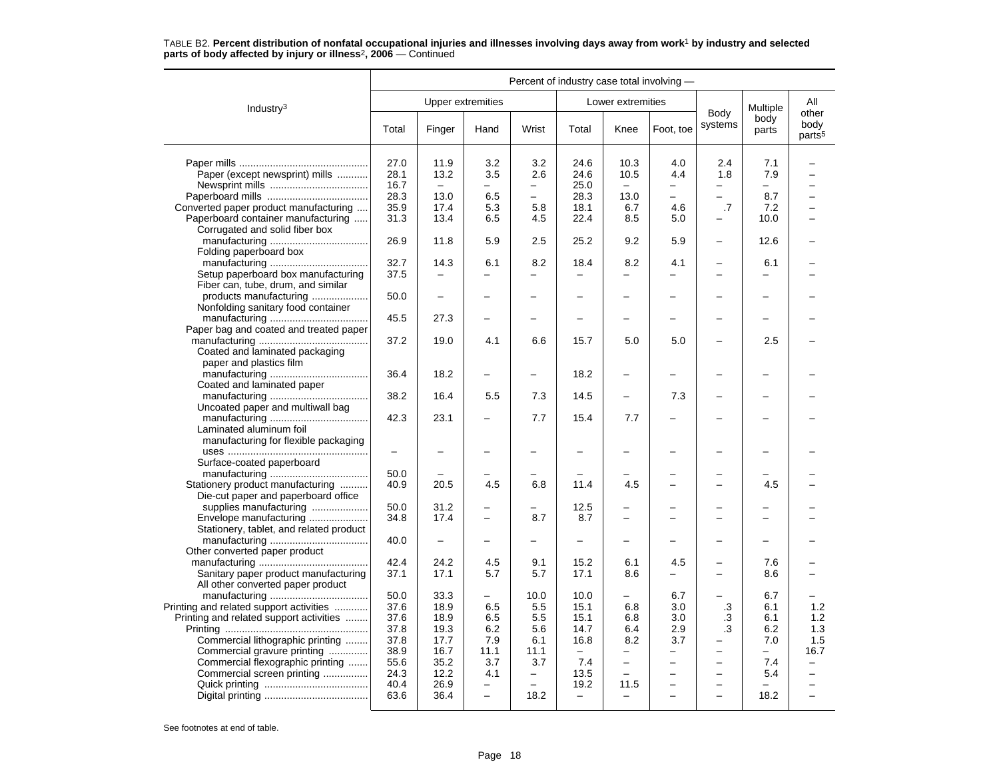|                                                                 |              |                          |                          | Percent of industry case total involving - |                                  |                                 |                          |                          |                          |                                     |
|-----------------------------------------------------------------|--------------|--------------------------|--------------------------|--------------------------------------------|----------------------------------|---------------------------------|--------------------------|--------------------------|--------------------------|-------------------------------------|
| Industry <sup>3</sup>                                           |              | <b>Upper extremities</b> |                          |                                            |                                  | Lower extremities               |                          |                          | Multiple                 | All                                 |
|                                                                 | Total        | Finger                   | Hand                     | Wrist                                      | Total                            | Knee                            | Foot, toe                | Body<br>systems          | body<br>parts            | other<br>body<br>parts <sup>5</sup> |
|                                                                 | 27.0         | 11.9                     | 3.2                      | 3.2                                        | 24.6                             | 10.3                            | 4.0                      | 2.4                      | 7.1                      |                                     |
| Paper (except newsprint) mills                                  | 28.1         | 13.2                     | 3.5                      | 2.6                                        | 24.6                             | 10.5                            | 4.4                      | 1.8                      | 7.9                      |                                     |
|                                                                 | 16.7         | $\equiv$                 | $\overline{a}$           | $\overline{a}$                             | 25.0                             | $\overline{a}$                  | $\overline{\phantom{0}}$ | $\equiv$                 | $\overline{\phantom{0}}$ |                                     |
|                                                                 | 28.3         | 13.0                     | 6.5                      | $\overline{\phantom{0}}$                   | 28.3                             | 13.0                            | -                        | $\equiv$                 | 8.7                      |                                     |
| Converted paper product manufacturing                           | 35.9         | 17.4                     | 5.3                      | 5.8                                        | 18.1                             | 6.7                             | 4.6                      | .7                       | 7.2                      |                                     |
| Paperboard container manufacturing                              | 31.3         | 13.4                     | 6.5                      | 4.5                                        | 22.4                             | 8.5                             | 5.0                      |                          | 10.0                     |                                     |
| Corrugated and solid fiber box                                  |              |                          |                          |                                            |                                  |                                 |                          |                          |                          |                                     |
|                                                                 | 26.9         | 11.8                     | 5.9                      | 2.5                                        | 25.2                             | 9.2                             | 5.9                      | $\overline{\phantom{0}}$ | 12.6                     |                                     |
| Folding paperboard box                                          |              |                          |                          |                                            |                                  |                                 |                          |                          |                          |                                     |
|                                                                 | 32.7         | 14.3                     | 6.1                      | 8.2                                        | 18.4                             | 8.2                             | 4.1                      |                          | 6.1                      |                                     |
| Setup paperboard box manufacturing                              | 37.5         | $\overline{\phantom{0}}$ |                          | $\overline{a}$                             |                                  |                                 | -                        |                          | $\equiv$                 |                                     |
| Fiber can, tube, drum, and similar                              |              |                          |                          |                                            |                                  |                                 |                          |                          |                          |                                     |
| products manufacturing                                          | 50.0         | $\overline{\phantom{0}}$ |                          |                                            |                                  | $\overline{\phantom{0}}$        |                          |                          |                          |                                     |
| Nonfolding sanitary food container                              |              |                          |                          |                                            |                                  |                                 |                          |                          |                          |                                     |
|                                                                 | 45.5         | 27.3                     |                          |                                            |                                  |                                 |                          |                          |                          |                                     |
| Paper bag and coated and treated paper                          |              |                          |                          |                                            |                                  |                                 |                          |                          |                          |                                     |
|                                                                 | 37.2         | 19.0                     | 4.1                      | 6.6                                        | 15.7                             | 5.0                             | 5.0                      |                          | 2.5                      |                                     |
| Coated and laminated packaging                                  |              |                          |                          |                                            |                                  |                                 |                          |                          |                          |                                     |
| paper and plastics film                                         |              |                          |                          |                                            |                                  |                                 |                          |                          |                          |                                     |
|                                                                 | 36.4         | 18.2                     |                          | $\overline{\phantom{0}}$                   | 18.2                             | $\overline{\phantom{0}}$        |                          |                          |                          |                                     |
| Coated and laminated paper                                      |              |                          |                          |                                            |                                  |                                 |                          |                          |                          |                                     |
|                                                                 | 38.2         | 16.4                     | 5.5                      | 7.3                                        | 14.5                             | $\overline{\phantom{0}}$        | 7.3                      |                          |                          |                                     |
| Uncoated paper and multiwall bag                                |              |                          |                          |                                            |                                  |                                 |                          |                          |                          |                                     |
|                                                                 | 42.3         | 23.1                     |                          | 7.7                                        | 15.4                             | 7.7                             |                          |                          |                          |                                     |
| Laminated aluminum foil                                         |              |                          |                          |                                            |                                  |                                 |                          |                          |                          |                                     |
| manufacturing for flexible packaging                            |              |                          |                          |                                            |                                  |                                 |                          |                          |                          |                                     |
|                                                                 | -            | $\overline{\phantom{0}}$ |                          | $\overline{\phantom{0}}$                   |                                  |                                 |                          |                          |                          |                                     |
| Surface-coated paperboard                                       |              |                          |                          |                                            |                                  |                                 |                          |                          |                          |                                     |
|                                                                 | 50.0         |                          |                          |                                            |                                  |                                 |                          |                          |                          |                                     |
| Stationery product manufacturing                                | 40.9         | 20.5                     | 4.5                      | 6.8                                        | 11.4                             | 4.5                             |                          |                          | 4.5                      |                                     |
| Die-cut paper and paperboard office                             |              |                          |                          |                                            |                                  |                                 |                          |                          |                          |                                     |
| supplies manufacturing                                          | 50.0         | 31.2                     |                          |                                            | 12.5                             |                                 |                          |                          |                          |                                     |
| Envelope manufacturing                                          | 34.8         | 17.4                     |                          | 8.7                                        | 8.7                              |                                 |                          |                          |                          |                                     |
| Stationery, tablet, and related product                         |              |                          |                          |                                            |                                  |                                 |                          |                          |                          |                                     |
|                                                                 | 40.0         |                          |                          |                                            |                                  |                                 |                          |                          |                          |                                     |
| Other converted paper product                                   |              |                          |                          |                                            |                                  |                                 |                          |                          |                          |                                     |
|                                                                 | 42.4         | 24.2                     | 4.5                      | 9.1                                        | 15.2                             | 6.1                             | 4.5                      |                          | 7.6                      |                                     |
| Sanitary paper product manufacturing                            | 37.1         | 17.1                     | 5.7                      | 5.7                                        | 17.1                             | 8.6                             |                          |                          | 8.6                      |                                     |
| All other converted paper product                               |              |                          |                          |                                            |                                  |                                 |                          |                          |                          |                                     |
|                                                                 | 50.0         | 33.3                     |                          | 10.0                                       | 10.0                             |                                 | 6.7                      |                          | 6.7                      |                                     |
| Printing and related support activities                         | 37.6         | 18.9                     | 6.5                      | 5.5                                        | 15.1                             | 6.8                             | 3.0                      | $\cdot$ 3                | 6.1                      | 1.2                                 |
| Printing and related support activities                         | 37.6         | 18.9                     | 6.5                      | 5.5                                        | 15.1                             | 6.8                             | 3.0                      | .3                       | 6.1                      | 1.2                                 |
|                                                                 | 37.8         | 19.3                     | 6.2                      | 5.6                                        | 14.7                             | 6.4                             | 2.9                      | .3                       | 6.2<br>7.0               | 1.3                                 |
| Commercial lithographic printing                                | 37.8<br>38.9 | 17.7<br>16.7             | 7.9                      | 6.1                                        | 16.8<br>$\overline{\phantom{m}}$ | 8.2<br>$\overline{\phantom{0}}$ | 3.7<br>-                 | $\overline{\phantom{0}}$ | $-$                      | 1.5<br>16.7                         |
| Commercial gravure printing<br>Commercial flexographic printing | 55.6         | 35.2                     | 11.1<br>3.7              | 11.1<br>3.7                                | 7.4                              | -                               | -                        | $\overline{\phantom{0}}$ | 7.4                      |                                     |
| Commercial screen printing                                      | 24.3         | 12.2                     | 4.1                      | -                                          | 13.5                             | $\overline{a}$                  |                          | $\equiv$                 | 5.4                      | $\overline{\phantom{0}}$            |
|                                                                 | 40.4         | 26.9                     | -                        |                                            | 19.2                             | 11.5                            |                          | $\overline{\phantom{0}}$ |                          |                                     |
|                                                                 | 63.6         | 36.4                     | $\overline{\phantom{0}}$ | 18.2                                       | $\overline{\phantom{0}}$         | $\overline{\phantom{0}}$        | $\overline{\phantom{0}}$ | $\overline{\phantom{0}}$ | 18.2                     | $\overline{\phantom{0}}$            |
|                                                                 |              |                          |                          |                                            |                                  |                                 |                          |                          |                          |                                     |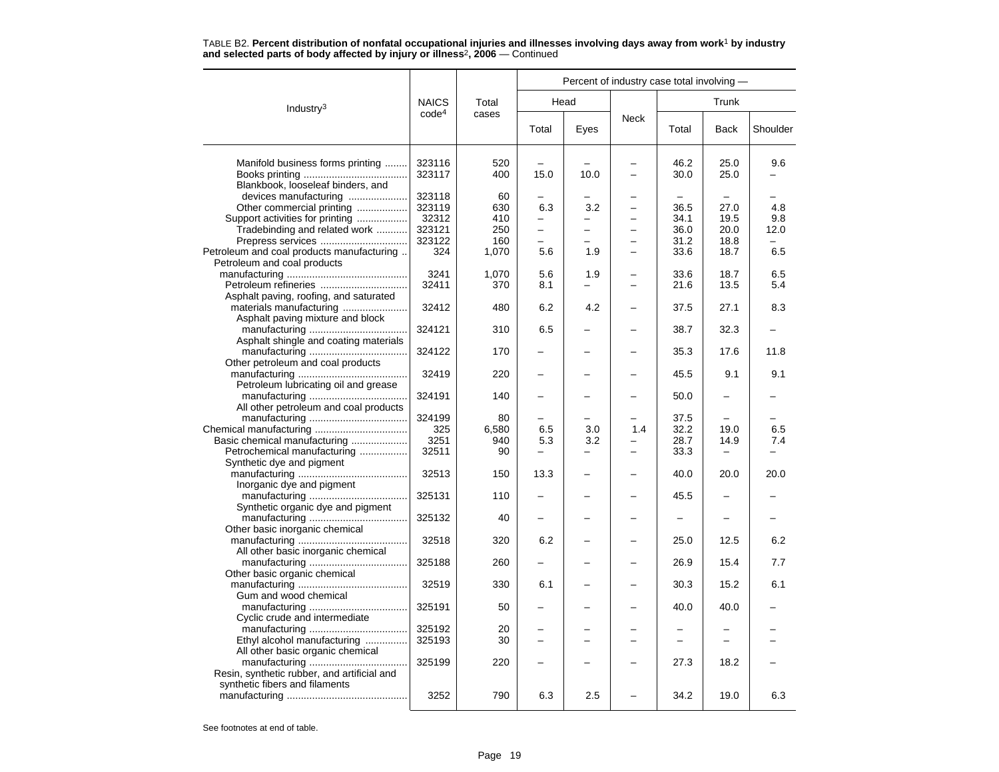|                                                            |                   |            |                          | Percent of industry case total involving - |                          |                          |                          |          |
|------------------------------------------------------------|-------------------|------------|--------------------------|--------------------------------------------|--------------------------|--------------------------|--------------------------|----------|
| Industry $3$                                               | <b>NAICS</b>      | Total      |                          | Head                                       |                          |                          | Trunk                    |          |
|                                                            | code <sup>4</sup> | cases      | Total                    | Eyes                                       | Neck                     | Total                    | <b>Back</b>              | Shoulder |
| Manifold business forms printing                           | 323116<br>323117  | 520<br>400 | 15.0                     | 10.0                                       | $\equiv$                 | 46.2<br>30.0             | 25.0<br>25.0             | 9.6      |
| Blankbook, looseleaf binders, and<br>devices manufacturing | 323118            | 60         |                          |                                            |                          |                          |                          |          |
| Other commercial printing                                  | 323119            | 630        | 6.3                      | 3.2                                        | $\overline{\phantom{0}}$ | 36.5                     | 27.0                     | 4.8      |
| Support activities for printing                            | 32312             | 410        |                          |                                            |                          | 34.1                     | 19.5                     | 9.8      |
| Tradebinding and related work                              | 323121            | 250        | L.                       |                                            | L                        | 36.0                     | 20.0                     | 12.0     |
| Prepress services                                          | 323122            | 160        | -                        |                                            | $\overline{\phantom{0}}$ | 31.2                     | 18.8                     |          |
| Petroleum and coal products manufacturing                  | 324               | 1,070      | 5.6                      | 1.9                                        |                          | 33.6                     | 18.7                     | 6.5      |
| Petroleum and coal products                                |                   |            |                          |                                            |                          |                          |                          |          |
|                                                            | 3241              | 1,070      | 5.6                      | 1.9                                        | $\overline{\phantom{0}}$ | 33.6                     | 18.7                     | 6.5      |
|                                                            | 32411             | 370        | 8.1                      |                                            | -                        | 21.6                     | 13.5                     | 5.4      |
| Asphalt paving, roofing, and saturated                     |                   |            |                          |                                            |                          |                          |                          |          |
|                                                            | 32412             | 480        | 6.2                      | 4.2                                        |                          | 37.5                     | 27.1                     | 8.3      |
| Asphalt paving mixture and block                           |                   |            |                          |                                            |                          |                          |                          |          |
|                                                            | 324121            | 310        | 6.5                      |                                            |                          | 38.7                     | 32.3                     |          |
| Asphalt shingle and coating materials                      |                   |            |                          |                                            |                          |                          |                          |          |
|                                                            | 324122            | 170        |                          |                                            |                          | 35.3                     | 17.6                     | 11.8     |
| Other petroleum and coal products                          |                   |            |                          |                                            |                          |                          |                          |          |
|                                                            | 32419             | 220        |                          |                                            |                          | 45.5                     | 9.1                      | 9.1      |
| Petroleum lubricating oil and grease                       |                   |            |                          |                                            |                          |                          |                          |          |
|                                                            | 324191            | 140        |                          |                                            |                          | 50.0                     |                          |          |
| All other petroleum and coal products                      |                   |            |                          |                                            |                          |                          |                          |          |
|                                                            | 324199            | 80         |                          |                                            |                          | 37.5                     |                          |          |
|                                                            | 325               | 6,580      | 6.5                      | 3.0                                        | 1.4                      | 32.2                     | 19.0                     | 6.5      |
| Basic chemical manufacturing                               | 3251              | 940        | 5.3                      | 3.2                                        |                          | 28.7                     | 14.9                     | 7.4      |
| Petrochemical manufacturing                                | 32511             | 90         | -                        |                                            | -                        | 33.3                     |                          |          |
| Synthetic dye and pigment                                  |                   |            |                          |                                            |                          |                          |                          |          |
|                                                            | 32513             | 150        | 13.3                     |                                            |                          | 40.0                     | 20.0                     | 20.0     |
| Inorganic dye and pigment                                  |                   |            |                          |                                            |                          |                          |                          |          |
|                                                            | 325131            | 110        |                          |                                            |                          | 45.5                     |                          |          |
| Synthetic organic dye and pigment                          |                   |            |                          |                                            |                          |                          |                          |          |
|                                                            | 325132            | 40         |                          |                                            |                          |                          |                          |          |
| Other basic inorganic chemical                             |                   |            |                          |                                            |                          |                          |                          |          |
|                                                            | 32518             | 320        | 6.2                      |                                            |                          | 25.0                     | 12.5                     | 6.2      |
| All other basic inorganic chemical                         |                   |            |                          |                                            |                          |                          |                          |          |
|                                                            | 325188            | 260        |                          |                                            |                          | 26.9                     | 15.4                     | 7.7      |
| Other basic organic chemical                               |                   |            |                          |                                            |                          |                          |                          |          |
|                                                            | 32519             | 330        | 6.1                      |                                            |                          | 30.3                     | 15.2                     | 6.1      |
| Gum and wood chemical                                      |                   |            |                          |                                            |                          |                          |                          |          |
|                                                            | 325191            | 50         | -                        |                                            |                          | 40.0                     | 40.0                     |          |
| Cyclic crude and intermediate                              |                   |            |                          |                                            |                          |                          |                          |          |
|                                                            | 325192            | 20         |                          |                                            |                          |                          |                          |          |
| Ethyl alcohol manufacturing                                | 325193            | 30         | $\overline{\phantom{0}}$ | $\overline{\phantom{0}}$                   | $\overline{\phantom{0}}$ | $\overline{\phantom{0}}$ | $\overline{\phantom{0}}$ |          |
| All other basic organic chemical                           |                   |            |                          |                                            |                          |                          |                          |          |
|                                                            | 325199            | 220        |                          |                                            |                          | 27.3                     | 18.2                     |          |
| Resin, synthetic rubber, and artificial and                |                   |            |                          |                                            |                          |                          |                          |          |
| synthetic fibers and filaments                             |                   |            |                          |                                            |                          |                          |                          |          |
|                                                            | 3252              | 790        | 6.3                      | 2.5                                        |                          | 34.2                     | 19.0                     | 6.3      |
|                                                            |                   |            |                          |                                            |                          |                          |                          |          |

TABLE B2. **Percent distribution of nonfatal occupational injuries and illnesses involving days away from work**<sup>1</sup> **by industry and selected parts of body affected by injury or illness**<sup>2</sup>**, 2006** — Continued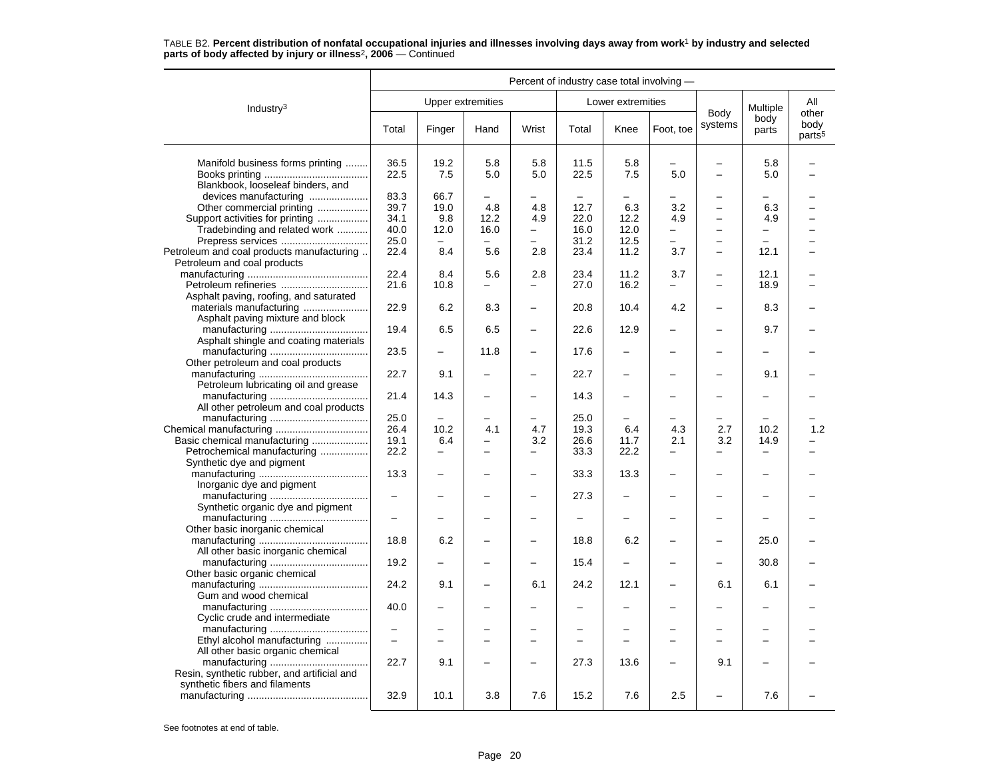#### Industry3 Percent of industry case total involving — Upper extremities **Lower** extremities Body systems Multiple body parts Allotherbody<br>parts<sup>5</sup> Total Finger Hand Wrist Total Knee Foot, toe Systems parts pour Manifold business forms printing ......... 36.5 19.2 5.8 5.8 5.8 11.5 5.8 - 5.8 - 5.8 5.8 5.8 5.0 5.8 = 5.8 – E Books printing ..................................... 22.5 7.5 5.0 5.0 22.5 7.5 5.0 – 5.0 – Blankbook, looseleaf binders, and devices manufacturing ..................... 83.3 66.7 – – – – – – – – Other commercial printing .................. 39.7 19.0 4.8 4.8 12.7 6.3 3.2 – 6.3 – Support activities for printing .................. 34.1 9.8 12.2 4.9 22.0 12.2 4.9 – 4.9 – Tradebinding and related work ........... 40.0 12.0 16.0 – 16.0 12.0 – – – – Prepress services ............................... 25.0 – – – 31.2 12.5 – – – – Petroleum and coal products manufacturing  $\vert$  22.4  $\vert$  8.4  $\vert$  5.6  $\vert$  2.8  $\vert$  23.4  $\vert$  11.2  $\vert$  3.7  $\vert$  -  $\vert$  12.1  $\vert$  -Petroleum and coal products manufacturing ........................................... 22.4 8.4 5.6 2.8 23.4 11.2 3.7 – 12.1 – Petroleum refineries ............................... 21.6 10.8 – – 27.0 16.2 – – 18.9 –Asphalt paving, roofing, and saturated materials manufacturing ....................... 22.9 6.2 8.3 – 20.8 10.4 4.2 – 8.3 – Asphalt paving mixture and block manufacturing ................................... 19.4 6.5 6.5 – 22.6 12.9 – – 9.7 – Asphalt shingle and coating materials manufacturing ................................... 23.5 – 11.8 – 17.6 – – – – – Other petroleum and coal products manufacturing ....................................... 22.7 9.1 – – 22.7 – – – 9.1 – Petroleum lubricating oil and grease manufacturing ................................... 21.4 14.3 – – 14.3 – – – – – All other petroleum and coal products manufacturing ................................... 25.0 – – – 25.0 – – – – – Chemical manufacturing ................................. 26.4 10.2 4.1 4.7 19.3 6.4 4.3 2.7 10.2 1.2 Basic chemical manufacturing .................... 19.1 6.4 – 3.2 26.6 11.7 2.1 3.2 14.9 – Petrochemical manufacturing ................. 22.2 – – – 33.3 22.2 – – – – Synthetic dye and pigment manufacturing ....................................... 13.3 – – – 33.3 13.3 – – – – Inorganic dye and pigment manufacturing ................................... – – – – 27.3 – – – – – Synthetic organic dye and pigment manufacturing ................................... – – – – – – – – – – Other basic inorganic chemical manufacturing ....................................... 18.8 6.2 – – 18.8 6.2 – – 25.0 – All other basic inorganic chemical manufacturing ................................... 19.2 – – – 15.4 – – – 30.8 – Other basic organic chemical manufacturing ....................................... 24.2 9.1 – 6.1 24.2 12.1 – 6.1 6.1 – Gum and wood chemical manufacturing ................................... 40.0 – – – – – – – – – Cyclic crude and intermediate manufacturing ................................... – – – – – – – – – – Ethyl alcohol manufacturing ............... – – – – – – – – – – All other basic organic chemical manufacturing ................................... 22.7 9.1 – – 27.3 13.6 – 9.1 – – Resin, synthetic rubber, and artificial and synthetic fibers and filaments manufacturing ........................................... 32.9 10.1 3.8 7.6 15.2 7.6 2.5 – 7.6 –

# TABLE B2. **Percent distribution of nonfatal occupational injuries and illnesses involving days away from work**<sup>1</sup> **by industry and selected parts of body affected by injury or illness**<sup>2</sup>**, 2006** — Continued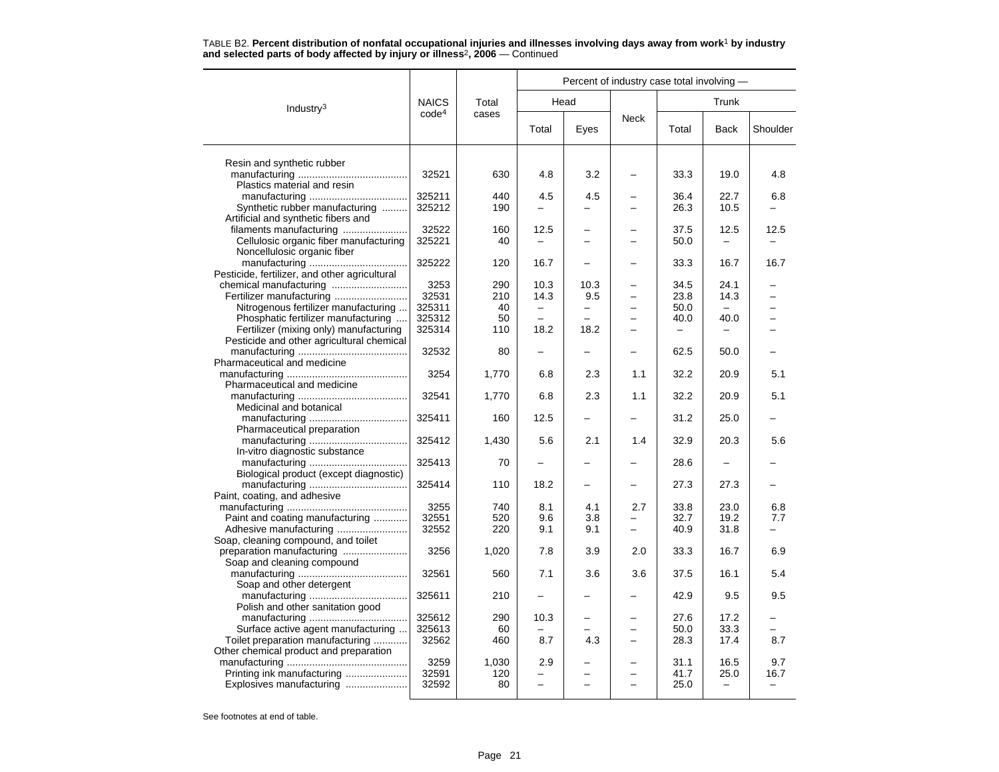|                                                                        |                   |           |          |                          | Percent of industry case total involving - |              |                   |          |
|------------------------------------------------------------------------|-------------------|-----------|----------|--------------------------|--------------------------------------------|--------------|-------------------|----------|
| Industry <sup>3</sup>                                                  | <b>NAICS</b>      | Total     |          | Head                     |                                            |              | Trunk             |          |
|                                                                        | code <sup>4</sup> | cases     | Total    | Eyes                     | <b>Neck</b>                                | Total        | <b>Back</b>       | Shoulder |
| Resin and synthetic rubber                                             |                   |           |          |                          |                                            |              |                   |          |
| Plastics material and resin                                            | 32521             | 630       | 4.8      | 3.2                      |                                            | 33.3         | 19.0              | 4.8      |
|                                                                        | 325211            | 440       | 4.5      | 4.5                      |                                            | 36.4         | 22.7              | 6.8      |
| Synthetic rubber manufacturing<br>Artificial and synthetic fibers and  | 325212            | 190       | $\equiv$ |                          |                                            | 26.3         | 10.5              |          |
| filaments manufacturing                                                | 32522             | 160       | 12.5     |                          |                                            | 37.5         | 12.5              | 12.5     |
| Cellulosic organic fiber manufacturing                                 | 325221            | 40        |          |                          |                                            | 50.0         |                   |          |
| Noncellulosic organic fiber                                            | 325222            | 120       | 16.7     |                          |                                            | 33.3         | 16.7              | 16.7     |
| Pesticide, fertilizer, and other agricultural                          |                   |           |          |                          |                                            |              |                   |          |
| chemical manufacturing                                                 | 3253              | 290       | 10.3     | 10.3                     |                                            | 34.5         | 24.1              |          |
| Fertilizer manufacturing                                               | 32531             | 210       | 14.3     | 9.5                      | $\overline{\phantom{0}}$                   | 23.8         | 14.3              |          |
| Nitrogenous fertilizer manufacturing                                   | 325311            | 40        | -        | $\overline{\phantom{0}}$ | $\overline{\phantom{0}}$                   | 50.0         |                   |          |
| Phosphatic fertilizer manufacturing                                    | 325312            | 50        |          |                          |                                            | 40.0         | 40.0              |          |
| Fertilizer (mixing only) manufacturing                                 | 325314            | 110       | 18.2     | 18.2                     |                                            |              |                   |          |
| Pesticide and other agricultural chemical                              | 32532             | 80        | -        |                          |                                            | 62.5         | 50.0              |          |
| Pharmaceutical and medicine                                            |                   |           |          |                          |                                            |              |                   |          |
|                                                                        | 3254              | 1,770     | 6.8      | 2.3                      | 1.1                                        | 32.2         | 20.9              | 5.1      |
| Pharmaceutical and medicine                                            |                   |           |          |                          |                                            |              |                   |          |
|                                                                        | 32541             | 1,770     | 6.8      | 2.3                      | 1.1                                        | 32.2         | 20.9              | 5.1      |
| Medicinal and botanical                                                |                   |           |          |                          |                                            |              |                   |          |
|                                                                        | 325411            | 160       | 12.5     |                          |                                            | 31.2         | 25.0              |          |
| Pharmaceutical preparation                                             |                   |           |          |                          |                                            |              |                   |          |
| In-vitro diagnostic substance                                          | 325412            | 1,430     | 5.6      | 2.1                      | 1.4                                        | 32.9         | 20.3              | 5.6      |
|                                                                        | 325413            | 70        | -        |                          |                                            | 28.6         |                   |          |
| Biological product (except diagnostic)                                 |                   |           |          |                          |                                            |              |                   |          |
|                                                                        | 325414            | 110       | 18.2     |                          |                                            | 27.3         | 27.3              |          |
| Paint, coating, and adhesive                                           |                   |           |          |                          |                                            |              |                   |          |
|                                                                        | 3255              | 740       | 8.1      | 4.1                      | 2.7                                        | 33.8         | 23.0              | 6.8      |
| Paint and coating manufacturing                                        | 32551             | 520       | 9.6      | 3.8                      |                                            | 32.7         | 19.2              | 7.7      |
| Adhesive manufacturing                                                 | 32552             | 220       | 9.1      | 9.1                      | $\overline{\phantom{0}}$                   | 40.9         | 31.8              |          |
| Soap, cleaning compound, and toilet<br>preparation manufacturing       | 3256              | 1,020     | 7.8      | 3.9                      | 2.0                                        | 33.3         | 16.7              | 6.9      |
| Soap and cleaning compound                                             |                   |           |          |                          |                                            |              |                   |          |
|                                                                        | 32561             | 560       | 7.1      | 3.6                      | 3.6                                        | 37.5         | 16.1              | 5.4      |
| Soap and other detergent                                               |                   |           |          |                          |                                            |              |                   |          |
|                                                                        | 325611            | 210       |          |                          |                                            | 42.9         | 9.5               | 9.5      |
| Polish and other sanitation good                                       |                   |           |          |                          |                                            |              |                   |          |
|                                                                        | 325612<br>325613  | 290       | 10.3     | -                        | $\overline{\phantom{0}}$                   | 27.6         | 17.2<br>33.3      |          |
| Surface active agent manufacturing<br>Toilet preparation manufacturing | 32562             | 60<br>460 | 8.7      | 4.3                      | $\equiv$                                   | 50.0<br>28.3 | 17.4              | 8.7      |
| Other chemical product and preparation                                 |                   |           |          |                          |                                            |              |                   |          |
|                                                                        | 3259              | 1,030     | 2.9      |                          |                                            | 31.1         | 16.5              | 9.7      |
| Printing ink manufacturing                                             | 32591             | 120       |          |                          |                                            | 41.7         | 25.0              | 16.7     |
| Explosives manufacturing                                               | 32592             | 80        | -        |                          |                                            | 25.0         | $\qquad \qquad -$ | -        |
|                                                                        |                   |           |          |                          |                                            |              |                   |          |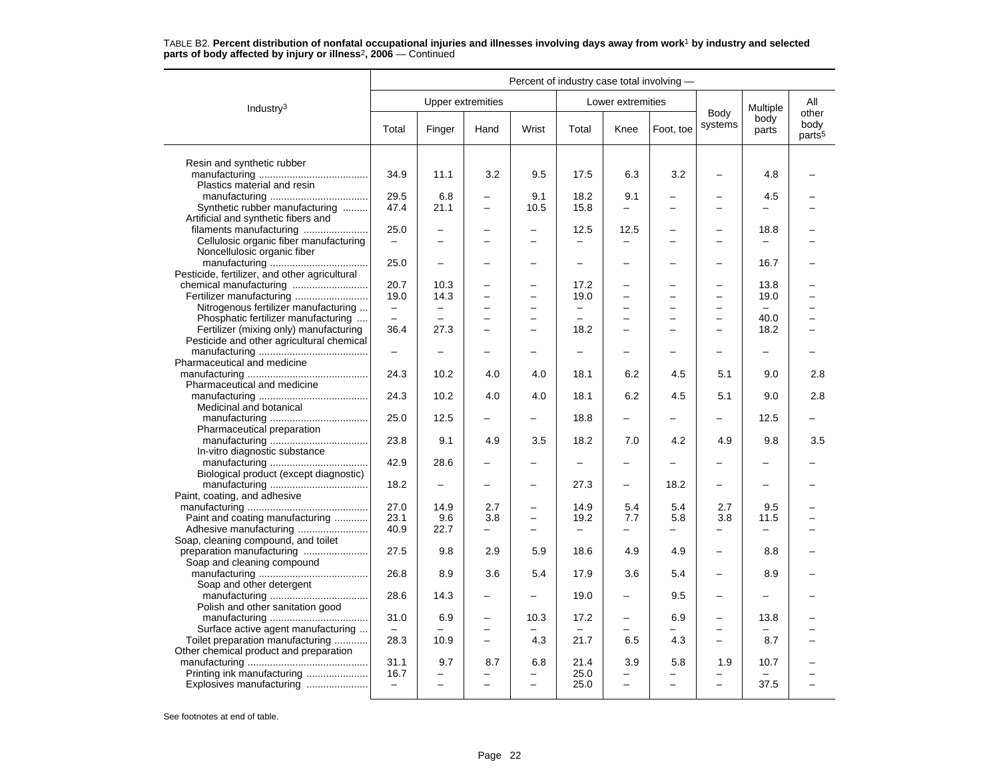|                                                                             |                                  |                                            |                                            |                                                      | Percent of industry case total involving - |                          |                          |                                                      |                          |                                     |
|-----------------------------------------------------------------------------|----------------------------------|--------------------------------------------|--------------------------------------------|------------------------------------------------------|--------------------------------------------|--------------------------|--------------------------|------------------------------------------------------|--------------------------|-------------------------------------|
| Industry <sup>3</sup>                                                       |                                  |                                            | <b>Upper extremities</b>                   |                                                      |                                            | Lower extremities        |                          |                                                      | Multiple                 | All                                 |
|                                                                             | Total                            | Finger                                     | Hand                                       | Wrist                                                | Total                                      | Knee                     | Foot, toe                | Body<br>systems                                      | body<br>parts            | other<br>body<br>parts <sup>5</sup> |
| Resin and synthetic rubber                                                  |                                  |                                            |                                            |                                                      |                                            |                          |                          |                                                      |                          |                                     |
| Plastics material and resin                                                 | 34.9                             | 11.1                                       | 3.2                                        | 9.5                                                  | 17.5                                       | 6.3                      | 3.2                      |                                                      | 4.8                      |                                     |
|                                                                             | 29.5                             | 6.8                                        | $\overline{\phantom{0}}$                   | 9.1                                                  | 18.2                                       | 9.1                      |                          |                                                      | 4.5                      |                                     |
| Synthetic rubber manufacturing<br>Artificial and synthetic fibers and       | 47.4                             | 21.1                                       | $\equiv$                                   | 10.5                                                 | 15.8                                       | —                        | $\overline{\phantom{0}}$ | $\overline{\phantom{0}}$                             | $\overline{\phantom{0}}$ |                                     |
| filaments manufacturing                                                     | 25.0                             | -                                          |                                            | $\overline{\phantom{0}}$                             | 12.5                                       | 12.5                     |                          | $\overline{\phantom{0}}$                             | 18.8                     |                                     |
| Cellulosic organic fiber manufacturing<br>Noncellulosic organic fiber       | $\overline{\phantom{m}}$         | $\equiv$                                   | $\equiv$                                   | $\equiv$                                             | -                                          | $\overline{\phantom{m}}$ | $\equiv$                 | $\overline{\phantom{0}}$                             | $\equiv$                 |                                     |
|                                                                             | 25.0                             | $\overline{a}$                             | -                                          | $\overline{\phantom{0}}$                             | $\overline{\phantom{0}}$                   | $\overline{\phantom{0}}$ |                          | —                                                    | 16.7                     |                                     |
| Pesticide, fertilizer, and other agricultural                               |                                  |                                            |                                            |                                                      |                                            |                          |                          |                                                      |                          |                                     |
|                                                                             | 20.7                             | 10.3                                       |                                            | -                                                    | 17.2                                       |                          |                          | -                                                    | 13.8                     |                                     |
|                                                                             | 19.0                             | 14.3                                       | $\overline{a}$                             | $\overline{\phantom{0}}$                             | 19.0                                       |                          |                          | $\overline{\phantom{0}}$                             | 19.0                     |                                     |
| Nitrogenous fertilizer manufacturing<br>Phosphatic fertilizer manufacturing | $\overline{\phantom{m}}$<br>$=$  | $\overline{\phantom{0}}$<br>$\overline{a}$ | $\overline{\phantom{0}}$<br>$\overline{a}$ | $\overline{\phantom{0}}$<br>$\overline{\phantom{0}}$ | $\overline{\phantom{0}}$<br>$\overline{a}$ | $\overline{\phantom{0}}$ | -                        | $\overline{\phantom{0}}$<br>$\overline{\phantom{0}}$ | $\frac{1}{2}$<br>40.0    |                                     |
| Fertilizer (mixing only) manufacturing                                      | 36.4                             | 27.3                                       |                                            |                                                      | 18.2                                       |                          |                          |                                                      | 18.2                     |                                     |
| Pesticide and other agricultural chemical                                   |                                  |                                            |                                            |                                                      |                                            |                          |                          |                                                      |                          |                                     |
| Pharmaceutical and medicine                                                 | $\overline{\phantom{0}}$         |                                            |                                            |                                                      |                                            |                          |                          | $\overline{\phantom{0}}$                             |                          |                                     |
|                                                                             | 24.3                             | 10.2                                       | 4.0                                        | 4.0                                                  | 18.1                                       | 6.2                      | 4.5                      | 5.1                                                  | 9.0                      | 2.8                                 |
| Pharmaceutical and medicine                                                 | 24.3                             | 10.2                                       | 4.0                                        | 4.0                                                  | 18.1                                       | 6.2                      | 4.5                      | 5.1                                                  | 9.0                      | 2.8                                 |
| Medicinal and botanical                                                     | 25.0                             | 12.5                                       |                                            |                                                      | 18.8                                       |                          |                          |                                                      | 12.5                     |                                     |
| Pharmaceutical preparation                                                  | 23.8                             | 9.1                                        | 4.9                                        | 3.5                                                  | 18.2                                       | 7.0                      | 4.2                      | 4.9                                                  | 9.8                      | 3.5                                 |
| In-vitro diagnostic substance                                               | 42.9                             | 28.6                                       |                                            |                                                      | $\overline{\phantom{0}}$                   | -                        |                          | -                                                    |                          |                                     |
| Biological product (except diagnostic)                                      |                                  |                                            |                                            |                                                      |                                            |                          |                          |                                                      |                          |                                     |
|                                                                             | 18.2                             |                                            |                                            |                                                      | 27.3                                       | -                        | 18.2                     | -                                                    |                          |                                     |
| Paint, coating, and adhesive                                                | 27.0                             | 14.9                                       | 2.7                                        |                                                      | 14.9                                       | 5.4                      | 5.4                      | 2.7                                                  | 9.5                      |                                     |
| Paint and coating manufacturing                                             | 23.1                             | 9.6                                        | 3.8                                        | $\equiv$                                             | 19.2                                       | 7.7                      | 5.8                      | 3.8                                                  | 11.5                     |                                     |
|                                                                             | 40.9                             | 22.7                                       | $\qquad \qquad -$                          | $\overline{\phantom{0}}$                             | $\qquad \qquad -$                          | -                        | $\overline{\phantom{0}}$ | -                                                    | $\overline{\phantom{0}}$ |                                     |
| Soap, cleaning compound, and toilet                                         |                                  |                                            |                                            |                                                      |                                            |                          |                          |                                                      |                          |                                     |
| Soap and cleaning compound                                                  | 27.5                             | 9.8                                        | 2.9                                        | 5.9                                                  | 18.6                                       | 4.9                      | 4.9                      | $\overline{a}$                                       | 8.8                      |                                     |
| Soap and other detergent                                                    | 26.8                             | 8.9                                        | 3.6                                        | 5.4                                                  | 17.9                                       | 3.6                      | 5.4                      |                                                      | 8.9                      |                                     |
| Polish and other sanitation good                                            | 28.6                             | 14.3                                       | $\overline{\phantom{0}}$                   | $\overline{\phantom{m}}$                             | 19.0                                       | $\overline{\phantom{0}}$ | 9.5                      | $\overline{\phantom{0}}$                             | $\overline{\phantom{0}}$ |                                     |
|                                                                             | 31.0                             | 6.9                                        | $\overline{\phantom{0}}$                   | 10.3                                                 | 17.2                                       | $\qquad \qquad -$        | 6.9                      | -                                                    | 13.8                     |                                     |
| Surface active agent manufacturing<br>Toilet preparation manufacturing      | $\overline{\phantom{m}}$<br>28.3 | 10.9                                       | $\overline{\phantom{0}}$<br>$\equiv$       | 4.3                                                  | 21.7                                       | 6.5                      | 4.3                      | $\overline{\phantom{0}}$                             | 8.7                      |                                     |
| Other chemical product and preparation                                      |                                  |                                            |                                            |                                                      |                                            |                          |                          |                                                      |                          |                                     |
| Printing ink manufacturing                                                  | 31.1<br>16.7                     | 9.7                                        | 8.7                                        | 6.8                                                  | 21.4<br>25.0                               | 3.9                      | 5.8                      | 1.9                                                  | 10.7                     |                                     |
| Explosives manufacturing                                                    | $\equiv$                         | $\overline{\phantom{0}}$                   | $\overline{\phantom{0}}$                   |                                                      | 25.0                                       | $\overline{\phantom{0}}$ | ÷                        | $\overline{a}$                                       | 37.5                     |                                     |
|                                                                             |                                  |                                            |                                            |                                                      |                                            |                          |                          |                                                      |                          |                                     |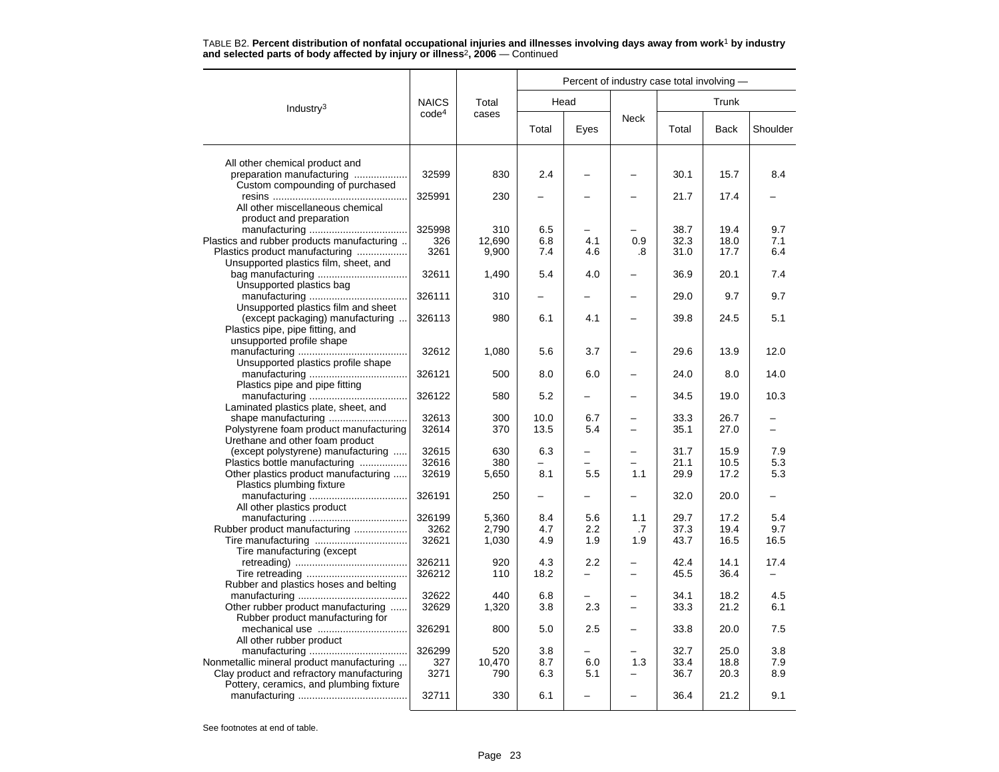|                                                                           |                   |              |            |                  | Percent of industry case total involving - |              |              |            |
|---------------------------------------------------------------------------|-------------------|--------------|------------|------------------|--------------------------------------------|--------------|--------------|------------|
| Industry <sup>3</sup>                                                     | <b>NAICS</b>      | Total        |            | Head             |                                            |              | Trunk        |            |
|                                                                           | code <sup>4</sup> | cases        | Total      | Eyes             | Neck                                       | Total        | <b>Back</b>  | Shoulder   |
| All other chemical product and                                            |                   |              |            |                  |                                            |              |              |            |
| preparation manufacturing                                                 | 32599             | 830          | 2.4        |                  |                                            | 30.1         | 15.7         | 8.4        |
| Custom compounding of purchased                                           |                   |              |            |                  |                                            |              |              |            |
| All other miscellaneous chemical                                          | 325991            | 230          | -          | -                | -                                          | 21.7         | 17.4         |            |
| product and preparation                                                   |                   |              |            |                  |                                            |              |              |            |
|                                                                           | 325998            | 310          | 6.5        |                  |                                            | 38.7         | 19.4         | 9.7        |
| Plastics and rubber products manufacturing                                | 326               | 12,690       | 6.8        | 4.1              | 0.9                                        | 32.3         | 18.0         | 7.1        |
| Plastics product manufacturing                                            | 3261              | 9,900        | 7.4        | 4.6              | .8                                         | 31.0         | 17.7         | 6.4        |
| Unsupported plastics film, sheet, and                                     | 32611             | 1,490        | 5.4        | 4.0              |                                            | 36.9         | 20.1         | 7.4        |
| Unsupported plastics bag                                                  |                   |              |            |                  |                                            |              |              |            |
|                                                                           | 326111            | 310          |            |                  |                                            | 29.0         | 9.7          | 9.7        |
| Unsupported plastics film and sheet                                       |                   |              |            |                  |                                            |              |              |            |
| (except packaging) manufacturing                                          | 326113            | 980          | 6.1        | 4.1              |                                            | 39.8         | 24.5         | 5.1        |
| Plastics pipe, pipe fitting, and                                          |                   |              |            |                  |                                            |              |              |            |
| unsupported profile shape                                                 |                   |              |            |                  |                                            |              |              |            |
| Unsupported plastics profile shape                                        | 32612             | 1,080        | 5.6        | 3.7              |                                            | 29.6         | 13.9         | 12.0       |
|                                                                           | 326121            | 500          | 8.0        | 6.0              |                                            | 24.0         | 8.0          | 14.0       |
| Plastics pipe and pipe fitting                                            |                   |              |            |                  |                                            |              |              |            |
|                                                                           | 326122            | 580          | 5.2        |                  |                                            | 34.5         | 19.0         | 10.3       |
| Laminated plastics plate, sheet, and                                      |                   |              |            |                  |                                            |              |              |            |
|                                                                           | 32613             | 300          | 10.0       | 6.7              |                                            | 33.3         | 26.7         |            |
| Polystyrene foam product manufacturing<br>Urethane and other foam product | 32614             | 370          | 13.5       | 5.4              |                                            | 35.1         | 27.0         |            |
| (except polystyrene) manufacturing                                        | 32615             | 630          | 6.3        |                  |                                            | 31.7         | 15.9         | 7.9        |
| Plastics bottle manufacturing                                             | 32616             | 380          |            |                  |                                            | 21.1         | 10.5         | 5.3        |
| Other plastics product manufacturing                                      | 32619             | 5,650        | 8.1        | 5.5              | 1.1                                        | 29.9         | 17.2         | 5.3        |
| Plastics plumbing fixture                                                 |                   |              |            |                  |                                            |              |              |            |
|                                                                           | 326191            | 250          |            |                  |                                            | 32.0         | 20.0         |            |
| All other plastics product                                                | 326199            | 5,360        | 8.4        | 5.6              | 1.1                                        | 29.7         | 17.2         | 5.4        |
| Rubber product manufacturing                                              | 3262              | 2,790        | 4.7        | $2.2\phantom{0}$ | .7                                         | 37.3         | 19.4         | 9.7        |
|                                                                           | 32621             | 1,030        | 4.9        | 1.9              | 1.9                                        | 43.7         | 16.5         | 16.5       |
| Tire manufacturing (except                                                |                   |              |            |                  |                                            |              |              |            |
|                                                                           | 326211            | 920          | 4.3        | 2.2              |                                            | 42.4         | 14.1         | 17.4       |
|                                                                           | 326212            | 110          | 18.2       |                  |                                            | 45.5         | 36.4         |            |
| Rubber and plastics hoses and belting                                     |                   |              |            |                  |                                            |              |              |            |
| Other rubber product manufacturing                                        | 32622<br>32629    | 440<br>1,320 | 6.8<br>3.8 | 2.3              |                                            | 34.1<br>33.3 | 18.2<br>21.2 | 4.5<br>6.1 |
| Rubber product manufacturing for                                          |                   |              |            |                  |                                            |              |              |            |
|                                                                           | 326291            | 800          | 5.0        | 2.5              |                                            | 33.8         | 20.0         | 7.5        |
| All other rubber product                                                  |                   |              |            |                  |                                            |              |              |            |
|                                                                           | 326299            | 520          | 3.8        |                  |                                            | 32.7         | 25.0         | 3.8        |
| Nonmetallic mineral product manufacturing                                 | 327               | 10,470       | 8.7        | 6.0              | 1.3                                        | 33.4         | 18.8         | 7.9        |
| Clay product and refractory manufacturing                                 | 3271              | 790          | 6.3        | 5.1              |                                            | 36.7         | 20.3         | 8.9        |
| Pottery, ceramics, and plumbing fixture                                   | 32711             | 330          | 6.1        |                  |                                            | 36.4         | 21.2         | 9.1        |
|                                                                           |                   |              |            |                  |                                            |              |              |            |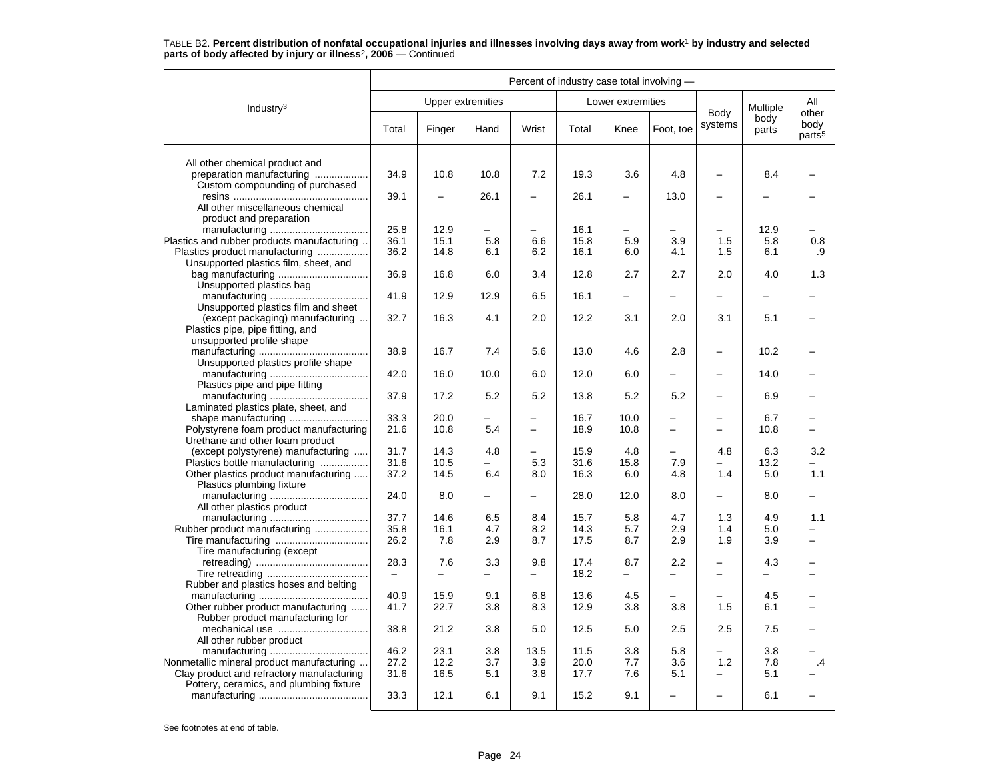|                                                                           |       |        |                          |                                 | Percent of industry case total involving - |                          |                          |                                      |               |                                     |
|---------------------------------------------------------------------------|-------|--------|--------------------------|---------------------------------|--------------------------------------------|--------------------------|--------------------------|--------------------------------------|---------------|-------------------------------------|
| Industry $3$                                                              |       |        | <b>Upper extremities</b> |                                 |                                            | Lower extremities        |                          |                                      | Multiple      | All                                 |
|                                                                           | Total | Finger | Hand                     | Wrist                           | Total                                      | Knee                     | Foot, toe                | Body<br>systems                      | body<br>parts | other<br>body<br>parts <sup>5</sup> |
| All other chemical product and                                            |       |        |                          |                                 |                                            |                          |                          |                                      |               |                                     |
| preparation manufacturing<br>Custom compounding of purchased              | 34.9  | 10.8   | 10.8                     | 7.2                             | 19.3                                       | 3.6                      | 4.8                      |                                      | 8.4           |                                     |
| All other miscellaneous chemical<br>product and preparation               | 39.1  | ÷      | 26.1                     | $\overline{\phantom{0}}$        | 26.1                                       | $\overline{\phantom{0}}$ | 13.0                     | $\overline{\phantom{m}}$             |               |                                     |
|                                                                           | 25.8  | 12.9   | —                        |                                 | 16.1                                       | $\overline{\phantom{0}}$ |                          |                                      | 12.9          |                                     |
| Plastics and rubber products manufacturing                                | 36.1  | 15.1   | 5.8                      | 6.6                             | 15.8                                       | 5.9                      | 3.9                      | 1.5                                  | 5.8           | 0.8                                 |
| Plastics product manufacturing                                            | 36.2  | 14.8   | 6.1                      | 6.2                             | 16.1                                       | 6.0                      | 4.1                      | 1.5                                  | 6.1           | .9                                  |
| Unsupported plastics film, sheet, and                                     |       |        |                          |                                 |                                            |                          |                          |                                      |               |                                     |
| Unsupported plastics bag                                                  | 36.9  | 16.8   | 6.0                      | 3.4                             | 12.8                                       | 2.7                      | 2.7                      | 2.0                                  | 4.0           | 1.3                                 |
| Unsupported plastics film and sheet                                       | 41.9  | 12.9   | 12.9                     | 6.5                             | 16.1                                       | $\overline{\phantom{0}}$ |                          |                                      |               |                                     |
| (except packaging) manufacturing<br>Plastics pipe, pipe fitting, and      | 32.7  | 16.3   | 4.1                      | 2.0                             | 12.2                                       | 3.1                      | 2.0                      | 3.1                                  | 5.1           |                                     |
| unsupported profile shape<br>Unsupported plastics profile shape           | 38.9  | 16.7   | 7.4                      | 5.6                             | 13.0                                       | 4.6                      | 2.8                      | $\overline{\phantom{0}}$             | 10.2          |                                     |
|                                                                           | 42.0  | 16.0   | 10.0                     | 6.0                             | 12.0                                       | 6.0                      |                          |                                      | 14.0          |                                     |
| Plastics pipe and pipe fitting                                            | 37.9  | 17.2   | 5.2                      | 5.2                             | 13.8                                       | 5.2                      | 5.2                      |                                      | 6.9           |                                     |
| Laminated plastics plate, sheet, and                                      |       |        |                          |                                 |                                            |                          |                          |                                      |               |                                     |
| shape manufacturing                                                       | 33.3  | 20.0   | $\overline{\phantom{0}}$ | $\overline{\phantom{0}}$        | 16.7                                       | 10.0                     | $\overline{\phantom{0}}$ | $\qquad \qquad -$                    | 6.7           |                                     |
| Polystyrene foam product manufacturing<br>Urethane and other foam product | 21.6  | 10.8   | 5.4                      | $\qquad \qquad -$               | 18.9                                       | 10.8                     | $\overline{\phantom{0}}$ |                                      | 10.8          |                                     |
| (except polystyrene) manufacturing                                        | 31.7  | 14.3   | 4.8                      | $\overline{\phantom{0}}$        | 15.9                                       | 4.8                      | $\overline{\phantom{0}}$ | 4.8                                  | 6.3           | 3.2                                 |
| Plastics bottle manufacturing                                             | 31.6  | 10.5   |                          | 5.3                             | 31.6                                       | 15.8                     | 7.9                      |                                      | 13.2          |                                     |
| Other plastics product manufacturing<br>Plastics plumbing fixture         | 37.2  | 14.5   | 6.4                      | 8.0                             | 16.3                                       | 6.0                      | 4.8                      | 1.4                                  | 5.0           | 1.1                                 |
| All other plastics product                                                | 24.0  | 8.0    | $\overline{\phantom{0}}$ | $\overline{\phantom{0}}$        | 28.0                                       | 12.0                     | 8.0                      | $\overline{\phantom{0}}$             | 8.0           |                                     |
|                                                                           | 37.7  | 14.6   | 6.5                      | 8.4                             | 15.7                                       | 5.8                      | 4.7                      | 1.3                                  | 4.9           | 1.1                                 |
| Rubber product manufacturing                                              | 35.8  | 16.1   | 4.7                      | 8.2                             | 14.3                                       | 5.7                      | 2.9                      | 1.4                                  | 5.0           |                                     |
| Tire manufacturing<br>Tire manufacturing (except                          | 26.2  | 7.8    | 2.9                      | 8.7                             | 17.5                                       | 8.7                      | 2.9                      | 1.9                                  | 3.9           |                                     |
|                                                                           | 28.3  | 7.6    | 3.3                      | 9.8<br>$\overline{\phantom{0}}$ | 17.4<br>18.2                               | 8.7                      | 2.2                      | $\overline{\phantom{m}}$<br>$\equiv$ | 4.3           |                                     |
| Rubber and plastics hoses and belting                                     |       |        |                          |                                 |                                            |                          |                          |                                      |               |                                     |
|                                                                           | 40.9  | 15.9   | 9.1                      | 6.8                             | 13.6                                       | 4.5                      |                          |                                      | 4.5           |                                     |
| Other rubber product manufacturing                                        | 41.7  | 22.7   | 3.8                      | 8.3                             | 12.9                                       | 3.8                      | 3.8                      | 1.5                                  | 6.1           |                                     |
| Rubber product manufacturing for                                          | 38.8  | 21.2   | 3.8                      | 5.0                             | 12.5                                       | 5.0                      | 2.5                      | 2.5                                  | 7.5           |                                     |
| All other rubber product                                                  | 46.2  | 23.1   | 3.8                      | 13.5                            | 11.5                                       | 3.8                      | 5.8                      |                                      | 3.8           |                                     |
| Nonmetallic mineral product manufacturing                                 | 27.2  | 12.2   | 3.7                      | 3.9                             | 20.0                                       | 7.7                      | 3.6                      | 1.2                                  | 7.8           | .4                                  |
| Clay product and refractory manufacturing                                 | 31.6  | 16.5   | 5.1                      | 3.8                             | 17.7                                       | 7.6                      | 5.1                      | $\overline{\phantom{0}}$             | 5.1           |                                     |
| Pottery, ceramics, and plumbing fixture                                   | 33.3  | 12.1   | 6.1                      | 9.1                             | 15.2                                       | 9.1                      |                          |                                      | 6.1           |                                     |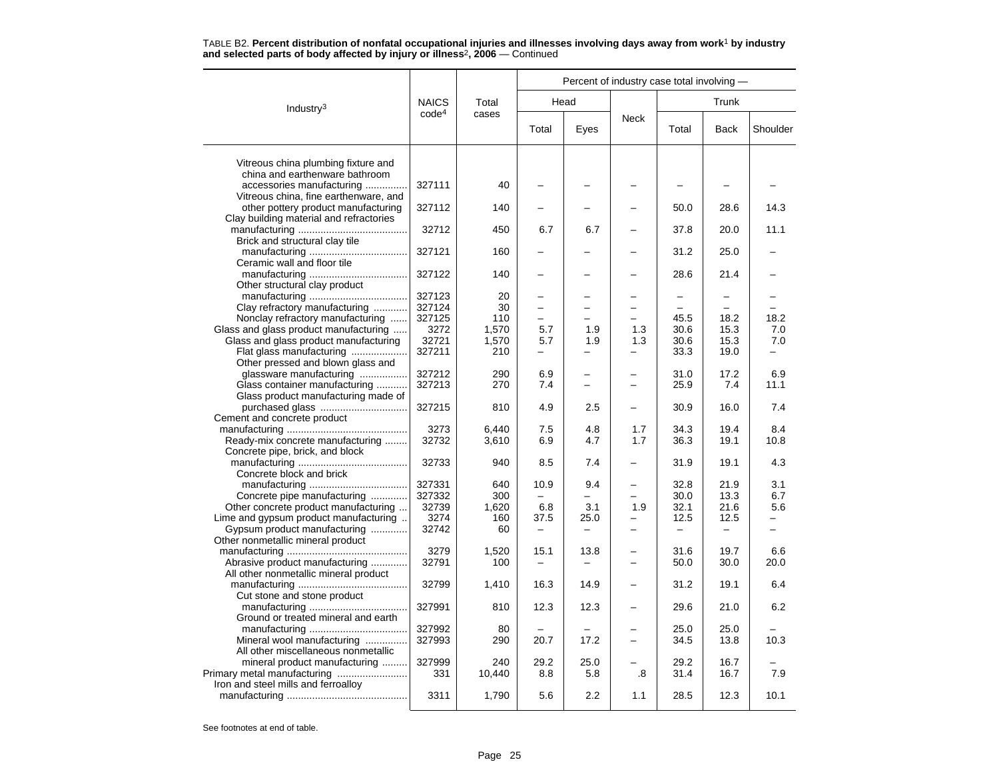|                                         |                   |        |                          |                          | Percent of industry case total involving - |       |             |                          |
|-----------------------------------------|-------------------|--------|--------------------------|--------------------------|--------------------------------------------|-------|-------------|--------------------------|
| Industry <sup>3</sup>                   | <b>NAICS</b>      | Total  |                          | Head                     |                                            |       | Trunk       |                          |
|                                         | code <sup>4</sup> | cases  | Total                    | Eyes                     | <b>Neck</b>                                | Total | <b>Back</b> | Shoulder                 |
| Vitreous china plumbing fixture and     |                   |        |                          |                          |                                            |       |             |                          |
| china and earthenware bathroom          |                   |        |                          |                          |                                            |       |             |                          |
| accessories manufacturing               | 327111            | 40     |                          |                          |                                            |       |             |                          |
| Vitreous china, fine earthenware, and   |                   |        |                          |                          |                                            |       |             |                          |
| other pottery product manufacturing     | 327112            | 140    |                          |                          |                                            | 50.0  | 28.6        | 14.3                     |
| Clay building material and refractories |                   |        |                          |                          |                                            |       |             |                          |
|                                         | 32712             | 450    | 6.7                      | 6.7                      |                                            | 37.8  | 20.0        | 11.1                     |
| Brick and structural clay tile          | 327121            | 160    |                          |                          |                                            | 31.2  | 25.0        |                          |
| Ceramic wall and floor tile             |                   |        |                          |                          |                                            |       |             |                          |
|                                         | 327122            | 140    |                          |                          |                                            | 28.6  | 21.4        |                          |
| Other structural clay product           |                   |        |                          |                          |                                            |       |             |                          |
|                                         | 327123            | 20     |                          |                          |                                            |       |             |                          |
| Clay refractory manufacturing           | 327124            | 30     | $\overline{\phantom{0}}$ |                          |                                            |       |             |                          |
| Nonclay refractory manufacturing        | 327125            | 110    | $\overline{\phantom{0}}$ |                          |                                            | 45.5  | 18.2        | 18.2                     |
| Glass and glass product manufacturing   | 3272              | 1,570  | 5.7                      | 1.9                      | 1.3                                        | 30.6  | 15.3        | 7.0                      |
| Glass and glass product manufacturing   | 32721             | 1,570  | 5.7                      | 1.9                      | 1.3                                        | 30.6  | 15.3        | 7.0                      |
| Flat glass manufacturing                | 327211            | 210    |                          |                          |                                            | 33.3  | 19.0        |                          |
| Other pressed and blown glass and       |                   |        |                          |                          |                                            |       |             |                          |
| glassware manufacturing                 | 327212            | 290    | 6.9                      |                          |                                            | 31.0  | 17.2        | 6.9                      |
| Glass container manufacturing           | 327213            | 270    | 7.4                      | $\overline{\phantom{0}}$ |                                            | 25.9  | 7.4         | 11.1                     |
| Glass product manufacturing made of     |                   |        |                          |                          |                                            |       |             |                          |
|                                         | 327215            | 810    | 4.9                      | 2.5                      |                                            | 30.9  | 16.0        | 7.4                      |
| Cement and concrete product             |                   |        |                          |                          |                                            |       |             |                          |
|                                         | 3273              | 6,440  | 7.5                      | 4.8                      | 1.7                                        | 34.3  | 19.4        | 8.4                      |
| Ready-mix concrete manufacturing        | 32732             | 3,610  | 6.9                      | 4.7                      | 1.7                                        | 36.3  | 19.1        | 10.8                     |
| Concrete pipe, brick, and block         |                   |        |                          |                          |                                            |       |             |                          |
|                                         | 32733             | 940    | 8.5                      | 7.4                      |                                            | 31.9  | 19.1        | 4.3                      |
| Concrete block and brick                |                   | 640    |                          | 9.4                      |                                            | 32.8  | 21.9        | 3.1                      |
| Concrete pipe manufacturing             | 327331<br>327332  | 300    | 10.9                     |                          |                                            | 30.0  | 13.3        | 6.7                      |
| Other concrete product manufacturing    | 32739             | 1,620  | 6.8                      | 3.1                      | 1.9                                        | 32.1  | 21.6        | 5.6                      |
| Lime and gypsum product manufacturing   | 3274              | 160    | 37.5                     | 25.0                     |                                            | 12.5  | 12.5        |                          |
| Gypsum product manufacturing            | 32742             | 60     | $\qquad \qquad -$        | -                        |                                            |       | —           | $\overline{\phantom{0}}$ |
| Other nonmetallic mineral product       |                   |        |                          |                          |                                            |       |             |                          |
|                                         | 3279              | 1,520  | 15.1                     | 13.8                     |                                            | 31.6  | 19.7        | 6.6                      |
| Abrasive product manufacturing          | 32791             | 100    | $\overline{\phantom{0}}$ | $\overline{\phantom{0}}$ | $\overline{\phantom{0}}$                   | 50.0  | 30.0        | 20.0                     |
| All other nonmetallic mineral product   |                   |        |                          |                          |                                            |       |             |                          |
|                                         | 32799             | 1,410  | 16.3                     | 14.9                     |                                            | 31.2  | 19.1        | 6.4                      |
| Cut stone and stone product             |                   |        |                          |                          |                                            |       |             |                          |
|                                         | 327991            | 810    | 12.3                     | 12.3                     |                                            | 29.6  | 21.0        | 6.2                      |
| Ground or treated mineral and earth     |                   |        |                          |                          |                                            |       |             |                          |
|                                         | 327992            | 80     |                          |                          |                                            | 25.0  | 25.0        |                          |
| Mineral wool manufacturing              | 327993            | 290    | 20.7                     | 17.2                     |                                            | 34.5  | 13.8        | 10.3                     |
| All other miscellaneous nonmetallic     |                   |        |                          |                          |                                            |       |             |                          |
| mineral product manufacturing           | 327999            | 240    | 29.2                     | 25.0                     |                                            | 29.2  | 16.7        |                          |
| Primary metal manufacturing             | 331               | 10,440 | 8.8                      | 5.8                      | .8                                         | 31.4  | 16.7        | 7.9                      |
| Iron and steel mills and ferroalloy     | 3311              |        | 5.6                      | 2.2                      | 1.1                                        | 28.5  | 12.3        | 10.1                     |
|                                         |                   | 1,790  |                          |                          |                                            |       |             |                          |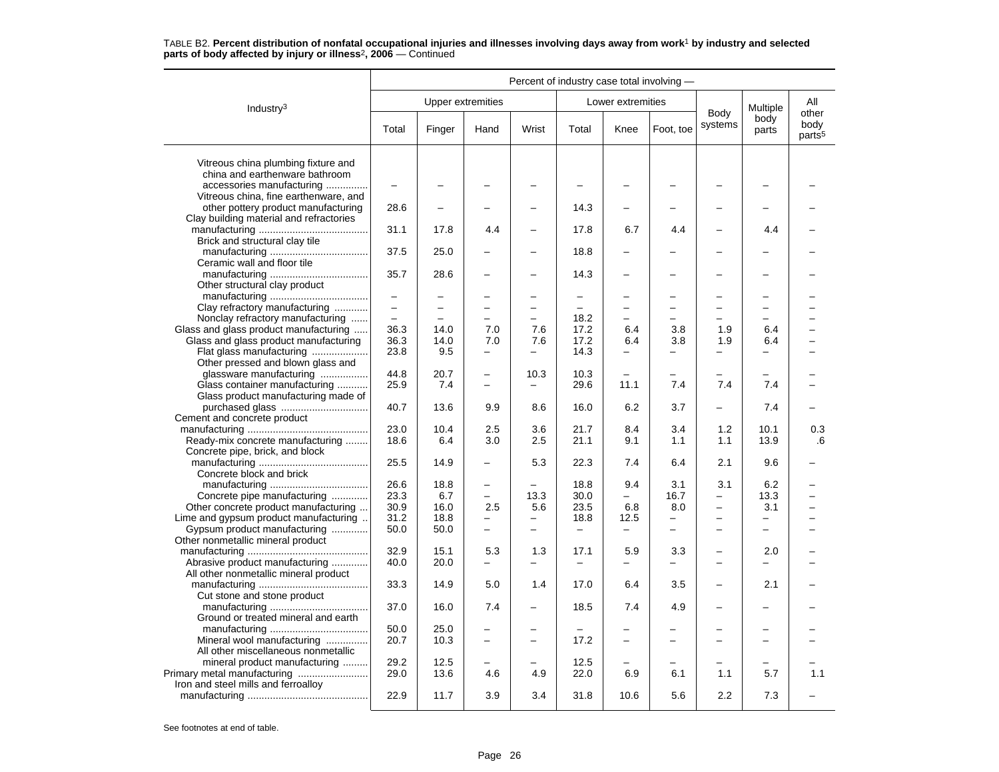|                                                                                | Percent of industry case total involving - |                          |                          |                          |                          |                          |                          |                          |                          |                                     |
|--------------------------------------------------------------------------------|--------------------------------------------|--------------------------|--------------------------|--------------------------|--------------------------|--------------------------|--------------------------|--------------------------|--------------------------|-------------------------------------|
| Industry <sup>3</sup>                                                          |                                            |                          | Upper extremities        |                          |                          | Lower extremities        |                          |                          | Multiple                 | All                                 |
|                                                                                | Total                                      | Finger                   | Hand                     | Wrist                    | Total                    | Knee                     | Foot, toe                | Body<br>systems          | body<br>parts            | other<br>body<br>parts <sup>5</sup> |
| Vitreous china plumbing fixture and<br>china and earthenware bathroom          |                                            |                          |                          |                          |                          |                          |                          |                          |                          |                                     |
| accessories manufacturing<br>Vitreous china, fine earthenware, and             |                                            |                          |                          |                          |                          |                          |                          |                          |                          |                                     |
| other pottery product manufacturing<br>Clay building material and refractories | 28.6                                       |                          |                          |                          | 14.3                     |                          |                          |                          |                          |                                     |
| Brick and structural clay tile                                                 | 31.1                                       | 17.8                     | 4.4                      |                          | 17.8                     | 6.7                      | 4.4                      |                          | 4.4                      |                                     |
| Ceramic wall and floor tile                                                    | 37.5                                       | 25.0                     |                          | $\equiv$                 | 18.8                     | ۳                        |                          | $\equiv$                 |                          |                                     |
| Other structural clay product                                                  | 35.7                                       | 28.6                     |                          |                          | 14.3                     |                          |                          |                          |                          |                                     |
|                                                                                | $\frac{1}{2}$                              | -                        | $\overline{\phantom{0}}$ | $\overline{\phantom{0}}$ | $\equiv$                 | -                        |                          | $\overline{\phantom{0}}$ | -                        |                                     |
| Clay refractory manufacturing                                                  | $\equiv$                                   | $\overline{\phantom{0}}$ | $\overline{\phantom{0}}$ | $\overline{\phantom{0}}$ | $=$                      | $\overline{\phantom{0}}$ | $\overline{\phantom{0}}$ | $\overline{\phantom{0}}$ | $\overline{\phantom{0}}$ |                                     |
| Nonclay refractory manufacturing                                               |                                            |                          | -                        |                          | 18.2                     |                          |                          |                          |                          |                                     |
| Glass and glass product manufacturing                                          | 36.3                                       | 14.0                     | 7.0                      | 7.6                      | 17.2                     | 6.4                      | 3.8                      | 1.9                      | 6.4                      |                                     |
| Glass and glass product manufacturing                                          | 36.3                                       | 14.0                     | 7.0                      | 7.6                      | 17.2                     | 6.4                      | 3.8                      | 1.9                      | 6.4                      |                                     |
| Flat glass manufacturing<br>Other pressed and blown glass and                  | 23.8                                       | 9.5                      | $\overline{\phantom{0}}$ | $\equiv$                 | 14.3                     |                          | $\equiv$                 | $\overline{\phantom{0}}$ |                          |                                     |
| glassware manufacturing                                                        | 44.8                                       | 20.7                     | -                        | 10.3                     | 10.3                     |                          |                          |                          |                          |                                     |
| Glass container manufacturing<br>Glass product manufacturing made of           | 25.9                                       | 7.4                      | $\overline{\phantom{0}}$ |                          | 29.6                     | 11.1                     | 7.4                      | 7.4                      | 7.4                      |                                     |
|                                                                                | 40.7                                       | 13.6                     | 9.9                      | 8.6                      | 16.0                     | 6.2                      | 3.7                      | $\equiv$                 | 7.4                      |                                     |
| Cement and concrete product                                                    |                                            |                          |                          |                          |                          |                          |                          |                          |                          |                                     |
|                                                                                | 23.0                                       | 10.4                     | 2.5                      | 3.6                      | 21.7                     | 8.4                      | 3.4                      | 1.2                      | 10.1                     | 0.3                                 |
| Ready-mix concrete manufacturing<br>Concrete pipe, brick, and block            | 18.6                                       | 6.4                      | 3.0                      | 2.5                      | 21.1                     | 9.1                      | 1.1                      | 1.1                      | 13.9                     | .6                                  |
| Concrete block and brick                                                       | 25.5                                       | 14.9                     | $\overline{\phantom{0}}$ | 5.3                      | 22.3                     | 7.4                      | 6.4                      | 2.1                      | 9.6                      |                                     |
|                                                                                | 26.6                                       | 18.8                     | $\overline{\phantom{0}}$ |                          | 18.8                     | 9.4                      | 3.1                      | 3.1                      | 6.2                      |                                     |
| Concrete pipe manufacturing                                                    | 23.3                                       | 6.7                      | $\equiv$                 | 13.3                     | 30.0                     |                          | 16.7                     | $\overline{\phantom{0}}$ | 13.3                     |                                     |
| Other concrete product manufacturing                                           | 30.9                                       | 16.0                     | 2.5                      | 5.6                      | 23.5                     | 6.8                      | 8.0                      | $\overline{\phantom{0}}$ | 3.1                      |                                     |
|                                                                                |                                            |                          |                          |                          |                          |                          |                          |                          |                          |                                     |
| Lime and gypsum product manufacturing                                          | 31.2                                       | 18.8                     | $\qquad \qquad -$        | $\overline{\phantom{0}}$ | 18.8                     | 12.5                     | $\overline{\phantom{0}}$ | $\overline{\phantom{0}}$ | $\overline{\phantom{0}}$ |                                     |
| Gypsum product manufacturing<br>Other nonmetallic mineral product              | 50.0                                       | 50.0                     | $\overline{\phantom{0}}$ | $\equiv$                 | $\overline{\phantom{m}}$ | $\overline{\phantom{0}}$ | $\overline{a}$           | $\overline{\phantom{0}}$ | $\overline{\phantom{0}}$ |                                     |
|                                                                                | 32.9                                       | 15.1                     | 5.3                      | 1.3                      | 17.1                     | 5.9                      | 3.3                      | $\overline{\phantom{0}}$ | 2.0                      |                                     |
| Abrasive product manufacturing<br>All other nonmetallic mineral product        | 40.0                                       | 20.0                     | -                        | -                        | $\overline{\phantom{0}}$ | -                        | -                        | $\overline{\phantom{0}}$ | -                        |                                     |
| Cut stone and stone product                                                    | 33.3                                       | 14.9                     | 5.0                      | 1.4                      | 17.0                     | 6.4                      | 3.5                      | $\overline{\phantom{0}}$ | 2.1                      |                                     |
| Ground or treated mineral and earth                                            | 37.0                                       | 16.0                     | 7.4                      |                          | 18.5                     | 7.4                      | 4.9                      |                          |                          |                                     |
|                                                                                | 50.0                                       | 25.0                     |                          |                          |                          |                          |                          |                          |                          |                                     |
| Mineral wool manufacturing<br>All other miscellaneous nonmetallic              | 20.7                                       | 10.3                     | $\overline{\phantom{0}}$ | $\equiv$                 | 17.2                     |                          |                          |                          | -                        |                                     |
|                                                                                |                                            | 12.5                     |                          |                          |                          |                          |                          |                          |                          |                                     |
| mineral product manufacturing                                                  | 29.2<br>29.0                               | 13.6                     | 4.6                      | 4.9                      | 12.5<br>22.0             | 6.9                      | 6.1                      | 1.1                      | 5.7                      | 1.1                                 |
| Iron and steel mills and ferroalloy                                            | 22.9                                       | 11.7                     | 3.9                      | 3.4                      | 31.8                     | 10.6                     | 5.6                      | 2.2                      | 7.3                      |                                     |
|                                                                                |                                            |                          |                          |                          |                          |                          |                          |                          |                          |                                     |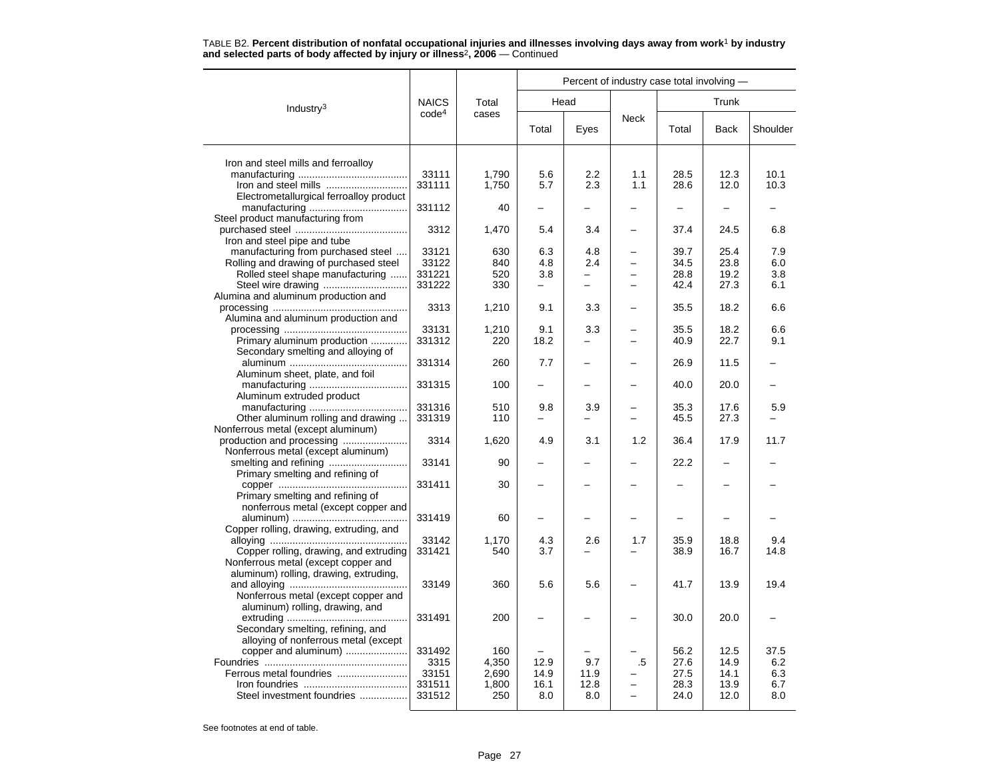|                                                                            |                   |            | Percent of industry case total involving - |          |             |              |              |            |  |  |
|----------------------------------------------------------------------------|-------------------|------------|--------------------------------------------|----------|-------------|--------------|--------------|------------|--|--|
| Industry <sup>3</sup>                                                      | <b>NAICS</b>      | Total      |                                            | Head     |             | Trunk        |              |            |  |  |
|                                                                            | code <sup>4</sup> | cases      | Total                                      | Eyes     | <b>Neck</b> | Total        | <b>Back</b>  | Shoulder   |  |  |
| Iron and steel mills and ferroalloy                                        |                   |            |                                            |          |             |              |              |            |  |  |
|                                                                            | 33111             | 1,790      | 5.6                                        | 2.2      | 1.1         | 28.5         | 12.3         | 10.1       |  |  |
| Iron and steel mills                                                       | 331111            | 1,750      | 5.7                                        | 2.3      | 1.1         | 28.6         | 12.0         | 10.3       |  |  |
| Electrometallurgical ferroalloy product                                    |                   |            |                                            |          |             |              |              |            |  |  |
|                                                                            | 331112            | 40         |                                            |          |             |              |              |            |  |  |
| Steel product manufacturing from                                           |                   |            |                                            |          |             |              |              |            |  |  |
|                                                                            | 3312              | 1,470      | 5.4                                        | 3.4      |             | 37.4         | 24.5         | 6.8        |  |  |
| Iron and steel pipe and tube                                               |                   |            |                                            |          |             |              |              |            |  |  |
| manufacturing from purchased steel                                         | 33121             | 630        | 6.3                                        | 4.8      |             | 39.7         | 25.4         | 7.9        |  |  |
| Rolling and drawing of purchased steel<br>Rolled steel shape manufacturing | 33122<br>331221   | 840<br>520 | 4.8<br>3.8                                 | 2.4      |             | 34.5<br>28.8 | 23.8<br>19.2 | 6.0<br>3.8 |  |  |
|                                                                            | 331222            | 330        | -                                          | $\equiv$ |             | 42.4         | 27.3         | 6.1        |  |  |
| Alumina and aluminum production and                                        |                   |            |                                            |          |             |              |              |            |  |  |
|                                                                            | 3313              | 1,210      | 9.1                                        | 3.3      |             | 35.5         | 18.2         | 6.6        |  |  |
| Alumina and aluminum production and                                        |                   |            |                                            |          |             |              |              |            |  |  |
|                                                                            | 33131             | 1,210      | 9.1                                        | 3.3      |             | 35.5         | 18.2         | 6.6        |  |  |
| Primary aluminum production                                                | 331312            | 220        | 18.2                                       | -        |             | 40.9         | 22.7         | 9.1        |  |  |
| Secondary smelting and alloying of                                         |                   |            |                                            |          |             |              |              |            |  |  |
|                                                                            | 331314            | 260        | 7.7                                        |          |             | 26.9         | 11.5         |            |  |  |
| Aluminum sheet, plate, and foil                                            |                   |            | ÷                                          |          |             |              |              |            |  |  |
|                                                                            | 331315            | 100        |                                            |          |             | 40.0         | 20.0         |            |  |  |
| Aluminum extruded product                                                  | 331316            | 510        | 9.8                                        | 3.9      |             | 35.3         | 17.6         | 5.9        |  |  |
| Other aluminum rolling and drawing                                         | 331319            | 110        | -                                          | —        |             | 45.5         | 27.3         |            |  |  |
| Nonferrous metal (except aluminum)                                         |                   |            |                                            |          |             |              |              |            |  |  |
|                                                                            | 3314              | 1,620      | 4.9                                        | 3.1      | 1.2         | 36.4         | 17.9         | 11.7       |  |  |
| Nonferrous metal (except aluminum)                                         |                   |            |                                            |          |             |              |              |            |  |  |
|                                                                            | 33141             | 90         |                                            |          |             | 22.2         |              |            |  |  |
| Primary smelting and refining of                                           |                   |            |                                            |          |             |              |              |            |  |  |
|                                                                            | 331411            | 30         |                                            |          |             |              |              |            |  |  |
| Primary smelting and refining of                                           |                   |            |                                            |          |             |              |              |            |  |  |
| nonferrous metal (except copper and                                        |                   |            |                                            |          |             |              |              |            |  |  |
| Copper rolling, drawing, extruding, and                                    | 331419            | 60         |                                            |          |             |              |              |            |  |  |
|                                                                            | 33142             | 1,170      | 4.3                                        | 2.6      | 1.7         | 35.9         | 18.8         | 9.4        |  |  |
| Copper rolling, drawing, and extruding                                     | 331421            | 540        | 3.7                                        |          |             | 38.9         | 16.7         | 14.8       |  |  |
| Nonferrous metal (except copper and                                        |                   |            |                                            |          |             |              |              |            |  |  |
| aluminum) rolling, drawing, extruding,                                     |                   |            |                                            |          |             |              |              |            |  |  |
|                                                                            | 33149             | 360        | 5.6                                        | 5.6      |             | 41.7         | 13.9         | 19.4       |  |  |
| Nonferrous metal (except copper and                                        |                   |            |                                            |          |             |              |              |            |  |  |
| aluminum) rolling, drawing, and                                            |                   |            |                                            |          |             |              |              |            |  |  |
|                                                                            | 331491            | 200        |                                            |          |             | 30.0         | 20.0         |            |  |  |
| Secondary smelting, refining, and                                          |                   |            |                                            |          |             |              |              |            |  |  |
| alloying of nonferrous metal (except<br>copper and aluminum)               | 331492            | 160        |                                            |          |             | 56.2         | 12.5         | 37.5       |  |  |
|                                                                            | 3315              | 4,350      | 12.9                                       | 9.7      | .5          | 27.6         | 14.9         | 6.2        |  |  |
| Ferrous metal foundries                                                    | 33151             | 2,690      | 14.9                                       | 11.9     |             | 27.5         | 14.1         | 6.3        |  |  |
|                                                                            | 331511            | 1,800      | 16.1                                       | 12.8     |             | 28.3         | 13.9         | 6.7        |  |  |
| Steel investment foundries                                                 | 331512            | 250        | 8.0                                        | 8.0      |             | 24.0         | 12.0         | 8.0        |  |  |
|                                                                            |                   |            |                                            |          |             |              |              |            |  |  |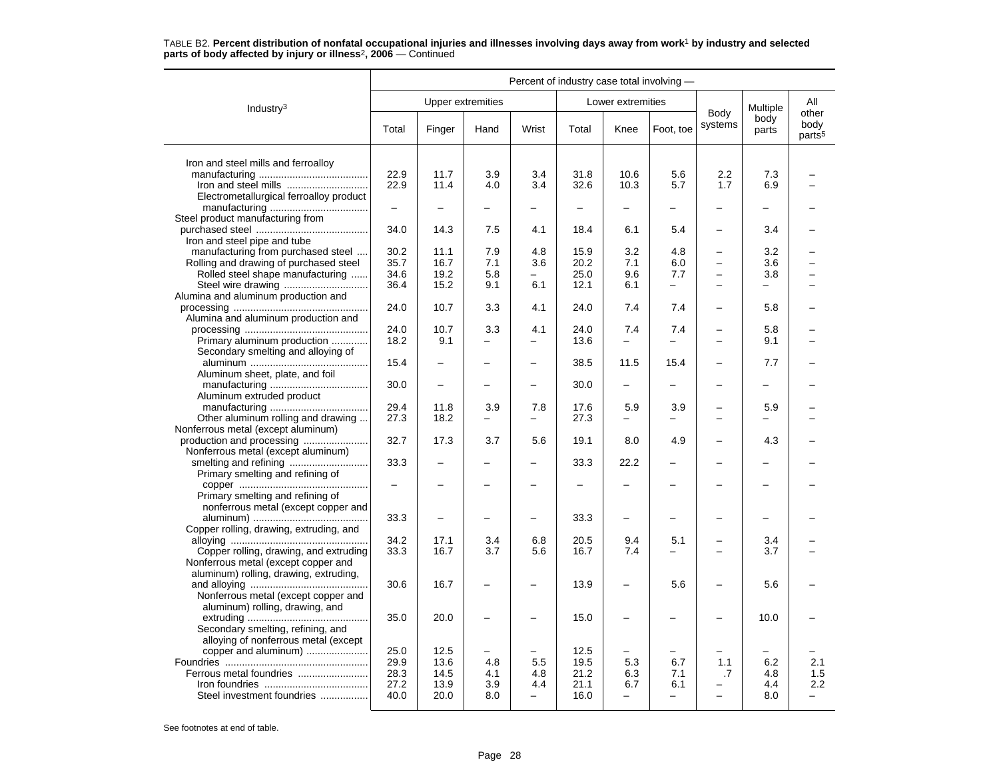|                                         | Percent of industry case total involving - |                          |      |                          |       |                          |                          |                          |               |                                     |  |
|-----------------------------------------|--------------------------------------------|--------------------------|------|--------------------------|-------|--------------------------|--------------------------|--------------------------|---------------|-------------------------------------|--|
| Industry $3$                            |                                            | <b>Upper extremities</b> |      |                          |       | Lower extremities        |                          |                          | Multiple      | All                                 |  |
|                                         | Total                                      | Finger                   | Hand | Wrist                    | Total | Knee                     | Foot, toe                | Body<br>systems          | body<br>parts | other<br>body<br>parts <sup>5</sup> |  |
| Iron and steel mills and ferroalloy     |                                            |                          |      |                          |       |                          |                          |                          |               |                                     |  |
|                                         | 22.9                                       | 11.7                     | 3.9  | 3.4                      | 31.8  | 10.6                     | 5.6                      | 2.2                      | 7.3           |                                     |  |
|                                         | 22.9                                       | 11.4                     | 4.0  | 3.4                      | 32.6  | 10.3                     | 5.7                      | 1.7                      | 6.9           |                                     |  |
| Electrometallurgical ferroalloy product |                                            |                          |      |                          |       |                          |                          |                          |               |                                     |  |
|                                         | $\overline{\phantom{0}}$                   |                          |      |                          |       |                          |                          |                          |               |                                     |  |
| Steel product manufacturing from        |                                            |                          |      |                          |       |                          |                          |                          |               |                                     |  |
|                                         | 34.0                                       | 14.3                     | 7.5  | 4.1                      | 18.4  | 6.1                      | 5.4                      | -                        | 3.4           |                                     |  |
| Iron and steel pipe and tube            |                                            |                          |      |                          |       |                          |                          |                          |               |                                     |  |
| manufacturing from purchased steel      | 30.2                                       | 11.1                     | 7.9  | 4.8                      | 15.9  | 3.2                      | 4.8                      | $\overline{\phantom{0}}$ | 3.2           |                                     |  |
| Rolling and drawing of purchased steel  | 35.7                                       | 16.7                     | 7.1  | 3.6                      | 20.2  | 7.1                      | 6.0                      | $\equiv$                 | 3.6           |                                     |  |
| Rolled steel shape manufacturing        | 34.6                                       | 19.2                     | 5.8  |                          | 25.0  | 9.6                      | 7.7                      |                          | 3.8           |                                     |  |
|                                         | 36.4                                       | 15.2                     | 9.1  | 6.1                      | 12.1  | 6.1                      | -                        |                          |               |                                     |  |
| Alumina and aluminum production and     |                                            |                          |      |                          |       |                          |                          |                          |               |                                     |  |
|                                         | 24.0                                       | 10.7                     | 3.3  | 4.1                      | 24.0  | 7.4                      | 7.4                      | $\overline{\phantom{0}}$ | 5.8           |                                     |  |
| Alumina and aluminum production and     |                                            |                          |      |                          |       |                          |                          |                          |               |                                     |  |
|                                         | 24.0                                       | 10.7                     | 3.3  | 4.1                      | 24.0  | 7.4                      | 7.4                      |                          | 5.8           |                                     |  |
| Primary aluminum production             | 18.2                                       | 9.1                      |      | $\overline{\phantom{0}}$ | 13.6  | $\overline{\phantom{0}}$ |                          |                          | 9.1           |                                     |  |
| Secondary smelting and alloying of      |                                            |                          |      |                          |       |                          |                          |                          |               |                                     |  |
|                                         | 15.4                                       |                          |      | $\overline{\phantom{0}}$ | 38.5  | 11.5                     | 15.4                     | $\overline{\phantom{0}}$ | 7.7           |                                     |  |
| Aluminum sheet, plate, and foil         | 30.0                                       | $\overline{\phantom{0}}$ |      | $\overline{\phantom{0}}$ | 30.0  | $\overline{\phantom{0}}$ | -                        |                          | -             |                                     |  |
|                                         |                                            |                          |      |                          |       |                          |                          |                          |               |                                     |  |
| Aluminum extruded product               | 29.4                                       | 11.8                     | 3.9  | 7.8                      | 17.6  | 5.9                      | 3.9                      |                          | 5.9           |                                     |  |
| Other aluminum rolling and drawing      | 27.3                                       | 18.2                     | -    | $\equiv$                 | 27.3  | $\overline{\phantom{0}}$ | -                        | L,                       |               |                                     |  |
| Nonferrous metal (except aluminum)      |                                            |                          |      |                          |       |                          |                          |                          |               |                                     |  |
|                                         | 32.7                                       | 17.3                     | 3.7  | 5.6                      | 19.1  | 8.0                      | 4.9                      | L,                       | 4.3           |                                     |  |
| Nonferrous metal (except aluminum)      |                                            |                          |      |                          |       |                          |                          |                          |               |                                     |  |
|                                         | 33.3                                       |                          |      |                          | 33.3  | 22.2                     |                          |                          |               |                                     |  |
| Primary smelting and refining of        |                                            |                          |      |                          |       |                          |                          |                          |               |                                     |  |
|                                         | $\overline{\phantom{0}}$                   |                          |      |                          |       |                          |                          |                          |               |                                     |  |
| Primary smelting and refining of        |                                            |                          |      |                          |       |                          |                          |                          |               |                                     |  |
| nonferrous metal (except copper and     |                                            |                          |      |                          |       |                          |                          |                          |               |                                     |  |
|                                         | 33.3                                       |                          |      |                          | 33.3  | $\overline{\phantom{0}}$ |                          |                          |               |                                     |  |
| Copper rolling, drawing, extruding, and |                                            |                          |      |                          |       |                          |                          |                          |               |                                     |  |
|                                         | 34.2                                       | 17.1                     | 3.4  | 6.8                      | 20.5  | 9.4                      | 5.1                      |                          | 3.4           |                                     |  |
| Copper rolling, drawing, and extruding  | 33.3                                       | 16.7                     | 3.7  | 5.6                      | 16.7  | 7.4                      |                          |                          | 3.7           |                                     |  |
| Nonferrous metal (except copper and     |                                            |                          |      |                          |       |                          |                          |                          |               |                                     |  |
| aluminum) rolling, drawing, extruding,  |                                            |                          |      |                          |       |                          |                          |                          |               |                                     |  |
|                                         | 30.6                                       | 16.7                     |      |                          | 13.9  | $\overline{\phantom{0}}$ | 5.6                      | $\overline{\phantom{0}}$ | 5.6           |                                     |  |
| Nonferrous metal (except copper and     |                                            |                          |      |                          |       |                          |                          |                          |               |                                     |  |
| aluminum) rolling, drawing, and         |                                            |                          |      |                          |       |                          |                          |                          |               |                                     |  |
|                                         | 35.0                                       | 20.0                     |      |                          | 15.0  | $\overline{\phantom{0}}$ |                          |                          | 10.0          |                                     |  |
| Secondary smelting, refining, and       |                                            |                          |      |                          |       |                          |                          |                          |               |                                     |  |
| alloying of nonferrous metal (except    |                                            |                          |      |                          |       |                          |                          |                          |               |                                     |  |
| copper and aluminum)                    | 25.0                                       | 12.5                     |      |                          | 12.5  |                          |                          |                          |               |                                     |  |
|                                         | 29.9                                       | 13.6                     | 4.8  | 5.5                      | 19.5  | 5.3                      | 6.7                      | 1.1                      | 6.2           | 2.1                                 |  |
|                                         | 28.3                                       | 14.5                     | 4.1  | 4.8                      | 21.2  | 6.3                      | 7.1                      | .7                       | 4.8           | 1.5                                 |  |
|                                         | 27.2                                       | 13.9                     | 3.9  | 4.4                      | 21.1  | 6.7                      | 6.1                      |                          | 4.4           | 2.2                                 |  |
| Steel investment foundries              | 40.0                                       | 20.0                     | 8.0  | $\overline{\phantom{0}}$ | 16.0  | $\overline{\phantom{0}}$ | $\overline{\phantom{0}}$ | $\overline{\phantom{0}}$ | 8.0           | $\overline{\phantom{0}}$            |  |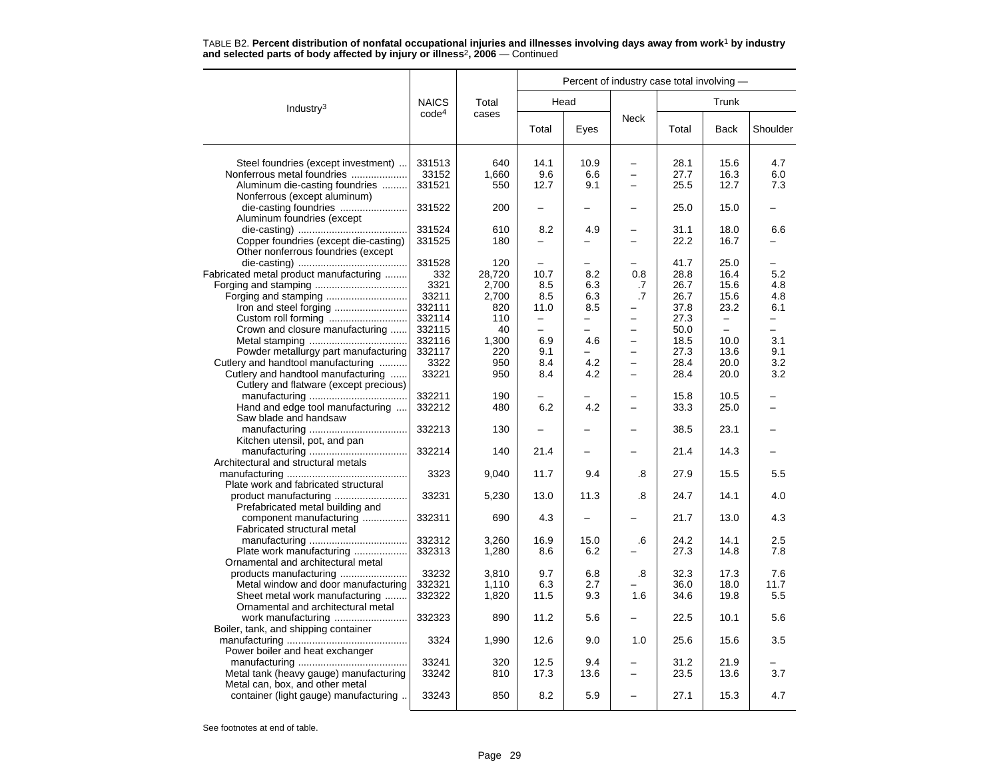|                                                        |                   |        |                          |      | Percent of industry case total involving - |       |                          |                          |  |  |
|--------------------------------------------------------|-------------------|--------|--------------------------|------|--------------------------------------------|-------|--------------------------|--------------------------|--|--|
| Industry <sup>3</sup>                                  | <b>NAICS</b>      | Total  |                          | Head |                                            |       | Trunk                    |                          |  |  |
|                                                        | code <sup>4</sup> | cases  | Total                    | Eyes | <b>Neck</b>                                | Total | <b>Back</b>              | Shoulder                 |  |  |
| Steel foundries (except investment)                    | 331513            | 640    | 14.1                     | 10.9 | $\overline{\phantom{0}}$                   | 28.1  | 15.6                     | 4.7                      |  |  |
| Nonferrous metal foundries                             | 33152             | 1,660  | 9.6                      | 6.6  | $\overline{\phantom{0}}$                   | 27.7  | 16.3                     | 6.0                      |  |  |
| Aluminum die-casting foundries                         | 331521            | 550    | 12.7                     | 9.1  | -                                          | 25.5  | 12.7                     | 7.3                      |  |  |
| Nonferrous (except aluminum)                           |                   |        |                          |      |                                            |       |                          |                          |  |  |
| die-casting foundries<br>Aluminum foundries (except    | 331522            | 200    |                          |      | $\overline{\phantom{0}}$                   | 25.0  | 15.0                     |                          |  |  |
|                                                        | 331524            | 610    | 8.2                      | 4.9  | $\overline{\phantom{0}}$                   | 31.1  | 18.0                     | 6.6                      |  |  |
| Copper foundries (except die-casting)                  | 331525            | 180    |                          |      | $\overline{\phantom{0}}$                   | 22.2  | 16.7                     |                          |  |  |
| Other nonferrous foundries (except                     |                   |        |                          |      |                                            |       |                          |                          |  |  |
|                                                        | 331528            | 120    |                          |      |                                            | 41.7  | 25.0                     |                          |  |  |
| Fabricated metal product manufacturing                 | 332               | 28,720 | 10.7                     | 8.2  | 0.8                                        | 28.8  | 16.4                     | 5.2                      |  |  |
|                                                        | 3321              | 2,700  | 8.5                      | 6.3  | .7                                         | 26.7  | 15.6                     | 4.8                      |  |  |
|                                                        | 33211             | 2,700  | 8.5                      | 6.3  | .7                                         | 26.7  | 15.6                     | 4.8                      |  |  |
|                                                        | 332111            | 820    | 11.0                     | 8.5  |                                            | 37.8  | 23.2                     | 6.1                      |  |  |
|                                                        | 332114            | 110    | $\overline{\phantom{m}}$ | ▃    | $\overline{\phantom{0}}$                   | 27.3  | $\qquad \qquad -$        | $\equiv$                 |  |  |
| Crown and closure manufacturing                        | 332115            | 40     | $\equiv$                 | -    | -                                          | 50.0  | $\overline{\phantom{0}}$ | $\overline{\phantom{0}}$ |  |  |
|                                                        | 332116            | 1,300  | 6.9                      | 4.6  |                                            | 18.5  | 10.0                     | 3.1                      |  |  |
| Powder metallurgy part manufacturing                   | 332117            | 220    | 9.1                      |      | $\overline{\phantom{0}}$                   | 27.3  | 13.6                     | 9.1                      |  |  |
| Cutlery and handtool manufacturing                     | 3322              | 950    | 8.4                      | 4.2  | $\overline{\phantom{0}}$                   | 28.4  | 20.0                     | 3.2                      |  |  |
| Cutlery and handtool manufacturing                     | 33221             | 950    | 8.4                      | 4.2  |                                            | 28.4  | 20.0                     | 3.2                      |  |  |
| Cutlery and flatware (except precious)                 |                   |        |                          |      |                                            |       |                          |                          |  |  |
|                                                        | 332211            | 190    |                          |      | -                                          | 15.8  | 10.5                     |                          |  |  |
| Hand and edge tool manufacturing                       | 332212            | 480    | 6.2                      | 4.2  | $\overline{\phantom{0}}$                   | 33.3  | 25.0                     |                          |  |  |
| Saw blade and handsaw                                  |                   |        |                          |      |                                            |       |                          |                          |  |  |
|                                                        | 332213            | 130    |                          |      |                                            | 38.5  | 23.1                     |                          |  |  |
| Kitchen utensil, pot, and pan                          |                   |        |                          |      |                                            |       |                          |                          |  |  |
|                                                        | 332214            | 140    | 21.4                     |      |                                            | 21.4  | 14.3                     |                          |  |  |
| Architectural and structural metals                    |                   |        |                          |      |                                            |       |                          |                          |  |  |
|                                                        | 3323              | 9,040  | 11.7                     | 9.4  | .8                                         | 27.9  | 15.5                     | 5.5                      |  |  |
| Plate work and fabricated structural                   |                   |        |                          |      |                                            |       |                          |                          |  |  |
| Prefabricated metal building and                       | 33231             | 5,230  | 13.0                     | 11.3 | .8                                         | 24.7  | 14.1                     | 4.0                      |  |  |
| component manufacturing<br>Fabricated structural metal | 332311            | 690    | 4.3                      |      |                                            | 21.7  | 13.0                     | 4.3                      |  |  |
|                                                        | 332312            | 3,260  | 16.9                     | 15.0 | .6                                         | 24.2  | 14.1                     | 2.5                      |  |  |
| Plate work manufacturing                               | 332313            | 1,280  | 8.6                      | 6.2  |                                            | 27.3  | 14.8                     | 7.8                      |  |  |
| Ornamental and architectural metal                     |                   |        |                          |      |                                            |       |                          |                          |  |  |
| products manufacturing                                 | 33232             | 3,810  | 9.7                      | 6.8  | .8                                         | 32.3  | 17.3                     | 7.6                      |  |  |
| Metal window and door manufacturing                    | 332321            | 1,110  | 6.3                      | 2.7  |                                            | 36.0  | 18.0                     | 11.7                     |  |  |
| Sheet metal work manufacturing                         | 332322            | 1,820  | 11.5                     | 9.3  | 1.6                                        | 34.6  | 19.8                     | 5.5                      |  |  |
| Ornamental and architectural metal                     |                   |        |                          |      |                                            |       |                          |                          |  |  |
|                                                        | 332323            | 890    | 11.2                     | 5.6  |                                            | 22.5  | 10.1                     | 5.6                      |  |  |
|                                                        |                   |        |                          |      |                                            |       |                          |                          |  |  |
| Boiler, tank, and shipping container                   |                   |        |                          |      |                                            | 25.6  |                          |                          |  |  |
|                                                        | 3324              | 1,990  | 12.6                     | 9.0  | 1.0                                        |       | 15.6                     | 3.5                      |  |  |
| Power boiler and heat exchanger                        |                   |        |                          |      |                                            |       |                          |                          |  |  |
|                                                        | 33241             | 320    | 12.5                     | 9.4  |                                            | 31.2  | 21.9                     |                          |  |  |
| Metal tank (heavy gauge) manufacturing                 | 33242             | 810    | 17.3                     | 13.6 | -                                          | 23.5  | 13.6                     | 3.7                      |  |  |
| Metal can, box, and other metal                        |                   |        |                          |      |                                            |       |                          |                          |  |  |
| container (light gauge) manufacturing                  | 33243             | 850    | 8.2                      | 5.9  |                                            | 27.1  | 15.3                     | 4.7                      |  |  |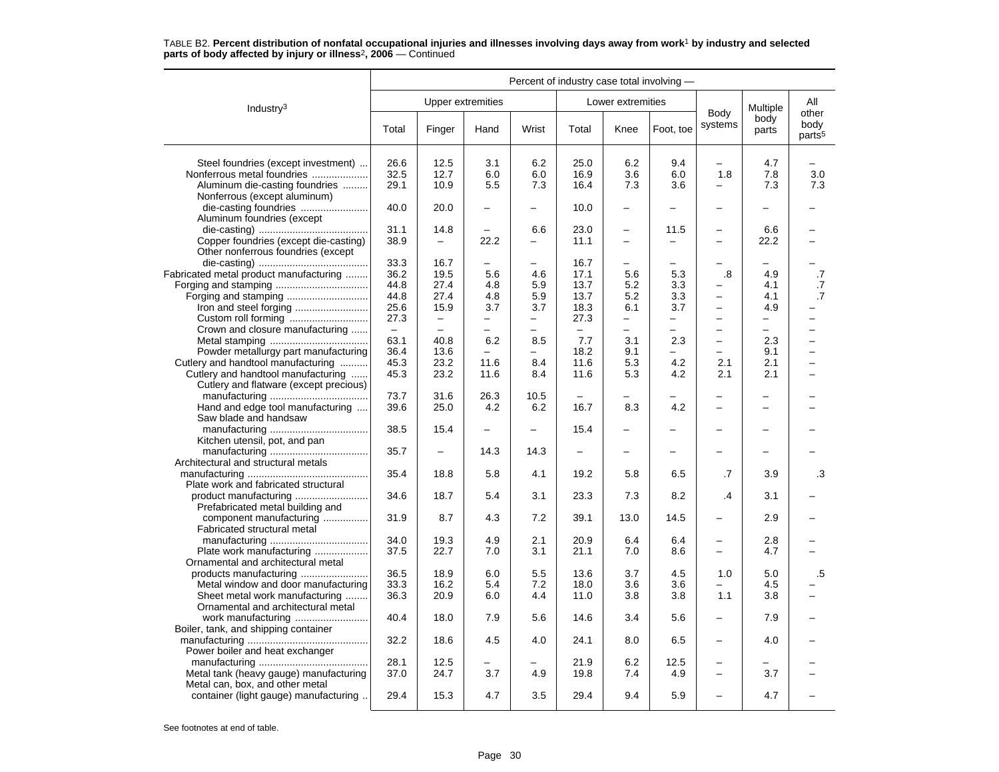|                                                        | Percent of industry case total involving - |                                                      |                               |                          |                          |                               |                          |                          |                          |                                     |
|--------------------------------------------------------|--------------------------------------------|------------------------------------------------------|-------------------------------|--------------------------|--------------------------|-------------------------------|--------------------------|--------------------------|--------------------------|-------------------------------------|
| Industry <sup>3</sup>                                  |                                            |                                                      | Upper extremities             |                          |                          | Lower extremities             |                          |                          | Multiple                 | All                                 |
|                                                        | Total                                      | Finger                                               | Hand                          | Wrist                    | Total                    | Knee                          | Foot, toe                | Body<br>systems          | body<br>parts            | other<br>body<br>parts <sup>5</sup> |
| Steel foundries (except investment)                    | 26.6                                       | 12.5                                                 | 3.1                           | 6.2                      | 25.0                     | 6.2                           | 9.4                      |                          | 4.7                      |                                     |
| Nonferrous metal foundries                             | 32.5                                       | 12.7                                                 | 6.0                           | 6.0                      | 16.9                     | 3.6                           | 6.0                      | 1.8                      | 7.8                      | 3.0                                 |
| Aluminum die-casting foundries                         | 29.1                                       | 10.9                                                 | 5.5                           | 7.3                      | 16.4                     | 7.3                           | 3.6                      |                          | 7.3                      | 7.3                                 |
| Nonferrous (except aluminum)                           |                                            |                                                      |                               |                          |                          |                               |                          |                          |                          |                                     |
| die-casting foundries                                  | 40.0                                       | 20.0                                                 |                               |                          | 10.0                     |                               |                          |                          |                          |                                     |
| Aluminum foundries (except                             |                                            |                                                      |                               |                          |                          |                               |                          |                          |                          |                                     |
|                                                        | 31.1                                       | 14.8                                                 |                               | 6.6                      | 23.0                     | $\overline{\phantom{0}}$      | 11.5                     | $\overline{\phantom{0}}$ | 6.6                      |                                     |
| Copper foundries (except die-casting)                  | 38.9                                       |                                                      | 22.2                          | $\overline{a}$           | 11.1                     | $\overline{a}$                | $\overline{\phantom{0}}$ | $\overline{\phantom{0}}$ | 22.2                     |                                     |
| Other nonferrous foundries (except                     |                                            |                                                      |                               |                          |                          |                               |                          |                          |                          |                                     |
|                                                        | 33.3                                       | 16.7                                                 |                               |                          | 16.7                     |                               |                          |                          |                          |                                     |
| Fabricated metal product manufacturing                 | 36.2                                       | 19.5                                                 | 5.6                           | 4.6                      | 17.1                     | 5.6                           | 5.3                      | .8                       | 4.9                      | .7                                  |
|                                                        | 44.8                                       | 27.4                                                 | 4.8                           | 5.9                      | 13.7                     | 5.2                           | 3.3                      |                          | 4.1                      | .7                                  |
|                                                        | 44.8                                       | 27.4                                                 | 4.8                           | 5.9                      | 13.7                     | 5.2                           | 3.3                      | $\equiv$                 | 4.1                      | .7                                  |
|                                                        | 25.6                                       | 15.9                                                 | 3.7                           | 3.7                      | 18.3                     | 6.1                           | 3.7                      | $\qquad \qquad -$        | 4.9                      |                                     |
| Custom roll forming<br>Crown and closure manufacturing | 27.3<br>$\equiv$                           | $\overline{\phantom{0}}$<br>$\overline{\phantom{0}}$ | -<br>$\overline{\phantom{0}}$ | $\overline{\phantom{0}}$ | 27.3<br>$\equiv$         | -<br>$\overline{\phantom{0}}$ | -<br>$\overline{a}$      | $\overline{\phantom{0}}$ | —<br>$\equiv$            | -                                   |
|                                                        | 63.1                                       | 40.8                                                 | 6.2                           | 8.5                      | 7.7                      | 3.1                           | 2.3                      | $\equiv$                 | 2.3                      | $\overline{\phantom{0}}$            |
| Powder metallurgy part manufacturing                   | 36.4                                       | 13.6                                                 |                               |                          | 18.2                     | 9.1                           |                          | $\equiv$                 | 9.1                      | L.                                  |
| Cutlery and handtool manufacturing                     | 45.3                                       | 23.2                                                 | 11.6                          | 8.4                      | 11.6                     | 5.3                           | 4.2                      | 2.1                      | 2.1                      | ▃                                   |
| Cutlery and handtool manufacturing                     | 45.3                                       | 23.2                                                 | 11.6                          | 8.4                      | 11.6                     | 5.3                           | 4.2                      | 2.1                      | 2.1                      |                                     |
| Cutlery and flatware (except precious)                 |                                            |                                                      |                               |                          |                          |                               |                          |                          |                          |                                     |
|                                                        | 73.7                                       | 31.6                                                 | 26.3                          | 10.5                     |                          |                               |                          | $\overline{\phantom{0}}$ | $\overline{\phantom{0}}$ |                                     |
| Hand and edge tool manufacturing                       | 39.6                                       | 25.0                                                 | 4.2                           | 6.2                      | 16.7                     | 8.3                           | 4.2                      | $\overline{\phantom{0}}$ | $\equiv$                 |                                     |
| Saw blade and handsaw                                  |                                            |                                                      |                               |                          |                          |                               |                          |                          |                          |                                     |
|                                                        | 38.5                                       | 15.4                                                 |                               |                          | 15.4                     |                               |                          |                          |                          |                                     |
| Kitchen utensil, pot, and pan                          |                                            |                                                      |                               |                          |                          |                               |                          |                          |                          |                                     |
|                                                        | 35.7                                       | $\overline{\phantom{0}}$                             | 14.3                          | 14.3                     | $\overline{\phantom{0}}$ | ÷                             | $\overline{\phantom{0}}$ | $\overline{\phantom{0}}$ | $\overline{\phantom{0}}$ |                                     |
| Architectural and structural metals                    |                                            |                                                      |                               |                          |                          |                               |                          |                          |                          |                                     |
|                                                        | 35.4                                       | 18.8                                                 | 5.8                           | 4.1                      | 19.2                     | 5.8                           | 6.5                      | .7                       | 3.9                      | .3                                  |
| Plate work and fabricated structural                   |                                            |                                                      |                               |                          |                          |                               |                          |                          |                          |                                     |
|                                                        | 34.6                                       | 18.7                                                 | 5.4                           | 3.1                      | 23.3                     | 7.3                           | 8.2                      | $\cdot$                  | 3.1                      |                                     |
| Prefabricated metal building and                       |                                            |                                                      |                               |                          |                          |                               |                          |                          |                          |                                     |
| component manufacturing                                | 31.9                                       | 8.7                                                  | 4.3                           | 7.2                      | 39.1                     | 13.0                          | 14.5                     | $\overline{\phantom{0}}$ | 2.9                      |                                     |
| Fabricated structural metal                            | 34.0                                       | 19.3                                                 | 4.9                           | 2.1                      | 20.9                     |                               | 6.4                      |                          | 2.8                      |                                     |
| Plate work manufacturing                               | 37.5                                       | 22.7                                                 | 7.0                           | 3.1                      | 21.1                     | 6.4<br>7.0                    | 8.6                      | -<br>$\equiv$            | 4.7                      |                                     |
| Ornamental and architectural metal                     |                                            |                                                      |                               |                          |                          |                               |                          |                          |                          |                                     |
|                                                        | 36.5                                       | 18.9                                                 | 6.0                           | 5.5                      | 13.6                     | 3.7                           | 4.5                      | 1.0                      | 5.0                      | $.5\,$                              |
| Metal window and door manufacturing                    | 33.3                                       | 16.2                                                 | 5.4                           | 7.2                      | 18.0                     | 3.6                           | 3.6                      |                          | 4.5                      |                                     |
| Sheet metal work manufacturing                         | 36.3                                       | 20.9                                                 | 6.0                           | 4.4                      | 11.0                     | 3.8                           | 3.8                      | 1.1                      | 3.8                      |                                     |
| Ornamental and architectural metal                     |                                            |                                                      |                               |                          |                          |                               |                          |                          |                          |                                     |
| work manufacturing                                     | 40.4                                       | 18.0                                                 | 7.9                           | 5.6                      | 14.6                     | 3.4                           | 5.6                      | $\overline{\phantom{0}}$ | 7.9                      |                                     |
| Boiler, tank, and shipping container                   |                                            |                                                      |                               |                          |                          |                               |                          |                          |                          |                                     |
|                                                        | 32.2                                       | 18.6                                                 | 4.5                           | 4.0                      | 24.1                     | 8.0                           | 6.5                      | $\overline{\phantom{0}}$ | 4.0                      |                                     |
| Power boiler and heat exchanger                        |                                            |                                                      |                               |                          |                          |                               |                          |                          |                          |                                     |
|                                                        | 28.1                                       | 12.5                                                 |                               |                          | 21.9                     | 6.2                           | 12.5                     |                          |                          |                                     |
| Metal tank (heavy gauge) manufacturing                 | 37.0                                       | 24.7                                                 | 3.7                           | 4.9                      | 19.8                     | 7.4                           | 4.9                      | $\overline{\phantom{0}}$ | 3.7                      |                                     |
| Metal can, box, and other metal                        |                                            |                                                      |                               |                          |                          |                               |                          |                          |                          |                                     |
| container (light gauge) manufacturing                  | 29.4                                       | 15.3                                                 | 4.7                           | 3.5                      | 29.4                     | 9.4                           | 5.9                      |                          | 4.7                      |                                     |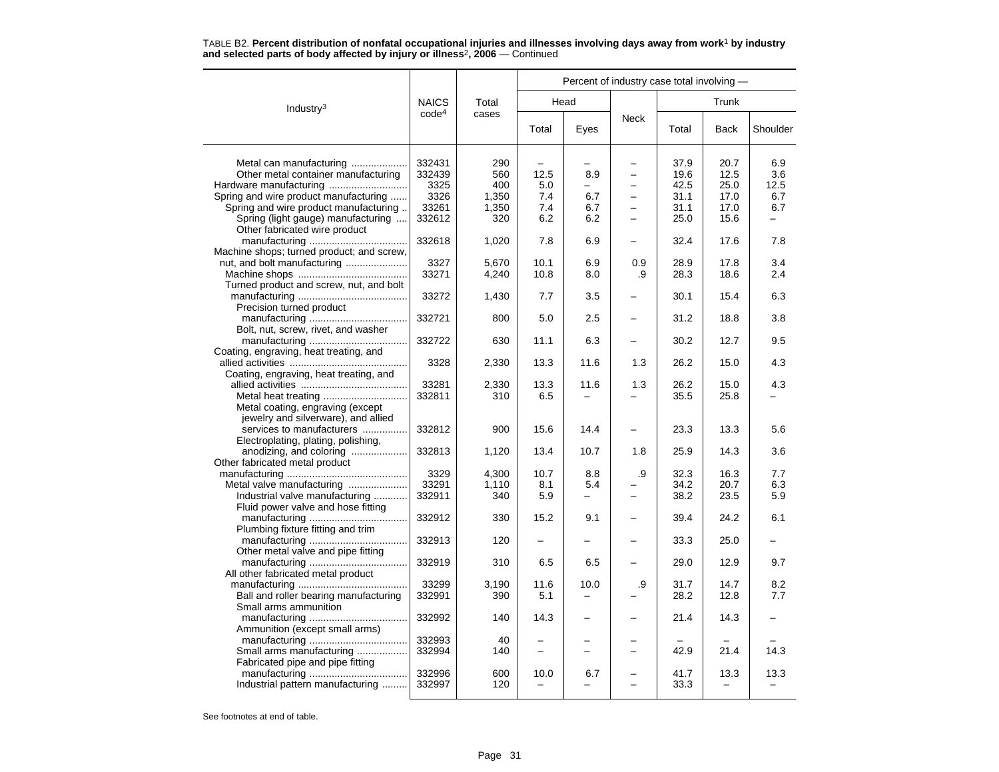|                                                                |                   |       |                          |      | Percent of industry case total involving - |       |             |          |
|----------------------------------------------------------------|-------------------|-------|--------------------------|------|--------------------------------------------|-------|-------------|----------|
| Industry <sup>3</sup>                                          | <b>NAICS</b>      | Total |                          | Head |                                            |       | Trunk       |          |
|                                                                | code <sup>4</sup> | cases | Total                    | Eyes | Neck                                       | Total | <b>Back</b> | Shoulder |
| Metal can manufacturing                                        | 332431            | 290   |                          |      |                                            | 37.9  | 20.7        | 6.9      |
| Other metal container manufacturing                            | 332439            | 560   | 12.5                     | 8.9  | $\overline{\phantom{0}}$                   | 19.6  | 12.5        | 3.6      |
| Hardware manufacturing                                         | 3325              | 400   | 5.0                      |      |                                            | 42.5  | 25.0        | 12.5     |
| Spring and wire product manufacturing                          | 3326              | 1,350 | 7.4                      | 6.7  | $\equiv$                                   | 31.1  | 17.0        | 6.7      |
| Spring and wire product manufacturing                          | 33261             | 1,350 | 7.4                      | 6.7  | $\overline{\phantom{0}}$                   | 31.1  | 17.0        | 6.7      |
| Spring (light gauge) manufacturing                             | 332612            | 320   | 6.2                      | 6.2  |                                            | 25.0  | 15.6        |          |
| Other fabricated wire product                                  |                   |       |                          |      |                                            |       |             |          |
|                                                                | 332618            | 1,020 | 7.8                      | 6.9  |                                            | 32.4  | 17.6        | 7.8      |
| Machine shops; turned product; and screw,                      |                   |       |                          |      |                                            |       |             |          |
|                                                                | 3327              | 5,670 | 10.1                     | 6.9  | 0.9                                        | 28.9  | 17.8        | 3.4      |
|                                                                | 33271             | 4,240 | 10.8                     | 8.0  | .9                                         | 28.3  | 18.6        | 2.4      |
| Turned product and screw, nut, and bolt                        |                   |       |                          |      |                                            |       |             |          |
|                                                                | 33272             | 1,430 | 7.7                      | 3.5  |                                            | 30.1  | 15.4        | 6.3      |
| Precision turned product                                       |                   |       |                          |      |                                            |       |             |          |
|                                                                | 332721            | 800   | 5.0                      | 2.5  |                                            | 31.2  | 18.8        | 3.8      |
| Bolt, nut, screw, rivet, and washer                            |                   |       |                          |      |                                            |       |             |          |
|                                                                | 332722            | 630   | 11.1                     | 6.3  |                                            | 30.2  | 12.7        | 9.5      |
| Coating, engraving, heat treating, and                         |                   |       |                          |      |                                            |       |             |          |
|                                                                | 3328              | 2,330 | 13.3                     | 11.6 | 1.3                                        | 26.2  | 15.0        | 4.3      |
| Coating, engraving, heat treating, and                         |                   |       |                          |      |                                            |       |             |          |
|                                                                | 33281             | 2,330 | 13.3                     | 11.6 | 1.3                                        | 26.2  | 15.0        | 4.3      |
|                                                                | 332811            | 310   | 6.5                      |      |                                            | 35.5  | 25.8        |          |
| Metal coating, engraving (except                               |                   |       |                          |      |                                            |       |             |          |
| jewelry and silverware), and allied                            |                   |       |                          |      |                                            |       |             |          |
| services to manufacturers                                      | 332812            | 900   | 15.6                     | 14.4 |                                            | 23.3  | 13.3        | 5.6      |
| Electroplating, plating, polishing,<br>anodizing, and coloring | 332813            | 1,120 | 13.4                     | 10.7 | 1.8                                        | 25.9  | 14.3        | 3.6      |
| Other fabricated metal product                                 |                   |       |                          |      |                                            |       |             |          |
|                                                                | 3329              | 4,300 | 10.7                     | 8.8  | .9                                         | 32.3  | 16.3        | 7.7      |
| Metal valve manufacturing                                      | 33291             | 1,110 | 8.1                      | 5.4  |                                            | 34.2  | 20.7        | 6.3      |
| Industrial valve manufacturing                                 | 332911            | 340   | 5.9                      | $-$  | $\overline{\phantom{0}}$                   | 38.2  | 23.5        | 5.9      |
| Fluid power valve and hose fitting                             |                   |       |                          |      |                                            |       |             |          |
|                                                                | 332912            | 330   | 15.2                     | 9.1  |                                            | 39.4  | 24.2        | 6.1      |
| Plumbing fixture fitting and trim                              |                   |       |                          |      |                                            |       |             |          |
|                                                                | 332913            | 120   |                          |      |                                            | 33.3  | 25.0        |          |
| Other metal valve and pipe fitting                             |                   |       |                          |      |                                            |       |             |          |
|                                                                | 332919            | 310   | 6.5                      | 6.5  |                                            | 29.0  | 12.9        | 9.7      |
| All other fabricated metal product                             |                   |       |                          |      |                                            |       |             |          |
|                                                                | 33299             | 3,190 | 11.6                     | 10.0 | .9                                         | 31.7  | 14.7        | 8.2      |
| Ball and roller bearing manufacturing                          | 332991            | 390   | 5.1                      |      |                                            | 28.2  | 12.8        | 7.7      |
| Small arms ammunition                                          |                   |       |                          |      |                                            |       |             |          |
|                                                                | 332992            | 140   | 14.3                     |      |                                            | 21.4  | 14.3        |          |
| Ammunition (except small arms)                                 |                   |       |                          |      |                                            |       |             |          |
|                                                                | 332993            | 40    |                          |      |                                            |       |             |          |
| Small arms manufacturing                                       | 332994            | 140   | -                        |      |                                            | 42.9  | 21.4        | 14.3     |
| Fabricated pipe and pipe fitting                               |                   |       |                          |      |                                            |       |             |          |
|                                                                | 332996            | 600   | 10.0                     | 6.7  |                                            | 41.7  | 13.3        | 13.3     |
| Industrial pattern manufacturing                               | 332997            | 120   | $\overline{\phantom{0}}$ |      | -                                          | 33.3  | -           |          |
|                                                                |                   |       |                          |      |                                            |       |             |          |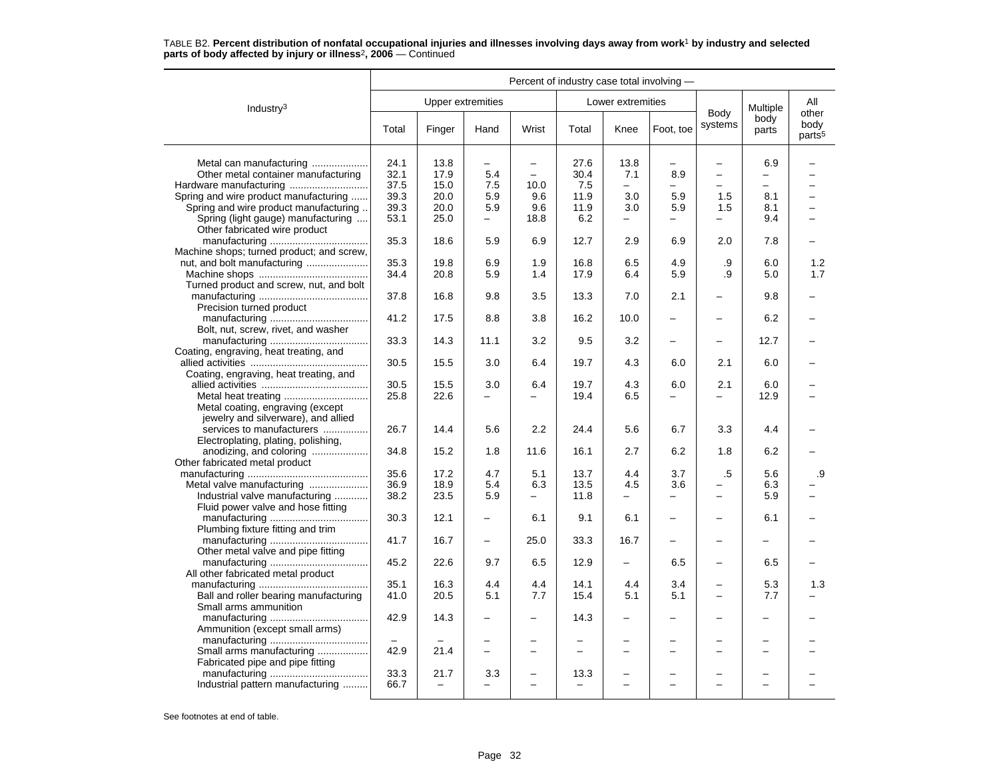|                                           | Percent of industry case total involving - |                          |                          |                          |                          |                          |                          |                          |                           |                                     |  |
|-------------------------------------------|--------------------------------------------|--------------------------|--------------------------|--------------------------|--------------------------|--------------------------|--------------------------|--------------------------|---------------------------|-------------------------------------|--|
| Industry $3$                              |                                            |                          | <b>Upper extremities</b> |                          |                          | Lower extremities        |                          |                          |                           | All                                 |  |
|                                           | Total                                      | Finger                   | Hand                     | Wrist                    | Total                    | Knee                     | Foot, toe                | Body<br>systems          | Multiple<br>body<br>parts | other<br>body<br>parts <sup>5</sup> |  |
| Metal can manufacturing                   | 24.1                                       | 13.8                     | $\overline{\phantom{0}}$ | $\overline{\phantom{0}}$ | 27.6                     | 13.8                     |                          | $\overline{\phantom{0}}$ | 6.9                       |                                     |  |
| Other metal container manufacturing       | 32.1                                       | 17.9                     | 5.4                      | $\equiv$                 | 30.4                     | 7.1                      | 8.9                      | $\overline{\phantom{0}}$ | -                         |                                     |  |
| Hardware manufacturing                    | 37.5                                       | 15.0                     | 7.5                      | 10.0                     | 7.5                      | $\equiv$                 |                          |                          | $\equiv$                  |                                     |  |
| Spring and wire product manufacturing     | 39.3                                       | 20.0                     | 5.9                      | 9.6                      | 11.9                     | 3.0                      | 5.9                      | 1.5                      | 8.1                       |                                     |  |
| Spring and wire product manufacturing     | 39.3                                       | 20.0                     | 5.9                      | 9.6                      | 11.9                     | 3.0                      | 5.9                      | 1.5                      | 8.1                       |                                     |  |
| Spring (light gauge) manufacturing        | 53.1                                       | 25.0                     | $\overline{\phantom{0}}$ | 18.8                     | 6.2                      | $\overline{\phantom{0}}$ | $\overline{\phantom{0}}$ |                          | 9.4                       |                                     |  |
| Other fabricated wire product             |                                            |                          |                          |                          |                          |                          |                          |                          |                           |                                     |  |
|                                           | 35.3                                       | 18.6                     | 5.9                      | 6.9                      | 12.7                     | 2.9                      | 6.9                      | 2.0                      | 7.8                       |                                     |  |
| Machine shops; turned product; and screw, |                                            |                          |                          |                          |                          |                          |                          |                          |                           |                                     |  |
|                                           | 35.3                                       | 19.8                     | 6.9                      | 1.9                      | 16.8                     | 6.5                      | 4.9                      | .9                       | 6.0                       | 1.2                                 |  |
|                                           | 34.4                                       | 20.8                     | 5.9                      | 1.4                      | 17.9                     | 6.4                      | 5.9                      | .9                       | 5.0                       | 1.7                                 |  |
| Turned product and screw, nut, and bolt   |                                            |                          |                          |                          |                          |                          |                          |                          |                           |                                     |  |
|                                           | 37.8                                       | 16.8                     | 9.8                      | 3.5                      | 13.3                     | 7.0                      | 2.1                      | $\equiv$                 | 9.8                       |                                     |  |
| Precision turned product                  |                                            |                          |                          |                          |                          |                          |                          |                          |                           |                                     |  |
|                                           | 41.2                                       | 17.5                     | 8.8                      | 3.8                      | 16.2                     | 10.0                     |                          |                          | 6.2                       |                                     |  |
| Bolt, nut, screw, rivet, and washer       |                                            |                          |                          |                          |                          |                          |                          |                          |                           |                                     |  |
|                                           | 33.3                                       | 14.3                     | 11.1                     | 3.2                      | 9.5                      | 3.2                      |                          | $\overline{\phantom{0}}$ | 12.7                      |                                     |  |
| Coating, engraving, heat treating, and    |                                            |                          |                          |                          |                          |                          |                          |                          |                           |                                     |  |
|                                           | 30.5                                       | 15.5                     | 3.0                      | 6.4                      | 19.7                     | 4.3                      | 6.0                      | 2.1                      | 6.0                       |                                     |  |
| Coating, engraving, heat treating, and    |                                            |                          |                          |                          |                          |                          |                          |                          |                           |                                     |  |
|                                           | 30.5                                       | 15.5                     | 3.0                      | 6.4                      | 19.7                     | 4.3                      | 6.0                      | 2.1                      | 6.0                       |                                     |  |
|                                           | 25.8                                       | 22.6                     |                          |                          | 19.4                     | 6.5                      | $\overline{\phantom{0}}$ | $\equiv$                 | 12.9                      |                                     |  |
| Metal coating, engraving (except          |                                            |                          |                          |                          |                          |                          |                          |                          |                           |                                     |  |
| jewelry and silverware), and allied       |                                            |                          |                          |                          |                          |                          |                          |                          |                           |                                     |  |
| services to manufacturers                 | 26.7                                       | 14.4                     | 5.6                      | 2.2                      | 24.4                     | 5.6                      | 6.7                      | 3.3                      | 4.4                       |                                     |  |
| Electroplating, plating, polishing,       |                                            |                          |                          |                          |                          |                          |                          |                          |                           |                                     |  |
| anodizing, and coloring                   | 34.8                                       | 15.2                     | 1.8                      | 11.6                     | 16.1                     | 2.7                      | 6.2                      | 1.8                      | 6.2                       |                                     |  |
| Other fabricated metal product            |                                            |                          |                          |                          |                          |                          |                          |                          |                           |                                     |  |
|                                           | 35.6                                       | 17.2                     | 4.7                      | 5.1                      | 13.7                     | 4.4                      | 3.7                      | .5                       | 5.6                       | .9                                  |  |
| Metal valve manufacturing                 | 36.9                                       | 18.9                     | 5.4                      | 6.3                      | 13.5                     | 4.5                      | 3.6                      | $\overline{\phantom{0}}$ | 6.3                       |                                     |  |
| Industrial valve manufacturing            | 38.2                                       | 23.5                     | 5.9                      | $\equiv$                 | 11.8                     | $\equiv$                 | $\overline{\phantom{0}}$ | -                        | 5.9                       |                                     |  |
| Fluid power valve and hose fitting        |                                            |                          |                          |                          |                          |                          |                          |                          |                           |                                     |  |
|                                           | 30.3                                       | 12.1                     |                          | 6.1                      | 9.1                      | 6.1                      |                          | -                        | 6.1                       |                                     |  |
| Plumbing fixture fitting and trim         |                                            |                          |                          |                          |                          |                          |                          |                          |                           |                                     |  |
|                                           | 41.7                                       | 16.7                     |                          | 25.0                     | 33.3                     | 16.7                     |                          | $\overline{\phantom{0}}$ |                           |                                     |  |
| Other metal valve and pipe fitting        |                                            |                          |                          |                          |                          |                          |                          |                          |                           |                                     |  |
|                                           | 45.2                                       | 22.6                     | 9.7                      | 6.5                      | 12.9                     | $\qquad \qquad -$        | 6.5                      | -                        | 6.5                       |                                     |  |
| All other fabricated metal product        |                                            |                          |                          |                          |                          |                          |                          |                          |                           |                                     |  |
|                                           | 35.1                                       | 16.3                     | 4.4                      | 4.4                      | 14.1                     | 4.4                      | 3.4                      | $\overline{\phantom{0}}$ | 5.3                       | 1.3                                 |  |
| Ball and roller bearing manufacturing     | 41.0                                       | 20.5                     | 5.1                      | 7.7                      | 15.4                     | 5.1                      | 5.1                      | $\overline{\phantom{0}}$ | 7.7                       |                                     |  |
| Small arms ammunition                     |                                            |                          |                          |                          |                          |                          |                          |                          |                           |                                     |  |
|                                           | 42.9                                       | 14.3                     |                          | $\equiv$                 | 14.3                     | $\overline{\phantom{0}}$ |                          | L,                       |                           |                                     |  |
| Ammunition (except small arms)            |                                            |                          |                          |                          |                          |                          |                          |                          |                           |                                     |  |
|                                           |                                            |                          |                          |                          |                          |                          |                          |                          |                           |                                     |  |
| Small arms manufacturing                  | 42.9                                       | 21.4                     |                          |                          |                          | $\overline{a}$           |                          |                          |                           |                                     |  |
| Fabricated pipe and pipe fitting          |                                            |                          |                          |                          |                          |                          |                          |                          |                           |                                     |  |
|                                           | 33.3                                       | 21.7                     | 3.3                      |                          | 13.3                     |                          |                          |                          |                           |                                     |  |
| Industrial pattern manufacturing          | 66.7                                       | $\overline{\phantom{0}}$ |                          |                          | $\overline{\phantom{0}}$ |                          |                          |                          |                           |                                     |  |
|                                           |                                            |                          |                          |                          |                          |                          |                          |                          |                           |                                     |  |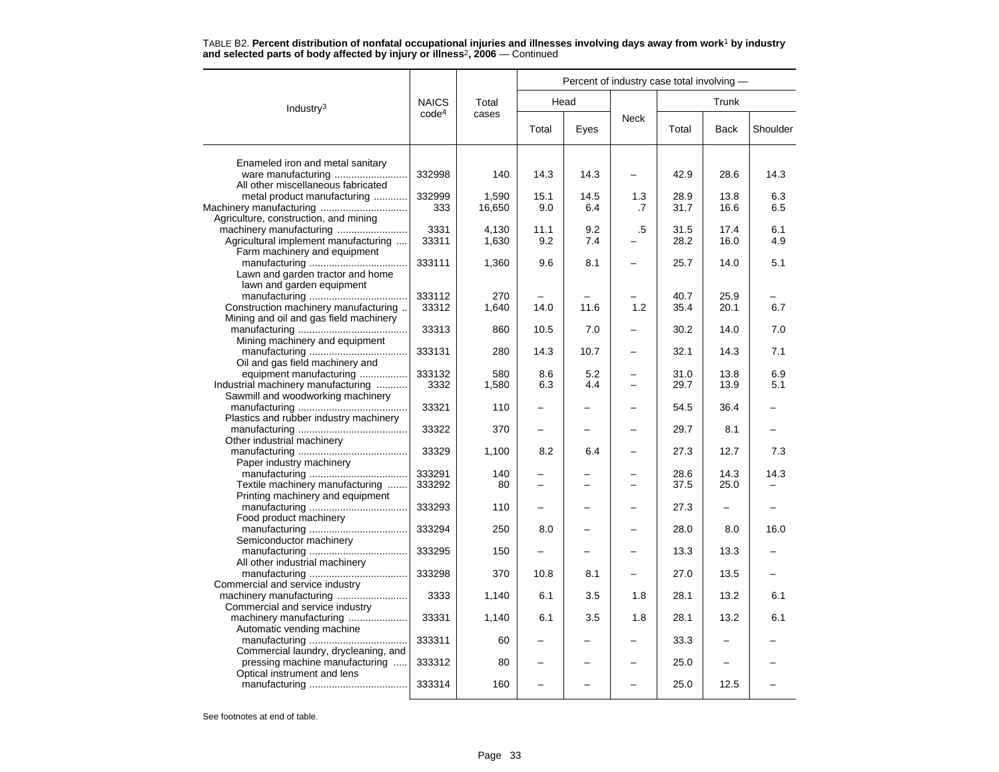|                                                                        |                   |        | Percent of industry case total involving - |      |             |       |             |          |  |  |  |
|------------------------------------------------------------------------|-------------------|--------|--------------------------------------------|------|-------------|-------|-------------|----------|--|--|--|
| Industry $3$                                                           | <b>NAICS</b>      | Total  |                                            | Head |             | Trunk |             |          |  |  |  |
|                                                                        | code <sup>4</sup> | cases  | Total                                      | Eyes | <b>Neck</b> | Total | <b>Back</b> | Shoulder |  |  |  |
|                                                                        |                   |        |                                            |      |             |       |             |          |  |  |  |
| Enameled iron and metal sanitary<br>All other miscellaneous fabricated | 332998            | 140    | 14.3                                       | 14.3 |             | 42.9  | 28.6        | 14.3     |  |  |  |
| metal product manufacturing                                            | 332999            | 1.590  | 15.1                                       | 14.5 | 1.3         | 28.9  | 13.8        | 6.3      |  |  |  |
| Agriculture, construction, and mining                                  | 333               | 16,650 | 9.0                                        | 6.4  | .7          | 31.7  | 16.6        | 6.5      |  |  |  |
| machinery manufacturing                                                | 3331              | 4,130  | 11.1                                       | 9.2  | .5          | 31.5  | 17.4        | 6.1      |  |  |  |
| Agricultural implement manufacturing                                   | 33311             | 1,630  | 9.2                                        | 7.4  |             | 28.2  | 16.0        | 4.9      |  |  |  |
| Farm machinery and equipment                                           |                   |        |                                            |      |             |       |             |          |  |  |  |
|                                                                        | 333111            | 1,360  | 9.6                                        | 8.1  |             | 25.7  | 14.0        | 5.1      |  |  |  |
| Lawn and garden tractor and home<br>lawn and garden equipment          |                   |        |                                            |      |             |       |             |          |  |  |  |
|                                                                        | 333112            | 270    |                                            |      |             | 40.7  | 25.9        |          |  |  |  |
| Construction machinery manufacturing                                   | 33312             | 1,640  | 14.0                                       | 11.6 | 1.2         | 35.4  | 20.1        | 6.7      |  |  |  |
| Mining and oil and gas field machinery                                 |                   |        |                                            |      |             |       |             |          |  |  |  |
|                                                                        | 33313             | 860    | 10.5                                       | 7.0  |             | 30.2  | 14.0        | 7.0      |  |  |  |
| Mining machinery and equipment                                         |                   |        |                                            |      |             |       |             |          |  |  |  |
| Oil and gas field machinery and                                        | 333131            | 280    | 14.3                                       | 10.7 |             | 32.1  | 14.3        | 7.1      |  |  |  |
| equipment manufacturing                                                | 333132            | 580    | 8.6                                        | 5.2  | -           | 31.0  | 13.8        | 6.9      |  |  |  |
| Industrial machinery manufacturing                                     | 3332              | 1,580  | 6.3                                        | 4.4  |             | 29.7  | 13.9        | 5.1      |  |  |  |
| Sawmill and woodworking machinery                                      |                   |        |                                            |      |             |       |             |          |  |  |  |
|                                                                        | 33321             | 110    |                                            |      |             | 54.5  | 36.4        |          |  |  |  |
| Plastics and rubber industry machinery                                 |                   |        |                                            |      |             |       |             |          |  |  |  |
|                                                                        | 33322             | 370    |                                            |      |             | 29.7  | 8.1         |          |  |  |  |
| Other industrial machinery                                             |                   |        |                                            |      |             |       |             |          |  |  |  |
| Paper industry machinery                                               | 33329             | 1,100  | 8.2                                        | 6.4  |             | 27.3  | 12.7        | 7.3      |  |  |  |
|                                                                        | 333291            | 140    |                                            |      |             | 28.6  | 14.3        | 14.3     |  |  |  |
| Textile machinery manufacturing                                        | 333292            | 80     |                                            | -    |             | 37.5  | 25.0        |          |  |  |  |
| Printing machinery and equipment                                       |                   |        |                                            |      |             |       |             |          |  |  |  |
| Food product machinery                                                 | 333293            | 110    |                                            |      |             | 27.3  |             |          |  |  |  |
|                                                                        | 333294            | 250    | 8.0                                        |      |             | 28.0  | 8.0         | 16.0     |  |  |  |
| Semiconductor machinery                                                |                   |        |                                            |      |             |       |             |          |  |  |  |
|                                                                        | 333295            | 150    |                                            |      |             | 13.3  | 13.3        |          |  |  |  |
| All other industrial machinery                                         |                   |        |                                            |      |             |       |             |          |  |  |  |
|                                                                        | 333298            | 370    | 10.8                                       | 8.1  |             | 27.0  | 13.5        |          |  |  |  |
| Commercial and service industry                                        |                   |        |                                            |      |             |       |             |          |  |  |  |
| machinery manufacturing                                                | 3333              | 1,140  | 6.1                                        | 3.5  | 1.8         | 28.1  | 13.2        | 6.1      |  |  |  |
| Commercial and service industry                                        |                   |        |                                            |      |             |       |             |          |  |  |  |
| machinery manufacturing                                                | 33331             | 1,140  | 6.1                                        | 3.5  | 1.8         | 28.1  | 13.2        | 6.1      |  |  |  |
| Automatic vending machine                                              |                   |        |                                            |      |             |       |             |          |  |  |  |
|                                                                        | 333311            | 60     |                                            |      |             | 33.3  |             |          |  |  |  |
| Commercial laundry, drycleaning, and                                   | 333312            |        | $\overline{\phantom{0}}$                   |      |             |       | -           |          |  |  |  |
| pressing machine manufacturing<br>Optical instrument and lens          |                   | 80     |                                            |      |             | 25.0  |             |          |  |  |  |
|                                                                        | 333314            | 160    |                                            |      |             | 25.0  | 12.5        |          |  |  |  |
|                                                                        |                   |        |                                            |      |             |       |             |          |  |  |  |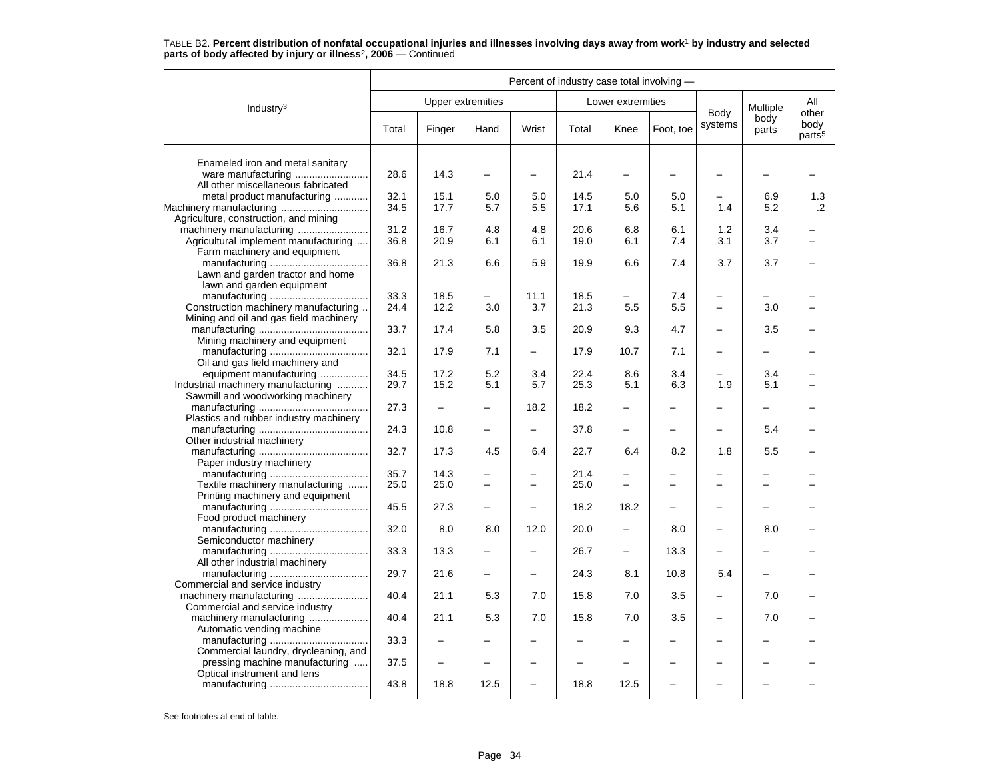|                                                                                | Percent of industry case total involving - |                          |                          |                          |       |                          |                          |                          |               |                                     |  |
|--------------------------------------------------------------------------------|--------------------------------------------|--------------------------|--------------------------|--------------------------|-------|--------------------------|--------------------------|--------------------------|---------------|-------------------------------------|--|
| Industry $3$                                                                   |                                            |                          | <b>Upper extremities</b> |                          |       | Lower extremities        |                          |                          | Multiple      | All                                 |  |
|                                                                                | Total                                      | Finger                   | Hand                     | Wrist                    | Total | Knee                     | Foot, toe                | Body<br>systems          | body<br>parts | other<br>body<br>parts <sup>5</sup> |  |
| Enameled iron and metal sanitary                                               |                                            |                          |                          |                          |       |                          |                          |                          |               |                                     |  |
| ware manufacturing<br>All other miscellaneous fabricated                       | 28.6                                       | 14.3                     | -                        | $\overline{\phantom{0}}$ | 21.4  | $\overline{\phantom{0}}$ |                          |                          |               |                                     |  |
| metal product manufacturing                                                    | 32.1                                       | 15.1                     | 5.0                      | 5.0                      | 14.5  | 5.0                      | 5.0                      |                          | 6.9           | 1.3                                 |  |
| Machinery manufacturing<br>Agriculture, construction, and mining               | 34.5                                       | 17.7                     | 5.7                      | 5.5                      | 17.1  | 5.6                      | 5.1                      | 1.4                      | 5.2           | $\cdot$ .2                          |  |
|                                                                                | 31.2                                       | 16.7                     | 4.8                      | 4.8                      | 20.6  | 6.8                      | 6.1                      | 1.2                      | 3.4           |                                     |  |
| Agricultural implement manufacturing                                           | 36.8                                       | 20.9                     | 6.1                      | 6.1                      | 19.0  | 6.1                      | 7.4                      | 3.1                      | 3.7           |                                     |  |
| Farm machinery and equipment                                                   |                                            |                          |                          |                          |       |                          |                          |                          |               |                                     |  |
|                                                                                | 36.8                                       | 21.3                     | 6.6                      | 5.9                      | 19.9  | 6.6                      | 7.4                      | 3.7                      | 3.7           |                                     |  |
| Lawn and garden tractor and home<br>lawn and garden equipment                  |                                            |                          |                          |                          |       |                          |                          |                          |               |                                     |  |
|                                                                                | 33.3                                       | 18.5                     | $\overline{\phantom{0}}$ | 11.1                     | 18.5  | -                        | 7.4                      | $\overline{\phantom{m}}$ |               |                                     |  |
| Construction machinery manufacturing<br>Mining and oil and gas field machinery | 24.4                                       | 12.2                     | 3.0                      | 3.7                      | 21.3  | 5.5                      | 5.5                      | $\overline{\phantom{m}}$ | 3.0           |                                     |  |
| Mining machinery and equipment                                                 | 33.7                                       | 17.4                     | 5.8                      | 3.5                      | 20.9  | 9.3                      | 4.7                      |                          | 3.5           |                                     |  |
|                                                                                | 32.1                                       | 17.9                     | 7.1                      | $\overline{\phantom{0}}$ | 17.9  | 10.7                     | 7.1                      |                          |               |                                     |  |
| Oil and gas field machinery and                                                |                                            |                          |                          |                          |       |                          |                          |                          |               |                                     |  |
| equipment manufacturing                                                        | 34.5                                       | 17.2                     | 5.2                      | 3.4                      | 22.4  | 8.6                      | 3.4                      |                          | 3.4           |                                     |  |
| Industrial machinery manufacturing                                             | 29.7                                       | 15.2                     | 5.1                      | 5.7                      | 25.3  | 5.1                      | 6.3                      | 1.9                      | 5.1           |                                     |  |
| Sawmill and woodworking machinery                                              | 27.3                                       |                          |                          | 18.2                     | 18.2  | $\overline{\phantom{0}}$ |                          |                          |               |                                     |  |
| Plastics and rubber industry machinery                                         |                                            |                          |                          |                          |       |                          |                          |                          |               |                                     |  |
| Other industrial machinery                                                     | 24.3                                       | 10.8                     | <u>.</u>                 | $\overline{\phantom{0}}$ | 37.8  | $\overline{\phantom{0}}$ | -                        | $\overline{\phantom{m}}$ | 5.4           |                                     |  |
| Paper industry machinery                                                       | 32.7                                       | 17.3                     | 4.5                      | 6.4                      | 22.7  | 6.4                      | 8.2                      | 1.8                      | 5.5           |                                     |  |
|                                                                                | 35.7                                       | 14.3                     |                          |                          | 21.4  |                          |                          |                          |               |                                     |  |
| Textile machinery manufacturing                                                | 25.0                                       | 25.0                     |                          |                          | 25.0  | $\overline{a}$           |                          |                          |               |                                     |  |
| Printing machinery and equipment                                               | 45.5                                       | 27.3                     |                          |                          | 18.2  | 18.2                     |                          |                          |               |                                     |  |
| Food product machinery                                                         | 32.0                                       | 8.0                      | 8.0                      | 12.0                     | 20.0  | $\overline{\phantom{0}}$ | 8.0                      |                          | 8.0           |                                     |  |
| Semiconductor machinery                                                        |                                            |                          |                          |                          |       |                          |                          |                          |               |                                     |  |
| All other industrial machinery                                                 | 33.3                                       | 13.3                     |                          |                          | 26.7  | $\overline{\phantom{0}}$ | 13.3                     |                          |               |                                     |  |
| Commercial and service industry                                                | 29.7                                       | 21.6                     |                          | $\overline{\phantom{0}}$ | 24.3  | 8.1                      | 10.8                     | 5.4                      |               |                                     |  |
| Commercial and service industry                                                | 40.4                                       | 21.1                     | 5.3                      | 7.0                      | 15.8  | 7.0                      | 3.5                      |                          | 7.0           |                                     |  |
| machinery manufacturing                                                        | 40.4                                       | 21.1                     | 5.3                      | 7.0                      | 15.8  | 7.0                      | 3.5                      | $\overline{\phantom{0}}$ | 7.0           |                                     |  |
| Automatic vending machine                                                      | 33.3                                       | $\overline{\phantom{0}}$ |                          |                          |       | $\overline{\phantom{0}}$ |                          |                          |               |                                     |  |
| Commercial laundry, drycleaning, and<br>pressing machine manufacturing         | 37.5                                       |                          |                          |                          |       |                          |                          |                          |               |                                     |  |
| Optical instrument and lens                                                    | 43.8                                       | 18.8                     | 12.5                     | $\overline{\phantom{0}}$ | 18.8  | 12.5                     | $\overline{\phantom{0}}$ | $\sim$                   | $\equiv$      |                                     |  |
|                                                                                |                                            |                          |                          |                          |       |                          |                          |                          |               |                                     |  |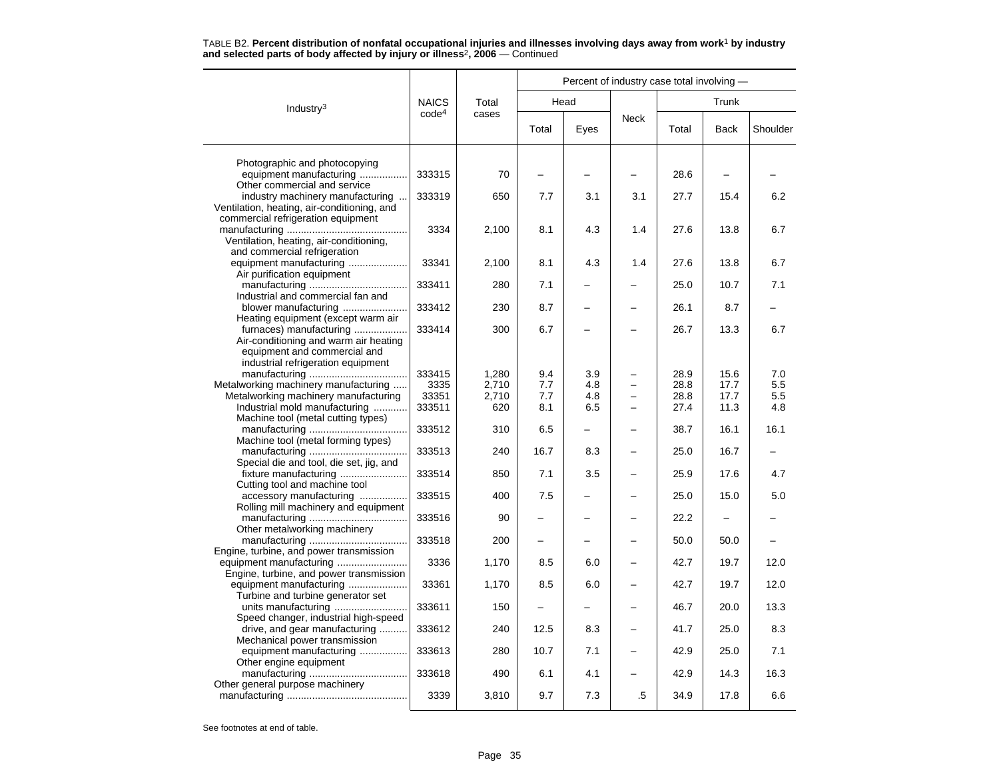|                                                                                   |                   |       | Percent of industry case total involving - |      |             |       |             |          |  |  |
|-----------------------------------------------------------------------------------|-------------------|-------|--------------------------------------------|------|-------------|-------|-------------|----------|--|--|
| Industry $3$                                                                      | <b>NAICS</b>      | Total |                                            | Head |             | Trunk |             |          |  |  |
|                                                                                   | code <sup>4</sup> | cases | Total                                      | Eyes | <b>Neck</b> | Total | <b>Back</b> | Shoulder |  |  |
| Photographic and photocopying                                                     |                   |       |                                            |      |             |       |             |          |  |  |
| equipment manufacturing                                                           | 333315            | 70    |                                            |      |             | 28.6  |             |          |  |  |
| Other commercial and service                                                      |                   |       |                                            |      |             |       |             |          |  |  |
| industry machinery manufacturing                                                  | 333319            | 650   | 7.7                                        | 3.1  | 3.1         | 27.7  | 15.4        | 6.2      |  |  |
| Ventilation, heating, air-conditioning, and<br>commercial refrigeration equipment |                   |       |                                            |      |             |       |             |          |  |  |
|                                                                                   | 3334              | 2,100 | 8.1                                        | 4.3  | 1.4         | 27.6  | 13.8        | 6.7      |  |  |
| Ventilation, heating, air-conditioning,                                           |                   |       |                                            |      |             |       |             |          |  |  |
| and commercial refrigeration                                                      |                   |       |                                            |      |             |       |             |          |  |  |
| equipment manufacturing                                                           | 33341             | 2,100 | 8.1                                        | 4.3  | 1.4         | 27.6  | 13.8        | 6.7      |  |  |
| Air purification equipment                                                        | 333411            | 280   | 7.1                                        |      |             | 25.0  | 10.7        | 7.1      |  |  |
| Industrial and commercial fan and                                                 |                   |       |                                            |      |             |       |             |          |  |  |
| blower manufacturing                                                              | 333412            | 230   | 8.7                                        |      |             | 26.1  | 8.7         |          |  |  |
| Heating equipment (except warm air                                                |                   |       |                                            |      |             |       |             |          |  |  |
| furnaces) manufacturing                                                           | 333414            | 300   | 6.7                                        |      |             | 26.7  | 13.3        | 6.7      |  |  |
| Air-conditioning and warm air heating                                             |                   |       |                                            |      |             |       |             |          |  |  |
| equipment and commercial and                                                      |                   |       |                                            |      |             |       |             |          |  |  |
| industrial refrigeration equipment                                                | 333415            | 1,280 | 9.4                                        | 3.9  |             | 28.9  | 15.6        | 7.0      |  |  |
| Metalworking machinery manufacturing                                              | 3335              | 2,710 | 7.7                                        | 4.8  |             | 28.8  | 17.7        | 5.5      |  |  |
| Metalworking machinery manufacturing                                              | 33351             | 2,710 | 7.7                                        | 4.8  |             | 28.8  | 17.7        | $5.5\,$  |  |  |
| Industrial mold manufacturing                                                     | 333511            | 620   | 8.1                                        | 6.5  |             | 27.4  | 11.3        | 4.8      |  |  |
| Machine tool (metal cutting types)                                                |                   |       |                                            |      |             |       |             |          |  |  |
|                                                                                   | 333512            | 310   | 6.5                                        |      |             | 38.7  | 16.1        | 16.1     |  |  |
| Machine tool (metal forming types)                                                |                   | 240   | 16.7                                       | 8.3  |             | 25.0  | 16.7        |          |  |  |
| Special die and tool, die set, jig, and                                           | 333513            |       |                                            |      |             |       |             |          |  |  |
| fixture manufacturing                                                             | 333514            | 850   | 7.1                                        | 3.5  |             | 25.9  | 17.6        | 4.7      |  |  |
| Cutting tool and machine tool                                                     |                   |       |                                            |      |             |       |             |          |  |  |
| accessory manufacturing                                                           | 333515            | 400   | 7.5                                        |      |             | 25.0  | 15.0        | 5.0      |  |  |
| Rolling mill machinery and equipment                                              |                   |       |                                            |      |             |       |             |          |  |  |
| Other metalworking machinery                                                      | 333516            | 90    |                                            |      |             | 22.2  |             |          |  |  |
|                                                                                   | 333518            | 200   |                                            |      |             | 50.0  | 50.0        |          |  |  |
| Engine, turbine, and power transmission                                           |                   |       |                                            |      |             |       |             |          |  |  |
|                                                                                   | 3336              | 1,170 | 8.5                                        | 6.0  |             | 42.7  | 19.7        | 12.0     |  |  |
| Engine, turbine, and power transmission                                           |                   |       |                                            |      |             |       |             |          |  |  |
| equipment manufacturing                                                           | 33361             | 1,170 | 8.5                                        | 6.0  |             | 42.7  | 19.7        | 12.0     |  |  |
| Turbine and turbine generator set                                                 |                   |       |                                            |      |             |       |             |          |  |  |
| Speed changer, industrial high-speed                                              | 333611            | 150   |                                            |      |             | 46.7  | 20.0        | 13.3     |  |  |
| drive, and gear manufacturing                                                     | 333612            | 240   | 12.5                                       | 8.3  |             | 41.7  | 25.0        | 8.3      |  |  |
| Mechanical power transmission                                                     |                   |       |                                            |      |             |       |             |          |  |  |
| equipment manufacturing                                                           | 333613            | 280   | 10.7                                       | 7.1  |             | 42.9  | 25.0        | 7.1      |  |  |
| Other engine equipment                                                            |                   |       |                                            |      |             |       |             |          |  |  |
|                                                                                   | 333618            | 490   | 6.1                                        | 4.1  |             | 42.9  | 14.3        | 16.3     |  |  |
| Other general purpose machinery                                                   | 3339              | 3,810 | 9.7                                        | 7.3  | .5          | 34.9  | 17.8        | 6.6      |  |  |
|                                                                                   |                   |       |                                            |      |             |       |             |          |  |  |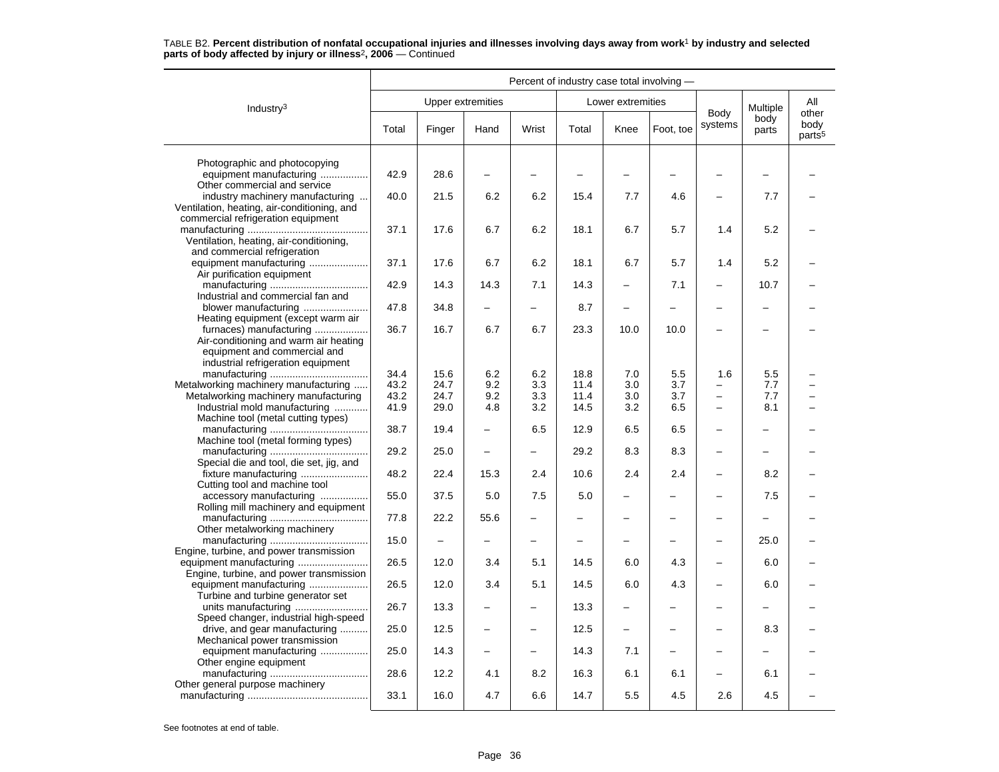|                                                                                                                                        | Percent of industry case total involving - |                   |                          |                          |              |                          |                          |                          |                          |                                     |
|----------------------------------------------------------------------------------------------------------------------------------------|--------------------------------------------|-------------------|--------------------------|--------------------------|--------------|--------------------------|--------------------------|--------------------------|--------------------------|-------------------------------------|
| Industry <sup>3</sup>                                                                                                                  |                                            | Upper extremities |                          |                          |              | Lower extremities        |                          |                          | Multiple                 | All                                 |
|                                                                                                                                        | Total                                      | Finger            | Hand                     | Wrist                    | Total        | Knee                     | Foot. toe                | Body<br>systems          | body<br>parts            | other<br>body<br>parts <sup>5</sup> |
| Photographic and photocopying<br>equipment manufacturing<br>Other commercial and service                                               | 42.9                                       | 28.6              |                          |                          |              |                          |                          |                          |                          |                                     |
| industry machinery manufacturing<br>Ventilation, heating, air-conditioning, and                                                        | 40.0                                       | 21.5              | 6.2                      | 6.2                      | 15.4         | 7.7                      | 4.6                      |                          | 7.7                      |                                     |
| commercial refrigeration equipment<br>Ventilation, heating, air-conditioning,<br>and commercial refrigeration                          | 37.1                                       | 17.6              | 6.7                      | 6.2                      | 18.1         | 6.7                      | 5.7                      | 1.4                      | 5.2                      |                                     |
| equipment manufacturing<br>Air purification equipment                                                                                  | 37.1                                       | 17.6              | 6.7                      | 6.2                      | 18.1         | 6.7                      | 5.7                      | 1.4                      | 5.2                      |                                     |
| Industrial and commercial fan and                                                                                                      | 42.9                                       | 14.3              | 14.3                     | 7.1                      | 14.3         | $\overline{\phantom{0}}$ | 7.1                      |                          | 10.7                     |                                     |
| blower manufacturing<br>Heating equipment (except warm air                                                                             | 47.8                                       | 34.8              | -                        |                          | 8.7          | —                        |                          |                          | -                        |                                     |
| furnaces) manufacturing<br>Air-conditioning and warm air heating<br>equipment and commercial and<br>industrial refrigeration equipment | 36.7                                       | 16.7              | 6.7                      | 6.7                      | 23.3         | 10.0                     | 10.0                     | $\overline{\phantom{0}}$ |                          |                                     |
| Metalworking machinery manufacturing                                                                                                   | 34.4<br>43.2                               | 15.6<br>24.7      | 6.2<br>9.2               | 6.2<br>3.3               | 18.8<br>11.4 | 7.0<br>3.0               | 5.5<br>3.7               | 1.6                      | 5.5<br>7.7               |                                     |
| Metalworking machinery manufacturing                                                                                                   | 43.2                                       | 24.7              | 9.2                      | 3.3                      | 11.4         | 3.0                      | 3.7                      | -                        | 7.7                      |                                     |
| Industrial mold manufacturing<br>Machine tool (metal cutting types)                                                                    | 41.9                                       | 29.0              | 4.8                      | 3.2                      | 14.5         | 3.2                      | 6.5                      | $\equiv$                 | 8.1                      |                                     |
| Machine tool (metal forming types)                                                                                                     | 38.7                                       | 19.4              |                          | 6.5                      | 12.9         | 6.5                      | 6.5                      |                          | —                        |                                     |
| Special die and tool, die set, jig, and                                                                                                | 29.2                                       | 25.0              | $\overline{\phantom{0}}$ | $\overline{\phantom{0}}$ | 29.2         | 8.3                      | 8.3                      | $\overline{\phantom{0}}$ | $\overline{\phantom{0}}$ |                                     |
| fixture manufacturing<br>Cutting tool and machine tool                                                                                 | 48.2                                       | 22.4              | 15.3                     | 2.4                      | 10.6         | 2.4                      | 2.4                      |                          | 8.2                      |                                     |
| accessory manufacturing<br>Rolling mill machinery and equipment                                                                        | 55.0                                       | 37.5              | 5.0                      | 7.5                      | 5.0          | -                        |                          |                          | 7.5                      |                                     |
| Other metalworking machinery                                                                                                           | 77.8                                       | 22.2              | 55.6                     | $\overline{\phantom{0}}$ |              | -                        |                          |                          | $\overline{\phantom{0}}$ |                                     |
| Engine, turbine, and power transmission                                                                                                | 15.0                                       |                   |                          | -                        |              |                          |                          |                          | 25.0                     |                                     |
| Engine, turbine, and power transmission                                                                                                | 26.5                                       | 12.0              | 3.4                      | 5.1                      | 14.5         | 6.0                      | 4.3                      |                          | 6.0                      |                                     |
| equipment manufacturing<br>Turbine and turbine generator set                                                                           | 26.5                                       | 12.0              | 3.4                      | 5.1                      | 14.5         | 6.0                      | 4.3                      |                          | 6.0                      |                                     |
| Speed changer, industrial high-speed                                                                                                   | 26.7                                       | 13.3              |                          |                          | 13.3         |                          |                          |                          |                          |                                     |
| drive, and gear manufacturing<br>Mechanical power transmission                                                                         | 25.0                                       | 12.5              | $\overline{\phantom{0}}$ | $\overline{\phantom{0}}$ | 12.5         | $\overline{\phantom{0}}$ | $\overline{\phantom{0}}$ | $\overline{\phantom{0}}$ | 8.3                      |                                     |
| equipment manufacturing<br>Other engine equipment                                                                                      | 25.0                                       | 14.3              | $\overline{a}$           |                          | 14.3         | 7.1                      |                          |                          |                          |                                     |
| Other general purpose machinery                                                                                                        | 28.6                                       | 12.2              | 4.1                      | 8.2                      | 16.3         | 6.1                      | 6.1                      |                          | 6.1                      |                                     |
|                                                                                                                                        | 33.1                                       | 16.0              | 4.7                      | 6.6                      | 14.7         | 5.5                      | 4.5                      | 2.6                      | 4.5                      |                                     |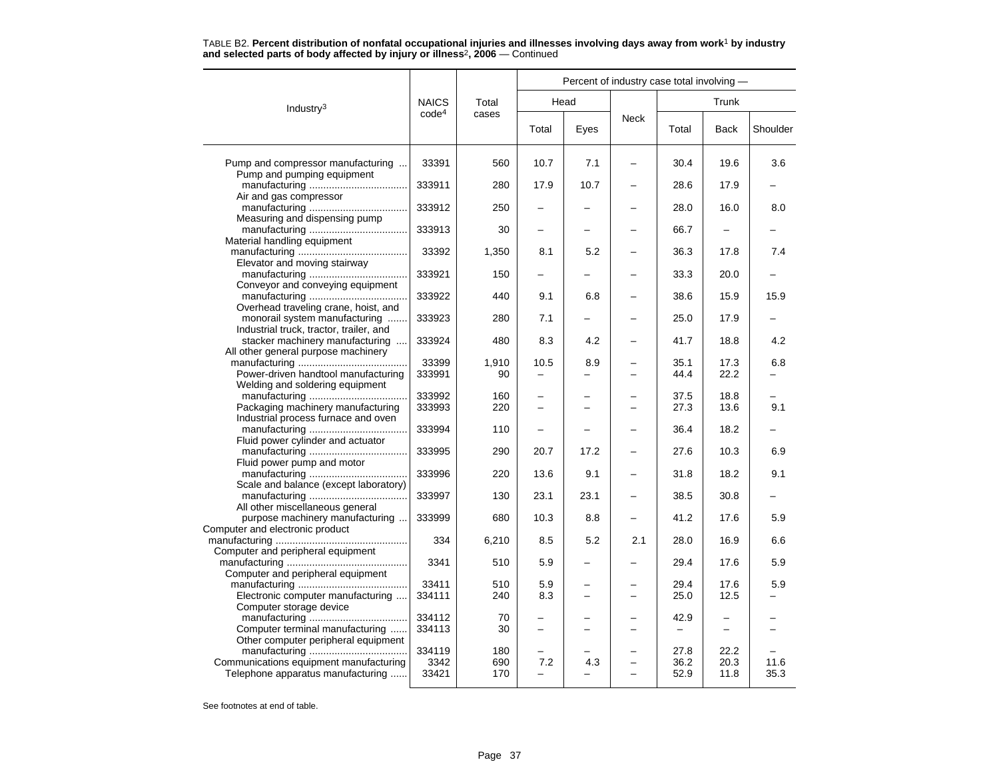|  |  |                                                                                          | TABLE B2. Percent distribution of nonfatal occupational injuries and illnesses involving days away from work <sup>1</sup> by industry |  |  |  |
|--|--|------------------------------------------------------------------------------------------|---------------------------------------------------------------------------------------------------------------------------------------|--|--|--|
|  |  | and selected parts of body affected by injury or illness <sup>2</sup> , 2006 – Continued |                                                                                                                                       |  |  |  |

|                                                                                                                    |                         |                   | Percent of industry case total involving - |                          |                          |                      |                          |              |  |  |  |
|--------------------------------------------------------------------------------------------------------------------|-------------------------|-------------------|--------------------------------------------|--------------------------|--------------------------|----------------------|--------------------------|--------------|--|--|--|
| Industry <sup>3</sup>                                                                                              | <b>NAICS</b>            | Total             | Head                                       |                          |                          |                      | Trunk                    |              |  |  |  |
|                                                                                                                    | code <sup>4</sup>       | cases             | Total                                      | Eyes                     | <b>Neck</b>              | Total                | <b>Back</b>              | Shoulder     |  |  |  |
| Pump and compressor manufacturing<br>Pump and pumping equipment                                                    | 33391                   | 560               | 10.7                                       | 7.1                      |                          | 30.4                 | 19.6                     | 3.6          |  |  |  |
| Air and gas compressor                                                                                             | 333911                  | 280               | 17.9                                       | 10.7                     |                          | 28.6                 | 17.9                     |              |  |  |  |
| Measuring and dispensing pump                                                                                      | 333912                  | 250               | $\overline{\phantom{0}}$                   | -                        | $\overline{\phantom{0}}$ | 28.0                 | 16.0                     | 8.0          |  |  |  |
| Material handling equipment                                                                                        | 333913                  | 30                |                                            |                          |                          | 66.7                 |                          |              |  |  |  |
| Elevator and moving stairway                                                                                       | 33392                   | 1,350             | 8.1                                        | 5.2                      |                          | 36.3                 | 17.8                     | 7.4          |  |  |  |
| Conveyor and conveying equipment                                                                                   | 333921                  | 150               |                                            |                          |                          | 33.3                 | 20.0                     |              |  |  |  |
| Overhead traveling crane, hoist, and                                                                               | 333922                  | 440               | 9.1                                        | 6.8                      |                          | 38.6                 | 15.9                     | 15.9         |  |  |  |
| monorail system manufacturing<br>Industrial truck, tractor, trailer, and                                           | 333923                  | 280               | 7.1                                        |                          |                          | 25.0                 | 17.9                     |              |  |  |  |
| stacker machinery manufacturing<br>All other general purpose machinery                                             | 333924                  | 480               | 8.3                                        | 4.2                      |                          | 41.7                 | 18.8                     | 4.2          |  |  |  |
| Power-driven handtool manufacturing<br>Welding and soldering equipment                                             | 33399<br>333991         | 1,910<br>90       | 10.5                                       | 8.9                      |                          | 35.1<br>44.4         | 17.3<br>22.2             | 6.8          |  |  |  |
| Packaging machinery manufacturing                                                                                  | 333992<br>333993        | 160<br>220        |                                            |                          |                          | 37.5<br>27.3         | 18.8<br>13.6             | 9.1          |  |  |  |
| Industrial process furnace and oven<br>Fluid power cylinder and actuator                                           | 333994                  | 110               |                                            |                          |                          | 36.4                 | 18.2                     |              |  |  |  |
| Fluid power pump and motor                                                                                         | 333995                  | 290               | 20.7                                       | 17.2                     | $\overline{\phantom{0}}$ | 27.6                 | 10.3                     | 6.9          |  |  |  |
| Scale and balance (except laboratory)                                                                              | 333996                  | 220               | 13.6                                       | 9.1                      |                          | 31.8                 | 18.2                     | 9.1          |  |  |  |
| All other miscellaneous general                                                                                    | 333997                  | 130               | 23.1                                       | 23.1                     |                          | 38.5                 | 30.8                     |              |  |  |  |
| purpose machinery manufacturing<br>Computer and electronic product                                                 | 333999                  | 680               | 10.3                                       | 8.8                      | —                        | 41.2                 | 17.6                     | 5.9          |  |  |  |
| Computer and peripheral equipment                                                                                  | 334                     | 6,210             | 8.5                                        | 5.2                      | 2.1                      | 28.0                 | 16.9                     | 6.6          |  |  |  |
| Computer and peripheral equipment                                                                                  | 3341                    | 510               | 5.9                                        |                          |                          | 29.4                 | 17.6                     | 5.9          |  |  |  |
| Electronic computer manufacturing                                                                                  | 33411<br>334111         | 510<br>240        | 5.9<br>8.3                                 | $\overline{\phantom{0}}$ | $\overline{\phantom{0}}$ | 29.4<br>25.0         | 17.6<br>12.5             | 5.9          |  |  |  |
| Computer storage device<br>Computer terminal manufacturing                                                         | 334112<br>334113        | 70<br>30          | $\overline{\phantom{0}}$                   |                          | $\overline{\phantom{0}}$ | 42.9                 | $\overline{\phantom{0}}$ |              |  |  |  |
| Other computer peripheral equipment<br>Communications equipment manufacturing<br>Telephone apparatus manufacturing | 334119<br>3342<br>33421 | 180<br>690<br>170 | 7.2                                        | 4.3                      | $\overline{\phantom{0}}$ | 27.8<br>36.2<br>52.9 | 22.2<br>20.3<br>11.8     | 11.6<br>35.3 |  |  |  |
|                                                                                                                    |                         |                   |                                            |                          |                          |                      |                          |              |  |  |  |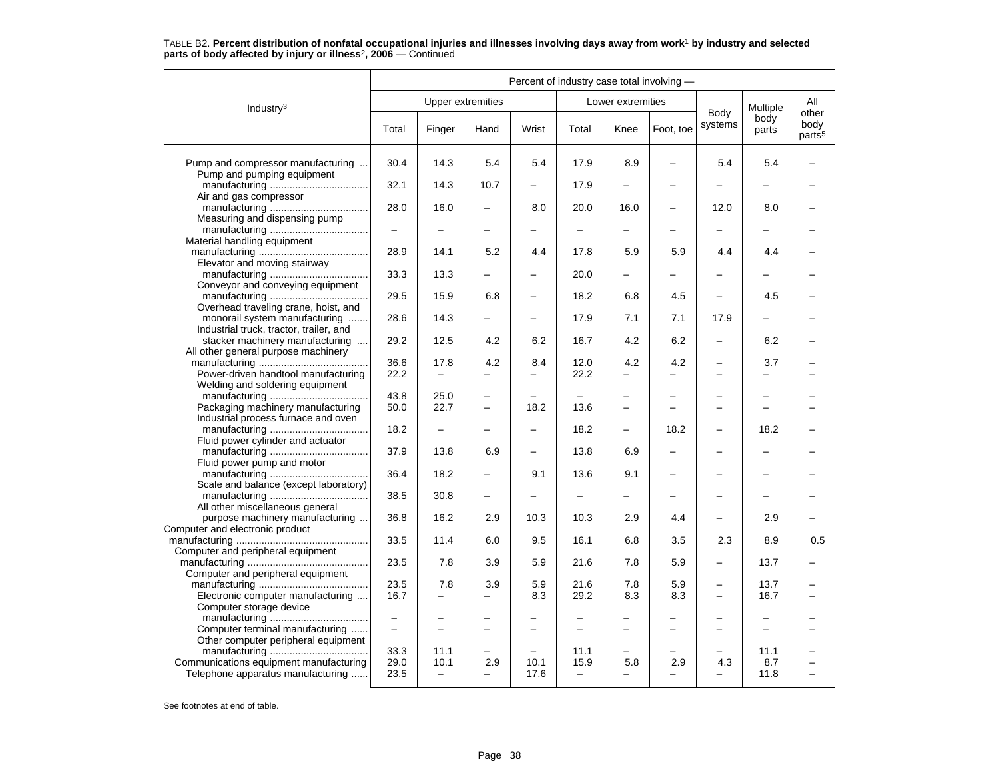|                                                                                                                    | Percent of industry case total involving -    |                                          |                                                      |                   |                                                      |                               |                                 |                                                      |                                               |                                     |  |
|--------------------------------------------------------------------------------------------------------------------|-----------------------------------------------|------------------------------------------|------------------------------------------------------|-------------------|------------------------------------------------------|-------------------------------|---------------------------------|------------------------------------------------------|-----------------------------------------------|-------------------------------------|--|
| Industry $3$                                                                                                       |                                               | <b>Upper extremities</b>                 |                                                      |                   |                                                      | Lower extremities             |                                 |                                                      | Multiple                                      | All                                 |  |
|                                                                                                                    | Total                                         | Finger                                   | Hand                                                 | Wrist             | Total                                                | Knee                          | Foot, toe                       | Body<br>systems                                      | body<br>parts                                 | other<br>body<br>parts <sup>5</sup> |  |
| Pump and compressor manufacturing<br>Pump and pumping equipment                                                    | 30.4                                          | 14.3                                     | 5.4                                                  | 5.4               | 17.9                                                 | 8.9                           |                                 | 5.4                                                  | 5.4                                           |                                     |  |
| Air and gas compressor                                                                                             | 32.1                                          | 14.3                                     | 10.7                                                 | -                 | 17.9                                                 | -                             | $\overline{\phantom{0}}$        |                                                      | $\overline{\phantom{0}}$                      |                                     |  |
| Measuring and dispensing pump                                                                                      | 28.0                                          | 16.0                                     |                                                      | 8.0               | 20.0                                                 | 16.0                          | $\overline{\phantom{0}}$        | 12.0                                                 | 8.0                                           |                                     |  |
| Material handling equipment                                                                                        |                                               |                                          |                                                      |                   |                                                      |                               |                                 |                                                      |                                               |                                     |  |
| Elevator and moving stairway                                                                                       | 28.9                                          | 14.1                                     | 5.2                                                  | 4.4               | 17.8                                                 | 5.9                           | 5.9                             | 4.4                                                  | 4.4                                           |                                     |  |
| Conveyor and conveying equipment                                                                                   | 33.3                                          | 13.3                                     |                                                      | -                 | 20.0                                                 | -                             |                                 |                                                      | $\overline{\phantom{0}}$                      |                                     |  |
| Overhead traveling crane, hoist, and                                                                               | 29.5                                          | 15.9                                     | 6.8                                                  | -                 | 18.2                                                 | 6.8                           | 4.5                             | $\overline{\phantom{m}}$                             | 4.5                                           |                                     |  |
| monorail system manufacturing<br>Industrial truck, tractor, trailer, and                                           | 28.6                                          | 14.3                                     |                                                      | L.                | 17.9                                                 | 7.1                           | 7.1                             | 17.9                                                 |                                               |                                     |  |
| stacker machinery manufacturing<br>All other general purpose machinery                                             | 29.2                                          | 12.5                                     | 4.2                                                  | 6.2               | 16.7                                                 | 4.2                           | 6.2                             | $\overline{\phantom{0}}$                             | 6.2                                           |                                     |  |
| Power-driven handtool manufacturing                                                                                | 36.6<br>22.2                                  | 17.8<br>$\overline{\phantom{0}}$         | 4.2                                                  | 8.4<br>-          | 12.0<br>22.2                                         | 4.2                           | 4.2<br>$\overline{\phantom{0}}$ | $\overline{\phantom{0}}$<br>$\overline{\phantom{0}}$ | 3.7<br>$\overline{\phantom{0}}$               |                                     |  |
| Welding and soldering equipment                                                                                    | 43.8                                          | 25.0                                     | $\overline{\phantom{0}}$                             |                   |                                                      | $\overline{\phantom{0}}$      |                                 | $\overline{\phantom{0}}$                             | $\overline{\phantom{0}}$                      |                                     |  |
| Packaging machinery manufacturing<br>Industrial process furnace and oven                                           | 50.0                                          | 22.7                                     | $\overline{\phantom{0}}$                             | 18.2              | 13.6                                                 | -                             | -                               | $\overline{\phantom{0}}$                             | $\overline{\phantom{0}}$                      |                                     |  |
| Fluid power cylinder and actuator                                                                                  | 18.2                                          | $\overline{\phantom{0}}$                 |                                                      |                   | 18.2                                                 | $\overline{\phantom{0}}$      | 18.2                            | $\overline{\phantom{m}}$                             | 18.2                                          |                                     |  |
| Fluid power pump and motor                                                                                         | 37.9                                          | 13.8                                     | 6.9                                                  | -                 | 13.8                                                 | 6.9                           | $\overline{\phantom{0}}$        |                                                      |                                               |                                     |  |
| Scale and balance (except laboratory)                                                                              | 36.4                                          | 18.2                                     | $\overline{\phantom{0}}$                             | 9.1               | 13.6                                                 | 9.1                           | $\overline{\phantom{0}}$        |                                                      | $\overline{\phantom{0}}$                      |                                     |  |
| All other miscellaneous general                                                                                    | 38.5                                          | 30.8                                     | -                                                    | -                 |                                                      | -                             |                                 |                                                      |                                               |                                     |  |
| purpose machinery manufacturing<br>Computer and electronic product                                                 | 36.8                                          | 16.2                                     | 2.9                                                  | 10.3              | 10.3                                                 | 2.9                           | 4.4                             |                                                      | 2.9                                           |                                     |  |
| Computer and peripheral equipment                                                                                  | 33.5                                          | 11.4                                     | 6.0                                                  | 9.5               | 16.1                                                 | 6.8                           | 3.5                             | 2.3                                                  | 8.9                                           | 0.5                                 |  |
| Computer and peripheral equipment                                                                                  | 23.5                                          | 7.8                                      | 3.9                                                  | 5.9               | 21.6                                                 | 7.8                           | 5.9                             | $\overline{\phantom{0}}$                             | 13.7                                          |                                     |  |
| Electronic computer manufacturing                                                                                  | 23.5<br>16.7                                  | 7.8<br>$\overline{\phantom{0}}$          | 3.9<br>-                                             | 5.9<br>8.3        | 21.6<br>29.2                                         | 7.8<br>8.3                    | 5.9<br>8.3                      | $\overline{\phantom{0}}$<br>$\overline{\phantom{m}}$ | 13.7<br>16.7                                  |                                     |  |
| Computer storage device<br>Computer terminal manufacturing                                                         | $\overline{\phantom{0}}$<br>$\qquad \qquad -$ | $\overline{\phantom{0}}$                 | $\overline{\phantom{0}}$<br>$\overline{\phantom{0}}$ | -                 | $\overline{\phantom{m}}$<br>$\overline{\phantom{m}}$ | $\overline{\phantom{0}}$<br>- | -                               | $\overline{\phantom{0}}$<br>$\overline{\phantom{0}}$ | $\overline{\phantom{0}}$<br>$\qquad \qquad -$ |                                     |  |
| Other computer peripheral equipment<br>Communications equipment manufacturing<br>Telephone apparatus manufacturing | 33.3<br>29.0<br>23.5                          | 11.1<br>10.1<br>$\overline{\phantom{a}}$ | -<br>2.9                                             | -<br>10.1<br>17.6 | 11.1<br>15.9<br>$\overline{\phantom{0}}$             | 5.8                           | 2.9                             | $\equiv$<br>4.3<br>$\qquad \qquad$                   | 11.1<br>8.7<br>11.8                           |                                     |  |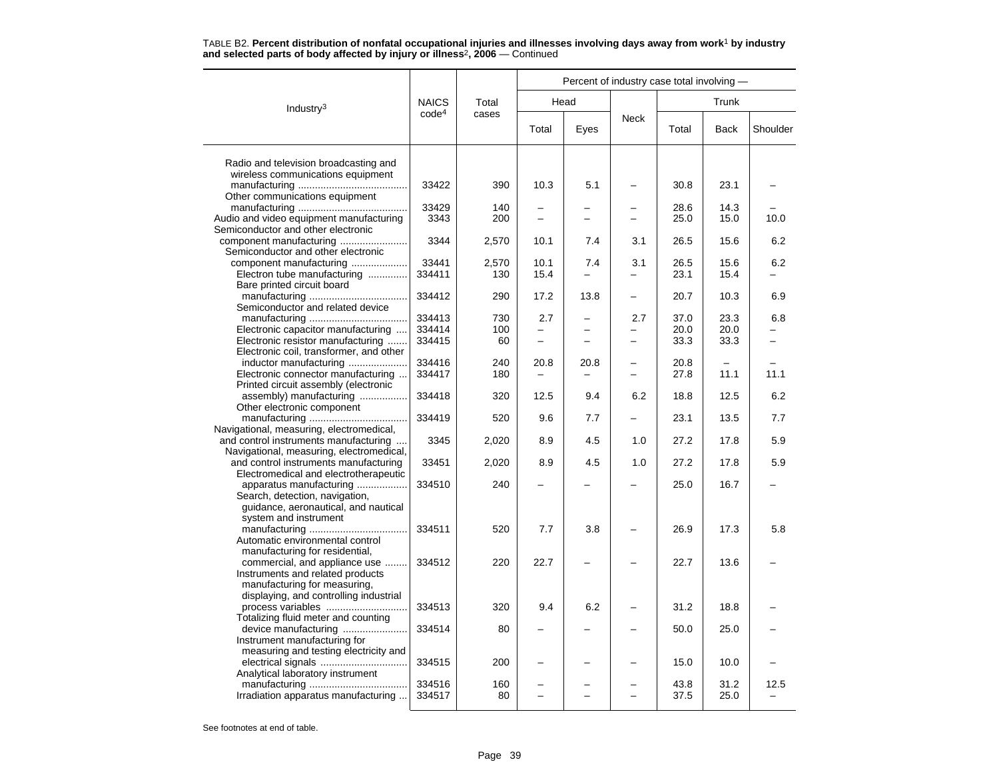|                                                                 |                   |           | Percent of industry case total involving - |      |                          |              |              |                                  |  |  |
|-----------------------------------------------------------------|-------------------|-----------|--------------------------------------------|------|--------------------------|--------------|--------------|----------------------------------|--|--|
| Industry <sup>3</sup>                                           | <b>NAICS</b>      | Total     |                                            | Head |                          |              | Trunk        |                                  |  |  |
|                                                                 | code <sup>4</sup> | cases     | Total                                      | Eyes | <b>Neck</b>              | Total        | <b>Back</b>  | Shoulder                         |  |  |
| Radio and television broadcasting and                           |                   |           |                                            |      |                          |              |              |                                  |  |  |
| wireless communications equipment                               |                   |           |                                            |      |                          |              |              |                                  |  |  |
|                                                                 | 33422             | 390       | 10.3                                       | 5.1  |                          | 30.8         | 23.1         |                                  |  |  |
| Other communications equipment                                  |                   |           |                                            |      |                          |              |              |                                  |  |  |
|                                                                 | 33429             | 140       |                                            |      |                          | 28.6         | 14.3         |                                  |  |  |
| Audio and video equipment manufacturing                         | 3343              | 200       | -                                          |      |                          | 25.0         | 15.0         | 10.0                             |  |  |
| Semiconductor and other electronic                              |                   |           |                                            |      |                          |              |              |                                  |  |  |
|                                                                 | 3344              | 2,570     | 10.1                                       | 7.4  | 3.1                      | 26.5         | 15.6         | 6.2                              |  |  |
| Semiconductor and other electronic<br>component manufacturing   | 33441             | 2,570     | 10.1                                       | 7.4  | 3.1                      | 26.5         | 15.6         | 6.2                              |  |  |
| Electron tube manufacturing                                     | 334411            | 130       | 15.4                                       |      |                          | 23.1         | 15.4         |                                  |  |  |
| Bare printed circuit board                                      |                   |           |                                            |      |                          |              |              |                                  |  |  |
|                                                                 | 334412            | 290       | 17.2                                       | 13.8 |                          | 20.7         | 10.3         | 6.9                              |  |  |
| Semiconductor and related device                                |                   |           |                                            |      |                          |              |              |                                  |  |  |
|                                                                 | 334413            | 730       | 2.7                                        |      | 2.7                      | 37.0         | 23.3         | 6.8                              |  |  |
| Electronic capacitor manufacturing                              | 334414            | 100       | ▃                                          |      |                          | 20.0         | 20.0         |                                  |  |  |
| Electronic resistor manufacturing                               | 334415            | 60        | $\overline{a}$                             |      | $\overline{\phantom{0}}$ | 33.3         | 33.3         |                                  |  |  |
| Electronic coil, transformer, and other                         |                   |           |                                            |      |                          |              |              |                                  |  |  |
| inductor manufacturing                                          | 334416            | 240       | 20.8                                       | 20.8 | -                        | 20.8         |              |                                  |  |  |
| Electronic connector manufacturing                              | 334417            | 180       |                                            |      |                          | 27.8         | 11.1         | 11.1                             |  |  |
| Printed circuit assembly (electronic                            |                   |           |                                            |      |                          |              |              |                                  |  |  |
| assembly) manufacturing                                         | 334418            | 320       | 12.5                                       | 9.4  | 6.2                      | 18.8         | 12.5         | 6.2                              |  |  |
| Other electronic component                                      | 334419            | 520       | 9.6                                        | 7.7  | $\overline{\phantom{0}}$ | 23.1         | 13.5         | 7.7                              |  |  |
| Navigational, measuring, electromedical,                        |                   |           |                                            |      |                          |              |              |                                  |  |  |
| and control instruments manufacturing                           | 3345              | 2,020     | 8.9                                        | 4.5  | 1.0                      | 27.2         | 17.8         | 5.9                              |  |  |
| Navigational, measuring, electromedical,                        |                   |           |                                            |      |                          |              |              |                                  |  |  |
| and control instruments manufacturing                           | 33451             | 2,020     | 8.9                                        | 4.5  | 1.0                      | 27.2         | 17.8         | 5.9                              |  |  |
| Electromedical and electrotherapeutic                           |                   |           |                                            |      |                          |              |              |                                  |  |  |
| apparatus manufacturing                                         | 334510            | 240       |                                            |      |                          | 25.0         | 16.7         |                                  |  |  |
| Search, detection, navigation,                                  |                   |           |                                            |      |                          |              |              |                                  |  |  |
| guidance, aeronautical, and nautical                            |                   |           |                                            |      |                          |              |              |                                  |  |  |
| system and instrument                                           |                   |           |                                            |      |                          |              |              |                                  |  |  |
|                                                                 | 334511            | 520       | 7.7                                        | 3.8  |                          | 26.9         | 17.3         | 5.8                              |  |  |
| Automatic environmental control                                 |                   |           |                                            |      |                          |              |              |                                  |  |  |
| manufacturing for residential,<br>commercial, and appliance use | 334512            | 220       | 22.7                                       |      |                          | 22.7         | 13.6         |                                  |  |  |
| Instruments and related products                                |                   |           |                                            |      |                          |              |              |                                  |  |  |
| manufacturing for measuring,                                    |                   |           |                                            |      |                          |              |              |                                  |  |  |
| displaying, and controlling industrial                          |                   |           |                                            |      |                          |              |              |                                  |  |  |
| process variables                                               | 334513            | 320       | 9.4                                        | 6.2  |                          | 31.2         | 18.8         |                                  |  |  |
| Totalizing fluid meter and counting                             |                   |           |                                            |      |                          |              |              |                                  |  |  |
| device manufacturing                                            | 334514            | 80        |                                            |      |                          | 50.0         | 25.0         |                                  |  |  |
| Instrument manufacturing for                                    |                   |           |                                            |      |                          |              |              |                                  |  |  |
| measuring and testing electricity and                           |                   |           |                                            |      |                          |              |              |                                  |  |  |
| electrical signals                                              | 334515            | 200       |                                            |      |                          | 15.0         | 10.0         |                                  |  |  |
| Analytical laboratory instrument                                |                   |           |                                            |      |                          |              |              |                                  |  |  |
| Irradiation apparatus manufacturing                             | 334516<br>334517  | 160<br>80 |                                            |      |                          | 43.8<br>37.5 | 31.2<br>25.0 | 12.5<br>$\overline{\phantom{0}}$ |  |  |
|                                                                 |                   |           |                                            |      |                          |              |              |                                  |  |  |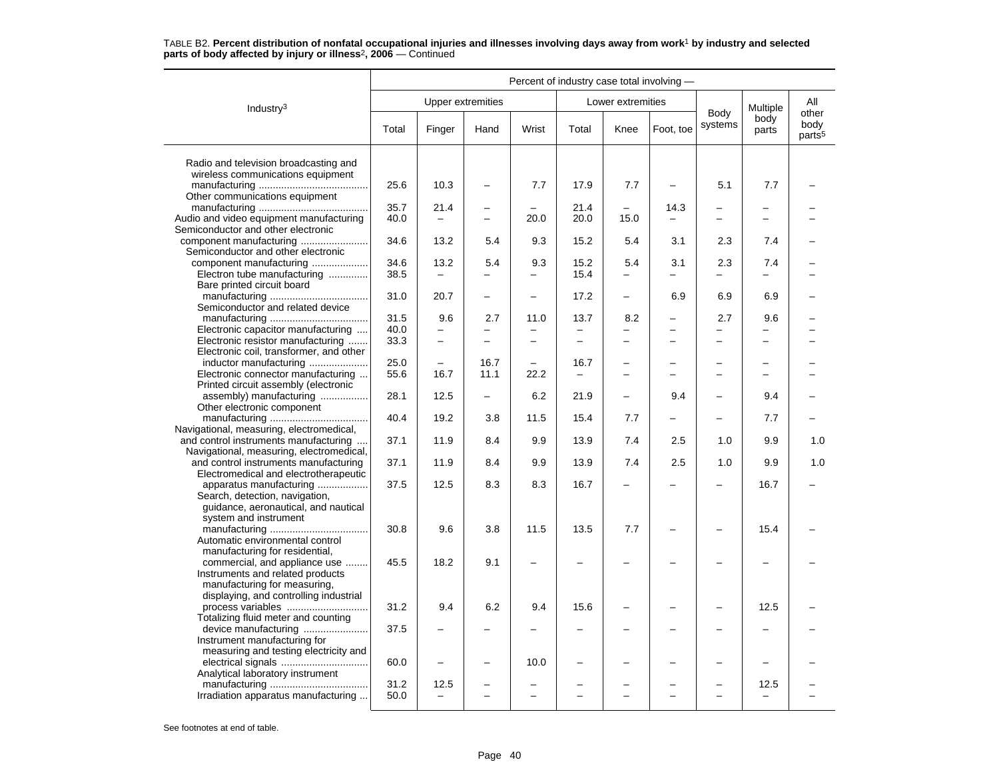|                                                                                                           | Percent of industry case total involving - |                 |                                 |                          |                                  |                                 |                                 |                                 |                 |                                     |  |  |
|-----------------------------------------------------------------------------------------------------------|--------------------------------------------|-----------------|---------------------------------|--------------------------|----------------------------------|---------------------------------|---------------------------------|---------------------------------|-----------------|-------------------------------------|--|--|
| Industry $3$                                                                                              |                                            |                 | <b>Upper extremities</b>        |                          |                                  | Lower extremities               |                                 |                                 | Multiple        | All                                 |  |  |
|                                                                                                           | Total                                      | Finger          | Hand                            | Wrist                    | Total                            | Knee                            | Foot, toe                       | Body<br>systems                 | body<br>parts   | other<br>body<br>parts <sup>5</sup> |  |  |
| Radio and television broadcasting and<br>wireless communications equipment                                |                                            |                 |                                 |                          |                                  |                                 |                                 |                                 |                 |                                     |  |  |
| Other communications equipment                                                                            | 25.6                                       | 10.3            |                                 | 7.7                      | 17.9                             | 7.7                             | $\overline{\phantom{a}}$        | 5.1                             | 7.7             |                                     |  |  |
| Audio and video equipment manufacturing<br>Semiconductor and other electronic                             | 35.7<br>40.0                               | 21.4            | -                               | 20.0                     | 21.4<br>20.0                     | 15.0                            | 14.3                            |                                 | $\equiv$        |                                     |  |  |
| Semiconductor and other electronic                                                                        | 34.6                                       | 13.2            | 5.4                             | 9.3                      | 15.2                             | 5.4                             | 3.1                             | 2.3                             | 7.4             |                                     |  |  |
| component manufacturing<br>Electron tube manufacturing<br>Bare printed circuit board                      | 34.6<br>38.5                               | 13.2            | 5.4                             | 9.3<br>-                 | 15.2<br>15.4                     | 5.4<br>$\overline{\phantom{0}}$ | 3.1<br>$\overline{\phantom{0}}$ | 2.3                             | 7.4<br>$\equiv$ |                                     |  |  |
| Semiconductor and related device                                                                          | 31.0                                       | 20.7            | $\overline{\phantom{0}}$        | $\overline{\phantom{0}}$ | 17.2                             | $\overline{\phantom{0}}$        | 6.9                             | 6.9                             | 6.9             |                                     |  |  |
| Electronic capacitor manufacturing                                                                        | 31.5<br>40.0                               | 9.6<br>$\equiv$ | 2.7<br>$\overline{\phantom{0}}$ | 11.0<br>$\equiv$         | 13.7                             | 8.2<br>$\overline{\phantom{0}}$ | $\overline{\phantom{0}}$        | 2.7<br>$\overline{\phantom{0}}$ | 9.6<br>$\equiv$ |                                     |  |  |
| Electronic resistor manufacturing<br>Electronic coil, transformer, and other                              | 33.3                                       | $\overline{a}$  | $\overline{a}$                  | $\overline{\phantom{0}}$ | $\overline{\phantom{0}}$         | $\overline{\phantom{0}}$        |                                 | $\overline{\phantom{0}}$        | $\equiv$        |                                     |  |  |
| inductor manufacturing<br>Electronic connector manufacturing<br>Printed circuit assembly (electronic      | 25.0<br>55.6                               | 16.7            | 16.7<br>11.1                    | -<br>22.2                | 16.7<br>$\overline{\phantom{m}}$ | $\overline{\phantom{0}}$        |                                 | $\overline{\phantom{0}}$        | -               |                                     |  |  |
| assembly) manufacturing<br>Other electronic component                                                     | 28.1                                       | 12.5            |                                 | 6.2                      | 21.9                             | $\overline{\phantom{0}}$        | 9.4                             | $\overline{\phantom{0}}$        | 9.4             |                                     |  |  |
| Navigational, measuring, electromedical,                                                                  | 40.4                                       | 19.2            | 3.8                             | 11.5                     | 15.4                             | 7.7                             | $\overline{\phantom{0}}$        |                                 | 7.7             |                                     |  |  |
| and control instruments manufacturing<br>Navigational, measuring, electromedical,                         | 37.1<br>37.1                               | 11.9<br>11.9    | 8.4<br>8.4                      | 9.9<br>9.9               | 13.9<br>13.9                     | 7.4<br>7.4                      | 2.5<br>2.5                      | 1.0<br>1.0                      | 9.9<br>9.9      | 1.0<br>1.0                          |  |  |
| and control instruments manufacturing<br>Electromedical and electrotherapeutic<br>apparatus manufacturing | 37.5                                       | 12.5            | 8.3                             | 8.3                      | 16.7                             |                                 |                                 |                                 | 16.7            |                                     |  |  |
| Search, detection, navigation,<br>guidance, aeronautical, and nautical<br>system and instrument           |                                            |                 |                                 |                          |                                  |                                 |                                 |                                 |                 |                                     |  |  |
| Automatic environmental control<br>manufacturing for residential,                                         | 30.8                                       | 9.6             | 3.8                             | 11.5                     | 13.5                             | 7.7                             |                                 |                                 | 15.4            |                                     |  |  |
| commercial, and appliance use<br>Instruments and related products<br>manufacturing for measuring,         | 45.5                                       | 18.2            | 9.1                             | -                        |                                  |                                 |                                 |                                 |                 |                                     |  |  |
| displaying, and controlling industrial<br>process variables<br>Totalizing fluid meter and counting        | 31.2                                       | 9.4             | 6.2                             | 9.4                      | 15.6                             |                                 |                                 |                                 | 12.5            |                                     |  |  |
| device manufacturing<br>Instrument manufacturing for                                                      | 37.5                                       |                 |                                 |                          |                                  |                                 |                                 |                                 |                 |                                     |  |  |
| measuring and testing electricity and<br>Analytical laboratory instrument                                 | 60.0                                       |                 |                                 | 10.0                     |                                  |                                 |                                 |                                 |                 |                                     |  |  |
| Irradiation apparatus manufacturing                                                                       | 31.2<br>50.0                               | 12.5            | $\overline{\phantom{0}}$        | $\overline{\phantom{0}}$ |                                  | $\equiv$                        | ÷                               | $\overline{\phantom{0}}$        | 12.5            |                                     |  |  |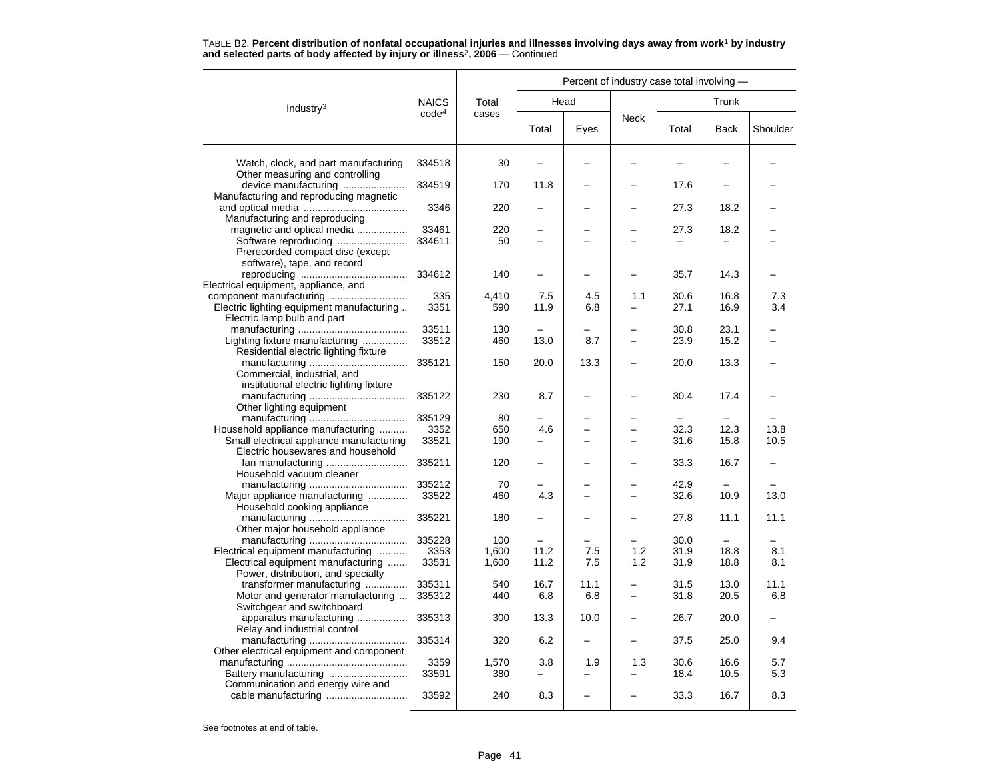|                                                                                                                |                         |                       | Percent of industry case total involving - |                          |                          |                      |              |              |  |  |
|----------------------------------------------------------------------------------------------------------------|-------------------------|-----------------------|--------------------------------------------|--------------------------|--------------------------|----------------------|--------------|--------------|--|--|
| Industry <sup>3</sup>                                                                                          | <b>NAICS</b>            | Total                 |                                            | Head                     |                          | Trunk                |              |              |  |  |
|                                                                                                                | code <sup>4</sup>       | cases                 | Total                                      | Eyes                     | <b>Neck</b>              | Total                | <b>Back</b>  | Shoulder     |  |  |
| Watch, clock, and part manufacturing<br>Other measuring and controlling                                        | 334518                  | 30                    |                                            |                          |                          |                      |              |              |  |  |
| device manufacturing<br>Manufacturing and reproducing magnetic                                                 | 334519                  | 170                   | 11.8                                       |                          |                          | 17.6                 |              |              |  |  |
| Manufacturing and reproducing                                                                                  | 3346                    | 220                   |                                            |                          |                          | 27.3                 | 18.2         |              |  |  |
| magnetic and optical media<br>Software reproducing                                                             | 33461<br>334611         | 220<br>50             |                                            |                          |                          | 27.3                 | 18.2         |              |  |  |
| Prerecorded compact disc (except<br>software), tape, and record                                                |                         |                       |                                            |                          |                          |                      |              |              |  |  |
| Electrical equipment, appliance, and                                                                           | 334612                  | 140                   |                                            |                          |                          | 35.7                 | 14.3         |              |  |  |
| Electric lighting equipment manufacturing<br>Electric lamp bulb and part                                       | 335<br>3351             | 4,410<br>590          | 7.5<br>11.9                                | 4.5<br>6.8               | 1.1                      | 30.6<br>27.1         | 16.8<br>16.9 | 7.3<br>3.4   |  |  |
| Lighting fixture manufacturing<br>Residential electric lighting fixture                                        | 33511<br>33512          | 130<br>460            | 13.0                                       | 8.7                      | $\overline{\phantom{0}}$ | 30.8<br>23.9         | 23.1<br>15.2 |              |  |  |
| Commercial, industrial, and                                                                                    | 335121                  | 150                   | 20.0                                       | 13.3                     |                          | 20.0                 | 13.3         |              |  |  |
| institutional electric lighting fixture<br>Other lighting equipment                                            | 335122                  | 230                   | 8.7                                        |                          |                          | 30.4                 | 17.4         |              |  |  |
| Household appliance manufacturing<br>Small electrical appliance manufacturing                                  | 335129<br>3352<br>33521 | 80<br>650<br>190      | 4.6                                        |                          |                          | 32.3<br>31.6         | 12.3<br>15.8 | 13.8<br>10.5 |  |  |
| Electric housewares and household<br>Household vacuum cleaner                                                  | 335211                  | 120                   |                                            |                          |                          | 33.3                 | 16.7         |              |  |  |
| Major appliance manufacturing<br>Household cooking appliance                                                   | 335212<br>33522         | 70<br>460             | 4.3                                        |                          |                          | 42.9<br>32.6         | 10.9         | 13.0         |  |  |
| Other major household appliance                                                                                | 335221                  | 180                   |                                            |                          |                          | 27.8                 | 11.1         | 11.1         |  |  |
| Electrical equipment manufacturing<br>Electrical equipment manufacturing<br>Power, distribution, and specialty | 335228<br>3353<br>33531 | 100<br>1,600<br>1,600 | 11.2<br>11.2                               | 7.5<br>7.5               | 1.2<br>1.2               | 30.0<br>31.9<br>31.9 | 18.8<br>18.8 | 8.1<br>8.1   |  |  |
| transformer manufacturing<br>Motor and generator manufacturing<br>Switchgear and switchboard                   | 335311<br>335312        | 540<br>440            | 16.7<br>6.8                                | 11.1<br>6.8              | -                        | 31.5<br>31.8         | 13.0<br>20.5 | 11.1<br>6.8  |  |  |
| apparatus manufacturing<br>Relay and industrial control                                                        | 335313                  | 300                   | 13.3                                       | 10.0                     |                          | 26.7                 | 20.0         |              |  |  |
| Other electrical equipment and component                                                                       | 335314                  | 320                   | 6.2                                        | $\overline{\phantom{0}}$ |                          | 37.5                 | 25.0         | 9.4          |  |  |
|                                                                                                                | 3359<br>33591           | 1,570<br>380          | 3.8                                        | 1.9                      | 1.3                      | 30.6<br>18.4         | 16.6<br>10.5 | 5.7<br>5.3   |  |  |
| Communication and energy wire and                                                                              | 33592                   | 240                   | 8.3                                        |                          |                          | 33.3                 | 16.7         | 8.3          |  |  |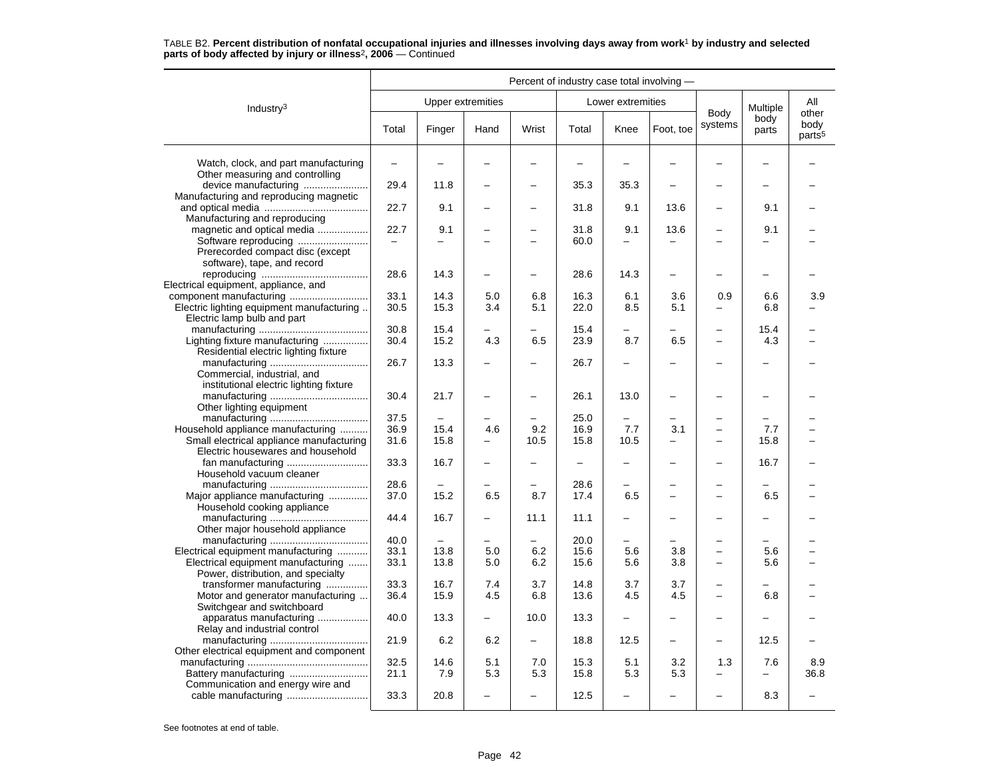#### Industry3 Percent of industry case total involving — Upper extremities **Lower** extremities Body systems Multiple body parts Allotherbody<br>parts<sup>5</sup> Total Finger Hand Wrist Total Knee Foot, toe Systems parts pour Watch, clock, and part manufacturing  $\begin{vmatrix} - & \ - & \ - & \ - & \ \end{vmatrix}$  -  $\begin{vmatrix} - & \ - & \ \end{vmatrix}$  -  $\begin{vmatrix} - & \ - & \ \end{vmatrix}$  -  $\begin{vmatrix} - & \ - & \ \end{vmatrix}$  -  $\begin{vmatrix} - & \ - & \ \end{vmatrix}$ Other measuring and controlling device manufacturing ....................... 29.4 11.8 – – 35.3 35.3 – – – – Manufacturing and reproducing magnetic and optical media ..................................... 22.7 9.1 – – 31.8 9.1 13.6 – 9.1 – Manufacturing and reproducing magnetic and optical media .................. 22.7 9.1 – – 31.8 9.1 13.6 – 9.1 – Software reproducing ......................... – – – – 60.0 – – – – – Prerecorded compact disc (except software), tape, and record reproducing ...................................... 28.6 14.3 – – 28.6 14.3 – – – – Electrical equipment, appliance, and component manufacturing ............................ 33.1 14.3 5.0 6.8 16.3 6.1 3.6 0.9 6.6 3.9 Electric lighting equipment manufacturing  $\vert$  3.0.5 | 15.3 | 3.4 | 5.1 | 22.0 | 8.5 | 5.1 | – | 6.8 | – Electric lamp bulb and part manufacturing ....................................... 30.8 15.4 – – 15.4 – – – 15.4 – Lighting fixture manufacturing  $\ldots$  $\ldots$  $\ldots$  $\ldots$  30.4 | 15.2 | 4.3 | 6.5 | 23.9 | 8.7 | 6.5 | - | 4.3 | -Residential electric lighting fixture manufacturing ................................... 26.7 13.3 – – 26.7 – – – – – Commercial, industrial, and institutional electric lighting fixture manufacturing ................................... 30.4 21.7 – – 26.1 13.0 – – – – Other lighting equipment manufacturing ................................... 37.5 – – – 25.0 – – – – – Household appliance manufacturing .......... 36.9 15.4 4.6 9.2 16.9 7.7 3.1 – 7.7 – Small electrical appliance manufacturing 31.6 15.8 – 10.5 15.8 10.5 – – 15.8 – Electric housewares and household fan manufacturing ............................. 33.3 16.7 – – – – – – 16.7 – Household vacuum cleanermanufacturing ................................... 28.6 – – – 28.6 – – – – –

Major appliance manufacturing ............... 37.0 | 15.2 | 6.5 | 8.7 | 17.4 | 6.5 | – | – | 6.5 | –

manufacturing ................................... 44.4 16.7 – 11.1 11.1 – – – – –

manufacturing ................................... 40.0 – – – 20.0 – – – – – Electrical equipment manufacturing ........... 33.1 13.8 5.0 6.2 15.6 5.6 3.8 – 5.6 – Electrical equipment manufacturing ....... 33.1 13.8 5.0 6.2 15.6 5.6 3.8 – 5.6 –

transformer manufacturing ............... 33.3 16.7 7.4 3.7 14.8 3.7 3.7 – – – Motor and generator manufacturing ... 36.4 | 15.9 | 4.5 | 6.8 | 13.6 | 4.5 | 4.5 | - | 6.8 | -

apparatus manufacturing .................. 40.0 13.3 – 10.0 13.3 – – – – –

manufacturing ........................................... 32.5 14.6 5.1 7.0 15.3 5.1 3.2 1.3 7.6 8.9

cable manufacturing ............................. 33.3 20.8 – – 12.5 – – – 8.3 –

manufacturing ................................... 21.9 6.2 6.2 – 18.8 12.5 – – 12.5 –

Battery manufacturing ............................ 21.1 7.9 5.3 5.3 15.8 5.3 5.3 – – 36.8

## TABLE B2. **Percent distribution of nonfatal occupational injuries and illnesses involving days away from work**<sup>1</sup> **by industry and selected parts of body affected by injury or illness**<sup>2</sup>**, 2006** — Continued

See footnotes at end of table.

Household cooking appliance

Other major household appliance

Power, distribution, and specialty

Switchgear and switchboard

Relay and industrial control

Other electrical equipment and component

Communication and energy wire and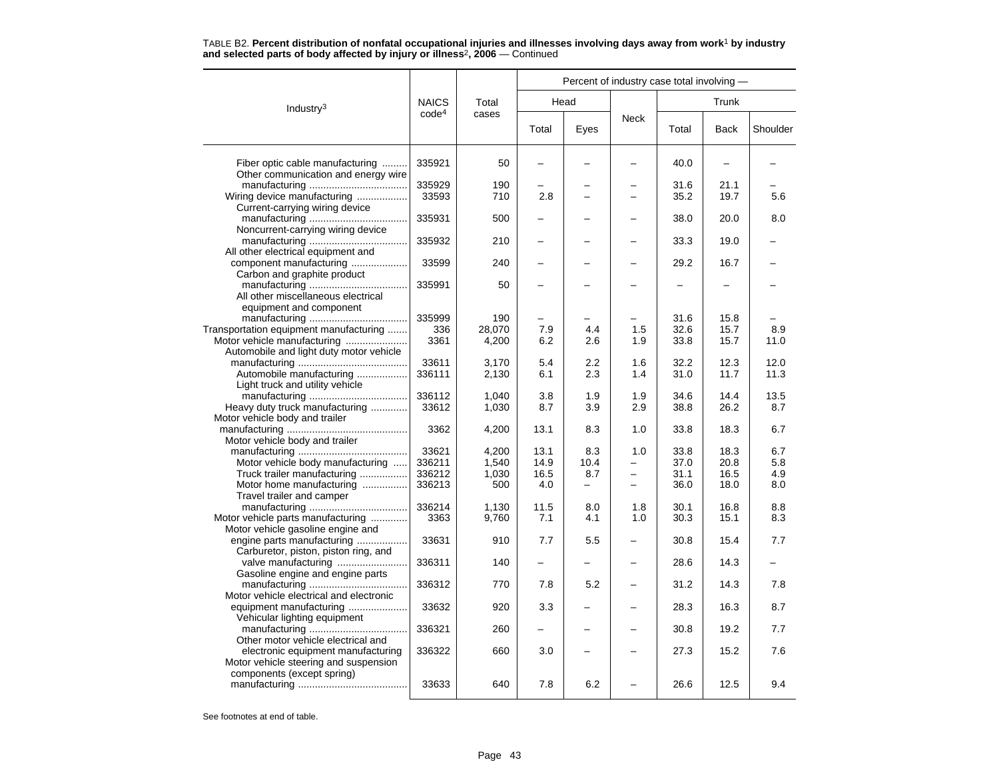|                                                         |                   |        | Percent of industry case total involving - |          |                          |       |             |          |  |  |
|---------------------------------------------------------|-------------------|--------|--------------------------------------------|----------|--------------------------|-------|-------------|----------|--|--|
| Industry $3$                                            | <b>NAICS</b>      | Total  |                                            | Head     |                          |       | Trunk       |          |  |  |
|                                                         | code <sup>4</sup> | cases  | Total                                      | Eyes     | <b>Neck</b>              | Total | <b>Back</b> | Shoulder |  |  |
| Fiber optic cable manufacturing                         | 335921            | 50     |                                            |          |                          | 40.0  |             |          |  |  |
| Other communication and energy wire                     |                   |        |                                            |          |                          |       |             |          |  |  |
|                                                         | 335929            | 190    |                                            |          |                          | 31.6  | 21.1        |          |  |  |
| Wiring device manufacturing                             | 33593             | 710    | 2.8                                        |          |                          | 35.2  | 19.7        | 5.6      |  |  |
| Current-carrying wiring device                          |                   |        |                                            |          |                          |       |             |          |  |  |
|                                                         | 335931            | 500    |                                            |          |                          | 38.0  | 20.0        | 8.0      |  |  |
| Noncurrent-carrying wiring device                       |                   |        |                                            |          |                          |       |             |          |  |  |
|                                                         | 335932            | 210    |                                            |          |                          | 33.3  | 19.0        |          |  |  |
| All other electrical equipment and                      |                   |        |                                            |          |                          |       |             |          |  |  |
| component manufacturing                                 | 33599             | 240    |                                            |          |                          | 29.2  | 16.7        |          |  |  |
| Carbon and graphite product                             |                   |        |                                            |          |                          |       |             |          |  |  |
|                                                         | 335991            | 50     |                                            |          |                          |       |             |          |  |  |
| All other miscellaneous electrical                      |                   |        |                                            |          |                          |       |             |          |  |  |
| equipment and component                                 |                   |        |                                            |          |                          |       |             |          |  |  |
|                                                         | 335999            | 190    |                                            |          |                          | 31.6  | 15.8        |          |  |  |
| Transportation equipment manufacturing                  | 336               | 28,070 | 7.9                                        | 4.4      | 1.5                      | 32.6  | 15.7        | 8.9      |  |  |
| Motor vehicle manufacturing                             | 3361              | 4,200  | 6.2                                        | 2.6      | 1.9                      | 33.8  | 15.7        | 11.0     |  |  |
| Automobile and light duty motor vehicle                 |                   |        |                                            |          |                          |       |             |          |  |  |
|                                                         | 33611             | 3,170  | 5.4                                        | 2.2      | 1.6                      | 32.2  | 12.3        | 12.0     |  |  |
| Automobile manufacturing                                | 336111            | 2,130  | 6.1                                        | 2.3      | 1.4                      | 31.0  | 11.7        | 11.3     |  |  |
| Light truck and utility vehicle                         | 336112            | 1,040  | 3.8                                        | 1.9      | 1.9                      | 34.6  | 14.4        | 13.5     |  |  |
| Heavy duty truck manufacturing                          | 33612             | 1,030  | 8.7                                        | 3.9      | 2.9                      | 38.8  | 26.2        | 8.7      |  |  |
| Motor vehicle body and trailer                          |                   |        |                                            |          |                          |       |             |          |  |  |
|                                                         | 3362              | 4,200  | 13.1                                       | 8.3      | 1.0                      | 33.8  | 18.3        | 6.7      |  |  |
| Motor vehicle body and trailer                          |                   |        |                                            |          |                          |       |             |          |  |  |
|                                                         | 33621             | 4,200  | 13.1                                       | 8.3      | 1.0                      | 33.8  | 18.3        | 6.7      |  |  |
| Motor vehicle body manufacturing                        | 336211            | 1,540  | 14.9                                       | 10.4     | $\overline{\phantom{0}}$ | 37.0  | 20.8        | 5.8      |  |  |
| Truck trailer manufacturing                             | 336212            | 1,030  | 16.5                                       | 8.7      |                          | 31.1  | 16.5        | 4.9      |  |  |
| Motor home manufacturing                                | 336213            | 500    | 4.0                                        | $\equiv$ |                          | 36.0  | 18.0        | 8.0      |  |  |
| Travel trailer and camper                               |                   |        |                                            |          |                          |       |             |          |  |  |
|                                                         | 336214            | 1,130  | 11.5                                       | 8.0      | 1.8                      | 30.1  | 16.8        | 8.8      |  |  |
| Motor vehicle parts manufacturing                       | 3363              | 9,760  | 7.1                                        | 4.1      | 1.0                      | 30.3  | 15.1        | 8.3      |  |  |
| Motor vehicle gasoline engine and                       |                   |        |                                            |          |                          |       |             |          |  |  |
| engine parts manufacturing                              | 33631             | 910    | 7.7                                        | 5.5      |                          | 30.8  | 15.4        | 7.7      |  |  |
| Carburetor, piston, piston ring, and                    |                   |        |                                            |          |                          |       |             |          |  |  |
|                                                         | 336311            | 140    | $\overline{\phantom{0}}$                   |          |                          | 28.6  | 14.3        |          |  |  |
| Gasoline engine and engine parts                        |                   |        |                                            |          |                          |       |             |          |  |  |
|                                                         | 336312            | 770    | 7.8                                        | 5.2      |                          | 31.2  | 14.3        | 7.8      |  |  |
| Motor vehicle electrical and electronic                 | 33632             | 920    | 3.3                                        |          |                          | 28.3  | 16.3        | 8.7      |  |  |
| equipment manufacturing<br>Vehicular lighting equipment |                   |        |                                            |          |                          |       |             |          |  |  |
|                                                         | 336321            | 260    |                                            |          |                          | 30.8  | 19.2        | 7.7      |  |  |
| Other motor vehicle electrical and                      |                   |        |                                            |          |                          |       |             |          |  |  |
| electronic equipment manufacturing                      | 336322            | 660    | 3.0                                        |          |                          | 27.3  | 15.2        | 7.6      |  |  |
| Motor vehicle steering and suspension                   |                   |        |                                            |          |                          |       |             |          |  |  |
| components (except spring)                              |                   |        |                                            |          |                          |       |             |          |  |  |
|                                                         | 33633             | 640    | 7.8                                        | 6.2      |                          | 26.6  | 12.5        | 9.4      |  |  |
|                                                         |                   |        |                                            |          |                          |       |             |          |  |  |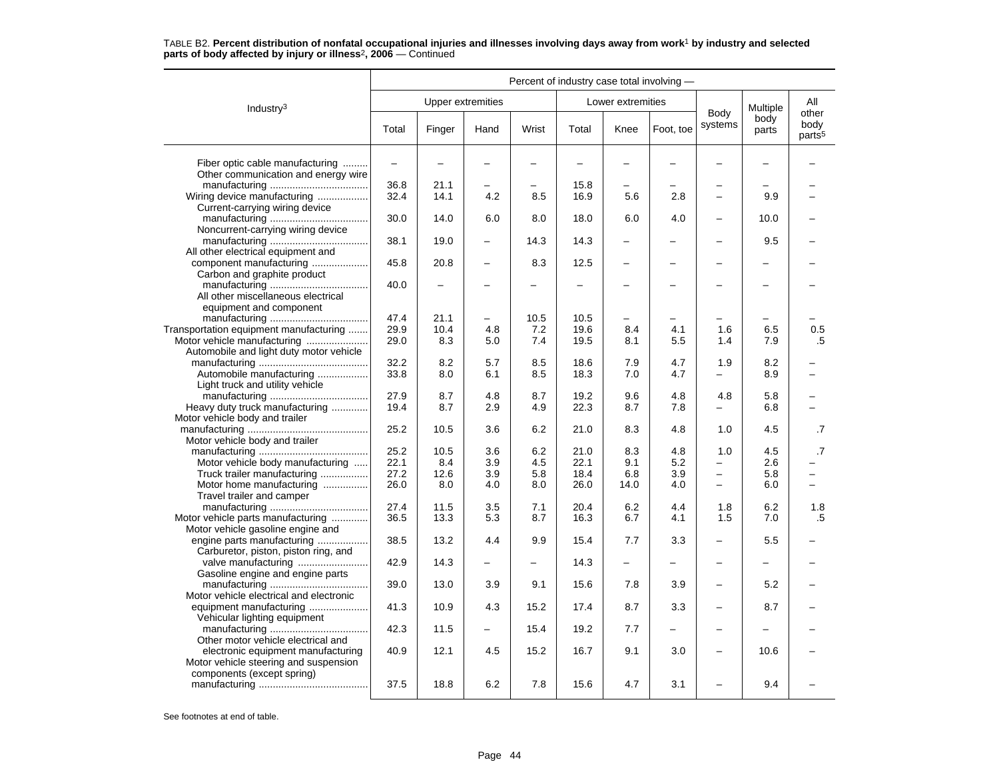| Industry <sup>3</sup>                                                                                     |                   | <b>Upper extremities</b> |                          |                          |                          | Lower extremities        |                          | Body                     | Multiple                 | All<br>other               |
|-----------------------------------------------------------------------------------------------------------|-------------------|--------------------------|--------------------------|--------------------------|--------------------------|--------------------------|--------------------------|--------------------------|--------------------------|----------------------------|
|                                                                                                           | Total             | Finger                   | Hand                     | Wrist                    | Total                    | Knee                     | Foot, toe                | systems                  | body<br>parts            | body<br>parts <sup>5</sup> |
| Fiber optic cable manufacturing<br>Other communication and energy wire                                    | $\qquad \qquad -$ | $\overline{\phantom{0}}$ | $\overline{\phantom{0}}$ | $\overline{\phantom{0}}$ | $\overline{\phantom{0}}$ | -                        |                          | $\overline{\phantom{0}}$ | $\overline{\phantom{0}}$ |                            |
|                                                                                                           | 36.8              | 21.1                     |                          |                          | 15.8                     |                          |                          |                          |                          |                            |
| Wiring device manufacturing<br>Current-carrying wiring device                                             | 32.4              | 14.1                     | 4.2                      | 8.5                      | 16.9                     | 5.6                      | 2.8                      | $\overline{a}$           | 9.9                      |                            |
| Noncurrent-carrying wiring device                                                                         | 30.0              | 14.0                     | 6.0                      | 8.0                      | 18.0                     | 6.0                      | 4.0                      | -                        | 10.0                     |                            |
| All other electrical equipment and                                                                        | 38.1              | 19.0                     |                          | 14.3                     | 14.3                     | -                        |                          |                          | 9.5                      |                            |
| component manufacturing<br>Carbon and graphite product                                                    | 45.8              | 20.8                     | $\overline{\phantom{0}}$ | 8.3                      | 12.5                     | -                        |                          |                          |                          |                            |
| All other miscellaneous electrical<br>equipment and component                                             | 40.0              | ÷                        |                          |                          | $\overline{\phantom{0}}$ | $\overline{\phantom{0}}$ |                          | $\overline{\phantom{0}}$ |                          |                            |
|                                                                                                           | 47.4              | 21.1                     | -                        | 10.5                     | 10.5                     | -                        |                          | -                        |                          |                            |
| Transportation equipment manufacturing                                                                    | 29.9              | 10.4                     | 4.8                      | 7.2                      | 19.6                     | 8.4                      | 4.1                      | 1.6                      | 6.5                      | 0.5                        |
| Automobile and light duty motor vehicle                                                                   | 29.0              | 8.3                      | 5.0                      | 7.4                      | 19.5                     | 8.1                      | 5.5                      | 1.4                      | 7.9                      | .5                         |
|                                                                                                           | 32.2              | 8.2                      | 5.7                      | 8.5                      | 18.6                     | 7.9                      | 4.7                      | 1.9                      | 8.2                      |                            |
| Automobile manufacturing<br>Light truck and utility vehicle                                               | 33.8              | 8.0                      | 6.1                      | 8.5                      | 18.3                     | 7.0                      | 4.7                      |                          | 8.9                      |                            |
|                                                                                                           | 27.9              | 8.7                      | 4.8                      | 8.7                      | 19.2                     | 9.6                      | 4.8                      | 4.8                      | 5.8                      |                            |
| Heavy duty truck manufacturing                                                                            | 19.4              | 8.7                      | 2.9                      | 4.9                      | 22.3                     | 8.7                      | 7.8                      |                          | 6.8                      |                            |
| Motor vehicle body and trailer                                                                            |                   |                          |                          |                          |                          |                          |                          |                          |                          |                            |
| Motor vehicle body and trailer                                                                            | 25.2              | 10.5                     | 3.6                      | 6.2                      | 21.0                     | 8.3                      | 4.8                      | 1.0                      | 4.5                      | .7                         |
|                                                                                                           | 25.2              | 10.5                     | 3.6                      | 6.2                      | 21.0                     | 8.3                      | 4.8                      | 1.0                      | 4.5                      | .7                         |
| Motor vehicle body manufacturing                                                                          | 22.1              | 8.4                      | 3.9                      | 4.5                      | 22.1                     | 9.1                      | 5.2                      |                          | 2.6                      |                            |
|                                                                                                           | 27.2              | 12.6                     | 3.9                      | 5.8                      | 18.4                     | 6.8                      | 3.9                      | -                        | 5.8                      | $\overline{\phantom{0}}$   |
| Truck trailer manufacturing<br>Motor home manufacturing<br>Travel trailer and camper                      | 26.0              | 8.0                      | 4.0                      | 8.0                      | 26.0                     | 14.0                     | 4.0                      | $\overline{\phantom{0}}$ | 6.0                      |                            |
|                                                                                                           | 27.4              | 11.5                     | 3.5                      | 7.1                      | 20.4                     | 6.2                      | 4.4                      | 1.8                      | 6.2                      | 1.8                        |
|                                                                                                           |                   |                          |                          |                          |                          |                          |                          |                          |                          |                            |
| Motor vehicle parts manufacturing<br>Motor vehicle gasoline engine and                                    | 36.5              | 13.3                     | 5.3                      | 8.7                      | 16.3                     | 6.7                      | 4.1                      | 1.5                      | 7.0                      | .5                         |
| engine parts manufacturing<br>Carburetor, piston, piston ring, and                                        | 38.5              | 13.2                     | 4.4                      | 9.9                      | 15.4                     | 7.7                      | 3.3                      | $\overline{\phantom{0}}$ | 5.5                      |                            |
| valve manufacturing<br>Gasoline engine and engine parts                                                   | 42.9              | 14.3                     |                          | $\overline{\phantom{0}}$ | 14.3                     | $\overline{\phantom{0}}$ |                          |                          |                          |                            |
| Motor vehicle electrical and electronic                                                                   | 39.0              | 13.0                     | 3.9                      | 9.1                      | 15.6                     | 7.8                      | 3.9                      | -                        | 5.2                      |                            |
| equipment manufacturing<br>Vehicular lighting equipment                                                   | 41.3              | 10.9                     | 4.3                      | 15.2                     | 17.4                     | 8.7                      | 3.3                      | $\overline{\phantom{0}}$ | 8.7                      |                            |
| Other motor vehicle electrical and                                                                        | 42.3              | 11.5                     |                          | 15.4                     | 19.2                     | 7.7                      | $\overline{\phantom{0}}$ | -                        |                          |                            |
| electronic equipment manufacturing<br>Motor vehicle steering and suspension<br>components (except spring) | 40.9              | 12.1                     | 4.5                      | 15.2                     | 16.7                     | 9.1                      | 3.0                      |                          | 10.6                     |                            |
|                                                                                                           | 37.5              | 18.8                     | 6.2                      | 7.8                      | 15.6                     | 4.7                      | 3.1                      | $\overline{\phantom{0}}$ | 9.4                      |                            |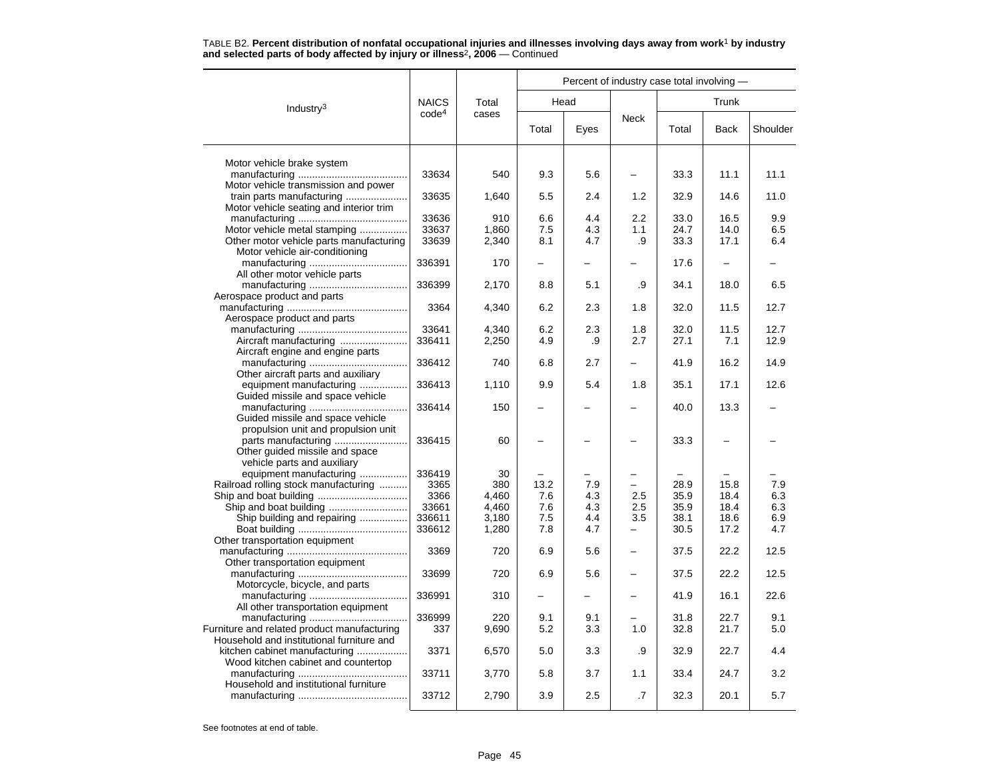|                                             |                   |              | Percent of industry case total involving - |            |             |              |              |            |  |  |
|---------------------------------------------|-------------------|--------------|--------------------------------------------|------------|-------------|--------------|--------------|------------|--|--|
| Industry <sup>3</sup>                       | <b>NAICS</b>      | Total        |                                            | Head       |             | Trunk        |              |            |  |  |
|                                             | code <sup>4</sup> | cases        | Total                                      | Eyes       | <b>Neck</b> | Total        | Back         | Shoulder   |  |  |
| Motor vehicle brake system                  |                   |              |                                            |            |             |              |              |            |  |  |
|                                             | 33634             | 540          | 9.3                                        | 5.6        |             | 33.3         | 11.1         | 11.1       |  |  |
| Motor vehicle transmission and power        |                   |              |                                            |            |             |              |              |            |  |  |
| train parts manufacturing                   | 33635             | 1,640        | 5.5                                        | 2.4        | 1.2         | 32.9         | 14.6         | 11.0       |  |  |
| Motor vehicle seating and interior trim     |                   |              |                                            |            |             |              |              |            |  |  |
|                                             | 33636             | 910          | 6.6                                        | 4.4        | 2.2         | 33.0         | 16.5         | 9.9        |  |  |
| Motor vehicle metal stamping                | 33637             | 1,860        | 7.5                                        | 4.3        | 1.1         | 24.7         | 14.0         | 6.5        |  |  |
| Other motor vehicle parts manufacturing     | 33639             | 2,340        | 8.1                                        | 4.7        | .9          | 33.3         | 17.1         | 6.4        |  |  |
| Motor vehicle air-conditioning              |                   |              |                                            |            |             |              |              |            |  |  |
|                                             | 336391            | 170          |                                            |            |             | 17.6         |              |            |  |  |
| All other motor vehicle parts               |                   |              |                                            |            |             |              |              |            |  |  |
|                                             | 336399            | 2,170        | 8.8                                        | 5.1        | .9          | 34.1         | 18.0         | 6.5        |  |  |
| Aerospace product and parts                 |                   |              |                                            |            |             |              |              |            |  |  |
|                                             | 3364              | 4,340        | 6.2                                        | 2.3        | 1.8         | 32.0         | 11.5         | 12.7       |  |  |
| Aerospace product and parts                 |                   |              |                                            |            |             |              |              |            |  |  |
|                                             | 33641             | 4,340        | 6.2                                        | 2.3        | 1.8         | 32.0         | 11.5         | 12.7       |  |  |
| Aircraft manufacturing                      | 336411            | 2,250        | 4.9                                        | .9         | 2.7         | 27.1         | 7.1          | 12.9       |  |  |
| Aircraft engine and engine parts            |                   |              |                                            |            |             |              |              |            |  |  |
|                                             | 336412            | 740          | 6.8                                        | 2.7        |             | 41.9         | 16.2         | 14.9       |  |  |
| Other aircraft parts and auxiliary          |                   |              |                                            |            |             |              |              |            |  |  |
| equipment manufacturing                     | 336413            | 1,110        | 9.9                                        | 5.4        | 1.8         | 35.1         | 17.1         | 12.6       |  |  |
| Guided missile and space vehicle            |                   |              |                                            |            |             |              |              |            |  |  |
|                                             | 336414            | 150          |                                            |            |             | 40.0         | 13.3         |            |  |  |
| Guided missile and space vehicle            |                   |              |                                            |            |             |              |              |            |  |  |
| propulsion unit and propulsion unit         |                   |              |                                            |            |             |              |              |            |  |  |
|                                             | 336415            | 60           |                                            |            |             | 33.3         |              |            |  |  |
| Other quided missile and space              |                   |              |                                            |            |             |              |              |            |  |  |
| vehicle parts and auxiliary                 |                   |              |                                            |            |             |              |              |            |  |  |
| equipment manufacturing                     | 336419            | 30           |                                            |            |             |              |              |            |  |  |
| Railroad rolling stock manufacturing        | 3365              | 380          | 13.2                                       | 7.9        |             | 28.9         | 15.8         | 7.9        |  |  |
|                                             | 3366              | 4,460        | 7.6                                        | 4.3        | 2.5         | 35.9         | 18.4         | 6.3        |  |  |
| Ship and boat building                      | 33661             | 4,460        | 7.6                                        | 4.3        | 2.5         | 35.9         | 18.4         | 6.3        |  |  |
| Ship building and repairing                 | 336611            | 3,180        | 7.5                                        | 4.4        | 3.5         | 38.1         | 18.6         | 6.9        |  |  |
|                                             | 336612            | 1,280        | 7.8                                        | 4.7        | -           | 30.5         | 17.2         | 4.7        |  |  |
| Other transportation equipment              |                   |              |                                            |            |             |              |              |            |  |  |
|                                             | 3369              | 720          | 6.9                                        | 5.6        |             | 37.5         | 22.2         | 12.5       |  |  |
| Other transportation equipment              |                   |              |                                            |            |             |              |              |            |  |  |
|                                             | 33699             | 720          | 6.9                                        | 5.6        |             | 37.5         | 22.2         | 12.5       |  |  |
| Motorcycle, bicycle, and parts              |                   |              |                                            |            |             |              |              |            |  |  |
|                                             | 336991            | 310          |                                            |            |             | 41.9         | 16.1         | 22.6       |  |  |
| All other transportation equipment          |                   |              |                                            |            |             |              |              |            |  |  |
| Furniture and related product manufacturing | 336999<br>337     | 220<br>9,690 | 9.1<br>5.2                                 | 9.1<br>3.3 | 1.0         | 31.8<br>32.8 | 22.7<br>21.7 | 9.1<br>5.0 |  |  |
| Household and institutional furniture and   |                   |              |                                            |            |             |              |              |            |  |  |
| kitchen cabinet manufacturing               | 3371              | 6,570        | 5.0                                        | 3.3        | .9          | 32.9         | 22.7         | 4.4        |  |  |
| Wood kitchen cabinet and countertop         |                   |              |                                            |            |             |              |              |            |  |  |
|                                             | 33711             | 3,770        | 5.8                                        | 3.7        | 1.1         | 33.4         | 24.7         | 3.2        |  |  |
| Household and institutional furniture       |                   |              |                                            |            |             |              |              |            |  |  |
|                                             | 33712             | 2,790        | 3.9                                        | 2.5        | .7          | 32.3         | 20.1         | 5.7        |  |  |
|                                             |                   |              |                                            |            |             |              |              |            |  |  |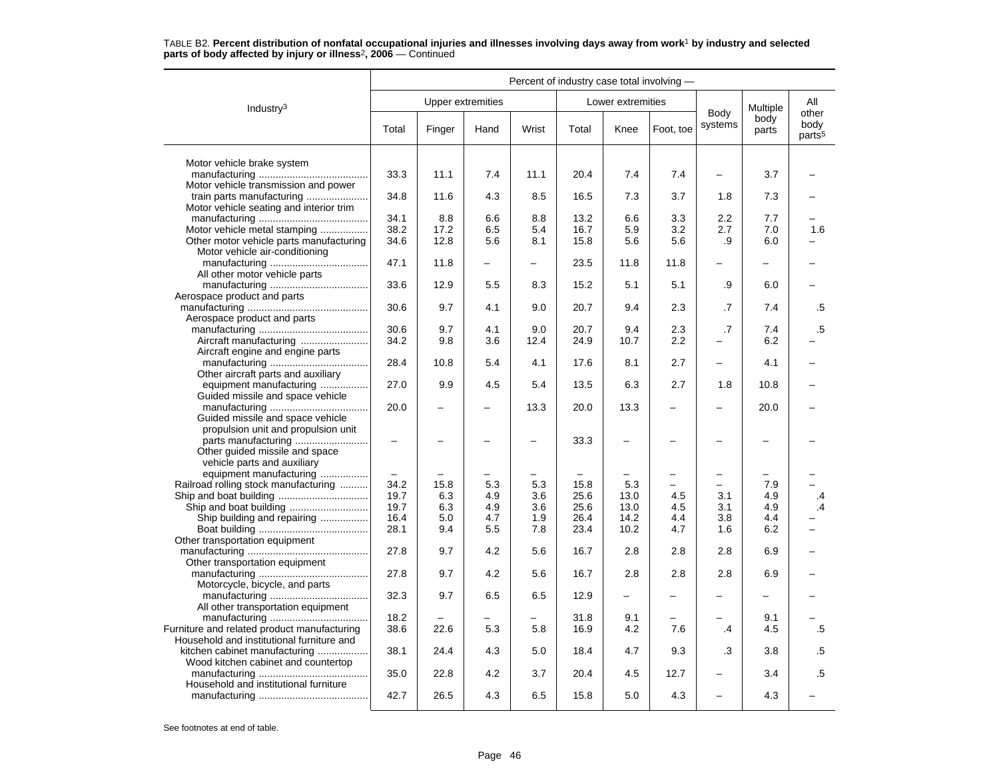|                                                                      | Percent of industry case total involving - |                          |      |       |       |                          |           |                          |               |                                     |  |
|----------------------------------------------------------------------|--------------------------------------------|--------------------------|------|-------|-------|--------------------------|-----------|--------------------------|---------------|-------------------------------------|--|
| Industry <sup>3</sup>                                                |                                            | <b>Upper extremities</b> |      |       |       | Lower extremities        |           |                          | Multiple      | All                                 |  |
|                                                                      | Total                                      | Finger                   | Hand | Wrist | Total | Knee                     | Foot, toe | Body<br>systems          | body<br>parts | other<br>body<br>parts <sup>5</sup> |  |
| Motor vehicle brake system                                           |                                            |                          |      |       |       |                          |           |                          |               |                                     |  |
|                                                                      | 33.3                                       | 11.1                     | 7.4  | 11.1  | 20.4  | 7.4                      | 7.4       |                          | 3.7           |                                     |  |
| Motor vehicle transmission and power                                 |                                            |                          |      |       |       |                          |           |                          |               |                                     |  |
| train parts manufacturing                                            | 34.8                                       | 11.6                     | 4.3  | 8.5   | 16.5  | 7.3                      | 3.7       | 1.8                      | 7.3           |                                     |  |
| Motor vehicle seating and interior trim                              |                                            |                          |      |       |       |                          |           |                          |               |                                     |  |
|                                                                      | 34.1                                       | 8.8                      | 6.6  | 8.8   | 13.2  | 6.6                      | 3.3       | 2.2                      | 7.7           |                                     |  |
| Motor vehicle metal stamping                                         | 38.2                                       | 17.2                     | 6.5  | 5.4   | 16.7  | 5.9                      | 3.2       | 2.7                      | 7.0           | 1.6                                 |  |
| Other motor vehicle parts manufacturing                              | 34.6                                       | 12.8                     | 5.6  | 8.1   | 15.8  | 5.6                      | 5.6       | .9                       | 6.0           |                                     |  |
| Motor vehicle air-conditioning                                       | 47.1                                       | 11.8                     | -    | —     | 23.5  | 11.8                     | 11.8      |                          |               |                                     |  |
| All other motor vehicle parts                                        |                                            |                          |      |       |       |                          |           |                          |               |                                     |  |
|                                                                      | 33.6                                       | 12.9                     | 5.5  | 8.3   | 15.2  | 5.1                      | 5.1       | .9                       | 6.0           |                                     |  |
| Aerospace product and parts                                          |                                            |                          |      |       |       |                          |           |                          |               |                                     |  |
|                                                                      | 30.6                                       | 9.7                      | 4.1  | 9.0   | 20.7  | 9.4                      | 2.3       | .7                       | 7.4           | .5                                  |  |
| Aerospace product and parts                                          |                                            |                          |      |       |       |                          |           |                          |               |                                     |  |
|                                                                      | 30.6                                       | 9.7                      | 4.1  | 9.0   | 20.7  | 9.4                      | 2.3       | .7                       | 7.4           | $.5\,$                              |  |
| Aircraft manufacturing                                               | 34.2                                       | 9.8                      | 3.6  | 12.4  | 24.9  | 10.7                     | $2.2\,$   |                          | 6.2           |                                     |  |
| Aircraft engine and engine parts                                     |                                            |                          |      |       |       |                          |           |                          |               |                                     |  |
|                                                                      | 28.4                                       | 10.8                     | 5.4  | 4.1   | 17.6  | 8.1                      | 2.7       | $\overline{\phantom{m}}$ | 4.1           |                                     |  |
| Other aircraft parts and auxiliary                                   |                                            |                          |      |       |       |                          |           |                          |               |                                     |  |
| equipment manufacturing                                              | 27.0                                       | 9.9                      | 4.5  | 5.4   | 13.5  | 6.3                      | 2.7       | 1.8                      | 10.8          |                                     |  |
| Guided missile and space vehicle                                     |                                            |                          |      |       |       |                          |           |                          |               |                                     |  |
|                                                                      | 20.0                                       |                          |      | 13.3  | 20.0  | 13.3                     |           |                          | 20.0          |                                     |  |
| Guided missile and space vehicle                                     |                                            |                          |      |       |       |                          |           |                          |               |                                     |  |
| propulsion unit and propulsion unit                                  |                                            |                          |      |       |       |                          |           |                          |               |                                     |  |
|                                                                      | $\overline{\phantom{0}}$                   |                          |      |       | 33.3  | $\overline{\phantom{0}}$ |           |                          |               |                                     |  |
| Other guided missile and space<br>vehicle parts and auxiliary        |                                            |                          |      |       |       |                          |           |                          |               |                                     |  |
| equipment manufacturing                                              |                                            |                          |      |       |       |                          |           | $\overline{\phantom{0}}$ |               |                                     |  |
| Railroad rolling stock manufacturing                                 | 34.2                                       | 15.8                     | 5.3  | 5.3   | 15.8  | 5.3                      |           | $\overline{\phantom{0}}$ | 7.9           |                                     |  |
|                                                                      | 19.7                                       | 6.3                      | 4.9  | 3.6   | 25.6  | 13.0                     | 4.5       | 3.1                      | 4.9           | .4                                  |  |
|                                                                      | 19.7                                       | 6.3                      | 4.9  | 3.6   | 25.6  | 13.0                     | 4.5       | 3.1                      | 4.9           | .4                                  |  |
| Ship building and repairing                                          | 16.4                                       | 5.0                      | 4.7  | 1.9   | 26.4  | 14.2                     | 4.4       | 3.8                      | 4.4           |                                     |  |
|                                                                      | 28.1                                       | 9.4                      | 5.5  | 7.8   | 23.4  | 10.2                     | 4.7       | 1.6                      | 6.2           |                                     |  |
| Other transportation equipment                                       |                                            |                          |      |       |       |                          |           |                          |               |                                     |  |
|                                                                      | 27.8                                       | 9.7                      | 4.2  | 5.6   | 16.7  | 2.8                      | 2.8       | 2.8                      | 6.9           |                                     |  |
| Other transportation equipment                                       |                                            |                          |      |       |       |                          |           |                          |               |                                     |  |
|                                                                      | 27.8                                       | 9.7                      | 4.2  | 5.6   | 16.7  | 2.8                      | 2.8       | 2.8                      | 6.9           |                                     |  |
| Motorcycle, bicycle, and parts                                       |                                            |                          |      |       |       |                          |           |                          |               |                                     |  |
|                                                                      | 32.3                                       | 9.7                      | 6.5  | 6.5   | 12.9  | -                        |           |                          |               |                                     |  |
| All other transportation equipment                                   |                                            |                          |      |       |       |                          |           |                          |               |                                     |  |
|                                                                      | 18.2                                       |                          |      |       | 31.8  | 9.1                      |           |                          | 9.1           |                                     |  |
| Furniture and related product manufacturing                          | 38.6                                       | 22.6                     | 5.3  | 5.8   | 16.9  | 4.2                      | 7.6       | .4                       | 4.5           | .5                                  |  |
| Household and institutional furniture and                            |                                            |                          |      | 5.0   |       |                          |           |                          |               |                                     |  |
| kitchen cabinet manufacturing<br>Wood kitchen cabinet and countertop | 38.1                                       | 24.4                     | 4.3  |       | 18.4  | 4.7                      | 9.3       | .3                       | 3.8           | .5                                  |  |
|                                                                      | 35.0                                       | 22.8                     | 4.2  | 3.7   | 20.4  | 4.5                      | 12.7      |                          | 3.4           | .5                                  |  |
| Household and institutional furniture                                |                                            |                          |      |       |       |                          |           |                          |               |                                     |  |
|                                                                      | 42.7                                       | 26.5                     | 4.3  | 6.5   | 15.8  | 5.0                      | 4.3       |                          | 4.3           |                                     |  |
|                                                                      |                                            |                          |      |       |       |                          |           |                          |               |                                     |  |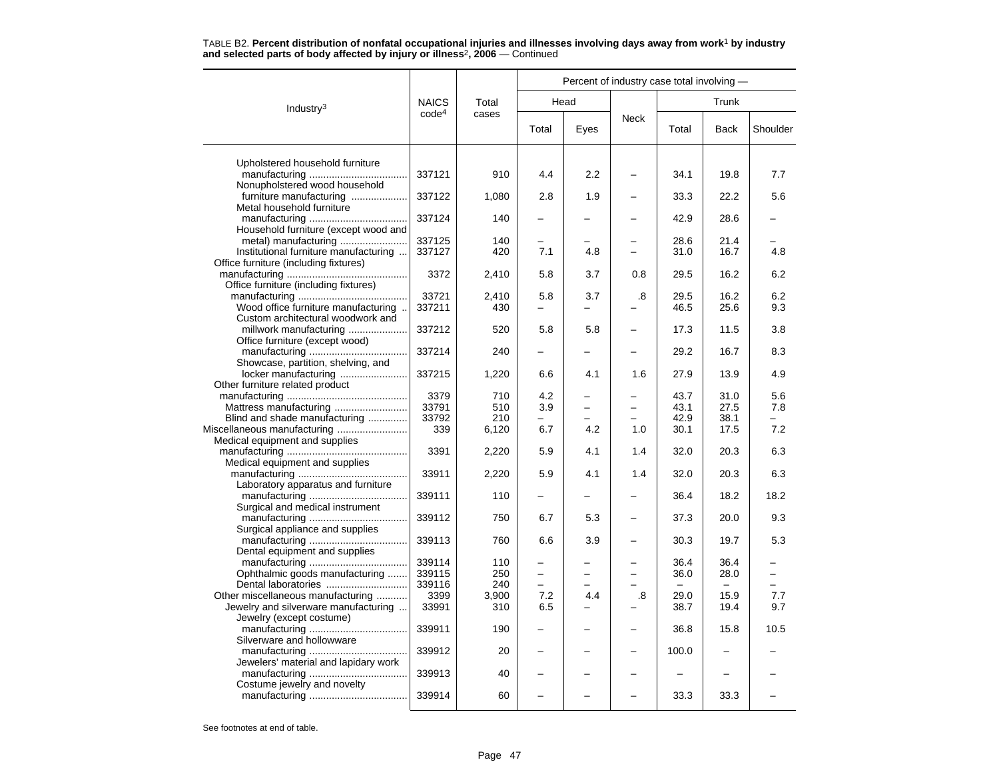|                                       |                   |       | Percent of industry case total involving - |      |             |          |             |          |  |  |
|---------------------------------------|-------------------|-------|--------------------------------------------|------|-------------|----------|-------------|----------|--|--|
| Industry <sup>3</sup>                 | <b>NAICS</b>      | Total |                                            | Head |             |          |             |          |  |  |
|                                       | code <sup>4</sup> | cases | Total                                      | Eyes | <b>Neck</b> | Total    | <b>Back</b> | Shoulder |  |  |
| Upholstered household furniture       |                   |       |                                            |      |             |          |             |          |  |  |
|                                       | 337121            | 910   | 4.4                                        | 2.2  |             | 34.1     | 19.8        | 7.7      |  |  |
| Nonupholstered wood household         |                   |       |                                            |      |             |          |             |          |  |  |
| furniture manufacturing               | 337122            | 1,080 | 2.8                                        | 1.9  |             | 33.3     | 22.2        | 5.6      |  |  |
| Metal household furniture             |                   |       |                                            |      |             |          |             |          |  |  |
|                                       | 337124            | 140   |                                            |      |             | 42.9     | 28.6        |          |  |  |
| Household furniture (except wood and  |                   |       |                                            |      |             |          |             |          |  |  |
| metal) manufacturing                  | 337125            | 140   |                                            |      |             | 28.6     | 21.4        |          |  |  |
| Institutional furniture manufacturing | 337127            | 420   | 7.1                                        | 4.8  |             | 31.0     | 16.7        | 4.8      |  |  |
| Office furniture (including fixtures) |                   |       |                                            |      |             |          |             |          |  |  |
|                                       | 3372              | 2,410 | 5.8                                        | 3.7  | 0.8         | 29.5     | 16.2        | 6.2      |  |  |
| Office furniture (including fixtures) |                   |       |                                            |      |             |          |             |          |  |  |
|                                       | 33721             | 2,410 | 5.8                                        | 3.7  | .8          | 29.5     | 16.2        | 6.2      |  |  |
| Wood office furniture manufacturing   | 337211            | 430   |                                            | L,   |             | 46.5     | 25.6        | 9.3      |  |  |
| Custom architectural woodwork and     |                   |       |                                            |      |             |          |             |          |  |  |
| millwork manufacturing                | 337212            | 520   | 5.8                                        | 5.8  |             | 17.3     | 11.5        | 3.8      |  |  |
| Office furniture (except wood)        |                   |       |                                            |      |             |          |             |          |  |  |
|                                       | 337214            | 240   |                                            |      |             | 29.2     | 16.7        | 8.3      |  |  |
| Showcase, partition, shelving, and    |                   |       |                                            |      |             |          |             |          |  |  |
| locker manufacturing                  | 337215            | 1,220 | 6.6                                        | 4.1  | 1.6         | 27.9     | 13.9        | 4.9      |  |  |
| Other furniture related product       |                   |       |                                            |      |             |          |             |          |  |  |
|                                       | 3379              | 710   | 4.2                                        |      |             | 43.7     | 31.0        | 5.6      |  |  |
| Mattress manufacturing                | 33791             | 510   | 3.9                                        |      |             | 43.1     | 27.5        | 7.8      |  |  |
| Blind and shade manufacturing         | 33792             | 210   | L.                                         |      |             | 42.9     | 38.1        |          |  |  |
| Miscellaneous manufacturing           | 339               | 6,120 | 6.7                                        | 4.2  | 1.0         | 30.1     | 17.5        | 7.2      |  |  |
| Medical equipment and supplies        |                   |       |                                            |      |             |          |             |          |  |  |
|                                       | 3391              | 2,220 | 5.9                                        | 4.1  | 1.4         | 32.0     | 20.3        | 6.3      |  |  |
| Medical equipment and supplies        |                   |       |                                            |      |             |          |             |          |  |  |
| Laboratory apparatus and furniture    | 33911             | 2,220 | 5.9                                        | 4.1  | 1.4         | 32.0     | 20.3        | 6.3      |  |  |
|                                       | 339111            |       |                                            |      |             |          |             | 18.2     |  |  |
| Surgical and medical instrument       |                   | 110   |                                            |      |             | 36.4     | 18.2        |          |  |  |
|                                       | 339112            | 750   | 6.7                                        | 5.3  |             | 37.3     | 20.0        | 9.3      |  |  |
| Surgical appliance and supplies       |                   |       |                                            |      |             |          |             |          |  |  |
|                                       | 339113            | 760   | 6.6                                        | 3.9  |             | 30.3     | 19.7        | 5.3      |  |  |
| Dental equipment and supplies         |                   |       |                                            |      |             |          |             |          |  |  |
|                                       | 339114            | 110   |                                            |      |             | 36.4     | 36.4        |          |  |  |
| Ophthalmic goods manufacturing        | 339115            | 250   | -                                          |      |             | 36.0     | 28.0        |          |  |  |
| Dental laboratories                   | 339116            | 240   |                                            |      |             | $\equiv$ | $\sim$      |          |  |  |
| Other miscellaneous manufacturing     | 3399              | 3,900 | 7.2                                        | 4.4  | .8          | 29.0     | 15.9        | 7.7      |  |  |
| Jewelry and silverware manufacturing  | 33991             | 310   | 6.5                                        |      |             | 38.7     | 19.4        | 9.7      |  |  |
| Jewelry (except costume)              |                   |       |                                            |      |             |          |             |          |  |  |
|                                       | 339911            | 190   |                                            |      |             | 36.8     | 15.8        | 10.5     |  |  |
| Silverware and hollowware             |                   |       |                                            |      |             |          |             |          |  |  |
|                                       | 339912            | 20    |                                            |      |             | 100.0    |             |          |  |  |
| Jewelers' material and lapidary work  |                   |       |                                            |      |             |          |             |          |  |  |
|                                       | 339913            | 40    |                                            |      |             |          |             |          |  |  |
| Costume jewelry and novelty           |                   |       |                                            |      |             |          |             |          |  |  |
|                                       | 339914            | 60    |                                            |      |             | 33.3     | 33.3        |          |  |  |
|                                       |                   |       |                                            |      |             |          |             |          |  |  |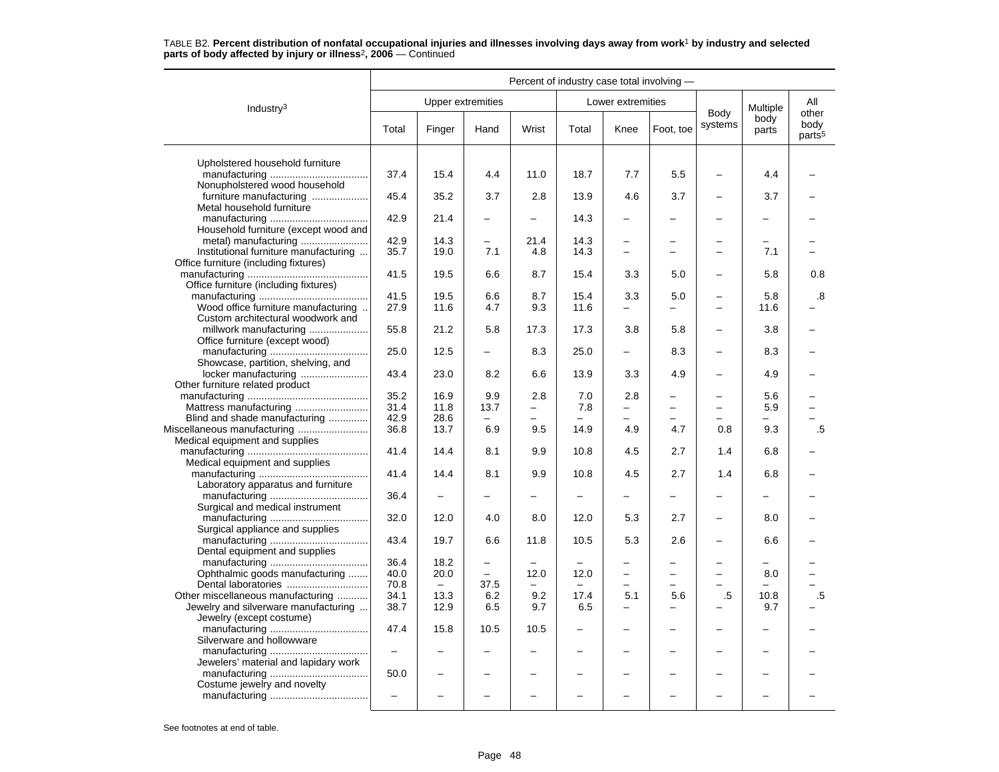|                                                                  | Percent of industry case total involving - |                          |                          |                          |        |                          |                          |                          |                          |                                     |  |
|------------------------------------------------------------------|--------------------------------------------|--------------------------|--------------------------|--------------------------|--------|--------------------------|--------------------------|--------------------------|--------------------------|-------------------------------------|--|
| Industry <sup>3</sup>                                            |                                            |                          | <b>Upper extremities</b> |                          |        | Lower extremities        |                          |                          | Multiple                 | All                                 |  |
|                                                                  | Total                                      | Finger                   | Hand                     | Wrist                    | Total  | Knee                     | Foot, toe                | Body<br>systems          | body<br>parts            | other<br>body<br>parts <sup>5</sup> |  |
| Upholstered household furniture                                  |                                            |                          |                          |                          |        |                          |                          |                          |                          |                                     |  |
| Nonupholstered wood household                                    | 37.4                                       | 15.4                     | 4.4                      | 11.0                     | 18.7   | 7.7                      | 5.5                      |                          | 4.4                      |                                     |  |
| furniture manufacturing<br>Metal household furniture             | 45.4                                       | 35.2                     | 3.7                      | 2.8                      | 13.9   | 4.6                      | 3.7                      |                          | 3.7                      |                                     |  |
| Household furniture (except wood and                             | 42.9                                       | 21.4                     | -                        | $\overline{\phantom{0}}$ | 14.3   | $\overline{\phantom{0}}$ |                          |                          | -                        |                                     |  |
|                                                                  | 42.9                                       | 14.3                     | -                        | 21.4                     | 14.3   | $\overline{\phantom{0}}$ |                          |                          | -                        |                                     |  |
| Institutional furniture manufacturing                            | 35.7                                       | 19.0                     | 7.1                      | 4.8                      | 14.3   | $\overline{\phantom{0}}$ | -                        | $\overline{\phantom{0}}$ | 7.1                      |                                     |  |
| Office furniture (including fixtures)                            |                                            |                          |                          |                          |        |                          |                          |                          |                          |                                     |  |
| Office furniture (including fixtures)                            | 41.5                                       | 19.5                     | 6.6                      | 8.7                      | 15.4   | 3.3                      | 5.0                      | $\overline{\phantom{0}}$ | 5.8                      | 0.8                                 |  |
|                                                                  | 41.5                                       | 19.5                     | 6.6                      | 8.7                      | 15.4   | 3.3                      | 5.0                      | $\overline{\phantom{0}}$ | 5.8                      | .8                                  |  |
| Wood office furniture manufacturing                              | 27.9                                       | 11.6                     | 4.7                      | 9.3                      | 11.6   | $\qquad \qquad -$        | -                        | $\overline{\phantom{0}}$ | 11.6                     |                                     |  |
| Custom architectural woodwork and                                |                                            |                          |                          |                          |        |                          |                          |                          |                          |                                     |  |
| millwork manufacturing                                           | 55.8                                       | 21.2                     | 5.8                      | 17.3                     | 17.3   | 3.8                      | 5.8                      |                          | 3.8                      |                                     |  |
| Office furniture (except wood)                                   |                                            |                          |                          |                          |        |                          |                          |                          |                          |                                     |  |
| Showcase, partition, shelving, and                               | 25.0                                       | 12.5                     | ▃                        | 8.3                      | 25.0   | $\equiv$                 | 8.3                      | $\overline{\phantom{0}}$ | 8.3                      |                                     |  |
| locker manufacturing                                             | 43.4                                       | 23.0                     | 8.2                      | 6.6                      | 13.9   | 3.3                      | 4.9                      |                          | 4.9                      |                                     |  |
| Other furniture related product                                  |                                            |                          |                          |                          |        |                          |                          |                          |                          |                                     |  |
|                                                                  | 35.2                                       | 16.9                     | 9.9                      | 2.8                      | 7.0    | 2.8                      |                          | $\overline{\phantom{m}}$ | 5.6                      |                                     |  |
| Mattress manufacturing                                           | 31.4                                       | 11.8                     | 13.7                     | $\overline{\phantom{m}}$ | 7.8    | $\equiv$                 | $\equiv$                 | $\sim$                   | 5.9                      |                                     |  |
| Blind and shade manufacturing                                    | 42.9                                       | 28.6                     | ▃                        |                          |        |                          |                          |                          | $\overline{\phantom{0}}$ |                                     |  |
| Miscellaneous manufacturing                                      | 36.8                                       | 13.7                     | 6.9                      | 9.5                      | 14.9   | 4.9                      | 4.7                      | 0.8                      | 9.3                      | .5                                  |  |
| Medical equipment and supplies                                   |                                            |                          |                          |                          |        |                          |                          |                          |                          |                                     |  |
|                                                                  | 41.4                                       | 14.4                     | 8.1                      | 9.9                      | 10.8   | 4.5                      | 2.7                      | 1.4                      | 6.8                      |                                     |  |
| Medical equipment and supplies                                   |                                            |                          |                          |                          |        |                          |                          |                          |                          |                                     |  |
| Laboratory apparatus and furniture                               | 41.4                                       | 14.4                     | 8.1                      | 9.9                      | 10.8   | 4.5                      | 2.7                      | 1.4                      | 6.8                      |                                     |  |
|                                                                  | 36.4                                       |                          |                          |                          |        | -                        |                          |                          |                          |                                     |  |
| Surgical and medical instrument                                  |                                            |                          |                          |                          |        |                          |                          |                          |                          |                                     |  |
| Surgical appliance and supplies                                  | 32.0                                       | 12.0                     | 4.0                      | 8.0                      | 12.0   | 5.3                      | 2.7                      | $\qquad \qquad -$        | 8.0                      |                                     |  |
|                                                                  | 43.4                                       | 19.7                     | 6.6                      | 11.8                     | 10.5   | 5.3                      | 2.6                      | $\overline{\phantom{m}}$ | 6.6                      |                                     |  |
| Dental equipment and supplies                                    |                                            |                          |                          |                          |        |                          |                          |                          |                          |                                     |  |
|                                                                  | 36.4                                       | 18.2                     | $\qquad \qquad -$        |                          |        |                          |                          | $\overline{\phantom{m}}$ |                          |                                     |  |
| Ophthalmic goods manufacturing                                   | 40.0                                       | 20.0                     |                          | 12.0                     | 12.0   | $\overline{\phantom{0}}$ | $\overline{\phantom{0}}$ | $\overline{a}$           | 8.0                      |                                     |  |
| Dental laboratories                                              | 70.8                                       | $\overline{\phantom{m}}$ | 37.5                     |                          | $\sim$ | $\overline{a}$           |                          | $\overline{\phantom{0}}$ | $\equiv$                 |                                     |  |
| Other miscellaneous manufacturing                                | 34.1                                       | 13.3                     | 6.2                      | 9.2                      | 17.4   | 5.1                      | 5.6                      | $.5\,$                   | 10.8                     | .5                                  |  |
| Jewelry and silverware manufacturing<br>Jewelry (except costume) | 38.7                                       | 12.9                     | 6.5                      | 9.7                      | 6.5    |                          |                          |                          | 9.7                      |                                     |  |
|                                                                  | 47.4                                       | 15.8                     | 10.5                     | 10.5                     |        | $\overline{\phantom{0}}$ |                          |                          |                          |                                     |  |
| Silverware and hollowware                                        | $\frac{1}{2}$                              |                          |                          |                          |        |                          |                          | $\overline{\phantom{0}}$ | -                        |                                     |  |
|                                                                  |                                            |                          |                          |                          |        | $\overline{\phantom{0}}$ |                          |                          |                          |                                     |  |
| Jewelers' material and lapidary work                             | 50.0                                       |                          |                          |                          |        | $\overline{\phantom{0}}$ |                          |                          |                          |                                     |  |
| Costume jewelry and novelty                                      | $\frac{1}{2}$                              |                          |                          |                          |        |                          |                          |                          |                          |                                     |  |
|                                                                  |                                            |                          |                          |                          |        |                          |                          |                          |                          |                                     |  |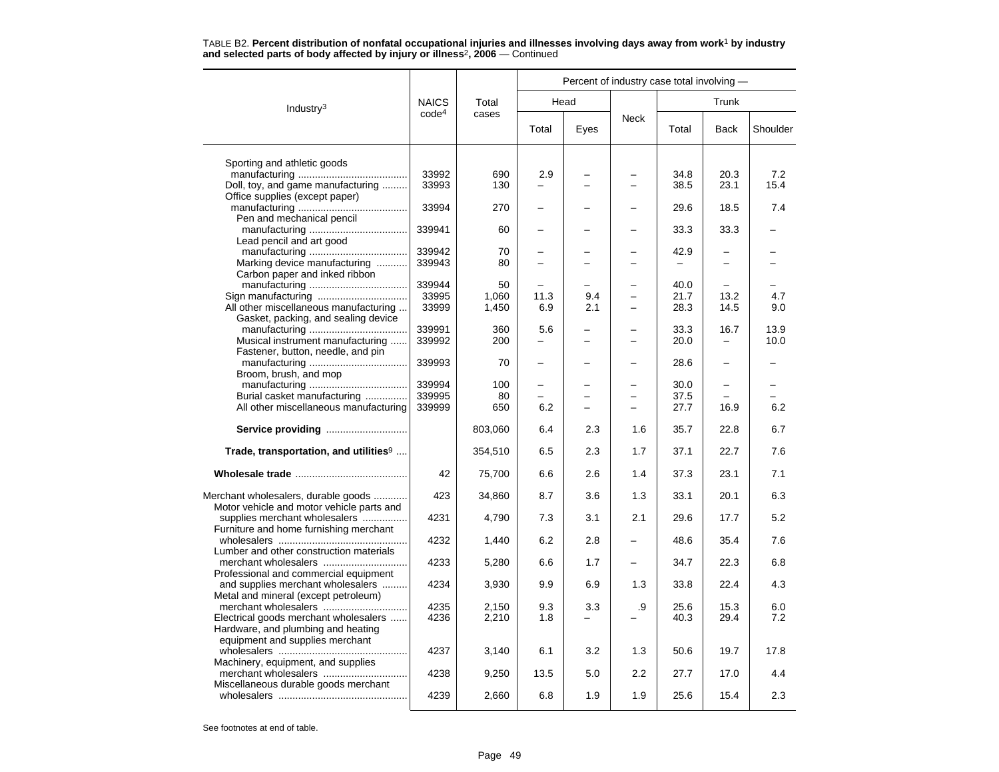|                                                                                  |                   | Percent of industry case total involving - |            |      |             |              |              |            |
|----------------------------------------------------------------------------------|-------------------|--------------------------------------------|------------|------|-------------|--------------|--------------|------------|
| Industry <sup>3</sup>                                                            | <b>NAICS</b>      | Total                                      |            | Head |             |              | Trunk        |            |
|                                                                                  | code <sup>4</sup> | cases                                      | Total      | Eyes | <b>Neck</b> | Total        | Back         | Shoulder   |
| Sporting and athletic goods                                                      |                   |                                            |            |      |             |              |              |            |
|                                                                                  | 33992             | 690                                        | 2.9        |      |             | 34.8         | 20.3         | 7.2        |
| Doll, toy, and game manufacturing<br>Office supplies (except paper)              | 33993             | 130                                        |            |      |             | 38.5         | 23.1         | 15.4       |
| Pen and mechanical pencil                                                        | 33994             | 270                                        |            |      |             | 29.6         | 18.5         | 7.4        |
| Lead pencil and art good                                                         | 339941            | 60                                         |            |      |             | 33.3         | 33.3         |            |
|                                                                                  | 339942            | 70                                         |            |      |             | 42.9         |              |            |
| Marking device manufacturing<br>Carbon paper and inked ribbon                    | 339943            | 80                                         |            |      |             |              |              |            |
|                                                                                  | 339944            | 50                                         |            |      |             | 40.0         |              |            |
|                                                                                  | 33995             | 1,060                                      | 11.3       | 9.4  |             | 21.7         | 13.2         | 4.7        |
| All other miscellaneous manufacturing                                            | 33999             | 1,450                                      | 6.9        | 2.1  |             | 28.3         | 14.5         | 9.0        |
| Gasket, packing, and sealing device                                              |                   |                                            |            |      |             |              |              |            |
|                                                                                  | 339991            | 360                                        | 5.6        |      |             | 33.3         | 16.7         | 13.9       |
| Musical instrument manufacturing                                                 | 339992            | 200                                        |            |      |             | 20.0         |              | 10.0       |
| Fastener, button, needle, and pin                                                |                   |                                            |            |      |             |              |              |            |
|                                                                                  | 339993            | 70                                         |            |      |             | 28.6         |              |            |
| Broom, brush, and mop                                                            |                   |                                            |            |      |             |              |              |            |
|                                                                                  | 339994            | 100                                        |            |      |             | 30.0         | $\equiv$     |            |
| Burial casket manufacturing                                                      | 339995            | 80                                         |            |      |             | 37.5         |              |            |
| All other miscellaneous manufacturing                                            | 339999            | 650                                        | 6.2        |      |             | 27.7         | 16.9         | 6.2        |
|                                                                                  |                   |                                            |            |      |             |              |              |            |
| Service providing                                                                |                   | 803,060                                    | 6.4        | 2.3  | 1.6         | 35.7         | 22.8         | 6.7        |
| Trade, transportation, and utilities <sup>9</sup>                                |                   | 354,510                                    | 6.5        | 2.3  | 1.7         | 37.1         | 22.7         | 7.6        |
|                                                                                  | 42                | 75,700                                     | 6.6        | 2.6  | 1.4         | 37.3         | 23.1         | 7.1        |
| Merchant wholesalers, durable goods<br>Motor vehicle and motor vehicle parts and | 423               | 34,860                                     | 8.7        | 3.6  | 1.3         | 33.1         | 20.1         | 6.3        |
| supplies merchant wholesalers<br>Furniture and home furnishing merchant          | 4231              | 4,790                                      | 7.3        | 3.1  | 2.1         | 29.6         | 17.7         | 5.2        |
| Lumber and other construction materials                                          | 4232              | 1,440                                      | 6.2        | 2.8  |             | 48.6         | 35.4         | 7.6        |
| Professional and commercial equipment                                            | 4233              | 5,280                                      | 6.6        | 1.7  |             | 34.7         | 22.3         | 6.8        |
| and supplies merchant wholesalers<br>Metal and mineral (except petroleum)        | 4234              | 3,930                                      | 9.9        | 6.9  | 1.3         | 33.8         | 22.4         | 4.3        |
| merchant wholesalers<br>Electrical goods merchant wholesalers                    | 4235<br>4236      | 2,150<br>2,210                             | 9.3<br>1.8 | 3.3  | .9          | 25.6<br>40.3 | 15.3<br>29.4 | 6.0<br>7.2 |
| Hardware, and plumbing and heating<br>equipment and supplies merchant            |                   |                                            |            |      |             |              |              |            |
| Machinery, equipment, and supplies                                               | 4237              | 3,140                                      | 6.1        | 3.2  | 1.3         | 50.6         | 19.7         | 17.8       |
| Miscellaneous durable goods merchant                                             | 4238              | 9,250                                      | 13.5       | 5.0  | 2.2         | 27.7         | 17.0         | 4.4        |
|                                                                                  | 4239              | 2,660                                      | 6.8        | 1.9  | 1.9         | 25.6         | 15.4         | 2.3        |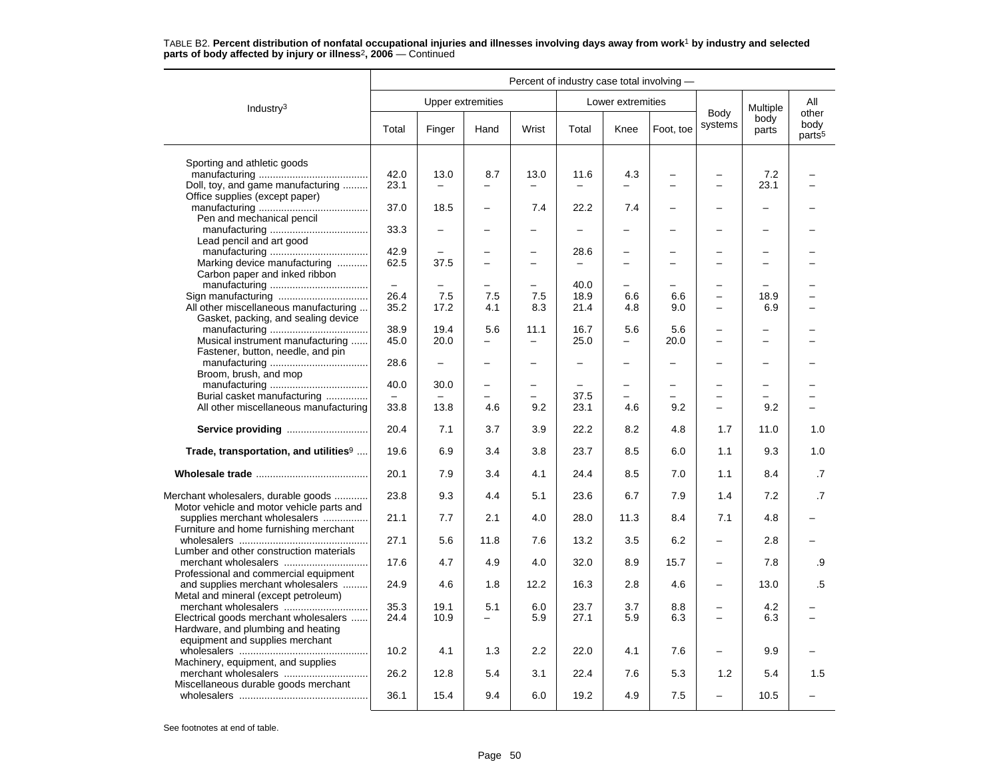|                                                                                  | Percent of industry case total involving - |                          |                          |                          |                          |                          |                          |                          |               |                                     |  |
|----------------------------------------------------------------------------------|--------------------------------------------|--------------------------|--------------------------|--------------------------|--------------------------|--------------------------|--------------------------|--------------------------|---------------|-------------------------------------|--|
| Industry $3$                                                                     |                                            | Upper extremities        |                          |                          |                          | Lower extremities        |                          |                          | Multiple      | All                                 |  |
|                                                                                  | Total                                      | Finger                   | Hand                     | Wrist                    | Total                    | Knee                     | Foot, toe                | Body<br>systems          | body<br>parts | other<br>body<br>parts <sup>5</sup> |  |
| Sporting and athletic goods                                                      |                                            |                          |                          |                          |                          |                          |                          |                          |               |                                     |  |
|                                                                                  | 42.0                                       | 13.0                     | 8.7                      | 13.0                     | 11.6                     | 4.3                      |                          |                          | 7.2           |                                     |  |
| Doll, toy, and game manufacturing<br>Office supplies (except paper)              | 23.1                                       |                          |                          | $\equiv$                 | $\equiv$                 | $\overline{\phantom{0}}$ |                          |                          | 23.1          |                                     |  |
| Pen and mechanical pencil                                                        | 37.0                                       | 18.5                     |                          | 7.4                      | 22.2                     | 7.4                      |                          |                          |               |                                     |  |
| Lead pencil and art good                                                         | 33.3                                       |                          |                          | -                        |                          | -                        |                          | $\overline{\phantom{0}}$ |               |                                     |  |
|                                                                                  | 42.9                                       |                          | —                        | $\overline{\phantom{0}}$ | 28.6                     | -                        |                          | $\overline{\phantom{0}}$ |               |                                     |  |
| Marking device manufacturing<br>Carbon paper and inked ribbon                    | 62.5                                       | 37.5                     | $\equiv$                 | $\overline{\phantom{0}}$ |                          | $\equiv$                 | ÷                        | $\equiv$                 |               |                                     |  |
|                                                                                  |                                            |                          | $\overline{\phantom{0}}$ | $\overline{a}$           | 40.0                     |                          |                          |                          |               |                                     |  |
|                                                                                  | 26.4                                       | 7.5                      | 7.5                      | 7.5                      | 18.9                     | 6.6                      | 6.6                      | $\overline{\phantom{0}}$ | 18.9          |                                     |  |
| All other miscellaneous manufacturing<br>Gasket, packing, and sealing device     | 35.2                                       | 17.2                     | 4.1                      | 8.3                      | 21.4                     | 4.8                      | 9.0                      | $\overline{\phantom{0}}$ | 6.9           |                                     |  |
|                                                                                  | 38.9                                       | 19.4                     | 5.6                      | 11.1                     | 16.7                     | 5.6                      | 5.6                      |                          |               |                                     |  |
| Musical instrument manufacturing                                                 | 45.0                                       | 20.0                     |                          | $\equiv$                 | 25.0                     | $\overline{\phantom{0}}$ | 20.0                     | $\equiv$                 |               |                                     |  |
| Fastener, button, needle, and pin<br>Broom, brush, and mop                       | 28.6                                       | $\overline{\phantom{0}}$ | $\overline{\phantom{0}}$ | $\overline{\phantom{0}}$ | $\overline{\phantom{0}}$ | $\overline{\phantom{0}}$ | $\overline{\phantom{0}}$ | $\overline{\phantom{0}}$ | $\equiv$      |                                     |  |
|                                                                                  | 40.0                                       | 30.0                     | $\overline{a}$           | $\overline{a}$           |                          | $\equiv$                 |                          |                          |               |                                     |  |
| Burial casket manufacturing                                                      |                                            |                          |                          | $\overline{\phantom{0}}$ | 37.5                     |                          |                          |                          |               |                                     |  |
| All other miscellaneous manufacturing                                            | 33.8                                       | 13.8                     | 4.6                      | 9.2                      | 23.1                     | 4.6                      | 9.2                      | $\overline{\phantom{0}}$ | 9.2           |                                     |  |
| Service providing                                                                | 20.4                                       | 7.1                      | 3.7                      | 3.9                      | 22.2                     | 8.2                      | 4.8                      | 1.7                      | 11.0          | 1.0                                 |  |
| Trade, transportation, and utilities <sup>9</sup>                                | 19.6                                       | 6.9                      | 3.4                      | 3.8                      | 23.7                     | 8.5                      | 6.0                      | 1.1                      | 9.3           | 1.0                                 |  |
|                                                                                  | 20.1                                       | 7.9                      | 3.4                      | 4.1                      | 24.4                     | 8.5                      | 7.0                      | 1.1                      | 8.4           | .7                                  |  |
| Merchant wholesalers, durable goods<br>Motor vehicle and motor vehicle parts and | 23.8                                       | 9.3                      | 4.4                      | 5.1                      | 23.6                     | 6.7                      | 7.9                      | 1.4                      | 7.2           | $\cdot$ 7                           |  |
| supplies merchant wholesalers<br>Furniture and home furnishing merchant          | 21.1                                       | 7.7                      | 2.1                      | 4.0                      | 28.0                     | 11.3                     | 8.4                      | 7.1                      | 4.8           |                                     |  |
| Lumber and other construction materials                                          | 27.1                                       | 5.6                      | 11.8                     | 7.6                      | 13.2                     | 3.5                      | 6.2                      | $\overline{\phantom{0}}$ | 2.8           |                                     |  |
| Professional and commercial equipment                                            | 17.6                                       | 4.7                      | 4.9                      | 4.0                      | 32.0                     | 8.9                      | 15.7                     | $\overline{\phantom{0}}$ | 7.8           | .9                                  |  |
| and supplies merchant wholesalers<br>Metal and mineral (except petroleum)        | 24.9                                       | 4.6                      | 1.8                      | 12.2                     | 16.3                     | 2.8                      | 4.6                      | $\overline{\phantom{0}}$ | 13.0          | .5                                  |  |
| Electrical goods merchant wholesalers                                            | 35.3<br>24.4                               | 19.1<br>10.9             | 5.1<br>—                 | 6.0<br>5.9               | 23.7<br>27.1             | 3.7<br>5.9               | 8.8<br>6.3               |                          | 4.2<br>6.3    |                                     |  |
| Hardware, and plumbing and heating<br>equipment and supplies merchant            |                                            |                          |                          |                          |                          |                          |                          |                          |               |                                     |  |
| Machinery, equipment, and supplies                                               | 10.2                                       | 4.1                      | 1.3                      | 2.2                      | 22.0                     | 4.1                      | 7.6                      |                          | 9.9           |                                     |  |
| Miscellaneous durable goods merchant                                             | 26.2                                       | 12.8                     | 5.4                      | 3.1                      | 22.4                     | 7.6                      | 5.3                      | 1.2                      | 5.4           | 1.5                                 |  |
|                                                                                  | 36.1                                       | 15.4                     | 9.4                      | 6.0                      | 19.2                     | 4.9                      | 7.5                      |                          | 10.5          |                                     |  |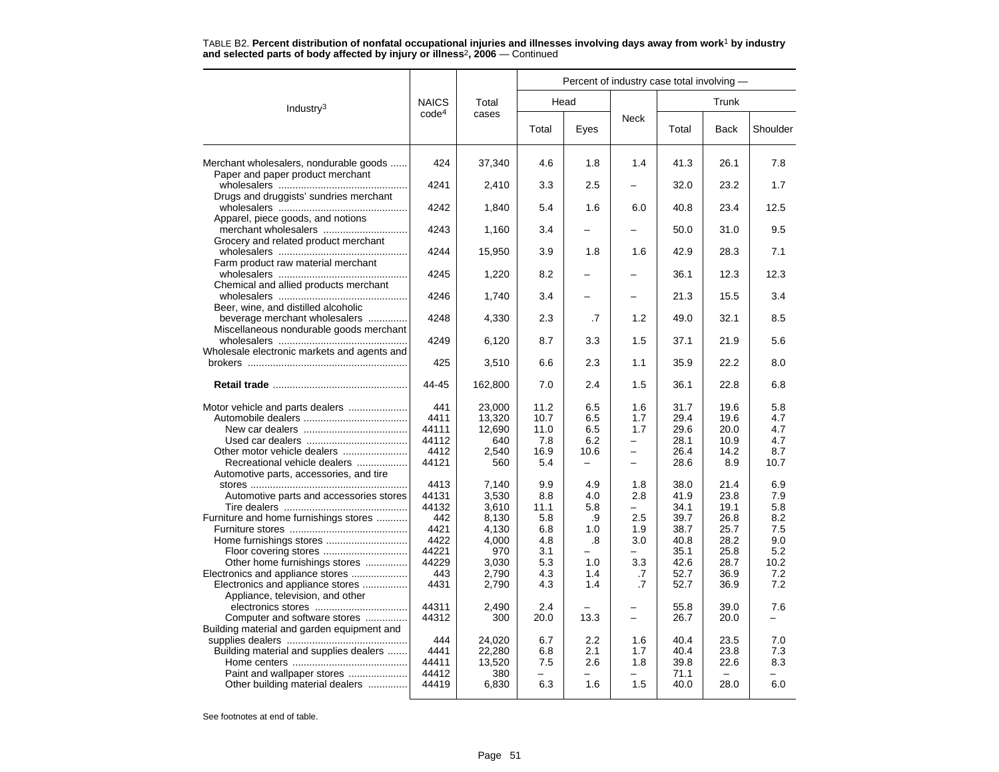TABLE B2. **Percent distribution of nonfatal occupational injuries and illnesses involving days away from work**<sup>1</sup> **by industry and selected parts of body affected by injury or illness**<sup>2</sup>**, 2006** — Continued

|                                                                            |                   |                  | Percent of industry case total involving - |            |                          |              |              |             |  |  |
|----------------------------------------------------------------------------|-------------------|------------------|--------------------------------------------|------------|--------------------------|--------------|--------------|-------------|--|--|
| Industry <sup>3</sup>                                                      | <b>NAICS</b>      | Total            | Head                                       |            |                          |              | Trunk        |             |  |  |
|                                                                            | code <sup>4</sup> | cases            | Total                                      | Eyes       | <b>Neck</b>              | Total        | <b>Back</b>  | Shoulder    |  |  |
| Merchant wholesalers, nondurable goods<br>Paper and paper product merchant | 424               | 37,340           | 4.6                                        | 1.8        | 1.4                      | 41.3         | 26.1         | 7.8         |  |  |
| Drugs and druggists' sundries merchant                                     | 4241              | 2,410            | 3.3                                        | 2.5        |                          | 32.0         | 23.2         | 1.7         |  |  |
| Apparel, piece goods, and notions                                          | 4242              | 1,840            | 5.4                                        | 1.6        | 6.0                      | 40.8         | 23.4         | 12.5        |  |  |
| merchant wholesalers                                                       | 4243              | 1,160            | 3.4                                        |            |                          | 50.0         | 31.0         | 9.5         |  |  |
| Grocery and related product merchant                                       | 4244              | 15,950           | 3.9                                        | 1.8        | 1.6                      | 42.9         | 28.3         | 7.1         |  |  |
| Farm product raw material merchant                                         | 4245              | 1,220            | 8.2                                        |            |                          | 36.1         | 12.3         | 12.3        |  |  |
| Chemical and allied products merchant                                      | 4246              | 1,740            | 3.4                                        |            |                          | 21.3         | 15.5         | 3.4         |  |  |
| Beer, wine, and distilled alcoholic<br>beverage merchant wholesalers       | 4248              | 4,330            | 2.3                                        | .7         | 1.2                      | 49.0         | 32.1         | 8.5         |  |  |
| Miscellaneous nondurable goods merchant                                    | 4249              | 6,120            | 8.7                                        | 3.3        | 1.5                      | 37.1         | 21.9         | 5.6         |  |  |
| Wholesale electronic markets and agents and                                | 425               | 3,510            | 6.6                                        | 2.3        | 1.1                      | 35.9         | 22.2         | 8.0         |  |  |
|                                                                            | 44-45             | 162,800          | 7.0                                        | 2.4        | 1.5                      | 36.1         | 22.8         | 6.8         |  |  |
| Motor vehicle and parts dealers                                            | 441               | 23,000           | 11.2                                       | 6.5        | 1.6                      | 31.7         | 19.6         | 5.8         |  |  |
|                                                                            | 4411<br>44111     | 13,320<br>12,690 | 10.7<br>11.0                               | 6.5<br>6.5 | 1.7<br>1.7               | 29.4<br>29.6 | 19.6<br>20.0 | 4.7<br>4.7  |  |  |
|                                                                            | 44112             | 640              | 7.8                                        | 6.2        |                          | 28.1         | 10.9         | 4.7         |  |  |
| Other motor vehicle dealers<br>Recreational vehicle dealers                | 4412<br>44121     | 2,540<br>560     | 16.9<br>5.4                                | 10.6<br>-  | $\overline{\phantom{0}}$ | 26.4<br>28.6 | 14.2<br>8.9  | 8.7<br>10.7 |  |  |
| Automotive parts, accessories, and tire                                    |                   |                  |                                            |            |                          |              |              |             |  |  |
|                                                                            | 4413              | 7,140            | 9.9                                        | 4.9        | 1.8                      | 38.0         | 21.4         | 6.9         |  |  |
| Automotive parts and accessories stores                                    | 44131             | 3,530            | 8.8                                        | 4.0        | 2.8                      | 41.9         | 23.8         | 7.9         |  |  |
|                                                                            | 44132             | 3,610            | 11.1                                       | 5.8        | $\overline{\phantom{0}}$ | 34.1         | 19.1         | 5.8         |  |  |
| Furniture and home furnishings stores                                      | 442<br>4421       | 8.130<br>4,130   | 5.8<br>6.8                                 | .9<br>1.0  | 2.5<br>1.9               | 39.7<br>38.7 | 26.8<br>25.7 | 8.2<br>7.5  |  |  |
|                                                                            | 4422              | 4,000            | 4.8                                        | .8         | 3.0                      | 40.8         | 28.2         | 9.0         |  |  |
|                                                                            | 44221             | 970              | 3.1                                        |            | $\overline{\phantom{0}}$ | 35.1         | 25.8         | 5.2         |  |  |
| Other home furnishings stores                                              | 44229             | 3,030            | 5.3                                        | 1.0        | 3.3                      | 42.6         | 28.7         | 10.2        |  |  |
| Electronics and appliance stores                                           | 443               | 2,790            | 4.3                                        | 1.4        | .7                       | 52.7         | 36.9         | 7.2         |  |  |
| Electronics and appliance stores<br>Appliance, television, and other       | 4431              | 2,790            | 4.3                                        | 1.4        | $\cdot$ 7                | 52.7         | 36.9         | 7.2         |  |  |
| Computer and software stores                                               | 44311<br>44312    | 2,490<br>300     | 2.4<br>20.0                                | 13.3       |                          | 55.8<br>26.7 | 39.0<br>20.0 | 7.6         |  |  |
| Building material and garden equipment and                                 | 444               | 24.020           |                                            |            |                          | 40.4         |              | 7.0         |  |  |
| Building material and supplies dealers                                     | 4441              | 22,280           | 6.7<br>6.8                                 | 2.2<br>2.1 | 1.6<br>1.7               | 40.4         | 23.5<br>23.8 | 7.3         |  |  |
|                                                                            | 44411             | 13,520           | 7.5                                        | 2.6        | 1.8                      | 39.8         | 22.6         | 8.3         |  |  |
| Paint and wallpaper stores                                                 | 44412             | 380              |                                            |            | -                        | 71.1         |              |             |  |  |
| Other building material dealers                                            | 44419             | 6,830            | 6.3                                        | 1.6        | 1.5                      | 40.0         | 28.0         | 6.0         |  |  |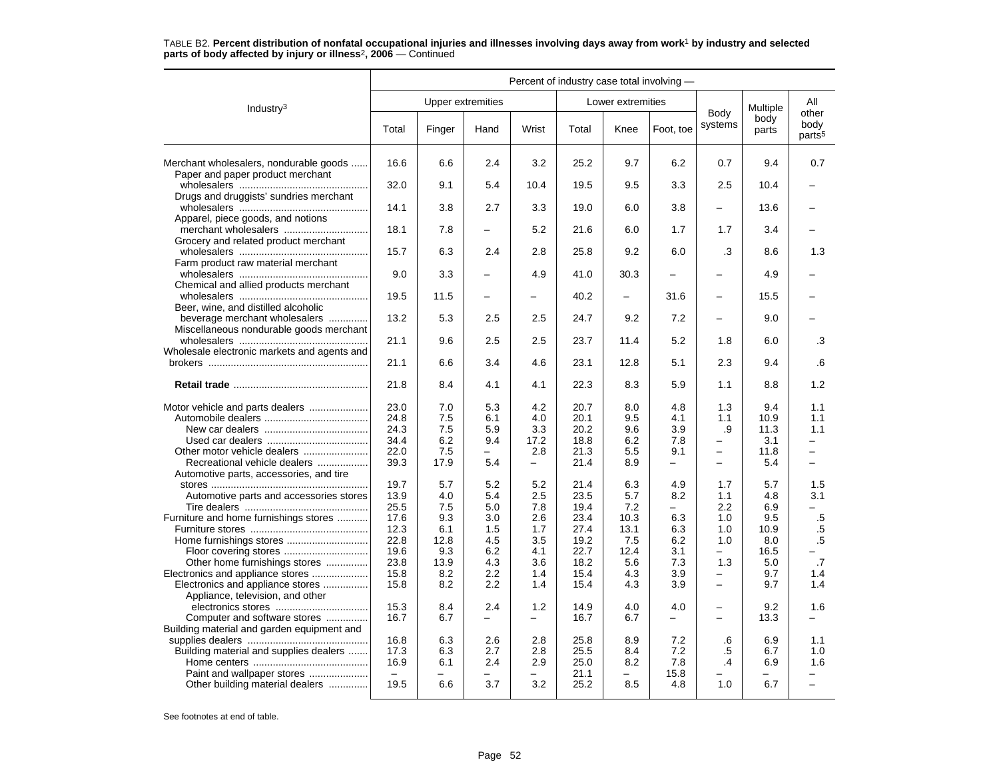#### Industry3 Percent of industry case total involving — Upper extremities **Lower** extremities Body systems Multiple body parts Allotherbody<br>parts<sup>5</sup> Total Finger Hand Wrist Total Knee Foot, toe Systems parts pour Merchant wholesalers, nondurable goods ...... | 16.6 | 6.6 | 2.4 | 3.2 | 25.2 | 9.7 | 6.2 | 0.7 | 9.4 | 0.7 Paper and paper product merchant wholesalers .............................................. 32.0 9.1 5.4 10.4 19.5 9.5 3.3 2.5 10.4 –Drugs and druggists' sundries merchant wholesalers .............................................. 14.1 3.8 2.7 3.3 19.0 6.0 3.8 – 13.6 –Apparel, piece goods, and notions merchant wholesalers .............................. 18.1 7.8 – 5.2 21.6 6.0 1.7 1.7 3.4 –Grocery and related product merchant wholesalers .............................................. 15.7 6.3 2.4 2.8 25.8 9.2 6.0 .3 8.6 1.3Farm product raw material merchant wholesalers .............................................. 9.0 3.3 – 4.9 41.0 30.3 – – 4.9 –Chemical and allied products merchant wholesalers .............................................. 19.5 11.5 – – 40.2 – 31.6 – 15.5 –Beer, wine, and distilled alcoholic beverage merchant wholesalers .............. 13.2 5.3 2.5 2.5 24.7 9.2 7.2 – 9.0 – Miscellaneous nondurable goods merchant wholesalers .............................................. 21.1 9.6 2.5 2.5 23.7 11.4 5.2 1.8 6.0 .3Wholesale electronic markets and agents and brokers ......................................................... 21.1 6.6 3.4 4.6 23.1 12.8 5.1 2.3 9.4 .6**Retail trade** ................................................ 21.8 8.4 4.1 4.1 22.3 8.3 5.9 1.1 8.8 1.2 Motor vehicle and parts dealers ..................... 23.0 7.0 5.3 4.2 20.7 8.0 4.8 1.3 9.4 1.1 Automobile dealers ..................................... 24.8 7.5 6.1 4.0 20.1 9.5 4.1 1.1 10.9 1.1New car dealers ..................................... 24.3 7.5 5.9 3.3 20.2 9.6 3.9 .9 11.3 1.1Used car dealers .................................... 34.4 6.2 9.4 17.2 18.8 6.2 7.8 – 3.1 –Other motor vehicle dealers ....................... 22.0 7.5 – 2.8 21.3 5.5 9.1 – 11.8 –Recreational vehicle dealers .................. 39.3 17.9 5.4 – 21.4 8.9 – – 5.4 –Automotive parts, accessories, and tire stores ........................................................ 19.7 5.7 5.2 5.2 21.4 6.3 4.9 1.7 5.7 1.5Automotive parts and accessories stores 13.9 4.0 5.4 2.5 23.5 5.7 8.2 1.1 4.8 3.1 Tire dealers ............................................ 25.5 7.5 5.0 7.8 19.4 7.2 – 2.2 6.9 –Furniture and home furnishings stores ............ 17.6 | 9.3 | 3.0 | 2.6 | 23.4 | 10.3 | 6.3 | 1.0 | 9.5 | .5<br>5.1 1.5 1.7 | 27.4 | 13.1 | 6.3 | 1.0 | 10.9 | .5 Furniture stores .......................................... 12.3 6.1 1.5 1.7 27.4 13.1 6.3 1.0 10.9 .5Home furnishings stores ............................. 22.8 12.8 4.5 3.5 19.2 7.5 6.2 1.0 8.0 .5 Floor covering stores .............................. 19.6 9.3 6.2 4.1 22.7 12.4 3.1 – 16.5 – Other home furnishings stores ............... 23.8 13.9 4.3 3.6 18.2 5.6 7.3 1.3 5.0 .7 Electronics and appliance stores .................... 15.8 8.2 2.2 1.4 15.4 4.3 3.9 – 9.7 1.4 Electronics and appliance stores ................ 15.8 8.2 2.2 1.4 15.4 4.3 3.9 – 9.7 1.4 Appliance, television, and other electronics stores ................................. 15.3 8.4 2.4 1.2 14.9 4.0 4.0 – 9.2 1.6Computer and software stores ............... 16.7 6.7 – – 16.7 6.7 – – 13.3 – Building material and garden equipment and supplies dealers ........................................... 16.8 6.3 2.6 2.8 25.8 8.9 7.2 .6 6.9 1.1 Building material and supplies dealers ....... 17.3 6.3 2.7 2.8 25.5 8.4 7.2 .5 6.7 1.0 Home centers ......................................... 16.9 6.1 2.4 2.9 25.0 8.2 7.8 .4 6.9 1.6Paint and wallpaper stores ..................... – – – – 21.1 – 15.8 – – – Other building material dealers ..............

# TABLE B2. **Percent distribution of nonfatal occupational injuries and illnesses involving days away from work**<sup>1</sup> **by industry and selected parts of body affected by injury or illness**<sup>2</sup>**, 2006** — Continued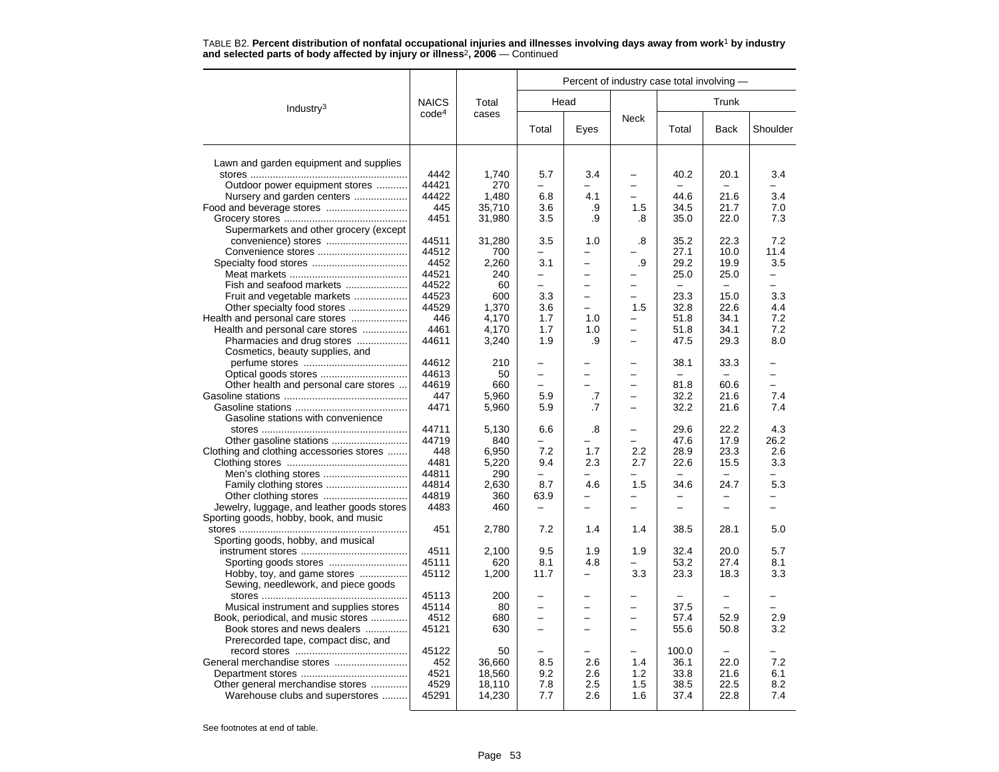|                                                                     |                   |                  |                          |                          | Percent of industry case total involving - |                          |                          |            |  |
|---------------------------------------------------------------------|-------------------|------------------|--------------------------|--------------------------|--------------------------------------------|--------------------------|--------------------------|------------|--|
| Industry $3$                                                        | <b>NAICS</b>      | Total            |                          | Head                     |                                            |                          | Trunk                    |            |  |
|                                                                     | code <sup>4</sup> | cases            | Total                    | Eyes                     | <b>Neck</b>                                | Total                    | <b>Back</b>              | Shoulder   |  |
| Lawn and garden equipment and supplies                              |                   |                  |                          |                          |                                            |                          |                          |            |  |
|                                                                     | 4442              | 1.740            | 5.7                      | 3.4                      | -                                          | 40.2                     | 20.1                     | 3.4        |  |
| Outdoor power equipment stores                                      | 44421             | 270              |                          |                          |                                            |                          |                          |            |  |
| Nursery and garden centers                                          | 44422             | 1,480            | 6.8                      | 4.1                      |                                            | 44.6                     | 21.6                     | 3.4        |  |
|                                                                     | 445               | 35,710           | 3.6                      | .9                       | 1.5                                        | 34.5                     | 21.7                     | 7.0        |  |
|                                                                     | 4451              | 31,980           | 3.5                      | .9                       | .8                                         | 35.0                     | 22.0                     | 7.3        |  |
| Supermarkets and other grocery (except                              |                   |                  |                          |                          |                                            |                          |                          |            |  |
| convenience) stores                                                 | 44511             | 31,280           | 3.5                      | 1.0                      | .8                                         | 35.2                     | 22.3                     | 7.2        |  |
|                                                                     | 44512             | 700              |                          |                          |                                            | 27.1                     | 10.0                     | 11.4       |  |
|                                                                     | 4452              | 2,260            | 3.1                      | $\overline{\phantom{0}}$ | .9                                         | 29.2                     | 19.9                     | 3.5        |  |
|                                                                     | 44521             | 240              |                          |                          |                                            | 25.0                     | 25.0                     |            |  |
| Fish and seafood markets                                            | 44522             | 60               | $=$                      | $\overline{\phantom{0}}$ | $\overline{\phantom{0}}$                   |                          |                          |            |  |
| Fruit and vegetable markets                                         | 44523             | 600              | 3.3                      |                          |                                            | 23.3                     | 15.0                     | 3.3        |  |
|                                                                     | 44529             | 1,370            | 3.6                      |                          | 1.5                                        | 32.8                     | 22.6                     | 4.4        |  |
| Health and personal care stores                                     | 446               | 4,170            | 1.7                      | 1.0                      |                                            | 51.8                     | 34.1                     | 7.2        |  |
| Health and personal care stores                                     | 4461              | 4,170            | 1.7                      | 1.0                      | -                                          | 51.8                     | 34.1                     | 7.2        |  |
| Pharmacies and drug stores                                          | 44611             | 3,240            | 1.9                      | .9                       | -                                          | 47.5                     | 29.3                     | 8.0        |  |
| Cosmetics, beauty supplies, and                                     |                   |                  |                          |                          |                                            |                          |                          |            |  |
|                                                                     | 44612             | 210              |                          |                          | $\overline{\phantom{0}}$                   | 38.1                     | 33.3                     |            |  |
|                                                                     | 44613             | 50               | $\overline{\phantom{m}}$ | $\overline{\phantom{0}}$ |                                            |                          |                          |            |  |
| Other health and personal care stores                               | 44619             | 660              | $\equiv$                 | $=$                      |                                            | 81.8                     | 60.6                     |            |  |
|                                                                     | 447               | 5,960            | 5.9                      | .7                       | -                                          | 32.2                     | 21.6                     | 7.4        |  |
| Gasoline stations with convenience                                  | 4471              | 5,960            | 5.9                      | .7                       |                                            | 32.2                     | 21.6                     | 7.4        |  |
|                                                                     | 44711             | 5,130            | 6.6                      | .8                       |                                            | 29.6                     | 22.2                     | 4.3        |  |
| Other gasoline stations                                             | 44719             | 840              |                          |                          |                                            | 47.6                     | 17.9                     | 26.2       |  |
| Clothing and clothing accessories stores                            | 448               | 6.950            | 7.2                      | 1.7                      | 2.2                                        | 28.9                     | 23.3                     | 2.6        |  |
|                                                                     | 4481              | 5,220            | 9.4                      | 2.3                      | 2.7                                        | 22.6                     | 15.5                     | 3.3        |  |
|                                                                     | 44811             | 290              |                          |                          |                                            |                          |                          |            |  |
|                                                                     | 44814             | 2,630            | 8.7                      | 4.6                      | 1.5                                        | 34.6                     | 24.7                     | 5.3        |  |
|                                                                     | 44819             | 360              | 63.9                     |                          |                                            |                          |                          |            |  |
| Jewelry, luggage, and leather goods stores                          | 4483              | 460              | $\overline{\phantom{0}}$ | $\overline{\phantom{0}}$ | -                                          | $\overline{\phantom{0}}$ | $\overline{\phantom{0}}$ | -          |  |
| Sporting goods, hobby, book, and music                              |                   |                  |                          |                          |                                            |                          |                          |            |  |
|                                                                     | 451               | 2,780            | 7.2                      | 1.4                      | 1.4                                        | 38.5                     | 28.1                     | 5.0        |  |
| Sporting goods, hobby, and musical                                  |                   |                  |                          |                          |                                            |                          |                          |            |  |
|                                                                     | 4511              | 2,100            | 9.5                      | 1.9                      | 1.9                                        | 32.4                     | 20.0                     | 5.7        |  |
|                                                                     | 45111             | 620              | 8.1                      | 4.8                      |                                            | 53.2                     | 27.4                     | 8.1        |  |
| Hobby, toy, and game stores                                         | 45112             | 1,200            | 11.7                     |                          | 3.3                                        | 23.3                     | 18.3                     | 3.3        |  |
| Sewing, needlework, and piece goods                                 |                   |                  |                          |                          |                                            |                          |                          |            |  |
|                                                                     | 45113             | 200              |                          |                          |                                            |                          |                          |            |  |
| Musical instrument and supplies stores                              | 45114             | 80               |                          |                          |                                            | 37.5                     |                          |            |  |
| Book, periodical, and music stores                                  | 4512              | 680              | $\equiv$                 | -                        | $\equiv$                                   | 57.4                     | 52.9                     | 2.9        |  |
| Book stores and news dealers                                        | 45121             | 630              |                          |                          |                                            | 55.6                     | 50.8                     | 3.2        |  |
| Prerecorded tape, compact disc, and                                 |                   |                  |                          |                          |                                            |                          |                          |            |  |
|                                                                     | 45122             | 50               |                          |                          |                                            | 100.0                    |                          |            |  |
|                                                                     | 452               | 36,660           | 8.5                      | 2.6                      | 1.4<br>1.2                                 | 36.1                     | 22.0                     | 7.2<br>6.1 |  |
|                                                                     | 4521<br>4529      | 18,560<br>18.110 | 9.2<br>7.8               | 2.6<br>2.5               | 1.5                                        | 33.8<br>38.5             | 21.6<br>22.5             | 8.2        |  |
| Other general merchandise stores<br>Warehouse clubs and superstores | 45291             | 14,230           | 7.7                      | 2.6                      | 1.6                                        | 37.4                     | 22.8                     | 7.4        |  |
|                                                                     |                   |                  |                          |                          |                                            |                          |                          |            |  |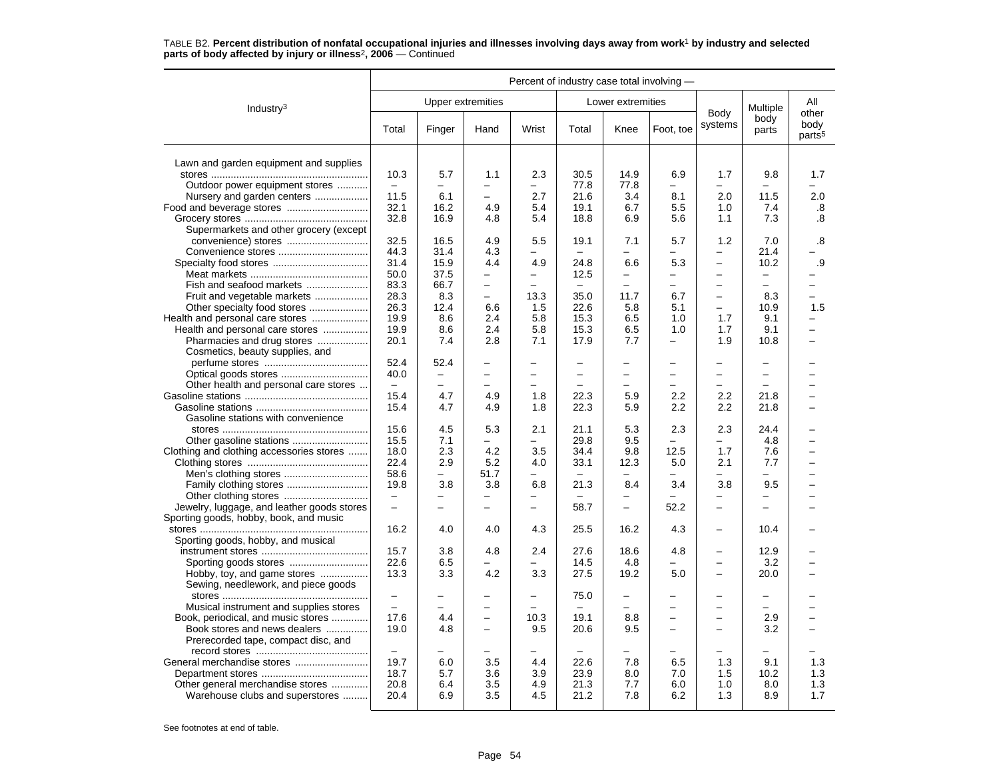|                                            | Percent of industry case total involving - |                          |                          |                          |                          |                          |                          |                          |                          |                                     |
|--------------------------------------------|--------------------------------------------|--------------------------|--------------------------|--------------------------|--------------------------|--------------------------|--------------------------|--------------------------|--------------------------|-------------------------------------|
| Industry $3$                               |                                            |                          | Upper extremities        |                          |                          | Lower extremities        |                          |                          | Multiple                 | All                                 |
|                                            | Total                                      | Finger                   | Hand                     | Wrist                    | Total                    | Knee                     | Foot, toe                | Body<br>systems          | body<br>parts            | other<br>body<br>parts <sup>5</sup> |
| Lawn and garden equipment and supplies     |                                            |                          |                          |                          |                          |                          |                          |                          |                          |                                     |
|                                            | 10.3                                       | 5.7                      | 1.1                      | 2.3                      | 30.5                     | 14.9                     | 6.9                      | 1.7                      | 9.8                      | 1.7                                 |
| Outdoor power equipment stores             | $\equiv$                                   | $\overline{\phantom{0}}$ |                          | $\overline{\phantom{0}}$ | 77.8                     | 77.8                     | $\equiv$                 | $\overline{\phantom{a}}$ | $\overline{\phantom{0}}$ |                                     |
| Nursery and garden centers                 | 11.5                                       | 6.1                      | $\overline{\phantom{0}}$ | 2.7                      | 21.6                     | 3.4                      | 8.1                      | 2.0                      | 11.5                     | 2.0                                 |
| Food and beverage stores                   | 32.1                                       | 16.2                     | 4.9                      | 5.4                      | 19.1                     | 6.7                      | 5.5                      | 1.0                      | 7.4                      | .8                                  |
|                                            | 32.8                                       | 16.9                     | 4.8                      | 5.4                      | 18.8                     | 6.9                      | 5.6                      | 1.1                      | 7.3                      | .8                                  |
| Supermarkets and other grocery (except     |                                            |                          |                          |                          |                          |                          |                          |                          |                          |                                     |
|                                            | 32.5                                       | 16.5                     | 4.9                      | 5.5                      | 19.1                     | 7.1                      | 5.7                      | 1.2                      | 7.0                      | .8                                  |
| Convenience stores                         | 44.3                                       | 31.4                     | 4.3                      |                          |                          | $\overline{\phantom{0}}$ | $\overline{\phantom{0}}$ | $\overline{\phantom{0}}$ | 21.4                     |                                     |
|                                            | 31.4                                       | 15.9                     | 4.4                      | 4.9                      | 24.8                     | 6.6                      | 5.3                      | $\equiv$                 | 10.2                     | .9                                  |
|                                            | 50.0                                       | 37.5                     | $\overline{\phantom{0}}$ | Ξ.                       | 12.5                     | $\overline{\phantom{0}}$ | $\overline{\phantom{0}}$ | $\overline{\phantom{0}}$ | $\qquad \qquad -$        |                                     |
| Fish and seafood markets                   | 83.3                                       | 66.7                     | $\overline{\phantom{0}}$ |                          |                          |                          |                          | $\equiv$                 | $\equiv$                 | -                                   |
| Fruit and vegetable markets                | 28.3                                       | 8.3                      | $\overline{\phantom{0}}$ | 13.3                     | 35.0                     | 11.7                     | 6.7                      | $\equiv$                 | 8.3                      | $\overline{\phantom{0}}$            |
|                                            | 26.3                                       | 12.4                     | 6.6                      | 1.5                      | 22.6                     | 5.8                      | 5.1                      | $\equiv$                 | 10.9                     | 1.5                                 |
|                                            | 19.9                                       | 8.6                      | 2.4                      | 5.8                      | 15.3                     | 6.5                      | 1.0                      | 1.7                      | 9.1                      |                                     |
| Health and personal care stores            | 19.9                                       | 8.6                      | 2.4                      | 5.8                      | 15.3                     | 6.5                      | 1.0                      | 1.7                      | 9.1                      | -                                   |
| Pharmacies and drug stores                 | 20.1                                       | 7.4                      | 2.8                      | 7.1                      | 17.9                     | 7.7                      | $\equiv$                 | 1.9                      | 10.8                     |                                     |
| Cosmetics, beauty supplies, and            |                                            |                          |                          |                          |                          |                          |                          |                          |                          |                                     |
|                                            | 52.4                                       | 52.4                     | $\overline{\phantom{0}}$ | -                        | $\overline{\phantom{0}}$ | $\overline{\phantom{0}}$ | ۳                        | $\overline{\phantom{0}}$ | $\overline{\phantom{0}}$ |                                     |
|                                            | 40.0                                       | $\qquad \qquad -$        |                          |                          | -                        | $\overline{\phantom{0}}$ |                          | $\equiv$                 | -                        |                                     |
| Other health and personal care stores      | $\overline{\phantom{m}}$                   | $\overline{\phantom{0}}$ |                          |                          |                          |                          |                          | $\overline{\phantom{0}}$ | $\overline{\phantom{0}}$ |                                     |
|                                            | 15.4                                       | 4.7                      | 4.9                      | 1.8                      | 22.3                     | 5.9                      | 2.2                      | 2.2                      | 21.8                     |                                     |
|                                            | 15.4                                       | 4.7                      | 4.9                      | 1.8                      | 22.3                     | 5.9                      | 2.2                      | 2.2                      | 21.8                     |                                     |
| Gasoline stations with convenience         |                                            |                          |                          |                          |                          |                          |                          |                          |                          |                                     |
|                                            | 15.6                                       | 4.5                      | 5.3                      | 2.1                      | 21.1                     | 5.3                      | 2.3                      | 2.3                      | 24.4                     |                                     |
| Other gasoline stations                    | 15.5                                       | 7.1                      |                          | $\overline{\phantom{0}}$ | 29.8                     | 9.5                      | $\equiv$                 | $\overline{\phantom{0}}$ | 4.8                      | $\overline{\phantom{0}}$            |
| Clothing and clothing accessories stores   | 18.0                                       | 2.3                      | 4.2                      | 3.5                      | 34.4                     | 9.8                      | 12.5                     | 1.7                      | 7.6                      | $\overline{\phantom{0}}$            |
|                                            | 22.4                                       | 2.9                      | 5.2                      | 4.0                      | 33.1                     | 12.3                     | 5.0                      | 2.1                      | 7.7                      | $\overline{\phantom{0}}$            |
|                                            | 58.6                                       | $\overline{\phantom{0}}$ | 51.7                     | ÷.                       |                          | $\overline{\phantom{0}}$ |                          | $\overline{\phantom{0}}$ | $\overline{\phantom{0}}$ | $\overline{\phantom{0}}$            |
|                                            | 19.8                                       | 3.8                      | 3.8                      | 6.8                      | 21.3                     | 8.4                      | 3.4                      | 3.8                      | 9.5                      |                                     |
|                                            | $\overline{\phantom{0}}$                   | $\overline{\phantom{0}}$ | $\overline{\phantom{0}}$ | -                        |                          | $\overline{\phantom{0}}$ |                          | $\overline{\phantom{0}}$ | -                        |                                     |
| Jewelry, luggage, and leather goods stores | $\overline{\phantom{0}}$                   | $\overline{\phantom{0}}$ | $\overline{\phantom{0}}$ | -                        | 58.7                     | $\equiv$                 | 52.2                     | $\overline{\phantom{0}}$ | $\overline{\phantom{0}}$ |                                     |
| Sporting goods, hobby, book, and music     |                                            |                          |                          |                          |                          |                          |                          |                          |                          |                                     |
|                                            | 16.2                                       | 4.0                      | 4.0                      | 4.3                      | 25.5                     | 16.2                     | 4.3                      | $\overline{\phantom{0}}$ | 10.4                     |                                     |
| Sporting goods, hobby, and musical         |                                            |                          |                          |                          |                          |                          |                          |                          |                          |                                     |
|                                            | 15.7                                       | 3.8                      | 4.8                      | 2.4                      | 27.6                     | 18.6                     | 4.8                      | $\overline{\phantom{0}}$ | 12.9                     |                                     |
|                                            | 22.6                                       | 6.5                      |                          | -                        | 14.5                     | 4.8                      |                          | $\overline{\phantom{0}}$ | 3.2                      | ÷                                   |
| Hobby, toy, and game stores                | 13.3                                       | 3.3                      | 4.2                      | 3.3                      | 27.5                     | 19.2                     | 5.0                      | $\overline{\phantom{0}}$ | 20.0                     |                                     |
| Sewing, needlework, and piece goods        |                                            |                          |                          |                          |                          |                          |                          |                          |                          |                                     |
|                                            | $\overline{\phantom{0}}$                   | -                        |                          |                          | 75.0                     | $\overline{\phantom{0}}$ |                          |                          | $\overline{\phantom{0}}$ |                                     |
| Musical instrument and supplies stores     | $\overline{\phantom{0}}$                   | $\overline{\phantom{0}}$ | $\overline{\phantom{0}}$ |                          |                          |                          |                          | $\overline{\phantom{0}}$ | $\overline{\phantom{0}}$ |                                     |
| Book, periodical, and music stores         | 17.6                                       | 4.4                      | $\overline{\phantom{0}}$ | 10.3                     | 19.1                     | 8.8                      | $\overline{\phantom{0}}$ | $\overline{\phantom{0}}$ | 2.9                      | $\overline{\phantom{0}}$            |
| Book stores and news dealers               | 19.0                                       | 4.8                      | $\overline{\phantom{0}}$ | 9.5                      | 20.6                     | 9.5                      | $\overline{\phantom{0}}$ | $\overline{\phantom{0}}$ | 3.2                      | L                                   |
| Prerecorded tape, compact disc, and        |                                            |                          |                          |                          |                          |                          |                          |                          |                          |                                     |
|                                            |                                            |                          |                          |                          |                          |                          |                          |                          |                          |                                     |
| General merchandise stores                 | 19.7                                       | 6.0                      | 3.5                      | 4.4                      | 22.6                     | 7.8                      | 6.5                      | 1.3                      | 9.1                      | 1.3                                 |
|                                            | 18.7                                       | 5.7                      | 3.6                      | 3.9                      | 23.9                     | 8.0                      | 7.0                      | 1.5                      | 10.2                     | 1.3                                 |
| Other general merchandise stores           | 20.8                                       | 6.4                      | 3.5                      | 4.9                      | 21.3                     | 7.7                      | 6.0                      | 1.0                      | 8.0                      | 1.3                                 |
| Warehouse clubs and superstores            | 20.4                                       | 6.9                      | 3.5                      | 4.5                      | 21.2                     | 7.8                      | 6.2                      | 1.3                      | 8.9                      | 1.7                                 |
|                                            |                                            |                          |                          |                          |                          |                          |                          |                          |                          |                                     |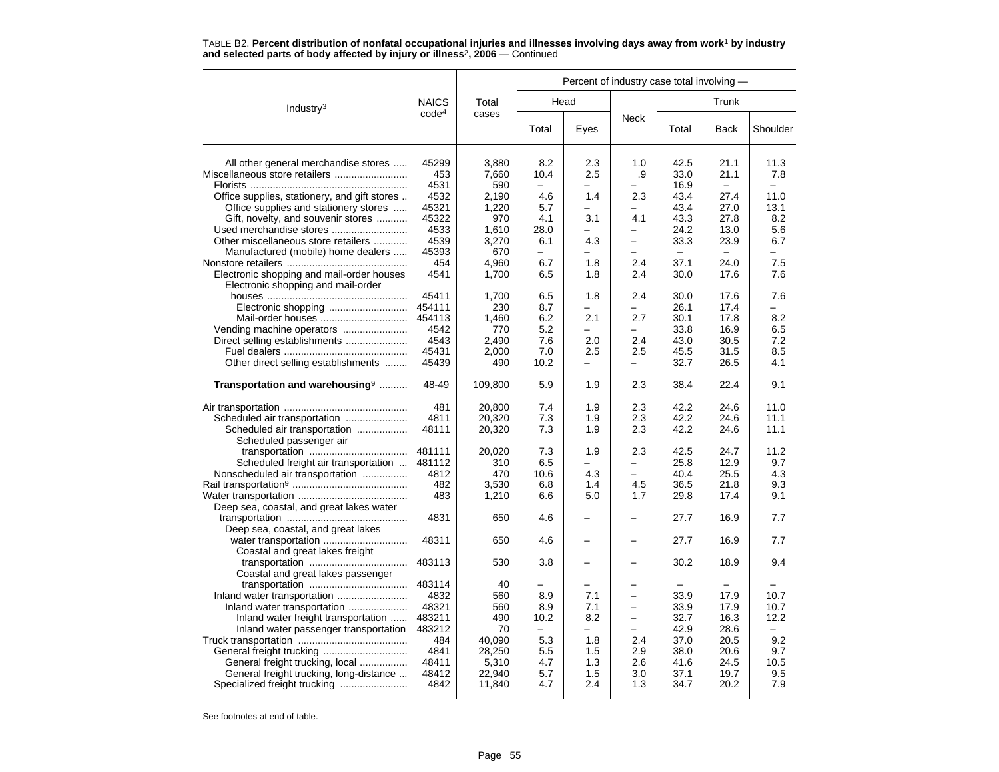|                                                                                 |                   |                  |                                 |                                 |                                      | Percent of industry case total involving - |                                  |                  |  |
|---------------------------------------------------------------------------------|-------------------|------------------|---------------------------------|---------------------------------|--------------------------------------|--------------------------------------------|----------------------------------|------------------|--|
| Industry <sup>3</sup>                                                           | <b>NAICS</b>      | Total            |                                 | Head                            |                                      |                                            | Trunk                            |                  |  |
|                                                                                 | code <sup>4</sup> | cases            | Total                           | Eyes                            | <b>Neck</b>                          | Total                                      | <b>Back</b>                      | Shoulder         |  |
| All other general merchandise stores                                            | 45299<br>453      | 3,880<br>7,660   | 8.2<br>10.4                     | 2.3<br>2.5                      | 1.0<br>.9                            | 42.5<br>33.0                               | 21.1<br>21.1                     | 11.3<br>7.8      |  |
| Office supplies, stationery, and gift stores                                    | 4531<br>4532      | 590<br>2,190     | $\overline{\phantom{0}}$<br>4.6 | $\overline{\phantom{0}}$<br>1.4 | 2.3                                  | 16.9<br>43.4                               | $\overline{\phantom{a}}$<br>27.4 | $\equiv$<br>11.0 |  |
| Office supplies and stationery stores                                           | 45321             | 1,220            | 5.7                             | L.                              | $\overline{a}$                       | 43.4                                       | 27.0                             | 13.1             |  |
| Gift, novelty, and souvenir stores                                              | 45322             | 970              | 4.1                             | 3.1                             | 4.1                                  | 43.3                                       | 27.8                             | 8.2              |  |
| Used merchandise stores                                                         | 4533              | 1.610            | 28.0                            |                                 |                                      | 24.2                                       | 13.0                             | 5.6              |  |
| Other miscellaneous store retailers                                             | 4539              | 3,270            | 6.1                             | 4.3                             | $\overline{\phantom{0}}$             | 33.3                                       | 23.9                             | 6.7              |  |
| Manufactured (mobile) home dealers                                              | 45393             | 670              | $\equiv$                        | ÷                               | -                                    | $\sim$                                     | $\equiv$                         | ÷                |  |
|                                                                                 | 454               | 4,960            | 6.7                             | 1.8                             | 2.4                                  | 37.1                                       | 24.0                             | 7.5              |  |
| Electronic shopping and mail-order houses<br>Electronic shopping and mail-order | 4541              | 1,700            | 6.5                             | 1.8                             | 2.4                                  | 30.0                                       | 17.6                             | 7.6              |  |
|                                                                                 | 45411             | 1,700            | 6.5                             | 1.8                             | 2.4                                  | 30.0                                       | 17.6                             | 7.6              |  |
| Electronic shopping                                                             | 454111            | 230              | 8.7                             | -                               |                                      | 26.1                                       | 17.4                             |                  |  |
| Mail-order houses                                                               | 454113<br>4542    | 1,460<br>770     | 6.2<br>5.2                      | 2.1<br>L.                       | 2.7                                  | 30.1<br>33.8                               | 17.8<br>16.9                     | 8.2<br>6.5       |  |
| Vending machine operators<br>Direct selling establishments                      | 4543              | 2,490            | 7.6                             | 2.0                             | 2.4                                  | 43.0                                       | 30.5                             | 7.2              |  |
|                                                                                 | 45431             | 2,000            | 7.0                             | 2.5                             | 2.5                                  | 45.5                                       | 31.5                             | 8.5              |  |
| Other direct selling establishments                                             | 45439             | 490              | 10.2                            | $\overline{\phantom{0}}$        |                                      | 32.7                                       | 26.5                             | 4.1              |  |
|                                                                                 |                   |                  |                                 |                                 |                                      |                                            |                                  |                  |  |
| Transportation and warehousing <sup>9</sup>                                     | 48-49             | 109,800          | 5.9                             | 1.9                             | 2.3                                  | 38.4                                       | 22.4                             | 9.1              |  |
|                                                                                 | 481               | 20.800           | 7.4                             | 1.9                             | 2.3                                  | 42.2                                       | 24.6                             | 11.0             |  |
| Scheduled air transportation                                                    | 4811              | 20,320           | 7.3                             | 1.9                             | 2.3                                  | 42.2                                       | 24.6                             | 11.1             |  |
| Scheduled air transportation<br>Scheduled passenger air                         | 48111             | 20,320           | 7.3                             | 1.9                             | 2.3                                  | 42.2                                       | 24.6                             | 11.1             |  |
|                                                                                 | 481111            | 20.020           | 7.3                             | 1.9                             | 2.3                                  | 42.5                                       | 24.7                             | 11.2             |  |
| Scheduled freight air transportation                                            | 481112            | 310              | 6.5                             | L.                              | $\overline{\phantom{0}}$             | 25.8                                       | 12.9                             | 9.7              |  |
| Nonscheduled air transportation                                                 | 4812              | 470              | 10.6                            | 4.3                             | -                                    | 40.4                                       | 25.5                             | 4.3              |  |
|                                                                                 | 482               | 3,530            | 6.8                             | 1.4                             | 4.5                                  | 36.5                                       | 21.8                             | 9.3              |  |
|                                                                                 | 483               | 1,210            | 6.6                             | 5.0                             | 1.7                                  | 29.8                                       | 17.4                             | 9.1              |  |
| Deep sea, coastal, and great lakes water                                        | 4831              | 650              | 4.6                             |                                 |                                      | 27.7                                       | 16.9                             | 7.7              |  |
| Deep sea, coastal, and great lakes                                              |                   |                  |                                 |                                 |                                      |                                            |                                  |                  |  |
|                                                                                 | 48311             | 650              | 4.6                             |                                 |                                      | 27.7                                       | 16.9                             | 7.7              |  |
| Coastal and great lakes freight                                                 |                   |                  |                                 |                                 |                                      |                                            |                                  |                  |  |
|                                                                                 | 483113            | 530              | 3.8                             |                                 |                                      | 30.2                                       | 18.9                             | 9.4              |  |
| Coastal and great lakes passenger                                               |                   |                  |                                 |                                 |                                      |                                            |                                  |                  |  |
|                                                                                 | 483114            | 40               |                                 |                                 |                                      |                                            |                                  |                  |  |
|                                                                                 | 4832              | 560              | 8.9                             | 7.1                             | $\overline{\phantom{0}}$             | 33.9                                       | 17.9                             | 10.7             |  |
| Inland water transportation                                                     | 48321             | 560              | 8.9                             | 7.1                             | $\overline{\phantom{0}}$             | 33.9                                       | 17.9                             | 10.7             |  |
| Inland water freight transportation                                             | 483211            | 490              | 10.2                            | 8.2                             | $\overline{\phantom{0}}$<br>$\equiv$ | 32.7                                       | 16.3                             | 12.2<br>$\equiv$ |  |
| Inland water passenger transportation                                           | 483212            | 70               | $\overline{\phantom{0}}$        | $\overline{\phantom{0}}$        | 2.4                                  | 42.9                                       | 28.6                             |                  |  |
|                                                                                 | 484<br>4841       | 40.090<br>28,250 | 5.3<br>5.5                      | 1.8<br>1.5                      | 2.9                                  | 37.0<br>38.0                               | 20.5<br>20.6                     | 9.2<br>9.7       |  |
| General freight trucking, local                                                 | 48411             | 5,310            | 4.7                             | 1.3                             | 2.6                                  | 41.6                                       | 24.5                             | 10.5             |  |
| General freight trucking, long-distance                                         | 48412             | 22,940           | 5.7                             | 1.5                             | 3.0                                  | 37.1                                       | 19.7                             | 9.5              |  |
|                                                                                 | 4842              | 11,840           | 4.7                             | 2.4                             | 1.3                                  | 34.7                                       | 20.2                             | 7.9              |  |
|                                                                                 |                   |                  |                                 |                                 |                                      |                                            |                                  |                  |  |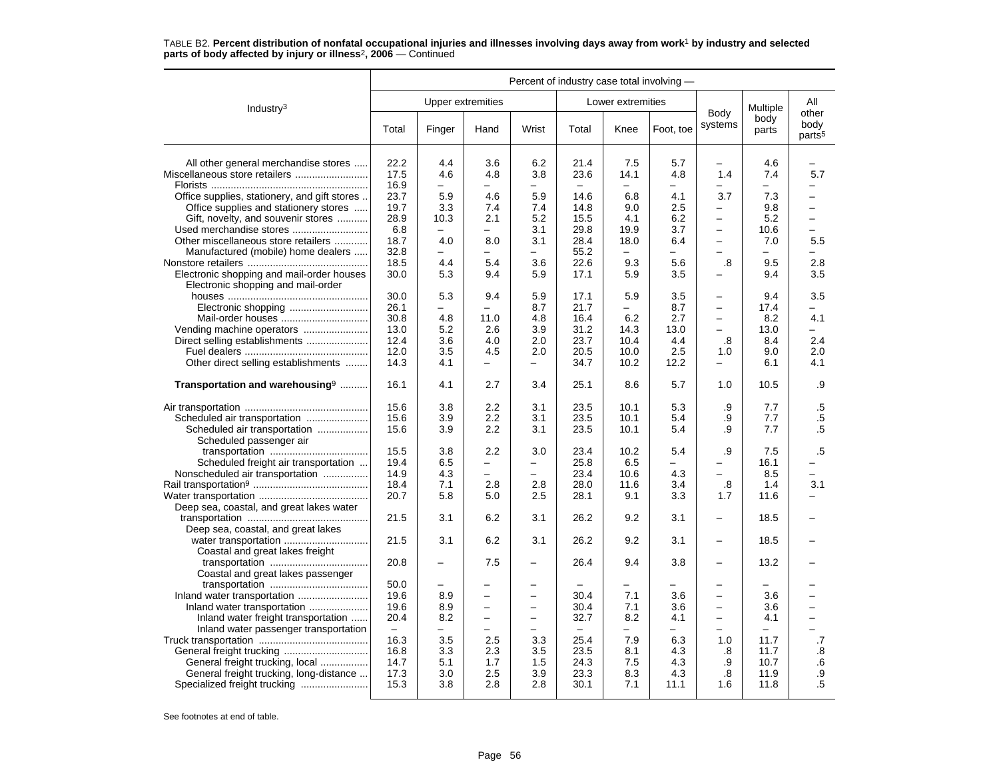|                                                                                 | Percent of industry case total involving - |                                 |                            |                          |                  |                                 |                                 |                          |                                 |                                     |
|---------------------------------------------------------------------------------|--------------------------------------------|---------------------------------|----------------------------|--------------------------|------------------|---------------------------------|---------------------------------|--------------------------|---------------------------------|-------------------------------------|
| Industry $3$                                                                    |                                            |                                 | <b>Upper extremities</b>   |                          |                  | Lower extremities               |                                 |                          | Multiple                        | All                                 |
|                                                                                 | Total                                      | Finger                          | Hand                       | Wrist                    | Total            | Knee                            | Foot, toe                       | Body<br>systems          | body<br>parts                   | other<br>body<br>parts <sup>5</sup> |
| All other general merchandise stores                                            | 22.2                                       | 4.4                             | 3.6                        | 6.2                      | 21.4             | 7.5                             | 5.7                             | -                        | 4.6                             |                                     |
| Miscellaneous store retailers                                                   | 17.5                                       | 4.6                             | 4.8                        | 3.8                      | 23.6             | 14.1                            | 4.8                             | 1.4                      | 7.4                             | 5.7                                 |
|                                                                                 | 16.9                                       | $\overline{\phantom{0}}$        | $\overline{\phantom{0}}$   | $\equiv$                 |                  | $\overline{\phantom{0}}$        | $\equiv$                        |                          | $\overline{\phantom{0}}$        | $\overline{\phantom{0}}$            |
| Office supplies, stationery, and gift stores                                    | 23.7                                       | 5.9                             | 4.6                        | 5.9                      | 14.6             | 6.8                             | 4.1                             | 3.7                      | 7.3                             | L.                                  |
| Office supplies and stationery stores                                           | 19.7                                       | 3.3                             | 7.4                        | 7.4                      | 14.8             | 9.0                             | 2.5                             | -                        | 9.8                             | -                                   |
| Gift, novelty, and souvenir stores                                              | 28.9                                       | 10.3                            | 2.1                        | 5.2                      | 15.5             | 4.1                             | 6.2                             | $\equiv$                 | 5.2                             | $\overline{\phantom{0}}$            |
| Used merchandise stores                                                         | 6.8                                        |                                 | $\equiv$                   | 3.1                      | 29.8             | 19.9                            | 3.7                             | $\equiv$                 | 10.6                            | $\equiv$                            |
| Other miscellaneous store retailers                                             | 18.7                                       | 4.0                             | 8.0                        | 3.1                      | 28.4             | 18.0                            | 6.4                             | $\overline{\phantom{0}}$ | 7.0                             | 5.5                                 |
| Manufactured (mobile) home dealers                                              | 32.8                                       | $\overline{\phantom{0}}$        |                            | -                        | 55.2             | -                               | $\equiv$                        |                          | $\overline{\phantom{m}}$        | $\overline{\phantom{0}}$            |
|                                                                                 | 18.5                                       | 4.4                             | 5.4                        | 3.6                      | 22.6             | 9.3                             | 5.6                             | .8                       | 9.5                             | 2.8                                 |
| Electronic shopping and mail-order houses<br>Electronic shopping and mail-order | 30.0                                       | 5.3                             | 9.4                        | 5.9                      | 17.1             | 5.9                             | 3.5                             | —                        | 9.4                             | 3.5                                 |
|                                                                                 | 30.0                                       | 5.3                             | 9.4                        | 5.9                      | 17.1             | 5.9                             | 3.5                             | $\overline{a}$           | 9.4                             | 3.5                                 |
|                                                                                 | 26.1                                       | $\overline{\phantom{0}}$        | $\equiv$                   | 8.7                      | 21.7             | ۰.                              | 8.7                             | $\overline{\phantom{0}}$ | 17.4                            | -                                   |
|                                                                                 | 30.8                                       | 4.8                             | 11.0                       | 4.8                      | 16.4             | 6.2                             | 2.7                             | -                        | 8.2                             | 4.1                                 |
| Vending machine operators                                                       | 13.0                                       | 5.2                             | 2.6                        | 3.9                      | 31.2             | 14.3                            | 13.0                            | $\overline{\phantom{0}}$ | 13.0                            | ÷                                   |
| Direct selling establishments                                                   | 12.4                                       | 3.6                             | 4.0                        | 2.0                      | 23.7             | 10.4                            | 4.4                             | .8                       | 8.4                             | 2.4                                 |
|                                                                                 | 12.0                                       | 3.5                             | 4.5                        | 2.0                      | 20.5             | 10.0                            | 2.5                             | 1.0                      | 9.0                             | 2.0                                 |
| Other direct selling establishments                                             | 14.3                                       | 4.1                             | $\equiv$                   | $\equiv$                 | 34.7             | 10.2                            | 12.2                            | -                        | 6.1                             | 4.1                                 |
| Transportation and warehousing <sup>9</sup>                                     | 16.1                                       | 4.1                             | 2.7                        | 3.4                      | 25.1             | 8.6                             | 5.7                             | 1.0                      | 10.5                            | .9                                  |
|                                                                                 | 15.6                                       | 3.8                             | 2.2                        | 3.1                      | 23.5             | 10.1                            | 5.3                             | .9                       | 7.7                             | $.5\,$                              |
| Scheduled air transportation                                                    | 15.6                                       | 3.9                             | 2.2                        | 3.1                      | 23.5             | 10.1                            | 5.4                             | .9                       | 7.7                             | $.5\,$                              |
| Scheduled air transportation<br>Scheduled passenger air                         | 15.6                                       | 3.9                             | 2.2                        | 3.1                      | 23.5             | 10.1                            | 5.4                             | .9                       | 7.7                             | .5                                  |
|                                                                                 | 15.5                                       | 3.8                             | 2.2                        | 3.0                      | 23.4             | 10.2                            | 5.4                             | .9                       | 7.5                             | $.5\,$                              |
| Scheduled freight air transportation                                            | 19.4                                       | 6.5                             | $\overline{\phantom{0}}$   | -                        | 25.8             | 6.5                             | $\overline{\phantom{0}}$        | -                        | 16.1                            |                                     |
| Nonscheduled air transportation                                                 | 14.9                                       | 4.3                             |                            |                          | 23.4             | 10.6                            | 4.3                             |                          | 8.5                             |                                     |
|                                                                                 | 18.4                                       | 7.1                             | 2.8                        | 2.8                      | 28.0             | 11.6                            | 3.4                             | .8                       | 1.4                             | 3.1                                 |
|                                                                                 | 20.7                                       | 5.8                             | 5.0                        | 2.5                      | 28.1             | 9.1                             | 3.3                             | 1.7                      | 11.6                            | $\overline{\phantom{0}}$            |
| Deep sea, coastal, and great lakes water                                        |                                            |                                 |                            |                          |                  |                                 |                                 |                          |                                 |                                     |
| Deep sea, coastal, and great lakes                                              | 21.5                                       | 3.1                             | 6.2                        | 3.1                      | 26.2             | 9.2                             | 3.1                             | $\overline{\phantom{0}}$ | 18.5                            |                                     |
| Coastal and great lakes freight                                                 | 21.5                                       | 3.1                             | 6.2                        | 3.1                      | 26.2             | 9.2                             | 3.1                             |                          | 18.5                            |                                     |
|                                                                                 | 20.8                                       | $\overline{\phantom{m}}$        | 7.5                        | —                        | 26.4             | 9.4                             | 3.8                             | -                        | 13.2                            |                                     |
| Coastal and great lakes passenger                                               |                                            |                                 |                            |                          |                  |                                 |                                 |                          |                                 |                                     |
|                                                                                 | 50.0                                       |                                 |                            |                          |                  |                                 |                                 | -                        |                                 |                                     |
|                                                                                 | 19.6                                       | 8.9                             | $\overline{\phantom{0}}$   | $\overline{\phantom{0}}$ | 30.4             | 7.1                             | 3.6                             | $\equiv$                 | 3.6                             | $\overline{\phantom{0}}$            |
| Inland water transportation                                                     | 19.6                                       | 8.9                             | $\overline{a}$<br>$\equiv$ | $\equiv$<br>$\equiv$     | 30.4             | 7.1                             | 3.6                             | $\equiv$<br>$\equiv$     | 3.6                             | $\overline{\phantom{0}}$            |
| Inland water freight transportation                                             | 20.4<br>$\qquad \qquad -$                  | 8.2<br>$\overline{\phantom{0}}$ |                            |                          | 32.7<br>$\equiv$ | 8.2<br>$\overline{\phantom{0}}$ | 4.1<br>$\overline{\phantom{0}}$ | ÷                        | 4.1<br>$\overline{\phantom{0}}$ | $\overline{\phantom{0}}$            |
| Inland water passenger transportation                                           | 16.3                                       | 3.5                             | 2.5                        | 3.3                      | 25.4             | 7.9                             | 6.3                             | 1.0                      | 11.7                            | .7                                  |
| General freight trucking                                                        | 16.8                                       | 3.3                             | 2.3                        | 3.5                      | 23.5             | 8.1                             | 4.3                             | .8                       | 11.7                            | .8                                  |
| General freight trucking, local                                                 | 14.7                                       | 5.1                             | 1.7                        | 1.5                      | 24.3             | 7.5                             | 4.3                             | .9                       | 10.7                            | .6                                  |
| General freight trucking, long-distance                                         | 17.3                                       | 3.0                             | 2.5                        | 3.9                      | 23.3             | 8.3                             | 4.3                             | .8                       | 11.9                            | .9                                  |
| Specialized freight trucking                                                    | 15.3                                       | 3.8                             | 2.8                        | 2.8                      | 30.1             | 7.1                             | 11.1                            | 1.6                      | 11.8                            | .5                                  |
|                                                                                 |                                            |                                 |                            |                          |                  |                                 |                                 |                          |                                 |                                     |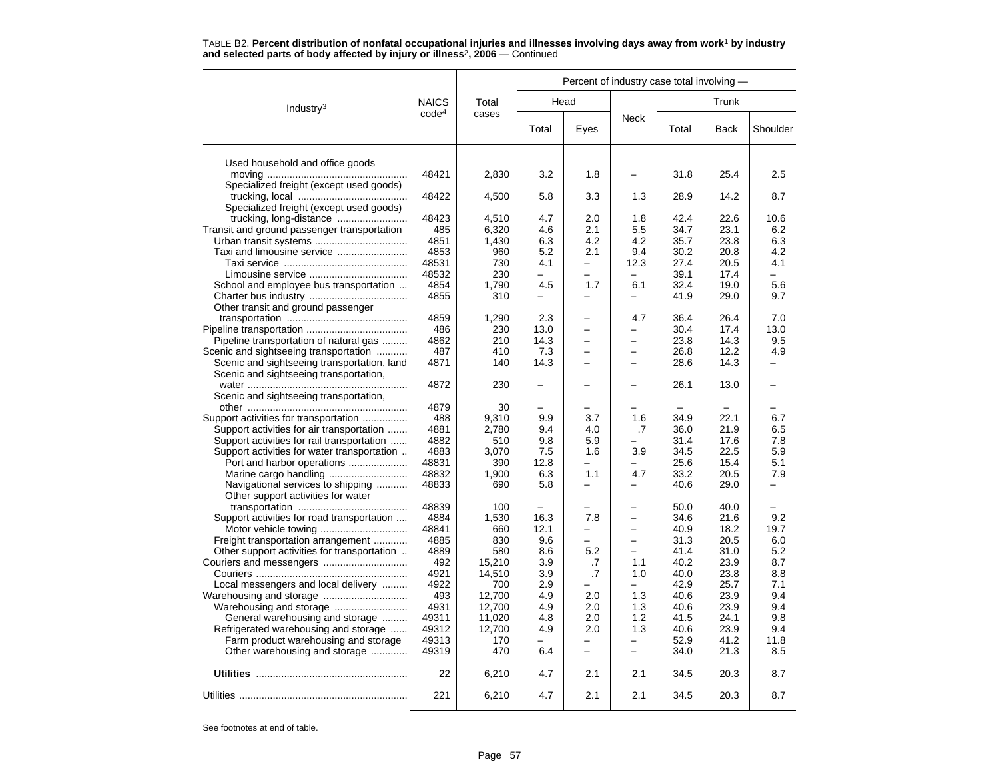|                                                                                   |                   |                |              | Percent of industry case total involving - |                          |              |              |                |
|-----------------------------------------------------------------------------------|-------------------|----------------|--------------|--------------------------------------------|--------------------------|--------------|--------------|----------------|
| Industry <sup>3</sup>                                                             | <b>NAICS</b>      | Total          |              | Head                                       |                          |              | Trunk        |                |
|                                                                                   | code <sup>4</sup> | cases          | Total        | Eyes                                       | <b>Neck</b>              | Total        | <b>Back</b>  | Shoulder       |
| Used household and office goods                                                   |                   |                |              |                                            |                          |              |              |                |
|                                                                                   | 48421             | 2,830          | 3.2          | 1.8                                        |                          | 31.8         | 25.4         | 2.5            |
| Specialized freight (except used goods)                                           |                   |                |              |                                            |                          |              |              |                |
|                                                                                   | 48422             | 4,500          | 5.8          | 3.3                                        | 1.3                      | 28.9         | 14.2         | 8.7            |
| Specialized freight (except used goods)                                           |                   |                |              |                                            |                          |              |              |                |
|                                                                                   | 48423             | 4,510          | 4.7          | 2.0                                        | 1.8                      | 42.4         | 22.6         | 10.6           |
| Transit and ground passenger transportation                                       | 485<br>4851       | 6,320<br>1,430 | 4.6<br>6.3   | 2.1<br>4.2                                 | 5.5<br>4.2               | 34.7<br>35.7 | 23.1<br>23.8 | 6.2<br>6.3     |
| Urban transit systems                                                             | 4853              | 960            | 5.2          | 2.1                                        | 9.4                      | 30.2         | 20.8         | 4.2            |
|                                                                                   | 48531             | 730            | 4.1          | -                                          | 12.3                     | 27.4         | 20.5         | 4.1            |
|                                                                                   | 48532             | 230            | $\equiv$     | -                                          |                          | 39.1         | 17.4         | $\overline{a}$ |
| School and employee bus transportation                                            | 4854              | 1,790          | 4.5          | 1.7                                        | 6.1                      | 32.4         | 19.0         | 5.6            |
|                                                                                   | 4855              | 310            |              |                                            |                          | 41.9         | 29.0         | 9.7            |
| Other transit and ground passenger                                                |                   |                |              |                                            |                          |              |              |                |
|                                                                                   | 4859              | 1,290          | 2.3          |                                            | 4.7                      | 36.4         | 26.4         | 7.0            |
|                                                                                   | 486               | 230            | 13.0         | -                                          | -                        | 30.4         | 17.4         | 13.0           |
| Pipeline transportation of natural gas                                            | 4862              | 210            | 14.3         | $\overline{\phantom{0}}$                   | -                        | 23.8         | 14.3         | 9.5            |
| Scenic and sightseeing transportation                                             | 487               | 410            | 7.3          |                                            |                          | 26.8         | 12.2         | 4.9            |
| Scenic and sightseeing transportation, land                                       | 4871              | 140            | 14.3         |                                            | ÷,                       | 28.6         | 14.3         | L,             |
| Scenic and sightseeing transportation,                                            |                   | 230            |              |                                            |                          |              | 13.0         |                |
| Scenic and sightseeing transportation,                                            | 4872              |                |              |                                            |                          | 26.1         |              |                |
|                                                                                   | 4879              | 30             |              |                                            |                          |              |              |                |
| Support activities for transportation                                             | 488               | 9,310          | 9.9          | 3.7                                        | 1.6                      | 34.9         | 22.1         | 6.7            |
| Support activities for air transportation                                         | 4881              | 2,780          | 9.4          | 4.0                                        | .7                       | 36.0         | 21.9         | 6.5            |
| Support activities for rail transportation                                        | 4882              | 510            | 9.8          | 5.9                                        |                          | 31.4         | 17.6         | 7.8            |
| Support activities for water transportation                                       | 4883              | 3,070          | 7.5          | 1.6                                        | 3.9                      | 34.5         | 22.5         | 5.9            |
| Port and harbor operations                                                        | 48831             | 390            | 12.8         |                                            |                          | 25.6         | 15.4         | 5.1            |
|                                                                                   | 48832             | 1,900          | 6.3          | 1.1                                        | 4.7                      | 33.2         | 20.5         | 7.9            |
| Navigational services to shipping                                                 | 48833             | 690            | 5.8          |                                            |                          | 40.6         | 29.0         |                |
| Other support activities for water                                                |                   |                |              |                                            |                          |              |              |                |
|                                                                                   | 48839             | 100            |              |                                            |                          | 50.0         | 40.0         |                |
| Support activities for road transportation                                        | 4884<br>48841     | 1,530          | 16.3<br>12.1 | 7.8<br>-                                   | $\equiv$<br>-            | 34.6         | 21.6         | 9.2<br>19.7    |
|                                                                                   | 4885              | 660<br>830     | 9.6          |                                            |                          | 40.9<br>31.3 | 18.2<br>20.5 | 6.0            |
| Freight transportation arrangement<br>Other support activities for transportation | 4889              | 580            | 8.6          | 5.2                                        | $\overline{\phantom{0}}$ | 41.4         | 31.0         | 5.2            |
|                                                                                   | 492               | 15,210         | 3.9          | .7                                         | 1.1                      | 40.2         | 23.9         | 8.7            |
|                                                                                   | 4921              | 14,510         | 3.9          | .7                                         | 1.0                      | 40.0         | 23.8         | 8.8            |
| Local messengers and local delivery                                               | 4922              | 700            | 2.9          |                                            | $\overline{\phantom{0}}$ | 42.9         | 25.7         | 7.1            |
|                                                                                   | 493               | 12,700         | 4.9          | 2.0                                        | 1.3                      | 40.6         | 23.9         | 9.4            |
|                                                                                   | 4931              | 12,700         | 4.9          | 2.0                                        | 1.3                      | 40.6         | 23.9         | 9.4            |
| General warehousing and storage                                                   | 49311             | 11,020         | 4.8          | 2.0                                        | 1.2                      | 41.5         | 24.1         | 9.8            |
| Refrigerated warehousing and storage                                              | 49312             | 12,700         | 4.9          | 2.0                                        | 1.3                      | 40.6         | 23.9         | 9.4            |
| Farm product warehousing and storage                                              | 49313             | 170            | -            |                                            | -                        | 52.9         | 41.2         | 11.8           |
| Other warehousing and storage                                                     | 49319             | 470            | 6.4          |                                            | $\overline{\phantom{0}}$ | 34.0         | 21.3         | 8.5            |
|                                                                                   | 22                | 6,210          | 4.7          | 2.1                                        | 2.1                      | 34.5         | 20.3         | 8.7            |
|                                                                                   | 221               | 6,210          | 4.7          | 2.1                                        | 2.1                      | 34.5         | 20.3         | 8.7            |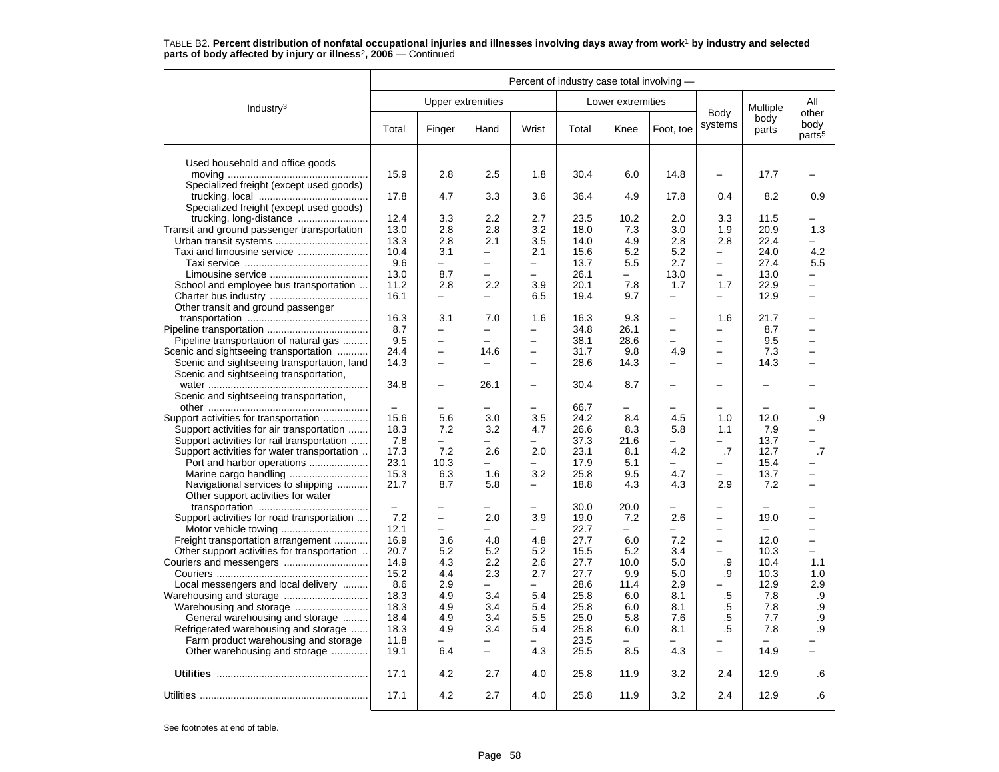|                                             | Percent of industry case total involving - |                          |                          |                          |              |                   |                          |                          |                          |                                     |
|---------------------------------------------|--------------------------------------------|--------------------------|--------------------------|--------------------------|--------------|-------------------|--------------------------|--------------------------|--------------------------|-------------------------------------|
| Industry <sup>3</sup>                       |                                            | <b>Upper extremities</b> |                          |                          |              | Lower extremities |                          |                          | Multiple                 | All                                 |
|                                             | Total                                      | Finger                   | Hand                     | Wrist                    | Total        | Knee              | Foot, toe                | Body<br>systems          | body<br>parts            | other<br>body<br>parts <sup>5</sup> |
| Used household and office goods             |                                            |                          |                          |                          |              |                   |                          |                          |                          |                                     |
|                                             | 15.9                                       | 2.8                      | 2.5                      | 1.8                      | 30.4         | 6.0               | 14.8                     |                          | 17.7                     |                                     |
| Specialized freight (except used goods)     |                                            |                          |                          |                          |              |                   |                          |                          |                          |                                     |
|                                             | 17.8                                       | 4.7                      | 3.3                      | 3.6                      | 36.4         | 4.9               | 17.8                     | 0.4                      | 8.2                      | 0.9                                 |
| Specialized freight (except used goods)     | 12.4                                       | 3.3                      | 2.2                      | 2.7                      | 23.5         | 10.2              | 2.0                      | 3.3                      | 11.5                     |                                     |
| Transit and ground passenger transportation | 13.0                                       | 2.8                      | 2.8                      | 3.2                      | 18.0         | 7.3               | 3.0                      | 1.9                      | 20.9                     | 1.3                                 |
|                                             | 13.3                                       | 2.8                      | 2.1                      | 3.5                      | 14.0         | 4.9               | 2.8                      | 2.8                      | 22.4                     |                                     |
|                                             | 10.4                                       | 3.1                      | $\overline{\phantom{0}}$ | 2.1                      | 15.6         | 5.2               | 5.2                      | $\qquad \qquad -$        | 24.0                     | 4.2                                 |
| Taxi and limousine service                  | 9.6                                        | $\qquad \qquad -$        | $\overline{\phantom{0}}$ | -                        | 13.7         | 5.5               | 2.7                      | $\overline{\phantom{0}}$ | 27.4                     | 5.5                                 |
|                                             | 13.0                                       | 8.7                      | $\equiv$                 | L.                       | 26.1         | L                 | 13.0                     | $\equiv$                 | 13.0                     |                                     |
| School and employee bus transportation      | 11.2                                       | 2.8                      | $2.2\phantom{0}$         | 3.9                      | 20.1         | 7.8               | 1.7                      | 1.7                      | 22.9                     | —                                   |
|                                             | 16.1                                       | $\overline{\phantom{0}}$ | $\equiv$                 | 6.5                      | 19.4         | 9.7               | $\equiv$                 | $\overline{\phantom{0}}$ | 12.9                     | $\overline{\phantom{0}}$            |
| Other transit and ground passenger          |                                            |                          |                          |                          |              |                   |                          |                          |                          |                                     |
|                                             | 16.3                                       | 3.1                      | 7.0                      | 1.6                      | 16.3         | 9.3               |                          | 1.6                      | 21.7                     |                                     |
|                                             | 8.7                                        | $\equiv$                 | $\equiv$                 | $\overline{a}$           | 34.8         | 26.1              | $\overline{\phantom{0}}$ | $\overline{a}$           | 8.7                      |                                     |
| Pipeline transportation of natural gas      | 9.5                                        | $\overline{\phantom{0}}$ |                          | -                        | 38.1         | 28.6              | $\overline{\phantom{m}}$ | $\overline{\phantom{0}}$ | 9.5                      |                                     |
| Scenic and sightseeing transportation       | 24.4                                       | $\overline{\phantom{0}}$ | 14.6                     | $\overline{\phantom{0}}$ | 31.7         | 9.8               | 4.9                      | $\overline{a}$           | 7.3                      |                                     |
| Scenic and sightseeing transportation, land | 14.3                                       | $\overline{\phantom{0}}$ | $\overline{\phantom{0}}$ | $\overline{\phantom{0}}$ | 28.6         | 14.3              | $\overline{\phantom{0}}$ | $\overline{\phantom{0}}$ | 14.3                     |                                     |
| Scenic and sightseeing transportation,      |                                            |                          |                          |                          |              |                   |                          |                          |                          |                                     |
|                                             | 34.8                                       | $\equiv$                 | 26.1                     | $\overline{a}$           | 30.4         | 8.7               | $\overline{\phantom{0}}$ | $\overline{\phantom{0}}$ | $\overline{\phantom{0}}$ |                                     |
| Scenic and sightseeing transportation,      |                                            |                          |                          |                          |              |                   |                          |                          |                          |                                     |
|                                             |                                            |                          |                          |                          | 66.7         |                   |                          |                          |                          |                                     |
| Support activities for transportation       | 15.6                                       | 5.6                      | 3.0                      | 3.5                      | 24.2         | 8.4               | 4.5                      | 1.0                      | 12.0                     | .9                                  |
| Support activities for air transportation   | 18.3                                       | 7.2                      | 3.2                      | 4.7                      | 26.6         | 8.3               | 5.8                      | 1.1                      | 7.9                      |                                     |
| Support activities for rail transportation  | 7.8                                        | $\overline{\phantom{0}}$ | $\equiv$                 |                          | 37.3         | 21.6              |                          | $\overline{\phantom{0}}$ | 13.7                     |                                     |
| Support activities for water transportation | 17.3                                       | 7.2                      | 2.6                      | 2.0                      | 23.1         | 8.1               | 4.2                      | .7                       | 12.7                     | .7                                  |
| Port and harbor operations                  | 23.1                                       | 10.3                     |                          |                          | 17.9         | 5.1               |                          |                          | 15.4                     |                                     |
|                                             | 15.3                                       | 6.3                      | 1.6                      | 3.2                      | 25.8         | 9.5               | 4.7                      | $\overline{a}$           | 13.7                     |                                     |
| Navigational services to shipping           | 21.7                                       | 8.7                      | 5.8                      | -                        | 18.8         | 4.3               | 4.3                      | 2.9                      | 7.2                      |                                     |
| Other support activities for water          |                                            |                          |                          |                          |              |                   |                          |                          |                          |                                     |
|                                             | $\qquad \qquad -$                          | $\overline{\phantom{0}}$ |                          | -                        | 30.0         | 20.0              |                          | -                        |                          |                                     |
| Support activities for road transportation  | 7.2                                        | $\overline{\phantom{0}}$ | 2.0                      | 3.9                      | 19.0         | 7.2               | 2.6                      | $\overline{\phantom{0}}$ | 19.0                     |                                     |
|                                             | 12.1                                       | $\equiv$                 | ÷                        | $\overline{a}$           | 22.7         |                   | $\overline{\phantom{0}}$ | $\overline{a}$           |                          |                                     |
| Freight transportation arrangement          | 16.9                                       | 3.6                      | 4.8                      | 4.8                      | 27.7         | 6.0               | 7.2                      | $\overline{\phantom{0}}$ | 12.0                     | ۳                                   |
| Other support activities for transportation | 20.7                                       | 5.2                      | 5.2                      | 5.2                      | 15.5         | 5.2               | 3.4                      | $\equiv$                 | 10.3                     | $\overline{\phantom{0}}$            |
|                                             | 14.9                                       | 4.3<br>4.4               | 2.2                      | 2.6<br>2.7               | 27.7         | 10.0              | 5.0<br>5.0               | .9                       | 10.4                     | 1.1                                 |
|                                             | 15.2<br>8.6                                | 2.9                      | 2.3<br>$\equiv$          | ▃                        | 27.7<br>28.6 | 9.9<br>11.4       | 2.9                      | .9                       | 10.3<br>12.9             | 1.0<br>2.9                          |
| Local messengers and local delivery         | 18.3                                       | 4.9                      | 3.4                      | 5.4                      | 25.8         | 6.0               | 8.1                      | .5                       | 7.8                      | .9                                  |
|                                             | 18.3                                       | 4.9                      | 3.4                      | 5.4                      | 25.8         | 6.0               | 8.1                      | .5                       | 7.8                      | .9                                  |
| General warehousing and storage             | 18.4                                       | 4.9                      | 3.4                      | 5.5                      | 25.0         | 5.8               | 7.6                      | $.5\,$                   | 7.7                      | .9                                  |
| Refrigerated warehousing and storage        | 18.3                                       | 4.9                      | 3.4                      | 5.4                      | 25.8         | 6.0               | 8.1                      | .5                       | 7.8                      | .9                                  |
| Farm product warehousing and storage        | 11.8                                       |                          |                          |                          | 23.5         |                   |                          |                          |                          |                                     |
| Other warehousing and storage               | 19.1                                       | 6.4                      | $\overline{\phantom{m}}$ | 4.3                      | 25.5         | 8.5               | 4.3                      | $\equiv$                 | 14.9                     |                                     |
|                                             |                                            |                          |                          |                          |              |                   |                          |                          |                          |                                     |
|                                             | 17.1                                       | 4.2                      | 2.7                      | 4.0                      | 25.8         | 11.9              | 3.2                      | 2.4                      | 12.9                     | .6                                  |
|                                             | 17.1                                       | 4.2                      | 2.7                      | 4.0                      | 25.8         | 11.9              | 3.2                      | 2.4                      | 12.9                     | .6                                  |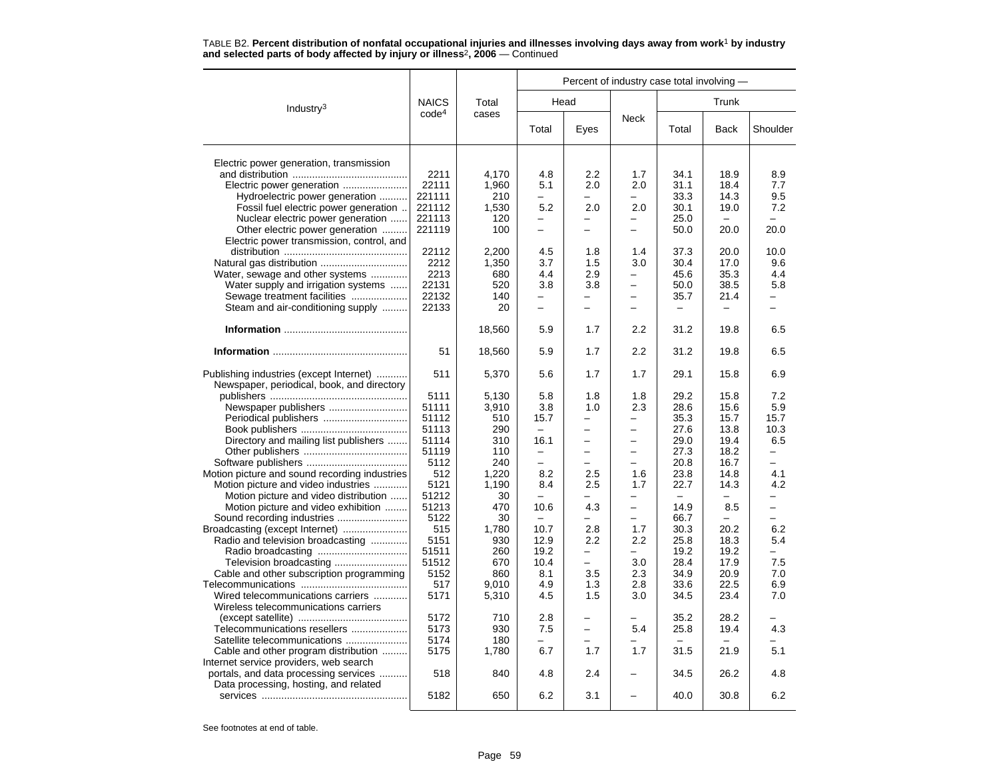|                                                                                       |                   |        |                          |                          | Percent of industry case total involving - |                          |                          |                          |  |
|---------------------------------------------------------------------------------------|-------------------|--------|--------------------------|--------------------------|--------------------------------------------|--------------------------|--------------------------|--------------------------|--|
| Industry <sup>3</sup>                                                                 | <b>NAICS</b>      | Total  |                          | Head                     |                                            |                          | Trunk                    |                          |  |
|                                                                                       | code <sup>4</sup> | cases  | Total                    | Eyes                     | Neck                                       | Total                    | <b>Back</b>              | Shoulder                 |  |
| Electric power generation, transmission                                               |                   |        |                          |                          |                                            |                          |                          |                          |  |
|                                                                                       | 2211              | 4,170  | 4.8                      | $2.2\,$                  | 1.7                                        | 34.1                     | 18.9                     | 8.9                      |  |
|                                                                                       | 22111             | 1,960  | 5.1                      | 2.0                      | 2.0                                        | 31.1                     | 18.4                     | 7.7                      |  |
| Electric power generation                                                             | 221111            | 210    | $\overline{\phantom{0}}$ | $\overline{\phantom{0}}$ | -                                          | 33.3                     | 14.3                     | 9.5                      |  |
| Hydroelectric power generation                                                        | 221112            |        | 5.2                      |                          |                                            |                          |                          | 7.2                      |  |
| Fossil fuel electric power generation                                                 |                   | 1,530  | $\overline{\phantom{0}}$ | 2.0<br>-                 | 2.0<br>$\overline{\phantom{0}}$            | 30.1                     | 19.0                     |                          |  |
| Nuclear electric power generation                                                     | 221113            | 120    |                          |                          |                                            | 25.0                     |                          |                          |  |
| Other electric power generation                                                       | 221119            | 100    | $\overline{\phantom{0}}$ | $\overline{\phantom{0}}$ | $\overline{\phantom{0}}$                   | 50.0                     | 20.0                     | 20.0                     |  |
| Electric power transmission, control, and                                             |                   |        |                          |                          |                                            |                          |                          |                          |  |
|                                                                                       | 22112             | 2,200  | 4.5                      | 1.8                      | 1.4                                        | 37.3                     | 20.0                     | 10.0                     |  |
|                                                                                       | 2212              | 1,350  | 3.7                      | 1.5                      | 3.0<br>÷                                   | 30.4                     | 17.0                     | 9.6                      |  |
| Water, sewage and other systems                                                       | 2213              | 680    | 4.4                      | 2.9                      |                                            | 45.6                     | 35.3                     | 4.4                      |  |
| Water supply and irrigation systems                                                   | 22131             | 520    | 3.8                      | 3.8                      | $\overline{\phantom{0}}$                   | 50.0                     | 38.5                     | 5.8                      |  |
| Sewage treatment facilities                                                           | 22132             | 140    |                          | ▃                        | $\overline{\phantom{0}}$                   | 35.7                     | 21.4                     | $\overline{\phantom{0}}$ |  |
| Steam and air-conditioning supply                                                     | 22133             | 20     | $\equiv$                 | $\overline{a}$           | $\overline{\phantom{0}}$                   | $\overline{\phantom{0}}$ | $\overline{\phantom{0}}$ | $\equiv$                 |  |
|                                                                                       |                   | 18,560 | 5.9                      | 1.7                      | 2.2                                        | 31.2                     | 19.8                     | 6.5                      |  |
|                                                                                       | 51                | 18,560 | 5.9                      | 1.7                      | 2.2                                        | 31.2                     | 19.8                     | 6.5                      |  |
| Publishing industries (except Internet)<br>Newspaper, periodical, book, and directory | 511               | 5,370  | 5.6                      | 1.7                      | 1.7                                        | 29.1                     | 15.8                     | 6.9                      |  |
|                                                                                       | 5111              | 5,130  | 5.8                      | 1.8                      | 1.8                                        | 29.2                     | 15.8                     | 7.2                      |  |
| Newspaper publishers                                                                  | 51111             | 3,910  | 3.8                      | 1.0                      | 2.3                                        | 28.6                     | 15.6                     | 5.9                      |  |
| Periodical publishers                                                                 | 51112             | 510    | 15.7                     | -                        | -                                          | 35.3                     | 15.7                     | 15.7                     |  |
|                                                                                       | 51113             | 290    |                          |                          |                                            | 27.6                     | 13.8                     | 10.3                     |  |
| Directory and mailing list publishers                                                 | 51114             | 310    | 16.1                     | $\overline{\phantom{0}}$ | $\equiv$                                   | 29.0                     | 19.4                     | 6.5                      |  |
|                                                                                       | 51119             | 110    | $\overline{\phantom{0}}$ | $\overline{\phantom{0}}$ | $\overline{\phantom{0}}$                   | 27.3                     | 18.2                     | $\overline{\phantom{0}}$ |  |
|                                                                                       | 5112              | 240    | ÷                        |                          | $\overline{\phantom{0}}$                   | 20.8                     | 16.7                     | $\equiv$                 |  |
| Motion picture and sound recording industries                                         | 512               | 1,220  | 8.2                      | 2.5                      | 1.6                                        | 23.8                     | 14.8                     | 4.1                      |  |
| Motion picture and video industries                                                   | 5121              | 1.190  | 8.4                      | 2.5                      | 1.7                                        | 22.7                     | 14.3                     | 4.2                      |  |
| Motion picture and video distribution                                                 | 51212             | 30     |                          |                          | $\overline{\phantom{0}}$                   |                          |                          |                          |  |
| Motion picture and video exhibition                                                   | 51213             | 470    | 10.6                     | 4.3                      | $\overline{\phantom{0}}$                   | 14.9                     | 8.5                      | $\overline{\phantom{m}}$ |  |
| Sound recording industries                                                            | 5122              | 30     | $\overline{\phantom{m}}$ |                          | ÷                                          | 66.7                     |                          |                          |  |
| Broadcasting (except Internet)                                                        | 515               | 1,780  | 10.7                     | 2.8                      | 1.7                                        | 30.3                     | 20.2                     | 6.2                      |  |
| Radio and television broadcasting                                                     | 5151              | 930    | 12.9                     | 2.2                      | $2.2\phantom{0}$                           | 25.8                     | 18.3                     | 5.4                      |  |
|                                                                                       | 51511             | 260    | 19.2                     | ▃                        | -                                          | 19.2                     | 19.2                     | L.                       |  |
| Television broadcasting                                                               | 51512             | 670    | 10.4                     | -                        | 3.0                                        | 28.4                     | 17.9                     | 7.5                      |  |
| Cable and other subscription programming                                              | 5152              | 860    | 8.1                      | 3.5                      | 2.3                                        | 34.9                     | 20.9                     | 7.0                      |  |
|                                                                                       | 517               | 9.010  | 4.9                      | 1.3                      | 2.8                                        | 33.6                     | 22.5                     | 6.9                      |  |
| Wired telecommunications carriers                                                     | 5171              | 5,310  | 4.5                      | 1.5                      | 3.0                                        | 34.5                     | 23.4                     | 7.0                      |  |
| Wireless telecommunications carriers                                                  |                   |        |                          |                          |                                            |                          |                          |                          |  |
|                                                                                       | 5172              | 710    | 2.8                      |                          |                                            | 35.2                     | 28.2                     |                          |  |
| Telecommunications resellers                                                          | 5173              | 930    | 7.5                      | L.                       | 5.4                                        | 25.8                     | 19.4                     | 4.3                      |  |
| Satellite telecommunications                                                          | 5174              | 180    |                          |                          |                                            |                          |                          |                          |  |
| Cable and other program distribution                                                  | 5175              | 1,780  | 6.7                      | 1.7                      | 1.7                                        | 31.5                     | 21.9                     | 5.1                      |  |
| Internet service providers, web search                                                |                   |        |                          |                          |                                            |                          |                          |                          |  |
| portals, and data processing services                                                 | 518               | 840    | 4.8                      | 2.4                      |                                            | 34.5                     | 26.2                     | 4.8                      |  |
| Data processing, hosting, and related                                                 |                   |        |                          |                          |                                            |                          |                          |                          |  |
|                                                                                       | 5182              | 650    | 6.2                      | 3.1                      |                                            | 40.0                     | 30.8                     | 6.2                      |  |
|                                                                                       |                   |        |                          |                          |                                            |                          |                          |                          |  |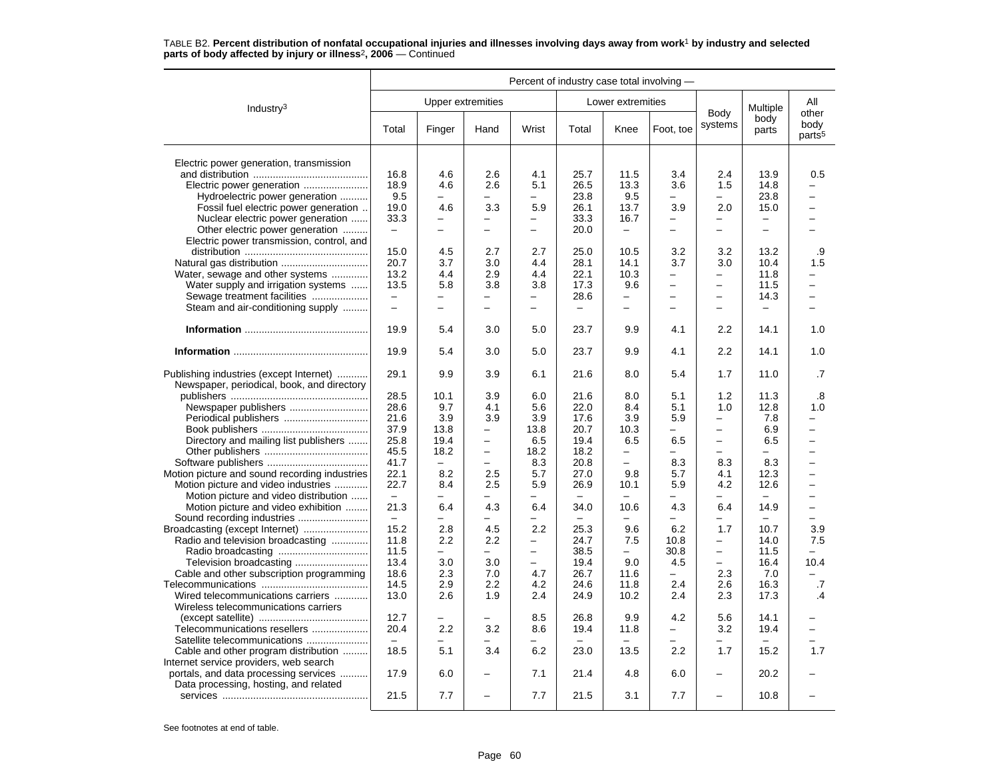|                                                                                       | Percent of industry case total involving - |                          |                          |                          |                          |                          |                          |                          |                          |                                     |
|---------------------------------------------------------------------------------------|--------------------------------------------|--------------------------|--------------------------|--------------------------|--------------------------|--------------------------|--------------------------|--------------------------|--------------------------|-------------------------------------|
| Industry <sup>3</sup>                                                                 |                                            | <b>Upper extremities</b> |                          |                          |                          | Lower extremities        |                          |                          | Multiple                 | All                                 |
|                                                                                       | Total                                      | Finger                   | Hand                     | Wrist                    | Total                    | Knee                     | Foot, toe                | Body<br>systems          | body<br>parts            | other<br>body<br>parts <sup>5</sup> |
| Electric power generation, transmission                                               |                                            |                          |                          |                          |                          |                          |                          |                          |                          |                                     |
|                                                                                       | 16.8                                       | 4.6                      | 2.6                      | 4.1                      | 25.7                     | 11.5                     | 3.4                      | 2.4                      | 13.9                     | 0.5                                 |
| Electric power generation                                                             | 18.9                                       | 4.6                      | 2.6                      | 5.1                      | 26.5                     | 13.3                     | 3.6                      | 1.5                      | 14.8                     |                                     |
| Hydroelectric power generation                                                        | 9.5                                        | $\overline{\phantom{0}}$ | -                        | $\qquad \qquad -$        | 23.8                     | 9.5                      | $\overline{\phantom{0}}$ | $\overline{\phantom{0}}$ | 23.8                     | -                                   |
| Fossil fuel electric power generation                                                 | 19.0                                       | 4.6                      | 3.3                      | 5.9                      | 26.1                     | 13.7                     | 3.9                      | 2.0                      | 15.0                     | -                                   |
| Nuclear electric power generation                                                     | 33.3                                       | -                        | —                        | $\overline{\phantom{0}}$ | 33.3                     | 16.7                     | -                        | Ξ.                       | -                        | $\overline{\phantom{0}}$            |
|                                                                                       |                                            |                          |                          |                          | 20.0                     |                          |                          |                          |                          |                                     |
| Other electric power generation                                                       | $\overline{\phantom{m}}$                   |                          |                          |                          |                          | $\qquad \qquad -$        |                          |                          |                          |                                     |
| Electric power transmission, control, and                                             |                                            |                          |                          |                          |                          |                          |                          |                          |                          |                                     |
|                                                                                       | 15.0                                       | 4.5                      | 2.7                      | 2.7                      | 25.0                     | 10.5                     | 3.2                      | 3.2                      | 13.2                     | .9                                  |
|                                                                                       | 20.7                                       | 3.7                      | 3.0                      | 4.4                      | 28.1                     | 14.1                     | 3.7                      | 3.0                      | 10.4                     | 1.5                                 |
| Water, sewage and other systems                                                       | 13.2                                       | 4.4                      | 2.9                      | 4.4                      | 22.1                     | 10.3                     | $\overline{\phantom{0}}$ | -                        | 11.8                     |                                     |
| Water supply and irrigation systems                                                   | 13.5                                       | 5.8                      | 3.8                      | 3.8                      | 17.3                     | 9.6                      | $\qquad \qquad -$        | -                        | 11.5                     | -                                   |
| Sewage treatment facilities                                                           | $\equiv$                                   | $\equiv$                 | $\equiv$                 | $\equiv$                 | 28.6                     | $\overline{\phantom{0}}$ | $\overline{\phantom{0}}$ | $\equiv$                 | 14.3                     | $\overline{\phantom{0}}$            |
| Steam and air-conditioning supply                                                     | $\equiv$                                   | $\equiv$                 | $\overline{\phantom{0}}$ | $\overline{\phantom{m}}$ | $\equiv$                 | $\overline{\phantom{0}}$ | $\overline{\phantom{0}}$ | $\overline{\phantom{0}}$ | $\overline{\phantom{0}}$ | $\overline{\phantom{0}}$            |
|                                                                                       | 19.9                                       | 5.4                      | 3.0                      | 5.0                      | 23.7                     | 9.9                      | 4.1                      | 2.2                      | 14.1                     | 1.0                                 |
|                                                                                       | 19.9                                       | 5.4                      | 3.0                      | 5.0                      | 23.7                     | 9.9                      | 4.1                      | 2.2                      | 14.1                     | 1.0                                 |
| Publishing industries (except Internet)<br>Newspaper, periodical, book, and directory | 29.1                                       | 9.9                      | 3.9                      | 6.1                      | 21.6                     | 8.0                      | 5.4                      | 1.7                      | 11.0                     | .7                                  |
|                                                                                       | 28.5                                       | 10.1                     | 3.9                      | 6.0                      | 21.6                     | 8.0                      | 5.1                      | 1.2                      | 11.3                     | .8                                  |
|                                                                                       | 28.6                                       | 9.7                      | 4.1                      | 5.6                      | 22.0                     | 8.4                      | 5.1                      | 1.0                      | 12.8                     | 1.0                                 |
| Periodical publishers                                                                 | 21.6                                       | 3.9                      | 3.9                      | 3.9                      | 17.6                     | 3.9                      | 5.9                      | $\equiv$                 | 7.8                      | -                                   |
|                                                                                       | 37.9                                       | 13.8                     | -                        | 13.8                     | 20.7                     | 10.3                     |                          | -                        | 6.9                      |                                     |
| Directory and mailing list publishers                                                 | 25.8                                       | 19.4                     | $\overline{\phantom{0}}$ | 6.5                      | 19.4                     | 6.5                      | 6.5                      | $\overline{\phantom{0}}$ | 6.5                      | $\overline{\phantom{0}}$            |
|                                                                                       | 45.5                                       | 18.2                     | $\overline{\phantom{0}}$ | 18.2                     | 18.2                     | $\qquad \qquad -$        | $\overline{\phantom{0}}$ | $\overline{\phantom{0}}$ | $\overline{\phantom{0}}$ | $\overline{\phantom{0}}$            |
|                                                                                       |                                            |                          | $\overline{a}$           |                          |                          | ÷                        |                          | 8.3                      | 8.3                      | $\overline{\phantom{0}}$            |
|                                                                                       | 41.7                                       |                          |                          | 8.3                      | 20.8                     |                          | 8.3                      |                          |                          |                                     |
| Motion picture and sound recording industries                                         | 22.1                                       | 8.2                      | 2.5                      | 5.7                      | 27.0                     | 9.8                      | 5.7                      | 4.1                      | 12.3                     | $\overline{\phantom{0}}$            |
| Motion picture and video industries                                                   | 22.7                                       | 8.4                      | 2.5                      | 5.9                      | 26.9                     | 10.1                     | 5.9                      | 4.2                      | 12.6                     | $\overline{\phantom{0}}$            |
| Motion picture and video distribution                                                 | $\equiv$                                   | L                        | ÷                        |                          | $\equiv$                 |                          |                          | -                        |                          | L.                                  |
| Motion picture and video exhibition                                                   | 21.3                                       | 6.4                      | 4.3                      | 6.4                      | 34.0                     | 10.6                     | 4.3                      | 6.4                      | 14.9                     | $\overline{\phantom{0}}$            |
|                                                                                       | $\qquad \qquad -$                          | -                        |                          |                          | $\overline{\phantom{0}}$ |                          |                          |                          |                          |                                     |
| Broadcasting (except Internet)                                                        | 15.2                                       | 2.8                      | 4.5                      | 2.2                      | 25.3                     | 9.6                      | 6.2                      | 1.7                      | 10.7                     | 3.9                                 |
| Radio and television broadcasting                                                     | 11.8                                       | 2.2                      | 2.2                      | $\overline{\phantom{0}}$ | 24.7                     | 7.5                      | 10.8                     | $\overline{\phantom{0}}$ | 14.0                     | 7.5                                 |
|                                                                                       | 11.5                                       | $\overline{\phantom{0}}$ | $\overline{\phantom{0}}$ | $\overline{\phantom{0}}$ | 38.5                     | $\equiv$                 | 30.8                     | $\overline{\phantom{0}}$ | 11.5                     | $\equiv$                            |
| Television broadcasting                                                               | 13.4                                       | 3.0                      | 3.0                      | $\overline{\phantom{0}}$ | 19.4                     | 9.0                      | 4.5                      | $\equiv$                 | 16.4                     | 10.4                                |
| Cable and other subscription programming                                              | 18.6                                       | 2.3                      | 7.0                      | 4.7                      | 26.7                     | 11.6                     |                          | 2.3                      | 7.0                      |                                     |
|                                                                                       | 14.5                                       | 2.9                      | 2.2                      | 4.2                      | 24.6                     | 11.8                     | 2.4                      | 2.6                      | 16.3                     | $\cdot$                             |
| Wired telecommunications carriers                                                     | 13.0                                       | 2.6                      | 1.9                      | 2.4                      | 24.9                     | 10.2                     | 2.4                      | 2.3                      | 17.3                     | $\cdot$                             |
| Wireless telecommunications carriers                                                  |                                            |                          |                          |                          |                          |                          |                          |                          |                          |                                     |
|                                                                                       | 12.7                                       | -                        | $\overline{\phantom{0}}$ | 8.5                      | 26.8                     | 9.9                      | 4.2                      | 5.6                      | 14.1                     |                                     |
| Telecommunications resellers                                                          | 20.4                                       | 2.2                      | 3.2                      | 8.6                      | 19.4                     | 11.8                     | $\overline{\phantom{0}}$ | 3.2                      | 19.4                     |                                     |
| Satellite telecommunications                                                          | $\equiv$                                   |                          |                          |                          |                          |                          | $\equiv$                 |                          |                          |                                     |
| Cable and other program distribution                                                  | 18.5                                       | 5.1                      | 3.4                      | 6.2                      | 23.0                     | 13.5                     | 2.2                      | 1.7                      | 15.2                     | 1.7                                 |
| Internet service providers, web search                                                |                                            |                          |                          |                          |                          |                          |                          |                          |                          |                                     |
| portals, and data processing services                                                 | 17.9                                       | 6.0                      | —                        | 7.1                      | 21.4                     | 4.8                      | 6.0                      | -                        | 20.2                     |                                     |
| Data processing, hosting, and related                                                 | 21.5                                       | 7.7                      | $\overline{\phantom{0}}$ | 7.7                      | 21.5                     | 3.1                      | 7.7                      |                          | 10.8                     |                                     |
|                                                                                       |                                            |                          |                          |                          |                          |                          |                          |                          |                          |                                     |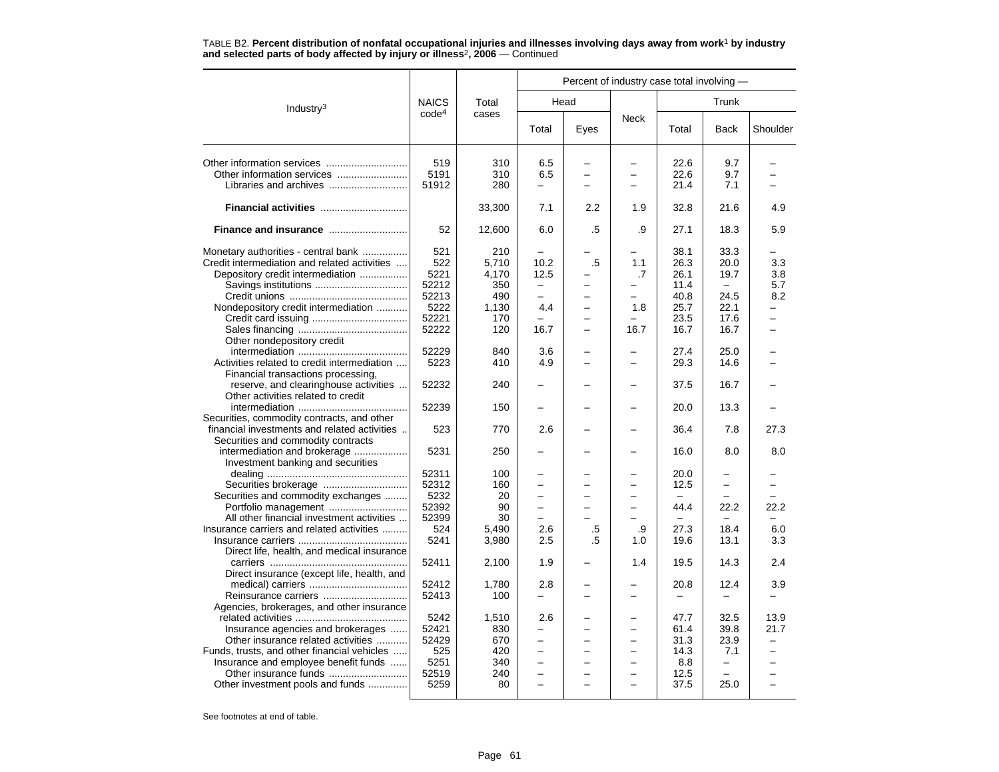|                                              |                   | Percent of industry case total involving - |                          |                          |                          |          |                          |                          |
|----------------------------------------------|-------------------|--------------------------------------------|--------------------------|--------------------------|--------------------------|----------|--------------------------|--------------------------|
| Industry <sup>3</sup>                        | <b>NAICS</b>      | Total                                      |                          | Head                     |                          |          | Trunk                    |                          |
|                                              | code <sup>4</sup> | cases                                      | Total                    | Eyes                     | <b>Neck</b>              | Total    | <b>Back</b>              | Shoulder                 |
| Other information services                   | 519               | 310                                        | 6.5                      |                          |                          | 22.6     | 9.7                      |                          |
|                                              | 5191              | 310                                        | 6.5                      | ÷                        | L.                       | 22.6     | 9.7                      |                          |
| Libraries and archives                       | 51912             | 280                                        | $\equiv$                 | $\overline{\phantom{0}}$ | $\overline{\phantom{0}}$ | 21.4     | 7.1                      |                          |
| Financial activities                         |                   | 33,300                                     | 7.1                      | 2.2                      | 1.9                      | 32.8     | 21.6                     | 4.9                      |
|                                              | 52                | 12,600                                     | 6.0                      | .5                       | .9                       | 27.1     | 18.3                     | 5.9                      |
| Monetary authorities - central bank          | 521               | 210                                        |                          |                          |                          | 38.1     | 33.3                     |                          |
| Credit intermediation and related activities | 522               | 5,710                                      | 10.2                     | .5                       | 1.1                      | 26.3     | 20.0                     | 3.3                      |
| Depository credit intermediation             | 5221              | 4,170                                      | 12.5                     |                          | .7                       | 26.1     | 19.7                     | 3.8                      |
|                                              | 52212             | 350                                        |                          |                          |                          | 11.4     |                          | 5.7                      |
|                                              | 52213             | 490                                        | $\equiv$                 |                          | $\overline{\phantom{0}}$ | 40.8     | 24.5                     | 8.2                      |
| Nondepository credit intermediation          | 5222              | 1,130                                      | 4.4                      | -                        | 1.8                      | 25.7     | 22.1                     | $\overline{\phantom{0}}$ |
|                                              | 52221             | 170                                        |                          |                          |                          | 23.5     | 17.6                     |                          |
|                                              | 52222             | 120                                        | 16.7                     |                          | 16.7                     | 16.7     | 16.7                     |                          |
| Other nondepository credit                   |                   |                                            |                          |                          |                          |          |                          |                          |
|                                              | 52229             | 840                                        | 3.6                      |                          |                          | 27.4     | 25.0                     |                          |
| Activities related to credit intermediation  | 5223              | 410                                        | 4.9                      |                          |                          | 29.3     | 14.6                     |                          |
| Financial transactions processing,           |                   |                                            |                          |                          |                          |          |                          |                          |
| reserve, and clearinghouse activities        | 52232             | 240                                        |                          |                          |                          | 37.5     | 16.7                     |                          |
| Other activities related to credit           |                   |                                            |                          |                          |                          |          |                          |                          |
|                                              | 52239             | 150                                        |                          |                          |                          | 20.0     | 13.3                     |                          |
| Securities, commodity contracts, and other   |                   |                                            |                          |                          |                          |          |                          |                          |
| financial investments and related activities | 523               | 770                                        | 2.6                      |                          |                          | 36.4     | 7.8                      | 27.3                     |
| Securities and commodity contracts           |                   |                                            |                          |                          |                          |          |                          |                          |
|                                              |                   |                                            |                          |                          |                          |          |                          |                          |
| intermediation and brokerage                 | 5231              | 250                                        |                          |                          |                          | 16.0     | 8.0                      | 8.0                      |
| Investment banking and securities            |                   |                                            |                          |                          |                          |          |                          |                          |
|                                              | 52311             | 100                                        |                          |                          | $\overline{\phantom{0}}$ | 20.0     |                          |                          |
|                                              | 52312             | 160                                        | $\overline{\phantom{0}}$ | -                        |                          | 12.5     | $\overline{\phantom{0}}$ |                          |
| Securities and commodity exchanges           | 5232              | 20                                         | $\overline{\phantom{0}}$ | L.                       | ÷                        | $\equiv$ | L.                       |                          |
|                                              | 52392             | 90                                         |                          |                          |                          | 44.4     | 22.2                     | 22.2                     |
| All other financial investment activities    | 52399             | 30                                         | $\equiv$                 |                          |                          |          |                          |                          |
| Insurance carriers and related activities    | 524               | 5,490                                      | 2.6                      | .5                       | .9                       | 27.3     | 18.4                     | 6.0                      |
|                                              | 5241              | 3,980                                      | 2.5                      | .5                       | 1.0                      | 19.6     | 13.1                     | 3.3                      |
| Direct life, health, and medical insurance   |                   |                                            |                          |                          |                          |          |                          |                          |
|                                              | 52411             | 2,100                                      | 1.9                      |                          | 1.4                      | 19.5     | 14.3                     | 2.4                      |
| Direct insurance (except life, health, and   |                   |                                            |                          |                          |                          |          |                          |                          |
|                                              | 52412             | 1,780                                      | 2.8                      |                          |                          | 20.8     | 12.4                     | 3.9                      |
| Reinsurance carriers                         | 52413             | 100                                        |                          |                          |                          |          |                          |                          |
| Agencies, brokerages, and other insurance    |                   |                                            |                          |                          |                          |          |                          |                          |
|                                              | 5242              | 1,510                                      | 2.6                      |                          |                          | 47.7     | 32.5                     | 13.9                     |
| Insurance agencies and brokerages            | 52421             | 830                                        | $\overline{\phantom{0}}$ |                          |                          | 61.4     | 39.8                     | 21.7                     |
| Other insurance related activities           | 52429             | 670                                        | ÷                        |                          |                          | 31.3     | 23.9                     |                          |
| Funds, trusts, and other financial vehicles  | 525               | 420                                        | $\equiv$                 | -                        | $\equiv$                 | 14.3     | 7.1                      | $\equiv$                 |
| Insurance and employee benefit funds         | 5251              | 340                                        | $\overline{\phantom{0}}$ |                          |                          | 8.8      | -                        |                          |
|                                              | 52519             | 240                                        | L.                       |                          |                          | 12.5     |                          |                          |
| Other investment pools and funds             | 5259              | 80                                         | $\equiv$                 | -                        |                          | 37.5     | 25.0                     | $\equiv$                 |
|                                              |                   |                                            |                          |                          |                          |          |                          |                          |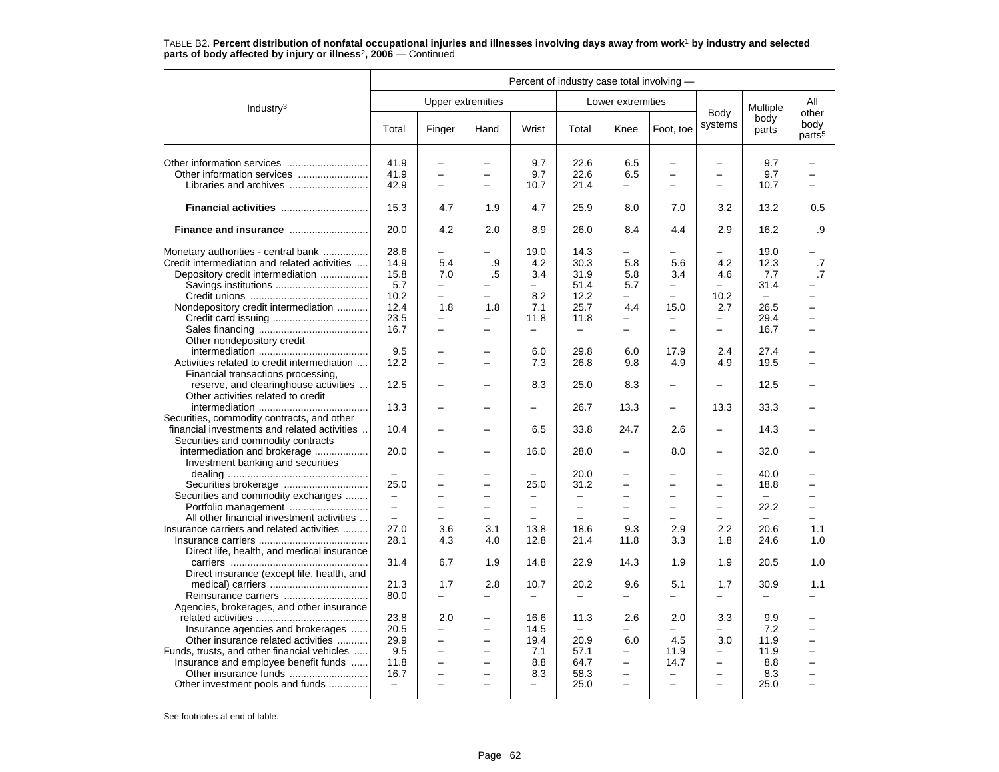|                                                                   |                          |                          |                          | Percent of industry case total involving - |                          |                          |                          |                          |                          |                                     |
|-------------------------------------------------------------------|--------------------------|--------------------------|--------------------------|--------------------------------------------|--------------------------|--------------------------|--------------------------|--------------------------|--------------------------|-------------------------------------|
| Industry <sup>3</sup>                                             |                          |                          | <b>Upper extremities</b> |                                            |                          | Lower extremities        |                          |                          | Multiple                 | All                                 |
|                                                                   | Total                    | Finger                   | Hand                     | Wrist                                      | Total                    | Knee                     | Foot, toe                | Body<br>systems          | body<br>parts            | other<br>body<br>parts <sup>5</sup> |
|                                                                   | 41.9                     | $\overline{\phantom{0}}$ |                          | 9.7                                        | 22.6                     | 6.5                      |                          |                          | 9.7                      |                                     |
|                                                                   | 41.9                     | $\overline{\phantom{0}}$ | $\overline{\phantom{0}}$ | 9.7                                        | 22.6                     | 6.5                      | $\overline{\phantom{0}}$ | $\overline{\phantom{0}}$ | 9.7                      | $\overline{ }$                      |
| Libraries and archives                                            | 42.9                     | $\overline{\phantom{0}}$ |                          | 10.7                                       | 21.4                     | $\overline{a}$           |                          |                          | 10.7                     |                                     |
|                                                                   | 15.3                     | 4.7                      | 1.9                      | 4.7                                        | 25.9                     | 8.0                      | 7.0                      | 3.2                      | 13.2                     | 0.5                                 |
| Finance and insurance                                             | 20.0                     | 4.2                      | 2.0                      | 8.9                                        | 26.0                     | 8.4                      | 4.4                      | 2.9                      | 16.2                     | .9                                  |
| Monetary authorities - central bank                               | 28.6                     |                          |                          | 19.0                                       | 14.3                     |                          |                          |                          | 19.0                     |                                     |
| Credit intermediation and related activities                      | 14.9                     | 5.4                      | .9                       | 4.2                                        | 30.3                     | 5.8                      | 5.6                      | 4.2                      | 12.3                     | .7                                  |
| Depository credit intermediation                                  | 15.8                     | 7.0                      | .5                       | 3.4                                        | 31.9                     | 5.8                      | 3.4                      | 4.6                      | 7.7                      | .7                                  |
|                                                                   | 5.7                      | $\overline{\phantom{0}}$ |                          | $\overline{\phantom{0}}$                   | 51.4                     | 5.7                      |                          | $\overline{\phantom{0}}$ | 31.4                     |                                     |
|                                                                   | 10.2                     | $\overline{\phantom{0}}$ |                          | 8.2                                        | 12.2                     | -                        | $\overline{\phantom{0}}$ | 10.2                     | $\equiv$                 |                                     |
| Nondepository credit intermediation                               | 12.4                     | 1.8                      | 1.8                      | 7.1                                        | 25.7                     | 4.4                      | 15.0                     | 2.7                      | 26.5                     | ▃                                   |
|                                                                   | 23.5                     |                          |                          | 11.8                                       | 11.8                     |                          |                          | —                        | 29.4                     | <u>.</u>                            |
|                                                                   |                          | $\overline{\phantom{0}}$ |                          |                                            |                          | -                        |                          |                          |                          |                                     |
|                                                                   | 16.7                     | $\overline{\phantom{0}}$ |                          | $\overline{\phantom{0}}$                   | $\overline{\phantom{0}}$ | $\overline{\phantom{0}}$ |                          | $\equiv$                 | 16.7                     |                                     |
| Other nondepository credit                                        |                          |                          |                          |                                            |                          |                          |                          |                          |                          |                                     |
|                                                                   | 9.5                      |                          |                          | 6.0                                        | 29.8                     | 6.0                      | 17.9                     | 2.4                      | 27.4                     |                                     |
| Activities related to credit intermediation                       | 12.2                     | $\overline{\phantom{0}}$ | $\overline{\phantom{0}}$ | 7.3                                        | 26.8                     | 9.8                      | 4.9                      | 4.9                      | 19.5                     |                                     |
| Financial transactions processing,                                |                          |                          |                          |                                            |                          |                          |                          |                          |                          |                                     |
| reserve, and clearinghouse activities                             | 12.5                     | ÷                        |                          | 8.3                                        | 25.0                     | 8.3                      |                          | $\overline{\phantom{0}}$ | 12.5                     |                                     |
| Other activities related to credit                                |                          |                          |                          |                                            |                          |                          |                          |                          |                          |                                     |
|                                                                   | 13.3                     | -                        |                          |                                            | 26.7                     | 13.3                     |                          | 13.3                     | 33.3                     |                                     |
| Securities, commodity contracts, and other                        |                          |                          |                          |                                            |                          |                          |                          |                          |                          |                                     |
| financial investments and related activities                      | 10.4                     | $\overline{\phantom{0}}$ |                          | 6.5                                        | 33.8                     | 24.7                     | 2.6                      | $\overline{\phantom{0}}$ | 14.3                     |                                     |
| Securities and commodity contracts                                |                          |                          |                          |                                            |                          |                          |                          |                          |                          |                                     |
|                                                                   |                          |                          |                          |                                            |                          | $\overline{\phantom{0}}$ |                          | $\overline{\phantom{0}}$ |                          |                                     |
| intermediation and brokerage<br>Investment banking and securities | 20.0                     |                          |                          | 16.0                                       | 28.0                     |                          | 8.0                      |                          | 32.0                     |                                     |
|                                                                   |                          |                          |                          |                                            | 20.0                     |                          |                          |                          | 40.0                     |                                     |
|                                                                   | 25.0                     | $\overline{\phantom{0}}$ | $\overline{\phantom{0}}$ | 25.0                                       | 31.2                     | $\overline{\phantom{0}}$ |                          | $\overline{\phantom{0}}$ | 18.8                     |                                     |
| Securities and commodity exchanges                                | $\qquad \qquad -$        | $\overline{\phantom{0}}$ | $\equiv$                 | $\overline{\phantom{m}}$                   | $\overline{\phantom{0}}$ | $\overline{\phantom{0}}$ | $\equiv$                 | $\overline{\phantom{0}}$ | $\overline{\phantom{0}}$ | -                                   |
|                                                                   | $\overline{a}$           | $\overline{\phantom{0}}$ | $\equiv$                 | $\equiv$                                   | $\equiv$                 | $\equiv$                 |                          | $\equiv$                 | 22.2                     | $\overline{\phantom{0}}$            |
| All other financial investment activities                         | $\equiv$                 | $\overline{\phantom{0}}$ |                          |                                            |                          |                          |                          |                          | $\overline{\phantom{0}}$ |                                     |
|                                                                   |                          |                          | 3.1                      |                                            |                          |                          | 2.9                      |                          |                          |                                     |
| Insurance carriers and related activities                         | 27.0                     | 3.6                      |                          | 13.8                                       | 18.6                     | 9.3                      |                          | 2.2                      | 20.6                     | 1.1                                 |
|                                                                   | 28.1                     | 4.3                      | 4.0                      | 12.8                                       | 21.4                     | 11.8                     | 3.3                      | 1.8                      | 24.6                     | 1.0                                 |
| Direct life, health, and medical insurance                        |                          |                          |                          |                                            |                          |                          |                          |                          |                          |                                     |
|                                                                   | 31.4                     | 6.7                      | 1.9                      | 14.8                                       | 22.9                     | 14.3                     | 1.9                      | 1.9                      | 20.5                     | 1.0                                 |
| Direct insurance (except life, health, and                        |                          |                          |                          |                                            |                          |                          |                          |                          |                          |                                     |
|                                                                   | 21.3                     | 1.7                      | 2.8                      | 10.7                                       | 20.2                     | 9.6                      | 5.1                      | 1.7                      | 30.9                     | 1.1                                 |
|                                                                   | 80.0                     | $\equiv$                 |                          | $\equiv$                                   |                          | $\overline{a}$           | $\equiv$                 |                          |                          |                                     |
| Agencies, brokerages, and other insurance                         |                          |                          |                          |                                            |                          |                          |                          |                          |                          |                                     |
|                                                                   | 23.8                     | 2.0                      |                          | 16.6                                       | 11.3                     | 2.6                      | 2.0                      | 3.3                      | 9.9                      |                                     |
| Insurance agencies and brokerages                                 | 20.5                     | $\overline{\phantom{0}}$ | —                        | 14.5                                       | $\overline{\phantom{0}}$ |                          |                          |                          | 7.2                      | ÷                                   |
| Other insurance related activities                                | 29.9                     | $\overline{\phantom{0}}$ | $\overline{\phantom{0}}$ | 19.4                                       | 20.9                     | 6.0                      | 4.5                      | 3.0                      | 11.9                     | <u>.</u>                            |
|                                                                   |                          |                          |                          |                                            |                          |                          |                          |                          |                          |                                     |
| Funds, trusts, and other financial vehicles                       | 9.5                      | $\qquad \qquad -$        | $\overline{\phantom{0}}$ | 7.1                                        | 57.1                     | -                        | 11.9                     | $\overline{\phantom{0}}$ | 11.9                     | -                                   |
| Insurance and employee benefit funds                              | 11.8                     | $\overline{\phantom{0}}$ | $\overline{\phantom{0}}$ | 8.8                                        | 64.7                     | $\overline{\phantom{0}}$ | 14.7                     | $\qquad \qquad -$        | 8.8                      |                                     |
|                                                                   | 16.7                     | $\equiv$                 |                          | 8.3                                        | 58.3                     | $\overline{\phantom{0}}$ |                          | $\equiv$                 | 8.3                      |                                     |
| Other investment pools and funds                                  | $\overline{\phantom{m}}$ | $\overline{\phantom{0}}$ | $\equiv$                 | $\equiv$                                   | 25.0                     | $\equiv$                 | $\equiv$                 | $\sim$                   | 25.0                     | -                                   |
|                                                                   |                          |                          |                          |                                            |                          |                          |                          |                          |                          |                                     |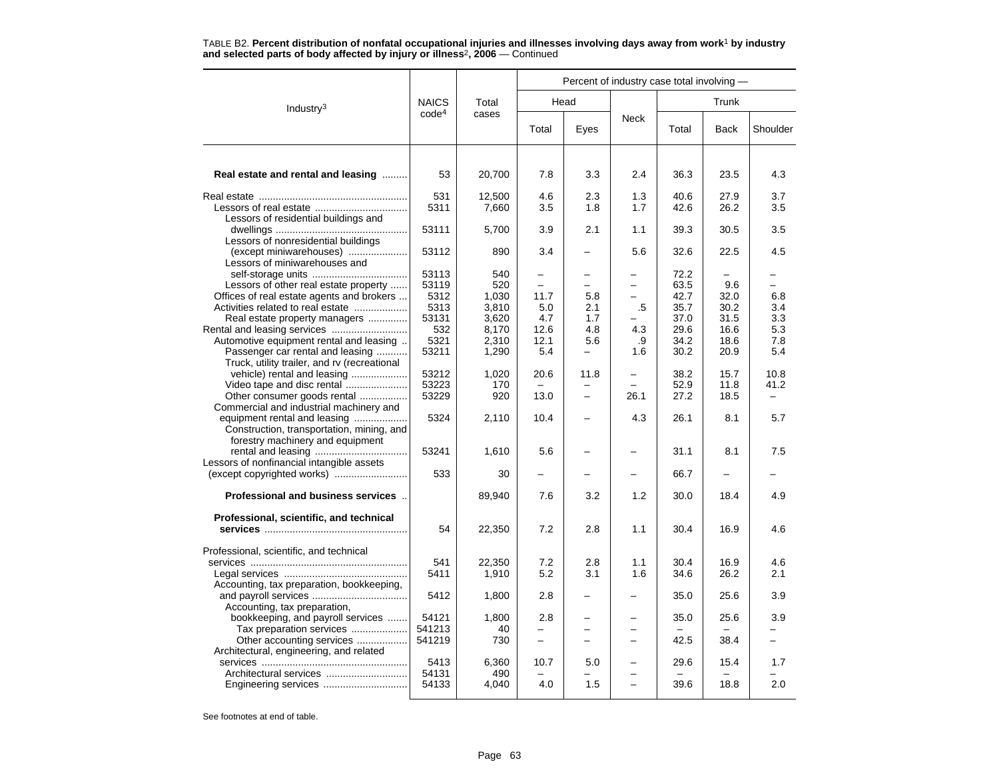|                                                                           |                   |              |          | Percent of industry case total involving - |             |              |             |          |
|---------------------------------------------------------------------------|-------------------|--------------|----------|--------------------------------------------|-------------|--------------|-------------|----------|
| Industry $3$                                                              | <b>NAICS</b>      | Total        |          | Head                                       |             |              | Trunk       |          |
|                                                                           | code <sup>4</sup> | cases        | Total    | Eyes                                       | <b>Neck</b> | Total        | <b>Back</b> | Shoulder |
|                                                                           |                   |              |          |                                            |             |              |             |          |
| Real estate and rental and leasing                                        | 53                | 20,700       | 7.8      | 3.3                                        | 2.4         | 36.3         | 23.5        | 4.3      |
|                                                                           | 531               | 12,500       | 4.6      | 2.3                                        | 1.3         | 40.6         | 27.9        | 3.7      |
| Lessors of residential buildings and                                      | 5311              | 7,660        | 3.5      | 1.8                                        | 1.7         | 42.6         | 26.2        | 3.5      |
|                                                                           | 53111             | 5,700        | 3.9      | 2.1                                        | 1.1         | 39.3         | 30.5        | 3.5      |
| Lessors of nonresidential buildings                                       |                   |              |          |                                            |             |              |             |          |
| (except miniwarehouses)                                                   | 53112             | 890          | 3.4      |                                            | 5.6         | 32.6         | 22.5        | 4.5      |
| Lessors of miniwarehouses and                                             |                   |              |          |                                            |             |              |             |          |
| Lessors of other real estate property                                     | 53113<br>53119    | 540<br>520   |          |                                            |             | 72.2<br>63.5 | 9.6         |          |
| Offices of real estate agents and brokers                                 | 5312              | 1,030        | 11.7     | 5.8                                        |             | 42.7         | 32.0        | 6.8      |
| Activities related to real estate                                         | 5313              | 3,810        | 5.0      | 2.1                                        | .5          | 35.7         | 30.2        | 3.4      |
| Real estate property managers                                             | 53131             | 3,620        | 4.7      | 1.7                                        |             | 37.0         | 31.5        | 3.3      |
|                                                                           | 532               | 8,170        | 12.6     | 4.8                                        | 4.3         | 29.6         | 16.6        | 5.3      |
| Automotive equipment rental and leasing                                   | 5321              | 2,310        | 12.1     | 5.6                                        | .9          | 34.2         | 18.6        | 7.8      |
| Passenger car rental and leasing                                          | 53211             | 1,290        | 5.4      | -                                          | 1.6         | 30.2         | 20.9        | 5.4      |
| Truck, utility trailer, and rv (recreational                              |                   |              |          |                                            |             |              |             |          |
| vehicle) rental and leasing                                               | 53212             | 1,020        | 20.6     | 11.8                                       | -           | 38.2         | 15.7        | 10.8     |
| Video tape and disc rental                                                | 53223             | 170          |          |                                            | $\equiv$    | 52.9         | 11.8        | 41.2     |
| Other consumer goods rental                                               | 53229             | 920          | 13.0     |                                            | 26.1        | 27.2         | 18.5        |          |
| Commercial and industrial machinery and                                   |                   |              |          |                                            |             |              |             |          |
| equipment rental and leasing<br>Construction, transportation, mining, and | 5324              | 2,110        | 10.4     |                                            | 4.3         | 26.1         | 8.1         | 5.7      |
| forestry machinery and equipment                                          |                   |              |          |                                            |             |              |             |          |
|                                                                           | 53241             | 1,610        | 5.6      |                                            |             | 31.1         | 8.1         | 7.5      |
| Lessors of nonfinancial intangible assets                                 |                   |              |          |                                            |             |              |             |          |
| (except copyrighted works)                                                | 533               | 30           |          |                                            |             | 66.7         |             |          |
| Professional and business services                                        |                   | 89,940       | 7.6      | 3.2                                        | 1.2         | 30.0         | 18.4        | 4.9      |
| Professional, scientific, and technical                                   |                   |              |          |                                            |             |              |             |          |
|                                                                           | 54                | 22,350       | 7.2      | 2.8                                        | 1.1         | 30.4         | 16.9        | 4.6      |
| Professional, scientific, and technical                                   |                   |              |          |                                            |             |              |             |          |
|                                                                           | 541               | 22,350       | 7.2      | 2.8                                        | 1.1         | 30.4         | 16.9        | 4.6      |
|                                                                           | 5411              | 1,910        | 5.2      | 3.1                                        | 1.6         | 34.6         | 26.2        | 2.1      |
| Accounting, tax preparation, bookkeeping,                                 |                   |              |          |                                            |             |              |             |          |
|                                                                           | 5412              | 1,800        | 2.8      |                                            |             | 35.0         | 25.6        | 3.9      |
| Accounting, tax preparation,                                              |                   |              |          |                                            |             |              |             |          |
| bookkeeping, and payroll services                                         | 54121             | 1.800        | 2.8      |                                            |             | 35.0         | 25.6        | 3.9      |
| Tax preparation services                                                  | 541213            | 40           |          |                                            |             |              |             |          |
| Other accounting services                                                 | 541219            | 730          | $\equiv$ |                                            |             | 42.5         | 38.4        |          |
| Architectural, engineering, and related                                   |                   |              |          |                                            |             |              |             |          |
| Architectural services                                                    | 5413<br>54131     | 6,360<br>490 | 10.7     | 5.0                                        |             | 29.6         | 15.4        | 1.7      |
|                                                                           | 54133             | 4,040        | 4.0      | 1.5                                        | $\equiv$    | 39.6         | 18.8        | 2.0      |
|                                                                           |                   |              |          |                                            |             |              |             |          |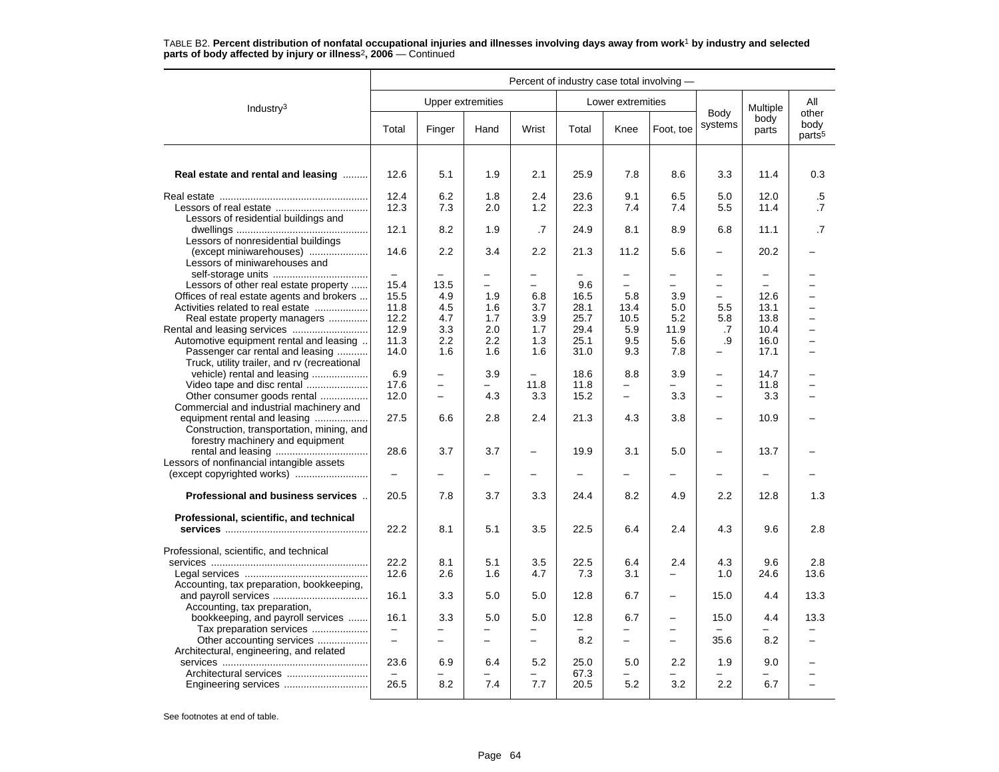|                                                                                                                                                          |                                       |                                                                                  |                                      |                                         |                                     |                                                        | Percent of industry case total involving -                                       |                                                                          |                                          |                                     |
|----------------------------------------------------------------------------------------------------------------------------------------------------------|---------------------------------------|----------------------------------------------------------------------------------|--------------------------------------|-----------------------------------------|-------------------------------------|--------------------------------------------------------|----------------------------------------------------------------------------------|--------------------------------------------------------------------------|------------------------------------------|-------------------------------------|
| Industry $3$                                                                                                                                             |                                       |                                                                                  | <b>Upper extremities</b>             |                                         |                                     | Lower extremities                                      |                                                                                  |                                                                          | Multiple                                 | All                                 |
|                                                                                                                                                          | Total                                 | Finger                                                                           | Hand                                 | Wrist                                   | Total                               | Knee                                                   | Foot, toe                                                                        | Body<br>systems                                                          | body<br>parts                            | other<br>body<br>parts <sup>5</sup> |
| Real estate and rental and leasing                                                                                                                       | 12.6                                  | 5.1                                                                              | 1.9                                  | 2.1                                     | 25.9                                | 7.8                                                    | 8.6                                                                              | 3.3                                                                      | 11.4                                     | 0.3                                 |
| Lessors of residential buildings and                                                                                                                     | 12.4<br>12.3                          | 6.2<br>7.3                                                                       | 1.8<br>2.0                           | 2.4<br>1.2                              | 23.6<br>22.3                        | 9.1<br>7.4                                             | 6.5<br>7.4                                                                       | 5.0<br>5.5                                                               | 12.0<br>11.4                             | .5<br>$\cdot$ 7                     |
| Lessors of nonresidential buildings<br>(except miniwarehouses)                                                                                           | 12.1<br>14.6                          | 8.2<br>2.2                                                                       | 1.9<br>3.4                           | .7<br>$2.2\,$                           | 24.9<br>21.3                        | 8.1<br>11.2                                            | 8.9<br>5.6                                                                       | 6.8                                                                      | 11.1<br>20.2                             | .7                                  |
| Lessors of miniwarehouses and                                                                                                                            | $\overline{\phantom{a}}$              |                                                                                  | -                                    |                                         |                                     | $\overline{\phantom{0}}$                               | -                                                                                | $\overline{\phantom{m}}$                                                 | $\qquad \qquad -$                        |                                     |
| Lessors of other real estate property<br>Offices of real estate agents and brokers<br>Activities related to real estate<br>Real estate property managers | 15.4<br>15.5<br>11.8<br>12.2<br>12.9  | 13.5<br>4.9<br>4.5<br>4.7<br>3.3                                                 | $\equiv$<br>1.9<br>1.6<br>1.7<br>2.0 | 6.8<br>3.7<br>3.9<br>1.7                | 9.6<br>16.5<br>28.1<br>25.7<br>29.4 | $\overline{\phantom{0}}$<br>5.8<br>13.4<br>10.5<br>5.9 | $\equiv$<br>3.9<br>5.0<br>5.2<br>11.9                                            | $\overline{\phantom{m}}$<br>$\overline{\phantom{0}}$<br>5.5<br>5.8<br>.7 | $\equiv$<br>12.6<br>13.1<br>13.8<br>10.4 | $\overline{\phantom{0}}$<br>-       |
| Automotive equipment rental and leasing<br>Passenger car rental and leasing<br>Truck, utility trailer, and rv (recreational                              | 11.3<br>14.0                          | 2.2<br>1.6                                                                       | 2.2<br>1.6                           | 1.3<br>1.6                              | 25.1<br>31.0                        | 9.5<br>9.3                                             | 5.6<br>7.8                                                                       | .9                                                                       | 16.0<br>17.1                             | <u>.</u>                            |
| vehicle) rental and leasing<br>Video tape and disc rental<br>Other consumer goods rental<br>Commercial and industrial machinery and                      | 6.9<br>17.6<br>12.0                   | $\overline{\phantom{0}}$<br>$\overline{\phantom{0}}$<br>$\overline{\phantom{0}}$ | 3.9<br>4.3                           | $\overline{\phantom{0}}$<br>11.8<br>3.3 | 18.6<br>11.8<br>15.2                | 8.8<br>$\overline{\phantom{0}}$                        | 3.9<br>3.3                                                                       | $\overline{\phantom{m}}$<br>$\qquad \qquad -$<br>$\equiv$                | 14.7<br>11.8<br>3.3                      |                                     |
| equipment rental and leasing<br>Construction, transportation, mining, and<br>forestry machinery and equipment                                            | 27.5                                  | 6.6                                                                              | 2.8                                  | 2.4                                     | 21.3                                | 4.3                                                    | 3.8                                                                              | $\overline{\phantom{0}}$                                                 | 10.9                                     |                                     |
| Lessors of nonfinancial intangible assets                                                                                                                | 28.6                                  | 3.7                                                                              | 3.7                                  | $\qquad \qquad -$                       | 19.9                                | 3.1                                                    | 5.0                                                                              | $\overline{\phantom{0}}$                                                 | 13.7                                     |                                     |
| Professional and business services.                                                                                                                      | 20.5                                  | 7.8                                                                              | 3.7                                  | 3.3                                     | 24.4                                | 8.2                                                    | 4.9                                                                              | 2.2                                                                      | 12.8                                     | 1.3                                 |
| Professional, scientific, and technical                                                                                                                  | 22.2                                  | 8.1                                                                              | 5.1                                  | 3.5                                     | 22.5                                | 6.4                                                    | 2.4                                                                              | 4.3                                                                      | 9.6                                      | 2.8                                 |
| Professional, scientific, and technical<br>Accounting, tax preparation, bookkeeping,                                                                     | 22.2<br>12.6                          | 8.1<br>2.6                                                                       | 5.1<br>1.6                           | 3.5<br>4.7                              | 22.5<br>7.3                         | 6.4<br>3.1                                             | 2.4                                                                              | 4.3<br>1.0                                                               | 9.6<br>24.6                              | 2.8<br>13.6                         |
| Accounting, tax preparation,                                                                                                                             | 16.1                                  | 3.3                                                                              | 5.0                                  | 5.0                                     | 12.8                                | 6.7                                                    | $\overline{\phantom{0}}$                                                         | 15.0                                                                     | 4.4                                      | 13.3                                |
| bookkeeping, and payroll services<br>Tax preparation services<br>Other accounting services<br>Architectural, engineering, and related                    | 16.1<br>$\qquad \qquad -$<br>$\equiv$ | 3.3<br>$\overline{\phantom{0}}$<br>$\equiv$                                      | 5.0<br>Ξ.<br>$\equiv$                | 5.0<br>-<br>$\equiv$                    | 12.8<br>8.2                         | 6.7<br>-<br>$\overline{\phantom{0}}$                   | $\overline{\phantom{0}}$<br>$\overline{\phantom{0}}$<br>$\overline{\phantom{0}}$ | 15.0<br>35.6                                                             | 4.4<br>8.2                               | 13.3<br>$\overline{\phantom{0}}$    |
|                                                                                                                                                          | 23.6<br>26.5                          | 6.9<br>8.2                                                                       | 6.4<br>7.4                           | 5.2<br>7.7                              | 25.0<br>67.3<br>20.5                | 5.0<br>5.2                                             | 2.2<br>3.2                                                                       | 1.9<br>2.2                                                               | 9.0<br>6.7                               |                                     |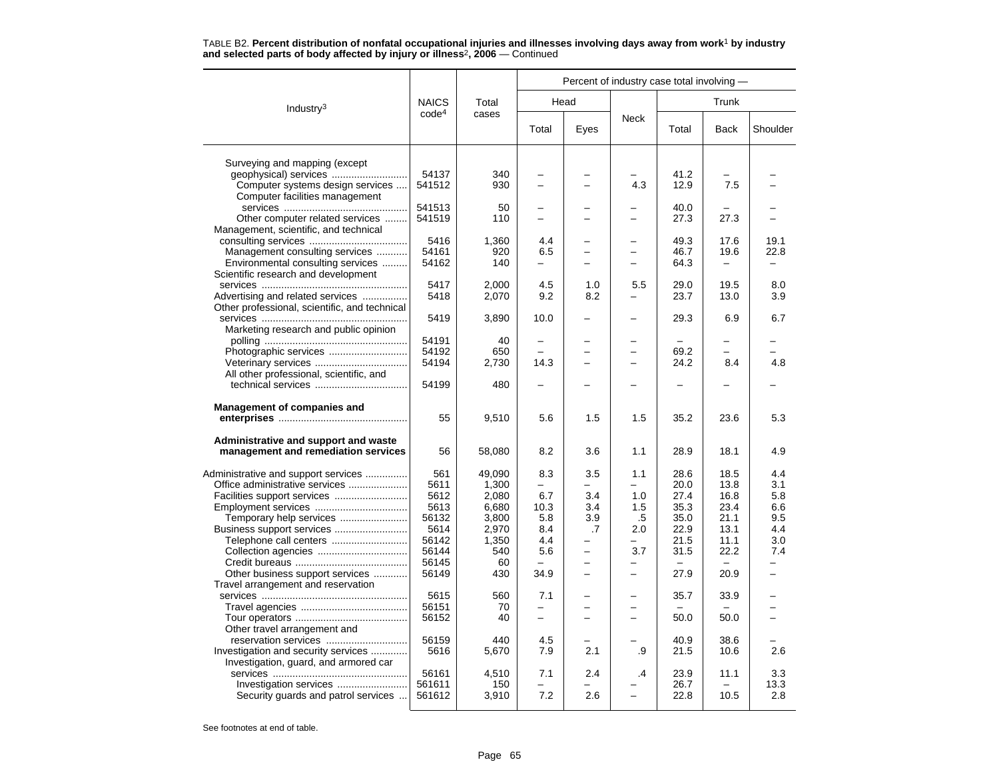|                                               |                   |        |                | Percent of industry case total involving - |                          |       |                          |          |
|-----------------------------------------------|-------------------|--------|----------------|--------------------------------------------|--------------------------|-------|--------------------------|----------|
| Industry <sup>3</sup>                         | <b>NAICS</b>      | Total  |                | Head                                       |                          |       | Trunk                    |          |
|                                               | code <sup>4</sup> | cases  | Total          | Eyes                                       | <b>Neck</b>              | Total | Back                     | Shoulder |
| Surveying and mapping (except                 |                   |        |                |                                            |                          |       |                          |          |
|                                               | 54137             | 340    |                |                                            |                          | 41.2  |                          |          |
| Computer systems design services              | 541512            | 930    | $\equiv$       | $\overline{\phantom{a}}$                   | 4.3                      | 12.9  | 7.5                      |          |
| Computer facilities management                |                   |        |                |                                            |                          |       |                          |          |
|                                               | 541513            | 50     |                |                                            |                          | 40.0  |                          |          |
| Other computer related services               | 541519            | 110    | $\overline{a}$ |                                            |                          | 27.3  | 27.3                     |          |
| Management, scientific, and technical         |                   |        |                |                                            |                          |       |                          |          |
|                                               | 5416              | 1,360  | 4.4            |                                            |                          | 49.3  | 17.6                     | 19.1     |
| Management consulting services                | 54161             | 920    | 6.5            | -                                          | $\equiv$                 | 46.7  | 19.6                     | 22.8     |
| Environmental consulting services             | 54162             | 140    |                |                                            |                          | 64.3  |                          |          |
| Scientific research and development           |                   |        |                |                                            |                          |       |                          |          |
|                                               | 5417              | 2,000  | 4.5            | 1.0                                        | 5.5                      | 29.0  | 19.5                     | 8.0      |
| Advertising and related services              | 5418              | 2,070  | 9.2            | 8.2                                        |                          | 23.7  | 13.0                     | 3.9      |
| Other professional, scientific, and technical |                   |        |                |                                            |                          |       |                          |          |
|                                               | 5419              | 3,890  | 10.0           |                                            |                          | 29.3  | 6.9                      | 6.7      |
| Marketing research and public opinion         |                   |        |                |                                            |                          |       |                          |          |
|                                               | 54191             | 40     |                |                                            |                          |       |                          |          |
|                                               | 54192             | 650    |                |                                            | $\equiv$                 | 69.2  | $\overline{\phantom{0}}$ |          |
|                                               | 54194             | 2,730  | 14.3           | $\overline{\phantom{0}}$                   | $\equiv$                 | 24.2  | 8.4                      | 4.8      |
| All other professional, scientific, and       |                   |        |                |                                            |                          |       |                          |          |
|                                               | 54199             | 480    |                |                                            |                          |       |                          |          |
|                                               |                   |        |                |                                            |                          |       |                          |          |
| <b>Management of companies and</b>            | 55                | 9,510  | 5.6            | 1.5                                        | 1.5                      | 35.2  | 23.6                     | 5.3      |
|                                               |                   |        |                |                                            |                          |       |                          |          |
| Administrative and support and waste          |                   |        |                |                                            |                          |       |                          |          |
| management and remediation services           | 56                | 58,080 | 8.2            | 3.6                                        | 1.1                      | 28.9  | 18.1                     | 4.9      |
| Administrative and support services           | 561               | 49.090 | 8.3            | 3.5                                        | 1.1                      | 28.6  | 18.5                     | 4.4      |
| Office administrative services                | 5611              | 1,300  |                |                                            | $\overline{\phantom{0}}$ | 20.0  | 13.8                     | 3.1      |
| Facilities support services                   | 5612              | 2,080  | 6.7            | 3.4                                        | 1.0                      | 27.4  | 16.8                     | 5.8      |
|                                               | 5613              | 6,680  | 10.3           | 3.4                                        | 1.5                      | 35.3  | 23.4                     | 6.6      |
| Temporary help services                       | 56132             | 3,800  | 5.8            | 3.9                                        | .5                       | 35.0  | 21.1                     | 9.5      |
| Business support services                     | 5614              | 2,970  | 8.4            | .7                                         | 2.0                      | 22.9  | 13.1                     | 4.4      |
|                                               | 56142             | 1,350  | 4.4            |                                            |                          | 21.5  | 11.1                     | 3.0      |
|                                               | 56144             | 540    | 5.6            | $\overline{\phantom{0}}$                   | 3.7                      | 31.5  | 22.2                     | 7.4      |
|                                               | 56145             | 60     |                |                                            |                          |       |                          |          |
| Other business support services               | 56149             | 430    | 34.9           |                                            |                          | 27.9  | 20.9                     |          |
| Travel arrangement and reservation            |                   |        |                |                                            |                          |       |                          |          |
|                                               | 5615              | 560    | 7.1            |                                            |                          | 35.7  | 33.9                     |          |
|                                               | 56151             | 70     |                |                                            |                          |       |                          |          |
|                                               | 56152             | 40     |                |                                            |                          | 50.0  | 50.0                     |          |
| Other travel arrangement and                  |                   |        |                |                                            |                          |       |                          |          |
|                                               | 56159             | 440    | 4.5            |                                            |                          | 40.9  | 38.6                     |          |
| Investigation and security services           | 5616              | 5,670  | 7.9            | 2.1                                        | .9                       | 21.5  | 10.6                     | 2.6      |
| Investigation, guard, and armored car         |                   |        |                |                                            |                          |       |                          |          |
|                                               | 56161             | 4,510  | 7.1            | 2.4                                        | .4                       | 23.9  | 11.1                     | 3.3      |
| Investigation services                        | 561611            | 150    |                |                                            |                          | 26.7  |                          | 13.3     |
| Security guards and patrol services           | 561612            | 3,910  | 7.2            | 2.6                                        | $\equiv$                 | 22.8  | 10.5                     | 2.8      |
|                                               |                   |        |                |                                            |                          |       |                          |          |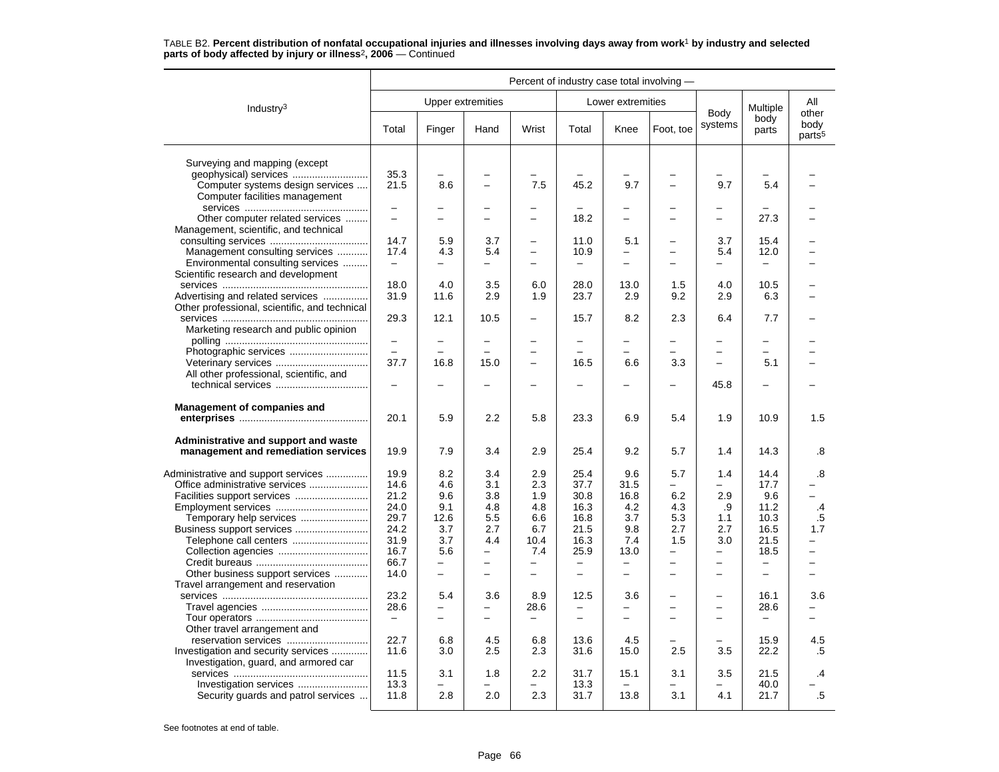|                                                                             |                          |                          |                          |                          | Percent of industry case total involving - |                          |                          |                          |                          |                                     |
|-----------------------------------------------------------------------------|--------------------------|--------------------------|--------------------------|--------------------------|--------------------------------------------|--------------------------|--------------------------|--------------------------|--------------------------|-------------------------------------|
| Industry <sup>3</sup>                                                       |                          |                          | Upper extremities        |                          |                                            | Lower extremities        |                          |                          | Multiple                 | All                                 |
|                                                                             | Total                    | Finger                   | Hand                     | Wrist                    | Total                                      | Knee                     | Foot, toe                | Body<br>systems          | body<br>parts            | other<br>body<br>parts <sup>5</sup> |
| Surveying and mapping (except                                               |                          |                          |                          |                          |                                            |                          |                          |                          |                          |                                     |
|                                                                             | 35.3                     |                          |                          |                          |                                            |                          |                          |                          |                          |                                     |
| Computer systems design services                                            | 21.5                     | 8.6                      |                          | 7.5                      | 45.2                                       | 9.7                      |                          | 9.7                      | 5.4                      |                                     |
| Computer facilities management                                              |                          |                          |                          |                          |                                            |                          |                          |                          |                          |                                     |
|                                                                             | $\overline{\phantom{0}}$ |                          |                          |                          |                                            |                          |                          |                          |                          |                                     |
| Other computer related services                                             | $\overline{\phantom{0}}$ | $\equiv$                 | -                        | -                        | 18.2                                       | $\overline{\phantom{0}}$ | -                        | $\overline{\phantom{0}}$ | 27.3                     |                                     |
| Management, scientific, and technical                                       |                          |                          |                          |                          |                                            |                          |                          |                          |                          |                                     |
|                                                                             | 14.7                     | 5.9                      | 3.7                      | -                        | 11.0                                       | 5.1                      |                          | 3.7                      | 15.4                     |                                     |
| Management consulting services                                              | 17.4                     | 4.3                      | 5.4                      | $\overline{\phantom{0}}$ | 10.9                                       | $\overline{\phantom{0}}$ | -                        | 5.4                      | 12.0                     |                                     |
| Environmental consulting services                                           | $\overline{\phantom{m}}$ | $\overline{\phantom{0}}$ | -                        | -                        | $\qquad \qquad -$                          | $\equiv$                 |                          | $\overline{\phantom{0}}$ |                          |                                     |
| Scientific research and development                                         |                          |                          |                          |                          |                                            |                          |                          |                          |                          |                                     |
|                                                                             | 18.0                     | 4.0                      | 3.5                      | 6.0                      | 28.0                                       | 13.0                     | 1.5                      | 4.0                      | 10.5                     |                                     |
| Advertising and related services                                            | 31.9                     | 11.6                     | 2.9                      | 1.9                      | 23.7                                       | 2.9                      | 9.2                      | 2.9                      | 6.3                      |                                     |
| Other professional, scientific, and technical                               |                          |                          |                          |                          |                                            |                          |                          |                          |                          |                                     |
|                                                                             | 29.3                     | 12.1                     | 10.5                     | -                        | 15.7                                       | 8.2                      | 2.3                      | 6.4                      | 7.7                      |                                     |
| Marketing research and public opinion                                       |                          |                          |                          |                          |                                            |                          |                          |                          |                          |                                     |
|                                                                             | $\equiv$<br>L.           | $\overline{\phantom{0}}$ |                          |                          |                                            | $\overline{\phantom{0}}$ |                          |                          | ÷                        |                                     |
|                                                                             | 37.7                     | 16.8                     | 15.0                     | -<br>-                   | 16.5                                       | 6.6                      | 3.3                      | $\equiv$                 | 5.1                      |                                     |
|                                                                             |                          |                          |                          |                          |                                            |                          |                          |                          |                          |                                     |
| All other professional, scientific, and                                     | $\overline{\phantom{0}}$ |                          |                          | -                        |                                            |                          | -                        | 45.8                     |                          |                                     |
|                                                                             |                          |                          |                          |                          |                                            |                          |                          |                          |                          |                                     |
| <b>Management of companies and</b>                                          |                          |                          |                          |                          |                                            |                          |                          |                          |                          |                                     |
|                                                                             | 20.1                     | 5.9                      | 2.2                      | 5.8                      | 23.3                                       | 6.9                      | 5.4                      | 1.9                      | 10.9                     | 1.5                                 |
|                                                                             |                          |                          |                          |                          |                                            |                          |                          |                          |                          |                                     |
| Administrative and support and waste<br>management and remediation services | 19.9                     | 7.9                      | 3.4                      | 2.9                      | 25.4                                       | 9.2                      | 5.7                      | 1.4                      | 14.3                     | .8                                  |
|                                                                             |                          |                          |                          |                          |                                            |                          |                          |                          |                          |                                     |
| Administrative and support services                                         | 19.9                     | 8.2                      | 3.4                      | 2.9                      | 25.4                                       | 9.6                      | 5.7                      | 1.4                      | 14.4                     | .8                                  |
| Office administrative services                                              | 14.6                     | 4.6                      | 3.1                      | 2.3                      | 37.7                                       | 31.5                     | -                        |                          | 17.7                     | $\overline{\phantom{0}}$            |
|                                                                             | 21.2<br>24.0             | 9.6<br>9.1               | 3.8<br>4.8               | 1.9<br>4.8               | 30.8<br>16.3                               | 16.8<br>4.2              | 6.2<br>4.3               | 2.9<br>.9                | 9.6<br>11.2              | .4                                  |
| Temporary help services                                                     | 29.7                     | 12.6                     | 5.5                      | 6.6                      | 16.8                                       | 3.7                      | 5.3                      | 1.1                      | 10.3                     | .5                                  |
|                                                                             | 24.2                     | 3.7                      | 2.7                      | 6.7                      | 21.5                                       | 9.8                      | 2.7                      | 2.7                      | 16.5                     | 1.7                                 |
| Telephone call centers                                                      | 31.9                     | 3.7                      | 4.4                      | 10.4                     | 16.3                                       | 7.4                      | 1.5                      | 3.0                      | 21.5                     |                                     |
|                                                                             | 16.7                     | 5.6                      | $\equiv$                 | 7.4                      | 25.9                                       | 13.0                     | $\overline{\phantom{0}}$ | $\equiv$                 | 18.5                     | $\overline{a}$                      |
|                                                                             | 66.7                     | $\equiv$                 | $\overline{\phantom{m}}$ | $\frac{1}{2}$            | $\overline{\phantom{m}}$                   | $\overline{\phantom{0}}$ | $\overline{\phantom{0}}$ | $\overline{\phantom{0}}$ | $\equiv$                 | $\overline{\phantom{0}}$            |
| Other business support services                                             | 14.0                     | $\equiv$                 | $\overline{\phantom{0}}$ | $\overline{a}$           | $\qquad \qquad -$                          | $\overline{\phantom{0}}$ |                          |                          | $\overline{a}$           |                                     |
| Travel arrangement and reservation                                          |                          |                          |                          |                          |                                            |                          |                          |                          |                          |                                     |
|                                                                             | 23.2                     | 5.4                      | 3.6                      | 8.9                      | 12.5                                       | 3.6                      |                          | $\overline{\phantom{0}}$ | 16.1                     | 3.6                                 |
|                                                                             | 28.6                     | $\overline{\phantom{0}}$ | $\overline{\phantom{0}}$ | 28.6                     | $\overline{\phantom{0}}$                   | $\equiv$                 | -                        | $\equiv$                 | 28.6                     |                                     |
|                                                                             | $\overline{\phantom{m}}$ | $\overline{\phantom{a}}$ | $\equiv$                 | $\overline{\phantom{m}}$ | $=$                                        | $=$                      | $\overline{\phantom{0}}$ | $\overline{\phantom{0}}$ | $\overline{\phantom{0}}$ | -                                   |
| Other travel arrangement and                                                |                          |                          |                          |                          |                                            |                          |                          |                          |                          |                                     |
| reservation services                                                        | 22.7                     | 6.8                      | 4.5                      | 6.8                      | 13.6                                       | 4.5                      |                          |                          | 15.9                     | 4.5                                 |
| Investigation and security services                                         | 11.6                     | 3.0                      | 2.5                      | 2.3                      | 31.6                                       | 15.0                     | 2.5                      | 3.5                      | 22.2                     | .5                                  |
| Investigation, guard, and armored car                                       |                          |                          |                          |                          |                                            |                          |                          |                          |                          |                                     |
|                                                                             | 11.5                     | 3.1                      | 1.8                      | 2.2                      | 31.7                                       | 15.1                     | 3.1                      | 3.5                      | 21.5                     | .4                                  |
|                                                                             | 13.3                     |                          |                          |                          | 13.3                                       |                          |                          |                          | 40.0                     |                                     |
| Security guards and patrol services                                         | 11.8                     | 2.8                      | 2.0                      | 2.3                      | 31.7                                       | 13.8                     | 3.1                      | 4.1                      | 21.7                     | $.5\,$                              |
|                                                                             |                          |                          |                          |                          |                                            |                          |                          |                          |                          |                                     |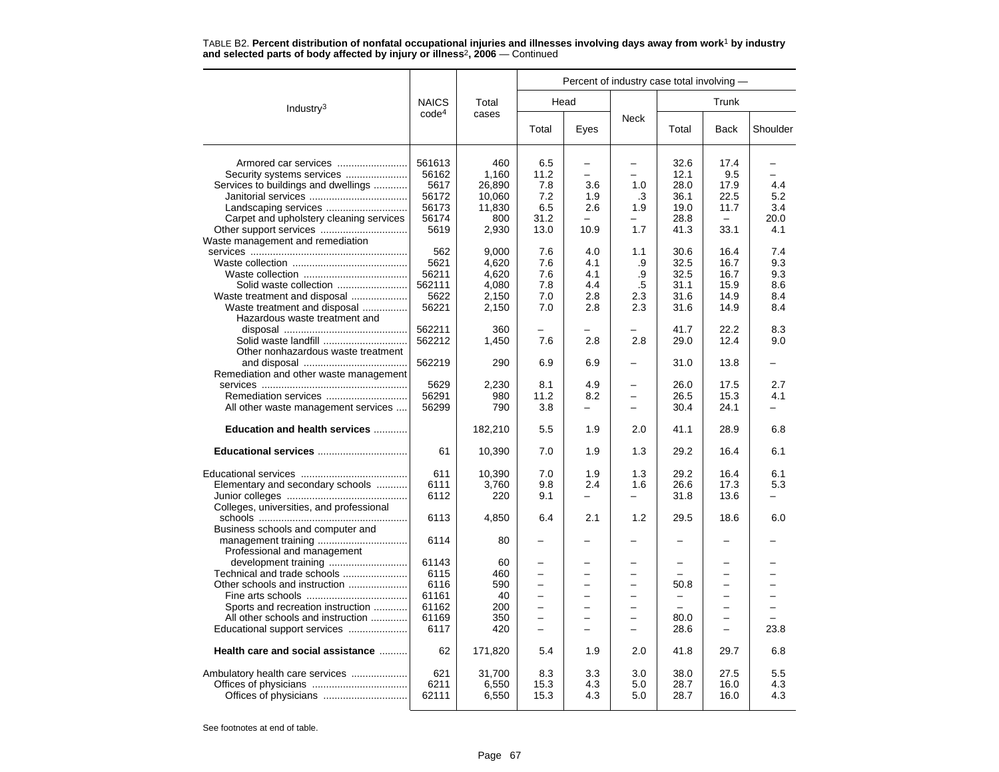|                                          |                   |            |                          |                          | Percent of industry case total involving - |                          |                          |          |
|------------------------------------------|-------------------|------------|--------------------------|--------------------------|--------------------------------------------|--------------------------|--------------------------|----------|
| Industry <sup>3</sup>                    | <b>NAICS</b>      | Total      |                          | Head                     |                                            |                          | Trunk                    |          |
|                                          | code <sup>4</sup> | cases      | Total                    | Eyes                     | <b>Neck</b>                                | Total                    | <b>Back</b>              | Shoulder |
| Armored car services                     | 561613            | 460        | 6.5                      |                          |                                            | 32.6                     | 17.4                     |          |
|                                          | 56162             | 1,160      | 11.2                     | $\overline{\phantom{0}}$ |                                            | 12.1                     | 9.5                      |          |
| Services to buildings and dwellings      | 5617              | 26.890     | 7.8                      | 3.6                      | 1.0                                        | 28.0                     | 17.9                     | 4.4      |
|                                          | 56172             | 10,060     | 7.2                      | 1.9                      | .3                                         | 36.1                     | 22.5                     | 5.2      |
|                                          | 56173             | 11,830     | 6.5                      | 2.6                      | 1.9                                        | 19.0                     | 11.7                     | 3.4      |
| Carpet and upholstery cleaning services  | 56174             | 800        | 31.2                     |                          |                                            | 28.8                     | $\equiv$                 | 20.0     |
|                                          | 5619              | 2,930      | 13.0                     | 10.9                     | 1.7                                        | 41.3                     | 33.1                     | 4.1      |
| Waste management and remediation         |                   |            |                          |                          |                                            |                          |                          |          |
|                                          | 562               | 9,000      | 7.6                      | 4.0                      | 1.1                                        | 30.6                     | 16.4                     | 7.4      |
|                                          | 5621              | 4,620      | 7.6                      | 4.1                      | .9                                         | 32.5                     | 16.7                     | 9.3      |
|                                          | 56211             | 4,620      | 7.6                      | 4.1                      | .9                                         | 32.5                     | 16.7                     | 9.3      |
| Solid waste collection                   | 562111            | 4.080      | 7.8                      | 4.4                      | .5                                         | 31.1                     | 15.9                     | 8.6      |
| Waste treatment and disposal             | 5622              | 2,150      | 7.0                      | 2.8                      | 2.3                                        | 31.6                     | 14.9                     | 8.4      |
| Waste treatment and disposal             | 56221             | 2,150      | 7.0                      | 2.8                      | 2.3                                        | 31.6                     | 14.9                     | 8.4      |
| Hazardous waste treatment and            |                   |            |                          |                          |                                            |                          |                          |          |
|                                          | 562211            | 360        |                          |                          |                                            | 41.7                     | 22.2                     | 8.3      |
|                                          | 562212            | 1,450      | 7.6                      | 2.8                      | 2.8                                        | 29.0                     | 12.4                     | 9.0      |
| Other nonhazardous waste treatment       |                   |            |                          |                          |                                            |                          |                          |          |
|                                          | 562219            | 290        | 6.9                      | 6.9                      |                                            | 31.0                     | 13.8                     |          |
| Remediation and other waste management   |                   |            |                          |                          |                                            |                          |                          |          |
|                                          | 5629              | 2,230      | 8.1<br>11.2              | 4.9                      |                                            | 26.0                     | 17.5                     | 2.7      |
|                                          | 56291<br>56299    | 980<br>790 | 3.8                      | 8.2                      |                                            | 26.5<br>30.4             | 15.3<br>24.1             | 4.1      |
| All other waste management services      |                   |            |                          |                          |                                            |                          |                          |          |
| Education and health services            |                   | 182,210    | 5.5                      | 1.9                      | 2.0                                        | 41.1                     | 28.9                     | 6.8      |
| Educational services                     | 61                | 10,390     | 7.0                      | 1.9                      | 1.3                                        | 29.2                     | 16.4                     | 6.1      |
|                                          | 611               | 10,390     | 7.0                      | 1.9                      | 1.3                                        | 29.2                     | 16.4                     | 6.1      |
| Elementary and secondary schools         | 6111              | 3,760      | 9.8                      | 2.4                      | 1.6                                        | 26.6                     | 17.3                     | 5.3      |
|                                          | 6112              | 220        | 9.1                      |                          |                                            | 31.8                     | 13.6                     |          |
| Colleges, universities, and professional |                   |            |                          |                          |                                            |                          |                          |          |
|                                          | 6113              | 4,850      | 6.4                      | 2.1                      | 1.2                                        | 29.5                     | 18.6                     | 6.0      |
| Business schools and computer and        |                   |            |                          |                          |                                            |                          |                          |          |
|                                          | 6114              | 80         |                          |                          |                                            | -                        |                          |          |
| Professional and management              | 61143             |            |                          |                          |                                            |                          |                          |          |
| Technical and trade schools              | 6115              | 60<br>460  |                          |                          |                                            |                          |                          |          |
| Other schools and instruction            | 6116              | 590        | $\overline{\phantom{0}}$ |                          |                                            | 50.8                     | $\overline{\phantom{0}}$ |          |
|                                          | 61161             | 40         | $\overline{\phantom{0}}$ | L.                       | ÷                                          | $\overline{\phantom{0}}$ | $\equiv$                 |          |
| Sports and recreation instruction        | 61162             | 200        |                          |                          |                                            |                          |                          |          |
| All other schools and instruction        | 61169             | 350        |                          | $\overline{a}$           |                                            | 80.0                     | $\equiv$                 |          |
| Educational support services             | 6117              | 420        | $\overline{\phantom{0}}$ |                          |                                            | 28.6                     | $\overline{\phantom{0}}$ | 23.8     |
| Health care and social assistance        | 62                | 171,820    | 5.4                      | 1.9                      | 2.0                                        | 41.8                     | 29.7                     | 6.8      |
| Ambulatory health care services          | 621               | 31,700     | 8.3                      | 3.3                      | 3.0                                        | 38.0                     | 27.5                     | 5.5      |
|                                          | 6211              | 6,550      | 15.3                     | 4.3                      | 5.0                                        | 28.7                     | 16.0                     | 4.3      |
|                                          | 62111             | 6,550      | 15.3                     | 4.3                      | 5.0                                        | 28.7                     | 16.0                     | 4.3      |
|                                          |                   |            |                          |                          |                                            |                          |                          |          |

TABLE B2. **Percent distribution of nonfatal occupational injuries and illnesses involving days away from work**<sup>1</sup> **by industry and selected parts of body affected by injury or illness**<sup>2</sup>**, 2006** — Continued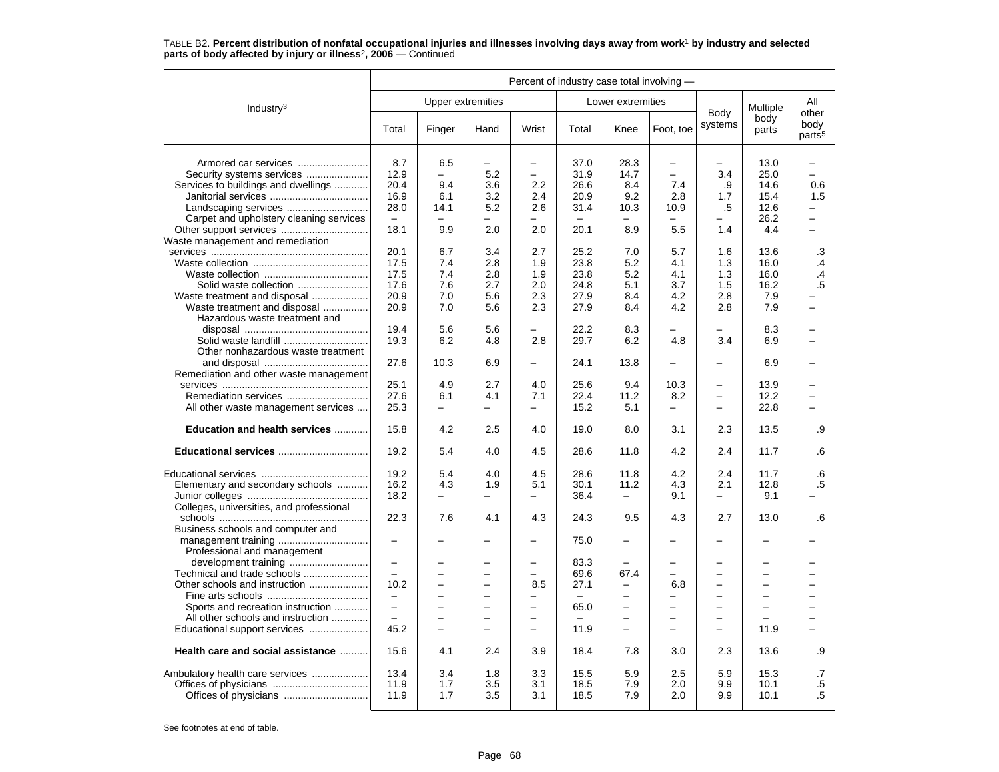|                                          |                          |                          |                          |                          | Percent of industry case total involving - |                          |                          |                          |                          |                                     |
|------------------------------------------|--------------------------|--------------------------|--------------------------|--------------------------|--------------------------------------------|--------------------------|--------------------------|--------------------------|--------------------------|-------------------------------------|
| Industry <sup>3</sup>                    |                          |                          | <b>Upper extremities</b> |                          |                                            | Lower extremities        |                          |                          | Multiple                 | All                                 |
|                                          | Total                    | Finger                   | Hand                     | Wrist                    | Total                                      | Knee                     | Foot, toe                | Body<br>systems          | body<br>parts            | other<br>body<br>parts <sup>5</sup> |
| Armored car services                     | 8.7                      | 6.5                      | $\overline{\phantom{0}}$ | $\overline{\phantom{0}}$ | 37.0                                       | 28.3                     | $\overline{\phantom{0}}$ | -                        | 13.0                     | $\overline{\phantom{0}}$            |
| Security systems services                | 12.9                     |                          | 5.2                      | $\overline{\phantom{0}}$ | 31.9                                       | 14.7                     | $\overline{\phantom{0}}$ | 3.4                      | 25.0                     | L.                                  |
| Services to buildings and dwellings      | 20.4                     | 9.4                      | 3.6                      | 2.2                      | 26.6                                       | 8.4                      | 7.4                      | .9                       | 14.6                     | 0.6                                 |
|                                          | 16.9                     | 6.1                      | 3.2                      | 2.4                      | 20.9                                       | 9.2                      | 2.8                      | 1.7                      | 15.4                     | 1.5                                 |
|                                          | 28.0                     | 14.1                     | 5.2                      | 2.6                      | 31.4                                       | 10.3                     | 10.9                     | .5                       | 12.6                     |                                     |
| Carpet and upholstery cleaning services  | $\overline{\phantom{m}}$ | $\overline{\phantom{0}}$ | -                        |                          | -                                          |                          | $\overline{\phantom{0}}$ | -                        | 26.2                     | $\overline{\phantom{0}}$            |
|                                          | 18.1                     | 9.9                      | 2.0                      | 2.0                      | 20.1                                       | 8.9                      | 5.5                      | 1.4                      | 4.4                      |                                     |
| Waste management and remediation         |                          |                          |                          |                          |                                            |                          |                          |                          |                          |                                     |
|                                          | 20.1                     | 6.7                      | 3.4                      | 2.7                      | 25.2                                       | 7.0                      | 5.7                      | 1.6                      | 13.6                     | .3                                  |
|                                          | 17.5                     | 7.4                      | 2.8                      | 1.9                      | 23.8                                       | 5.2                      | 4.1                      | 1.3                      | 16.0                     | $\cdot$                             |
|                                          | 17.5                     | 7.4                      | 2.8                      | 1.9                      | 23.8                                       | 5.2                      | 4.1                      | 1.3                      | 16.0                     | $\cdot$ 4                           |
|                                          | 17.6                     | 7.6                      | 2.7                      | 2.0                      | 24.8                                       | 5.1                      | 3.7                      | 1.5                      | 16.2                     | .5                                  |
| Waste treatment and disposal             | 20.9                     | 7.0                      | 5.6                      | 2.3                      | 27.9                                       | 8.4                      | 4.2                      | 2.8                      | 7.9                      |                                     |
| Waste treatment and disposal             | 20.9                     | 7.0                      | 5.6                      | 2.3                      | 27.9                                       | 8.4                      | 4.2                      | 2.8                      | 7.9                      |                                     |
| Hazardous waste treatment and            |                          |                          |                          |                          |                                            |                          |                          |                          |                          |                                     |
|                                          | 19.4                     | 5.6                      | 5.6                      |                          | 22.2                                       | 8.3                      |                          |                          | 8.3                      |                                     |
| Solid waste landfill                     | 19.3                     | 6.2                      | 4.8                      | 2.8                      | 29.7                                       | 6.2                      | 4.8                      | 3.4                      | 6.9                      |                                     |
| Other nonhazardous waste treatment       |                          |                          |                          |                          |                                            |                          |                          |                          |                          |                                     |
|                                          | 27.6                     | 10.3                     | 6.9                      | $\overline{\phantom{0}}$ | 24.1                                       | 13.8                     |                          |                          | 6.9                      |                                     |
| Remediation and other waste management   |                          |                          |                          |                          |                                            |                          |                          |                          |                          |                                     |
|                                          | 25.1                     | 4.9                      | 2.7                      | 4.0                      | 25.6                                       | 9.4                      | 10.3                     | $\qquad \qquad -$        | 13.9                     |                                     |
|                                          | 27.6                     | 6.1                      | 4.1                      | 7.1                      | 22.4                                       | 11.2                     | 8.2                      | $\overline{\phantom{0}}$ | 12.2                     |                                     |
| All other waste management services      | 25.3                     | $\overline{\phantom{0}}$ | $\equiv$                 | $\overline{a}$           | 15.2                                       | 5.1                      | $\equiv$                 | $\overline{\phantom{m}}$ | 22.8                     |                                     |
| Education and health services            | 15.8                     | 4.2                      | 2.5                      | 4.0                      | 19.0                                       | 8.0                      | 3.1                      | 2.3                      | 13.5                     | .9                                  |
| Educational services                     | 19.2                     | 5.4                      | 4.0                      | 4.5                      | 28.6                                       | 11.8                     | 4.2                      | 2.4                      | 11.7                     | .6                                  |
|                                          | 19.2                     | 5.4                      | 4.0                      | 4.5                      | 28.6                                       | 11.8                     | 4.2                      | 2.4                      | 11.7                     | .6                                  |
| Elementary and secondary schools         | 16.2                     | 4.3                      | 1.9                      | 5.1                      | 30.1                                       | 11.2                     | 4.3                      | 2.1                      | 12.8                     | $.5\,$                              |
|                                          | 18.2                     | $\overline{\phantom{0}}$ | $\equiv$                 | $-$                      | 36.4                                       | $\overline{\phantom{0}}$ | 9.1                      | $\equiv$                 | 9.1                      |                                     |
| Colleges, universities, and professional |                          |                          |                          |                          |                                            |                          |                          |                          |                          |                                     |
|                                          | 22.3                     | 7.6                      | 4.1                      | 4.3                      | 24.3                                       | 9.5                      | 4.3                      | 2.7                      | 13.0                     | .6                                  |
| Business schools and computer and        |                          |                          |                          |                          |                                            |                          |                          |                          |                          |                                     |
|                                          |                          |                          |                          |                          | 75.0                                       |                          |                          |                          |                          |                                     |
| Professional and management              |                          |                          |                          |                          |                                            |                          |                          |                          |                          |                                     |
| development training                     | $\overline{\phantom{0}}$ | $\overline{\phantom{0}}$ | $\overline{\phantom{0}}$ | $\overline{\phantom{0}}$ | 83.3                                       |                          | $\overline{\phantom{0}}$ | $\overline{\phantom{m}}$ | $\overline{\phantom{0}}$ |                                     |
| Technical and trade schools              | $\equiv$                 | $\overline{\phantom{0}}$ | $\equiv$                 | $\overline{\phantom{0}}$ | 69.6                                       | 67.4                     | $\equiv$                 | $\equiv$                 | -                        |                                     |
| Other schools and instruction            | 10.2                     | $\overline{\phantom{0}}$ | $\overline{\phantom{0}}$ | 8.5                      | 27.1                                       | -                        | 6.8                      | $\overline{\phantom{0}}$ | -                        |                                     |
|                                          | -                        | $\overline{\phantom{0}}$ | -                        | -                        | $\overline{\phantom{0}}$                   | -                        | -                        | $\overline{\phantom{0}}$ |                          |                                     |
| Sports and recreation instruction        | $\equiv$                 | $\overline{a}$           | ÷                        | $\equiv$                 | 65.0                                       | $\overline{\phantom{0}}$ | $\equiv$                 | $\overline{a}$           | $\equiv$                 |                                     |
| All other schools and instruction        |                          | $\overline{\phantom{0}}$ | $\overline{\phantom{0}}$ | $\overline{\phantom{0}}$ | -                                          | $\overline{\phantom{0}}$ | $\overline{\phantom{0}}$ | $\overline{\phantom{m}}$ |                          |                                     |
| Educational support services             | 45.2                     | $\equiv$                 | $\equiv$                 | $\equiv$                 | 11.9                                       | $\equiv$                 | $\equiv$                 | $\equiv$                 | 11.9                     | $\overline{\phantom{0}}$            |
| Health care and social assistance        | 15.6                     | 4.1                      | 2.4                      | 3.9                      | 18.4                                       | 7.8                      | 3.0                      | 2.3                      | 13.6                     | .9                                  |
| Ambulatory health care services          | 13.4                     | 3.4                      | 1.8                      | 3.3                      | 15.5                                       | 5.9                      | 2.5                      | 5.9                      | 15.3                     | .7                                  |
|                                          | 11.9                     | 1.7                      | 3.5                      | 3.1                      | 18.5                                       | 7.9                      | 2.0                      | 9.9                      | 10.1                     | .5                                  |
|                                          | 11.9                     | 1.7                      | 3.5                      | 3.1                      | 18.5                                       | 7.9                      | 2.0                      | 9.9                      | 10.1                     | $.5\,$                              |
|                                          |                          |                          |                          |                          |                                            |                          |                          |                          |                          |                                     |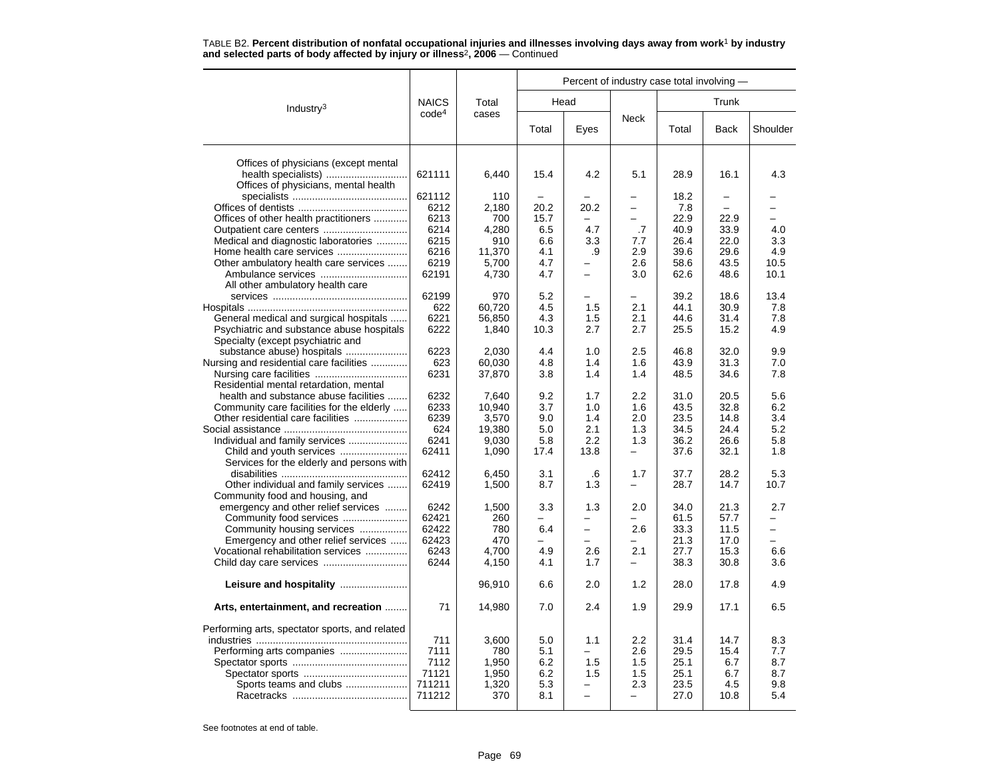|                                                             |                   |                |            |                |            | Percent of industry case total involving - |                          |            |
|-------------------------------------------------------------|-------------------|----------------|------------|----------------|------------|--------------------------------------------|--------------------------|------------|
| Industry <sup>3</sup>                                       | <b>NAICS</b>      | Total          |            | Head           |            |                                            | Trunk                    |            |
|                                                             | code <sup>4</sup> | cases          | Total      | Eyes           | Neck       | Total                                      | <b>Back</b>              | Shoulder   |
|                                                             |                   |                |            |                |            |                                            |                          |            |
| Offices of physicians (except mental<br>health specialists) | 621111            | 6,440          | 15.4       | 4.2            | 5.1        | 28.9                                       | 16.1                     | 4.3        |
| Offices of physicians, mental health                        |                   |                |            |                |            |                                            |                          |            |
|                                                             | 621112            | 110            |            |                |            | 18.2                                       | $\overline{\phantom{0}}$ |            |
|                                                             | 6212              | 2,180          | 20.2       | 20.2           |            | 7.8                                        |                          |            |
| Offices of other health practitioners                       | 6213              | 700            | 15.7       |                | -          | 22.9                                       | 22.9                     |            |
|                                                             | 6214              | 4,280          | 6.5        | 4.7            | .7         | 40.9                                       | 33.9                     | 4.0        |
| Medical and diagnostic laboratories                         | 6215              | 910            | 6.6        | 3.3            | 7.7        | 26.4                                       | 22.0                     | 3.3        |
| Home health care services                                   | 6216              | 11,370         | 4.1        | .9             | 2.9        | 39.6                                       | 29.6                     | 4.9        |
| Other ambulatory health care services                       | 6219              | 5,700          | 4.7        |                | 2.6        | 58.6                                       | 43.5                     | 10.5       |
|                                                             | 62191             | 4,730          | 4.7        | $\overline{a}$ | 3.0        | 62.6                                       | 48.6                     | 10.1       |
| All other ambulatory health care                            |                   |                |            |                |            |                                            |                          |            |
|                                                             | 62199             | 970            | 5.2        |                |            | 39.2                                       | 18.6                     | 13.4       |
|                                                             | 622               | 60,720         | 4.5        | 1.5            | 2.1        | 44.1                                       | 30.9                     | 7.8        |
| General medical and surgical hospitals                      | 6221              | 56,850         | 4.3        | 1.5            | 2.1        | 44.6                                       | 31.4                     | 7.8        |
| Psychiatric and substance abuse hospitals                   | 6222              | 1,840          | 10.3       | 2.7            | 2.7        | 25.5                                       | 15.2                     | 4.9        |
| Specialty (except psychiatric and                           |                   |                |            |                |            |                                            |                          |            |
| substance abuse) hospitals                                  | 6223              | 2,030          | 4.4        | 1.0            | 2.5        | 46.8                                       | 32.0                     | 9.9        |
| Nursing and residential care facilities                     | 623               | 60,030         | 4.8        | 1.4            | 1.6        | 43.9                                       | 31.3                     | 7.0        |
|                                                             | 6231              | 37,870         | 3.8        | 1.4            | 1.4        | 48.5                                       | 34.6                     | 7.8        |
| Residential mental retardation, mental                      |                   |                |            |                |            |                                            |                          |            |
| health and substance abuse facilities                       | 6232              | 7,640          | 9.2        | 1.7            | 2.2        | 31.0                                       | 20.5                     | 5.6        |
| Community care facilities for the elderly                   | 6233              | 10,940         | 3.7        | 1.0            | 1.6        | 43.5                                       | 32.8                     | 6.2        |
| Other residential care facilities                           | 6239              | 3,570          | 9.0        | 1.4            | 2.0        | 23.5                                       | 14.8                     | 3.4        |
|                                                             | 624               | 19,380         | 5.0        | 2.1            | 1.3        | 34.5                                       | 24.4                     | 5.2        |
| Individual and family services                              | 6241              | 9,030          | 5.8        | 2.2            | 1.3        | 36.2                                       | 26.6                     | 5.8        |
|                                                             | 62411             | 1,090          | 17.4       | 13.8           | ▃          | 37.6                                       | 32.1                     | 1.8        |
| Services for the elderly and persons with                   |                   |                |            |                |            |                                            |                          |            |
|                                                             | 62412             | 6,450          | 3.1        | .6             | 1.7        | 37.7                                       | 28.2                     | 5.3        |
| Other individual and family services                        | 62419             | 1,500          | 8.7        | 1.3            |            | 28.7                                       | 14.7                     | 10.7       |
| Community food and housing, and                             |                   |                |            |                |            |                                            |                          |            |
| emergency and other relief services                         | 6242              | 1,500          | 3.3        | 1.3            | 2.0        | 34.0                                       | 21.3                     | 2.7        |
| Community food services                                     | 62421             | 260            |            |                |            | 61.5                                       | 57.7                     |            |
| Community housing services                                  | 62422             | 780            | 6.4        | $\equiv$       | 2.6        | 33.3                                       | 11.5                     | $\equiv$   |
| Emergency and other relief services                         | 62423             | 470            |            |                |            | 21.3                                       | 17.0                     |            |
| Vocational rehabilitation services                          | 6243              | 4,700          | 4.9        | 2.6            | 2.1        | 27.7                                       | 15.3                     | 6.6        |
|                                                             | 6244              | 4,150          | 4.1        | 1.7            | Ξ.         | 38.3                                       | 30.8                     | 3.6        |
|                                                             |                   | 96,910         | 6.6        | 2.0            | 1.2        | 28.0                                       | 17.8                     | 4.9        |
| Arts, entertainment, and recreation                         | 71                | 14,980         | 7.0        | 2.4            | 1.9        | 29.9                                       | 17.1                     | 6.5        |
|                                                             |                   |                |            |                |            |                                            |                          |            |
| Performing arts, spectator sports, and related              |                   |                |            |                |            |                                            |                          |            |
|                                                             | 711<br>7111       | 3,600          | 5.0        | 1.1            | 2.2        | 31.4                                       | 14.7                     | 8.3<br>7.7 |
|                                                             |                   | 780            | 5.1        |                | 2.6        | 29.5                                       | 15.4                     |            |
|                                                             | 7112<br>71121     | 1,950          | 6.2<br>6.2 | 1.5            | 1.5<br>1.5 | 25.1<br>25.1                               | 6.7                      | 8.7        |
| Sports teams and clubs                                      | 711211            | 1,950<br>1,320 | 5.3        | 1.5            | 2.3        | 23.5                                       | 6.7<br>4.5               | 8.7<br>9.8 |
|                                                             | 711212            | 370            | 8.1        | -              | -          | 27.0                                       | 10.8                     | 5.4        |
|                                                             |                   |                |            |                |            |                                            |                          |            |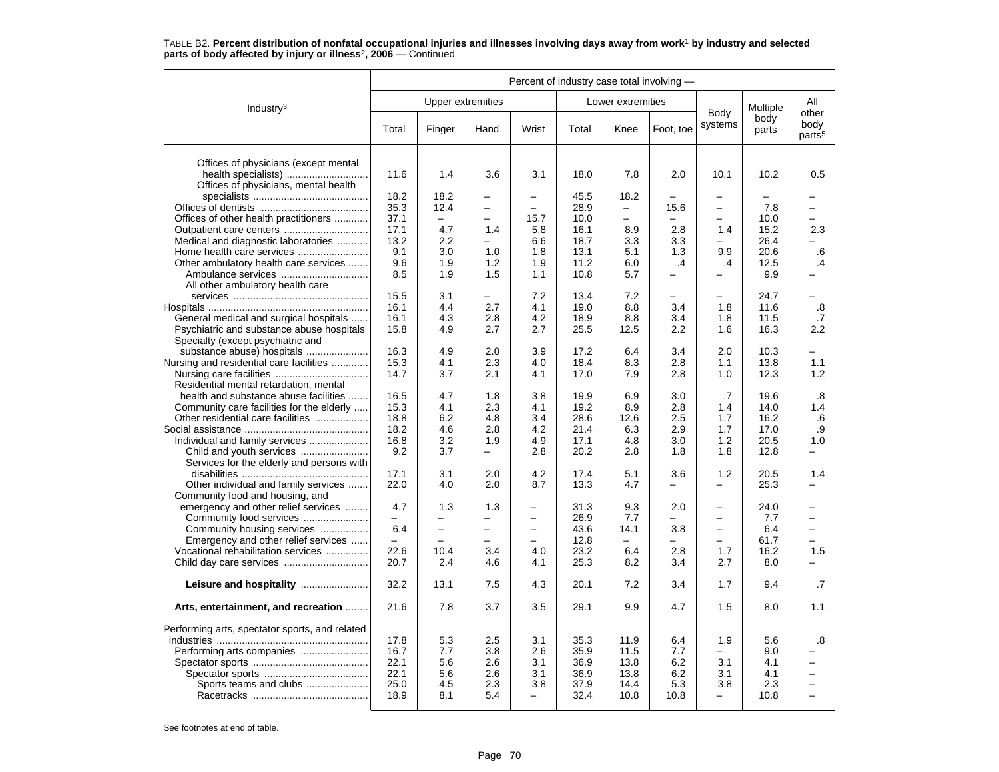#### Industry3 Percent of industry case total involving — Upper extremities **Lower** extremities Body systems Multiple body parts Allotherbody<br>parts<sup>5</sup> Total Finger Hand Wrist Total Knee Foot, toe Systems parts pour Offices of physicians (except mental health specialists) ............................. 11.6 1.4 3.6 3.1 18.0 7.8 2.0 10.1 10.2 0.5 Offices of physicians, mental health specialists ......................................... 18.2 18.2 – – 45.5 18.2 – – – – Offices of dentists ....................................... 35.3 12.4 – – 28.9 – 15.6 – 7.8 –Offices of other health practitioners ............ 37.1 – – 15.7 10.0 – – – 10.0 – Outpatient care centers .............................. 17.1 4.7 1.4 5.8 16.1 8.9 2.8 1.4 15.2 2.3 Medical and diagnostic laboratories ........... 13.2 2.2 – 6.6 18.7 3.3 3.3 – 26.4 – Home health care services ......................... 9.1 3.0 1.0 1.8 13.1 5.1 1.3 9.9 20.6 .6Other ambulatory health care services ....... 9.6 1.9 1.2 1.9 11.2 6.0 .4 .4 12.5 .4 Ambulance services ............................... 8.5 1.9 1.5 1.1 10.8 5.7 – – 9.9 –All other ambulatory health care services ................................................ 15.5 3.1 – 7.2 13.4 7.2 – – 24.7 –Hospitals ......................................................... 16.1 4.4 2.7 4.1 19.0 8.8 3.4 1.8 11.6 .8 General medical and surgical hospitals ...... 16.1 4.3 2.8 4.2 18.9 8.8 3.4 1.8 1.8 11.5 .7<br>Psychiatric and substance abuse hospitals 15.8 4.9 2.7 2.7 2.5 12.5 2.2 1.6 16.3 2.2 Psychiatric and substance abuse hospitals Specialty (except psychiatric and substance abuse) hospitals ...................... 16.3 4.9 2.0 3.9 17.2 6.4 3.4 2.0 10.3 – Nursing and residential care facilities ............. 15.3 4.1 2.3 4.0 18.4 8.3 2.8 1.1 13.8 1.1 Nursing care facilities ................................. 14.7 3.7 2.1 4.1 17.0 7.9 2.8 1.0 12.3 1.2 Residential mental retardation, mental health and substance abuse facilities ....... 16.5 4.7 1.8 3.8 19.9 6.9 3.0 .7 19.6 .8Community care facilities for the elderly ..... 15.3 4.1 2.3 4.1 19.2 8.9 2.8 1.4 14.0 1.4<br>Other residential care facilities ..................... 18.8 6.2 4.8 3.4 28.6 12.6 2.5 1.7 16.2 .6 Other residential care facilities .................... .9 Social assistance ............................................ 18.2 4.6 2.8 4.2 21.4 6.3 2.9 1.7 17.0 .9Individual and family services ..................... 16.8 3.2 1.9 4.9 17.1 4.8 3.0 1.2 20.5 1.0 Child and youth services ........................ 9.2 3.7 – 2.8 20.2 2.8 1.8 1.8 12.8 – Services for the elderly and persons with disabilities ............................................. 17.1 3.1 2.0 4.2 17.4 5.1 3.6 1.2 20.5 1.4Other individual and family services ....... 22.0 4.0 2.0 8.7 | 13.3 | 4.7 | - | - | 25.3 | -Community food and housing, and emergency and other relief services .........  $4.7$   $1.3$   $1.3$   $31.3$   $9.3$   $2.0$   $-$  24.0  $-$  24.0  $-$  24.0  $-$  24.0  $-$  24.0  $-$  24.0  $-$  24.0  $-$  24.0  $-$  26.9  $7.7$   $7.7$   $-$ Community food services ....................... – – – – 26.9 7.7 – – 7.7 – Community housing services ................. 6.4 – – – 43.6 14.1 3.8 – 6.4 – Emergency and other relief services ...... – – – – 12.8 – – – 61.7 – Vocational rehabilitation services ............... 1.5 Child day care services .............................. 20.7 2.4 4.6 4.1 25.3 8.2 3.4 2.7 8.0 – **Leisure and hospitality** ........................ 32.2 13.1 7.5 4.3 20.1 7.2 3.4 1.7 9.4 .7 **Arts, entertainment, and recreation** ........ 21.6 7.8 3.7 3.5 29.1 9.9 4.7 1.5 8.0 1.1 Performing arts, spectator sports, and related industries ...................................................... 17.8 5.3 2.5 3.1 35.3 11.9 6.4 1.9 5.6 .8Performing arts companies ........................ 16.7 7.7 3.8 2.6 35.9 11.5 7.7 – 9.0 – Spectator sports ......................................... 22.1 5.6 2.6 3.1 36.9 13.8 6.2 3.1 4.1 – Spectator sports ..................................... 22.1 5.6 2.6 3.1 36.9 13.8 6.2 3.1 4.1 – Sports teams and clubs ...................... 25.0 4.5 2.3 3.8 37.9 14.4 5.3 3.8 2.3 – Racetracks ......................................... 18.9 8.1 5.4 – 32.4 10.8 10.8 – 10.8 –

# TABLE B2. **Percent distribution of nonfatal occupational injuries and illnesses involving days away from work**<sup>1</sup> **by industry and selected parts of body affected by injury or illness**<sup>2</sup>**, 2006** — Continued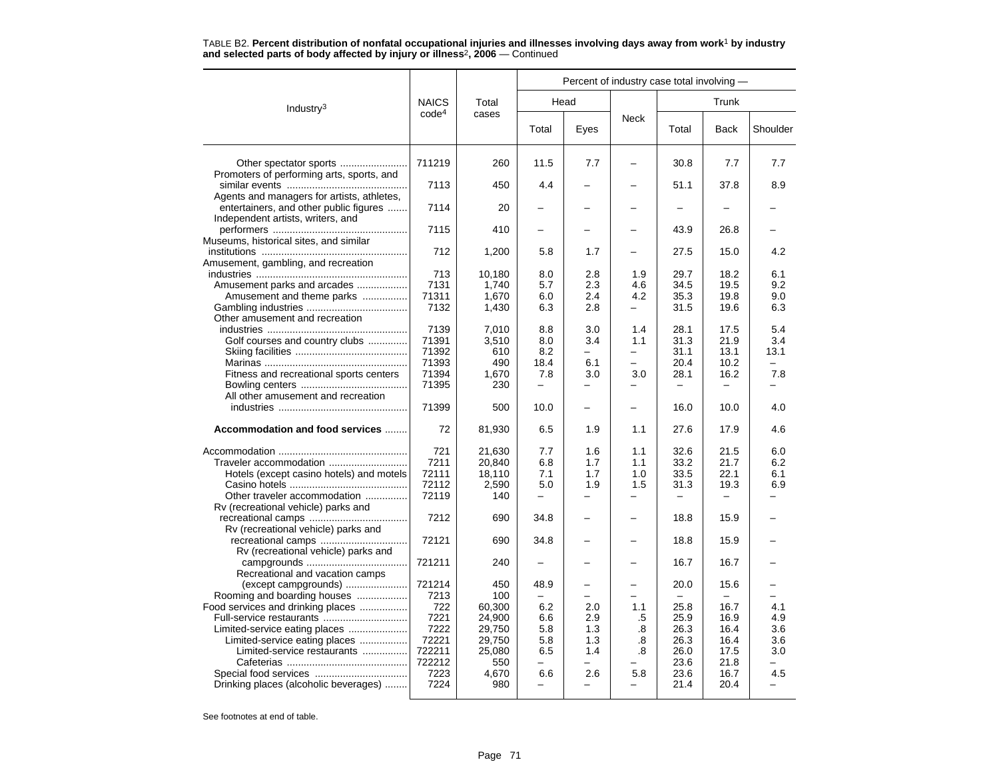|                                                                             |                   |                  |                          | Percent of industry case total involving - |                          |              |              |            |
|-----------------------------------------------------------------------------|-------------------|------------------|--------------------------|--------------------------------------------|--------------------------|--------------|--------------|------------|
| Industry <sup>3</sup>                                                       | <b>NAICS</b>      | Total            |                          | Head                                       |                          |              | Trunk        |            |
|                                                                             | code <sup>4</sup> | cases            | Total                    | Eyes                                       | Neck                     | Total        | <b>Back</b>  | Shoulder   |
|                                                                             | 711219            | 260              | 11.5                     | 7.7                                        |                          | 30.8         | 7.7          | 7.7        |
| Promoters of performing arts, sports, and                                   |                   |                  |                          |                                            |                          |              |              |            |
|                                                                             | 7113              | 450              | 4.4                      |                                            |                          | 51.1         | 37.8         | 8.9        |
| Agents and managers for artists, athletes,                                  |                   |                  |                          |                                            |                          |              |              |            |
| entertainers, and other public figures<br>Independent artists, writers, and | 7114              | 20               |                          |                                            |                          |              |              |            |
|                                                                             | 7115              | 410              |                          |                                            |                          | 43.9         | 26.8         |            |
| Museums, historical sites, and similar                                      |                   |                  |                          |                                            |                          |              |              |            |
|                                                                             | 712               | 1,200            | 5.8                      | 1.7                                        |                          | 27.5         | 15.0         | 4.2        |
| Amusement, gambling, and recreation                                         |                   |                  |                          |                                            |                          |              |              |            |
| Amusement parks and arcades                                                 | 713<br>7131       | 10,180<br>1,740  | 8.0<br>5.7               | 2.8<br>2.3                                 | 1.9<br>4.6               | 29.7<br>34.5 | 18.2<br>19.5 | 6.1<br>9.2 |
| Amusement and theme parks                                                   | 71311             | 1,670            | 6.0                      | 2.4                                        | 4.2                      | 35.3         | 19.8         | 9.0        |
|                                                                             | 7132              | 1,430            | 6.3                      | 2.8                                        | -                        | 31.5         | 19.6         | 6.3        |
| Other amusement and recreation                                              |                   |                  |                          |                                            |                          |              |              |            |
|                                                                             | 7139              | 7.010            | 8.8                      | 3.0                                        | 1.4                      | 28.1         | 17.5         | 5.4        |
| Golf courses and country clubs                                              | 71391             | 3,510            | 8.0                      | 3.4                                        | 1.1                      | 31.3         | 21.9         | 3.4        |
|                                                                             | 71392             | 610              | 8.2                      | L.                                         | $\overline{\phantom{0}}$ | 31.1         | 13.1         | 13.1       |
|                                                                             | 71393             | 490              | 18.4                     | 6.1                                        | $\overline{\phantom{0}}$ | 20.4         | 10.2         | $\equiv$   |
| Fitness and recreational sports centers                                     | 71394<br>71395    | 1,670<br>230     | 7.8                      | 3.0                                        | 3.0                      | 28.1         | 16.2         | 7.8        |
| All other amusement and recreation                                          |                   |                  |                          |                                            |                          |              |              |            |
|                                                                             | 71399             | 500              | 10.0                     |                                            | $\overline{\phantom{0}}$ | 16.0         | 10.0         | 4.0        |
| Accommodation and food services                                             | 72                | 81,930           | 6.5                      | 1.9                                        | 1.1                      | 27.6         | 17.9         | 4.6        |
|                                                                             | 721               | 21,630           | 7.7                      | 1.6                                        | 1.1                      | 32.6         | 21.5         | 6.0        |
| Traveler accommodation                                                      | 7211              | 20,840           | 6.8                      | 1.7                                        | 1.1                      | 33.2         | 21.7         | 6.2        |
| Hotels (except casino hotels) and motels                                    | 72111             | 18,110           | 7.1                      | 1.7                                        | 1.0                      | 33.5         | 22.1         | 6.1        |
|                                                                             | 72112             | 2,590            | 5.0                      | 1.9                                        | 1.5                      | 31.3         | 19.3         | 6.9        |
| Other traveler accommodation                                                | 72119             | 140              |                          |                                            | $\overline{\phantom{0}}$ |              |              |            |
| Rv (recreational vehicle) parks and                                         |                   |                  |                          |                                            |                          |              |              |            |
|                                                                             | 7212              | 690              | 34.8                     |                                            |                          | 18.8         | 15.9         |            |
| Rv (recreational vehicle) parks and                                         | 72121             | 690              | 34.8                     |                                            |                          | 18.8         | 15.9         |            |
| Rv (recreational vehicle) parks and                                         |                   |                  |                          |                                            |                          |              |              |            |
|                                                                             | 721211            | 240              |                          |                                            |                          | 16.7         | 16.7         |            |
| Recreational and vacation camps                                             |                   |                  |                          |                                            |                          |              |              |            |
| (except campgrounds)                                                        | 721214            | 450              | 48.9                     |                                            |                          | 20.0         | 15.6         |            |
| Rooming and boarding houses                                                 | 7213              | 100              |                          | -                                          | -                        |              |              |            |
| Food services and drinking places                                           | 722<br>7221       | 60,300<br>24,900 | 6.2<br>6.6               | 2.0<br>2.9                                 | 1.1                      | 25.8<br>25.9 | 16.7<br>16.9 | 4.1<br>4.9 |
| Full-service restaurants<br>Limited-service eating places                   | 7222              | 29,750           | 5.8                      | 1.3                                        | .5<br>.8                 | 26.3         | 16.4         | 3.6        |
| Limited-service eating places                                               | 72221             | 29,750           | 5.8                      | 1.3                                        | .8                       | 26.3         | 16.4         | 3.6        |
| Limited-service restaurants                                                 | 722211            | 25,080           | 6.5                      | 1.4                                        | .8                       | 26.0         | 17.5         | 3.0        |
|                                                                             | 722212            | 550              | $\overline{\phantom{m}}$ | -                                          |                          | 23.6         | 21.8         | ÷          |
| Special food services                                                       | 7223              | 4,670            | 6.6                      | 2.6                                        | 5.8                      | 23.6         | 16.7         | 4.5        |
| Drinking places (alcoholic beverages)                                       | 7224              | 980              |                          |                                            |                          | 21.4         | 20.4         |            |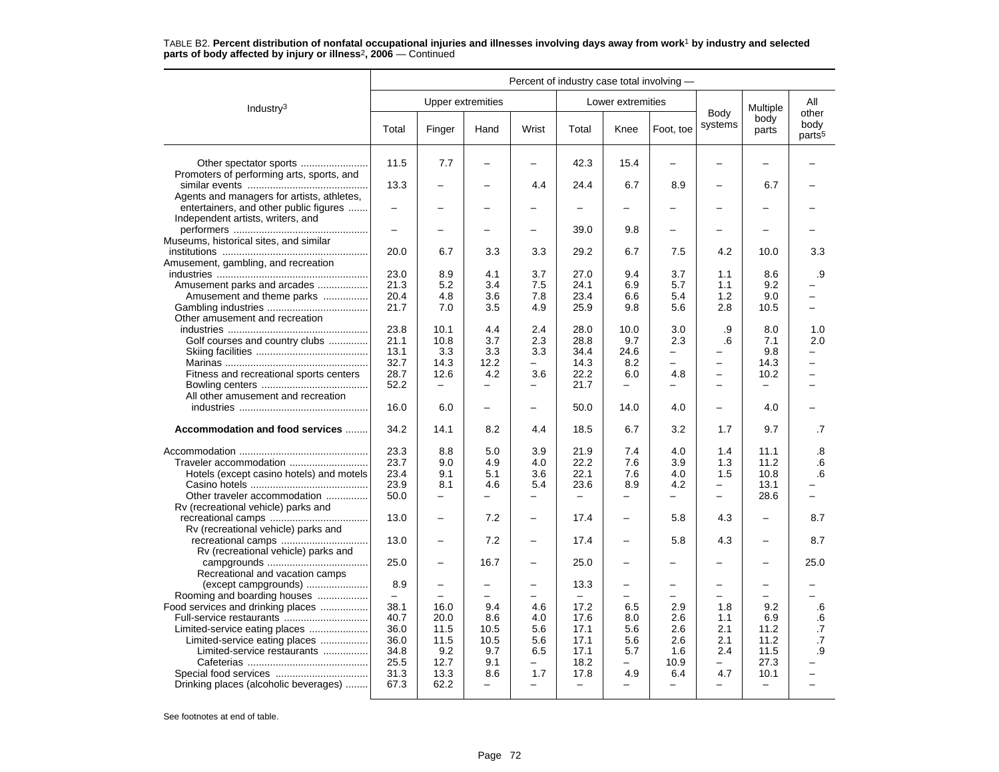|                                                                             |                                                      |                          |                          |                          | Percent of industry case total involving - |                          |                          |                          |                          |                                     |
|-----------------------------------------------------------------------------|------------------------------------------------------|--------------------------|--------------------------|--------------------------|--------------------------------------------|--------------------------|--------------------------|--------------------------|--------------------------|-------------------------------------|
| Industry <sup>3</sup>                                                       |                                                      |                          | <b>Upper extremities</b> |                          |                                            | Lower extremities        |                          |                          | Multiple                 | All                                 |
|                                                                             | Total                                                | Finger                   | Hand                     | Wrist                    | Total                                      | Knee                     | Foot, toe                | Body<br>systems          | body<br>parts            | other<br>body<br>parts <sup>5</sup> |
| Promoters of performing arts, sports, and                                   | 11.5                                                 | 7.7                      |                          |                          | 42.3                                       | 15.4                     | $\overline{\phantom{0}}$ |                          |                          |                                     |
| Agents and managers for artists, athletes,                                  | 13.3                                                 |                          |                          | 4.4                      | 24.4                                       | 6.7                      | 8.9                      |                          | 6.7                      |                                     |
| entertainers, and other public figures<br>Independent artists, writers, and | $\overline{\phantom{0}}$<br>$\overline{\phantom{0}}$ | $\overline{\phantom{0}}$ | -                        | $\overline{\phantom{0}}$ |                                            |                          | $\overline{\phantom{0}}$ |                          | -                        |                                     |
| Museums, historical sites, and similar                                      |                                                      |                          |                          |                          | 39.0                                       | 9.8                      |                          |                          |                          |                                     |
| Amusement, gambling, and recreation                                         | 20.0                                                 | 6.7                      | 3.3                      | 3.3                      | 29.2                                       | 6.7                      | 7.5                      | 4.2                      | 10.0                     | 3.3                                 |
|                                                                             | 23.0                                                 | 8.9                      | 4.1                      | 3.7                      | 27.0                                       | 9.4                      | 3.7                      | 1.1                      | 8.6                      | .9                                  |
| Amusement parks and arcades                                                 | 21.3                                                 | 5.2                      | 3.4                      | 7.5                      | 24.1                                       | 6.9                      | 5.7                      | 1.1                      | 9.2                      |                                     |
| Amusement and theme parks                                                   | 20.4                                                 | 4.8                      | 3.6                      | 7.8                      | 23.4                                       | 6.6                      | 5.4                      | 1.2                      | 9.0                      |                                     |
| Other amusement and recreation                                              | 21.7                                                 | 7.0                      | 3.5                      | 4.9                      | 25.9                                       | 9.8                      | 5.6                      | 2.8                      | 10.5                     | -                                   |
|                                                                             | 23.8                                                 | 10.1                     | 4.4                      | 2.4                      | 28.0                                       | 10.0                     | 3.0                      | .9                       | 8.0                      | 1.0                                 |
| Golf courses and country clubs                                              | 21.1                                                 | 10.8                     | 3.7                      | 2.3                      | 28.8                                       | 9.7                      | 2.3                      | .6                       | 7.1                      | 2.0                                 |
|                                                                             | 13.1                                                 | 3.3                      | 3.3                      | 3.3                      | 34.4                                       | 24.6                     | —                        |                          | 9.8                      |                                     |
|                                                                             | 32.7                                                 | 14.3                     | 12.2                     | $-$                      | 14.3                                       | 8.2                      | $\equiv$                 | $\qquad \qquad -$        | 14.3                     | $\overline{\phantom{0}}$            |
| Fitness and recreational sports centers                                     | 28.7                                                 | 12.6                     | 4.2                      | 3.6                      | 22.2                                       | 6.0                      | 4.8                      | $\overline{\phantom{0}}$ | 10.2                     |                                     |
| All other amusement and recreation                                          | 52.2                                                 | $\equiv$                 | $\overline{\phantom{0}}$ | $\overline{\phantom{0}}$ | 21.7                                       | ÷                        |                          | $\overline{\phantom{0}}$ | $\overline{a}$           |                                     |
|                                                                             | 16.0                                                 | 6.0                      |                          |                          | 50.0                                       | 14.0                     | 4.0                      |                          | 4.0                      |                                     |
| Accommodation and food services                                             | 34.2                                                 | 14.1                     | 8.2                      | 4.4                      | 18.5                                       | 6.7                      | 3.2                      | 1.7                      | 9.7                      | .7                                  |
|                                                                             | 23.3                                                 | 8.8                      | 5.0                      | 3.9                      | 21.9                                       | 7.4                      | 4.0                      | 1.4                      | 11.1                     | .8                                  |
| Traveler accommodation                                                      | 23.7                                                 | 9.0                      | 4.9                      | 4.0                      | 22.2                                       | 7.6                      | 3.9                      | 1.3                      | 11.2                     | .6                                  |
| Hotels (except casino hotels) and motels                                    | 23.4                                                 | 9.1                      | 5.1                      | 3.6                      | 22.1                                       | 7.6                      | 4.0                      | 1.5                      | 10.8                     | 6                                   |
|                                                                             | 23.9                                                 | 8.1                      | 4.6                      | 5.4                      | 23.6                                       | 8.9                      | 4.2                      | $\equiv$                 | 13.1                     |                                     |
| Other traveler accommodation                                                | 50.0                                                 | $\qquad \qquad -$        | $\overline{\phantom{0}}$ | $\overline{\phantom{0}}$ | $\equiv$                                   | $\overline{\phantom{0}}$ | $\overline{\phantom{0}}$ | $\overline{\phantom{m}}$ | 28.6                     | -                                   |
| Rv (recreational vehicle) parks and                                         |                                                      |                          |                          |                          |                                            |                          |                          |                          |                          |                                     |
| Rv (recreational vehicle) parks and                                         | 13.0                                                 | $\overline{\phantom{0}}$ | 7.2                      | $\equiv$                 | 17.4                                       | ÷                        | 5.8                      | 4.3                      |                          | 8.7                                 |
| Rv (recreational vehicle) parks and                                         | 13.0                                                 |                          | 7.2                      |                          | 17.4                                       |                          | 5.8                      | 4.3                      |                          | 8.7                                 |
| Recreational and vacation camps                                             | 25.0                                                 | $\overline{\phantom{0}}$ | 16.7                     | $\overline{\phantom{0}}$ | 25.0                                       | $\overline{\phantom{0}}$ |                          |                          |                          | 25.0                                |
| (except campgrounds)<br>Rooming and boarding houses                         | 8.9<br>$\equiv$                                      | $\overline{\phantom{0}}$ | -                        | $\overline{\phantom{0}}$ | 13.3<br>$\equiv$                           | -<br>-                   | $\overline{\phantom{0}}$ | $\overline{\phantom{0}}$ | $\overline{\phantom{0}}$ |                                     |
| Food services and drinking places                                           | 38.1                                                 | 16.0                     | 9.4                      | 4.6                      | 17.2                                       | 6.5                      | 2.9                      | 1.8                      | 9.2                      | .6                                  |
| Full-service restaurants                                                    | 40.7                                                 | 20.0                     | 8.6                      | 4.0                      | 17.6                                       | 8.0                      | 2.6                      | 1.1                      | 6.9                      | .6                                  |
| Limited-service eating places                                               | 36.0                                                 | 11.5                     | 10.5                     | 5.6                      | 17.1                                       | 5.6                      | 2.6                      | 2.1                      | 11.2                     | $\cdot$                             |
| Limited-service eating places                                               | 36.0                                                 | 11.5                     | 10.5                     | 5.6                      | 17.1                                       | 5.6                      | 2.6                      | 2.1                      | 11.2                     | $\cdot$ 7                           |
| Limited-service restaurants                                                 | 34.8                                                 | 9.2                      | 9.7                      | 6.5                      | 17.1                                       | 5.7                      | 1.6                      | 2.4                      | 11.5                     | .9                                  |
|                                                                             |                                                      |                          | 9.1                      |                          |                                            |                          |                          | $\equiv$                 |                          |                                     |
|                                                                             | 25.5                                                 | 12.7                     |                          | $\equiv$                 | 18.2                                       | $\overline{\phantom{0}}$ | 10.9                     |                          | 27.3                     |                                     |
|                                                                             | 31.3                                                 | 13.3                     | 8.6                      | 1.7                      | 17.8                                       | 4.9                      | 6.4                      | 4.7                      | 10.1                     |                                     |
| Drinking places (alcoholic beverages)                                       | 67.3                                                 | 62.2                     | $\overline{\phantom{0}}$ | $\overline{\phantom{0}}$ | $-$                                        | $\overline{\phantom{0}}$ | $\overline{\phantom{0}}$ | $\overline{\phantom{m}}$ | $\overline{\phantom{m}}$ | -                                   |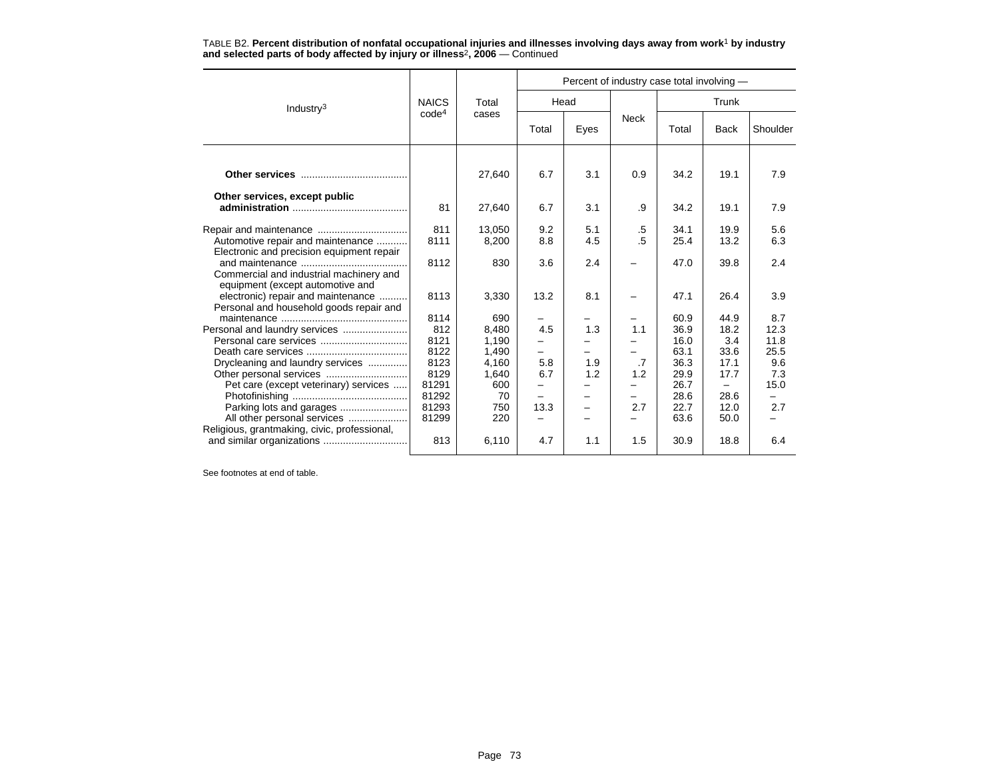|                                                                                | <b>NAICS</b>      | Total<br>cases  | Percent of industry case total involving - |            |              |              |              |              |  |  |
|--------------------------------------------------------------------------------|-------------------|-----------------|--------------------------------------------|------------|--------------|--------------|--------------|--------------|--|--|
| Industry <sup>3</sup>                                                          |                   |                 | Head                                       |            |              | Trunk        |              |              |  |  |
|                                                                                | code <sup>4</sup> |                 | Total                                      | Eyes       | <b>Neck</b>  | Total        | <b>Back</b>  | Shoulder     |  |  |
|                                                                                |                   | 27,640          | 6.7                                        | 3.1        | 0.9          | 34.2         | 19.1         | 7.9          |  |  |
| Other services, except public                                                  | 81                | 27,640          | 6.7                                        | 3.1        | .9           | 34.2         | 19.1         | 7.9          |  |  |
| Automotive repair and maintenance<br>Electronic and precision equipment repair | 811<br>8111       | 13,050<br>8,200 | 9.2<br>8.8                                 | 5.1<br>4.5 | .5<br>$.5\,$ | 34.1<br>25.4 | 19.9<br>13.2 | 5.6<br>6.3   |  |  |
| Commercial and industrial machinery and<br>equipment (except automotive and    | 8112              | 830             | 3.6                                        | 2.4        |              | 47.0         | 39.8         | 2.4          |  |  |
| electronic) repair and maintenance<br>Personal and household goods repair and  | 8113              | 3,330           | 13.2                                       | 8.1        |              | 47.1         | 26.4         | 3.9          |  |  |
|                                                                                | 8114              | 690             | -                                          |            |              | 60.9         | 44.9         | 8.7          |  |  |
| Personal and laundry services                                                  | 812               | 8,480           | 4.5                                        | 1.3        | 1.1          | 36.9         | 18.2         | 12.3         |  |  |
|                                                                                | 8121<br>8122      | 1,190<br>1,490  | -                                          |            |              | 16.0<br>63.1 | 3.4<br>33.6  | 11.8<br>25.5 |  |  |
| Drycleaning and laundry services                                               | 8123              | 4,160           | 5.8                                        | 1.9        | .7           | 36.3         | 17.1         | 9.6          |  |  |
|                                                                                | 8129              | 1,640           | 6.7                                        | 1.2        | 1.2          | 29.9         | 17.7         | 7.3          |  |  |
| Pet care (except veterinary) services                                          | 81291             | 600             | $\overline{\phantom{0}}$                   |            |              | 26.7         | -            | 15.0         |  |  |
|                                                                                | 81292             | 70              |                                            |            |              | 28.6         | 28.6         |              |  |  |
|                                                                                | 81293             | 750             | 13.3                                       | -          | 2.7          | 22.7         | 12.0         | 2.7          |  |  |
| All other personal services<br>Religious, grantmaking, civic, professional,    | 81299             | 220             |                                            |            |              | 63.6         | 50.0         |              |  |  |
|                                                                                | 813               | 6,110           | 4.7                                        | 1.1        | 1.5          | 30.9         | 18.8         | 6.4          |  |  |

TABLE B2. **Percent distribution of nonfatal occupational injuries and illnesses involving days away from work**<sup>1</sup> **by industry and selected parts of body affected by injury or illness**<sup>2</sup>**, 2006** — Continued

See footnotes at end of table.